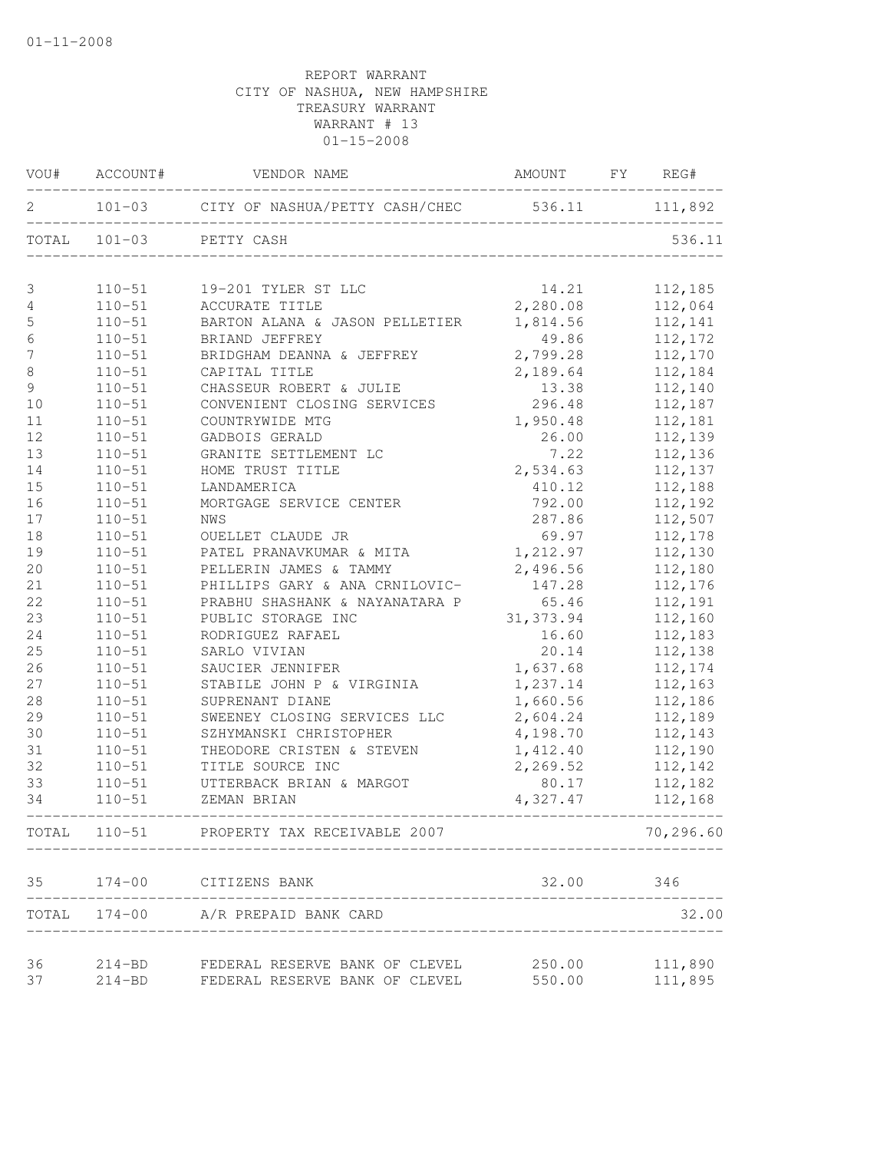|                  |            | VOU# ACCOUNT# VENDOR NAME                            | AMOUNT FY REG# |           |
|------------------|------------|------------------------------------------------------|----------------|-----------|
| 2                |            | 101-03 CITY OF NASHUA/PETTY CASH/CHEC 536.11 111,892 |                |           |
|                  |            | TOTAL 101-03 PETTY CASH                              |                | 536.11    |
| 3                |            | 110-51   19-201 TYLER ST LLC                         | 14.21          | 112,185   |
| 4                |            | 110-51 ACCURATE TITLE                                | 2,280.08       | 112,064   |
| 5                | $110 - 51$ | BARTON ALANA & JASON PELLETIER                       | 1,814.56       | 112,141   |
| $\epsilon$       | $110 - 51$ | BRIAND JEFFREY                                       | 49.86          | 112,172   |
| $\boldsymbol{7}$ | $110 - 51$ | BRIDGHAM DEANNA & JEFFREY                            | 2,799.28       | 112,170   |
| $\,8\,$          | $110 - 51$ | CAPITAL TITLE                                        | 2,189.64       | 112,184   |
| 9                | $110 - 51$ | CHASSEUR ROBERT & JULIE                              | 13.38          | 112,140   |
| 10               | $110 - 51$ | CONVENIENT CLOSING SERVICES 296.48                   |                | 112,187   |
| 11               | $110 - 51$ | COUNTRYWIDE MTG                                      | 1,950.48       | 112,181   |
| 12               | $110 - 51$ | GADBOIS GERALD                                       | 26.00          | 112,139   |
| 13               | $110 - 51$ | GRANITE SETTLEMENT LC                                | 7.22           | 112,136   |
| 14               | $110 - 51$ | HOME TRUST TITLE                                     | 2,534.63       | 112,137   |
| 15               | $110 - 51$ | LANDAMERICA                                          | 410.12         | 112,188   |
| 16               | $110 - 51$ | MORTGAGE SERVICE CENTER                              | 792.00         | 112,192   |
| 17               | $110 - 51$ | NWS                                                  | 287.86         | 112,507   |
| 18               | $110 - 51$ | OUELLET CLAUDE JR                                    | 69.97          | 112,178   |
| 19               | $110 - 51$ | PATEL PRANAVKUMAR & MITA                             | 1,212.97       | 112,130   |
| 20               | $110 - 51$ | PELLERIN JAMES & TAMMY                               | 2,496.56       | 112,180   |
| 21               | $110 - 51$ | PHILLIPS GARY & ANA CRNILOVIC-                       | 147.28         | 112,176   |
| 22               | $110 - 51$ | PRABHU SHASHANK & NAYANATARA P                       | 65.46          | 112,191   |
| 23               | $110 - 51$ | PUBLIC STORAGE INC                                   | 31, 373.94     | 112,160   |
| 24               | $110 - 51$ | RODRIGUEZ RAFAEL                                     | 16.60          | 112,183   |
| 25               | $110 - 51$ | SARLO VIVIAN                                         | 20.14          | 112,138   |
| 26               | $110 - 51$ | SAUCIER JENNIFER                                     | 1,637.68       | 112,174   |
| 27               | $110 - 51$ | STABILE JOHN P & VIRGINIA                            | 1,237.14       | 112,163   |
| 28               | $110 - 51$ | SUPRENANT DIANE                                      | 1,660.56       | 112,186   |
| 29               | $110 - 51$ | SWEENEY CLOSING SERVICES LLC                         | 2,604.24       | 112,189   |
| 30               | $110 - 51$ | SZHYMANSKI CHRISTOPHER                               | 4,198.70       | 112,143   |
| 31               | $110 - 51$ | THEODORE CRISTEN & STEVEN                            | 1,412.40       | 112,190   |
| 32               | $110 - 51$ | TITLE SOURCE INC                                     | 2,269.52       | 112,142   |
| 33               | $110 - 51$ | UTTERBACK BRIAN & MARGOT                             | 80.17          | 112,182   |
| 34               | $110 - 51$ | ZEMAN BRIAN                                          | 4,327.47       | 112,168   |
|                  |            | TOTAL 110-51 PROPERTY TAX RECEIVABLE 2007            |                | 70,296.60 |
|                  |            | 35 174-00 CITIZENS BANK                              | 32.00          | 346       |
|                  |            | TOTAL 174-00 A/R PREPAID BANK CARD                   |                | 32.00     |
| 36               |            | 214-BD FEDERAL RESERVE BANK OF CLEVEL                | 250.00         | 111,890   |
| 37               | $214 - BD$ | FEDERAL RESERVE BANK OF CLEVEL                       | 550.00         | 111,895   |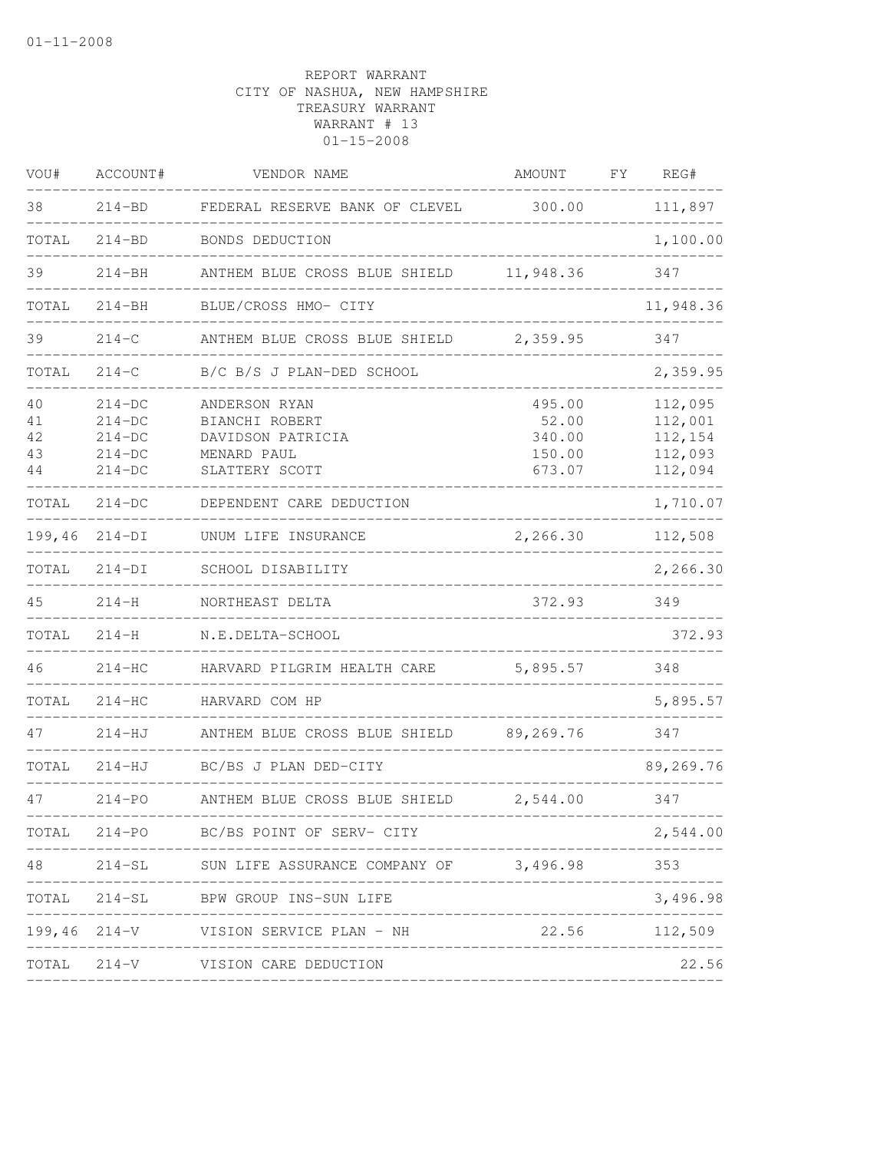| VOU#                       | ACCOUNT#                                                 | VENDOR NAME                                                                           | AMOUNT                                        | FY. | REG#                                                |
|----------------------------|----------------------------------------------------------|---------------------------------------------------------------------------------------|-----------------------------------------------|-----|-----------------------------------------------------|
| 38                         | $214 - BD$                                               | FEDERAL RESERVE BANK OF CLEVEL                                                        | 300.00                                        |     | 111,897                                             |
| TOTAL                      | $214 - BD$                                               | BONDS DEDUCTION                                                                       |                                               |     | 1,100.00                                            |
| 39                         | $214 - BH$                                               | ANTHEM BLUE CROSS BLUE SHIELD 11,948.36                                               |                                               |     | 347                                                 |
| TOTAL                      | $214 - BH$                                               | BLUE/CROSS HMO- CITY                                                                  |                                               |     | 11,948.36                                           |
| 39                         | $214 - C$                                                | ANTHEM BLUE CROSS BLUE SHIELD                                                         | 2,359.95                                      |     | 347                                                 |
| TOTAL                      | $214 - C$                                                | B/C B/S J PLAN-DED SCHOOL                                                             |                                               |     | 2,359.95                                            |
| 40<br>41<br>42<br>43<br>44 | $214-DC$<br>$214-DC$<br>$214-DC$<br>$214-DC$<br>$214-DC$ | ANDERSON RYAN<br>BIANCHI ROBERT<br>DAVIDSON PATRICIA<br>MENARD PAUL<br>SLATTERY SCOTT | 495.00<br>52.00<br>340.00<br>150.00<br>673.07 |     | 112,095<br>112,001<br>112,154<br>112,093<br>112,094 |
| TOTAL                      | $214-DC$                                                 | DEPENDENT CARE DEDUCTION                                                              |                                               |     | 1,710.07                                            |
| 199,46                     | $214-DI$                                                 | UNUM LIFE INSURANCE                                                                   | 2,266.30                                      |     | 112,508                                             |
| TOTAL                      | $214-DI$                                                 | SCHOOL DISABILITY                                                                     |                                               |     | 2,266.30                                            |
| 45                         | $214 - H$                                                | NORTHEAST DELTA                                                                       | 372.93                                        |     | 349                                                 |
| TOTAL                      | $214 - H$                                                | N.E.DELTA-SCHOOL                                                                      |                                               |     | 372.93                                              |
| 46                         | $214-HC$                                                 | HARVARD PILGRIM HEALTH CARE                                                           | 5,895.57                                      |     | 348                                                 |
| TOTAL                      | $214-HC$                                                 | HARVARD COM HP                                                                        |                                               |     | 5,895.57                                            |
| 47                         | $214 - HJ$                                               | ANTHEM BLUE CROSS BLUE SHIELD                                                         | 89,269.76                                     |     | 347                                                 |
| TOTAL                      | 214-HJ                                                   | BC/BS J PLAN DED-CITY                                                                 |                                               |     | 89,269.76                                           |
| 47                         | $214 - PO$                                               | ANTHEM BLUE CROSS BLUE SHIELD                                                         | 2,544.00                                      |     | 347                                                 |
|                            |                                                          | TOTAL 214-PO BC/BS POINT OF SERV- CITY                                                |                                               |     | 2,544.00                                            |
| 48                         |                                                          | 214-SL SUN LIFE ASSURANCE COMPANY OF 3,496.98                                         |                                               |     | 353                                                 |
| TOTAL                      |                                                          | 214-SL BPW GROUP INS-SUN LIFE                                                         |                                               |     | 3,496.98                                            |
|                            |                                                          | 199,46 214-V VISION SERVICE PLAN - NH                                                 | 22.56 112,509                                 |     |                                                     |
|                            |                                                          | TOTAL 214-V VISION CARE DEDUCTION                                                     |                                               |     | 22.56                                               |
|                            |                                                          |                                                                                       |                                               |     |                                                     |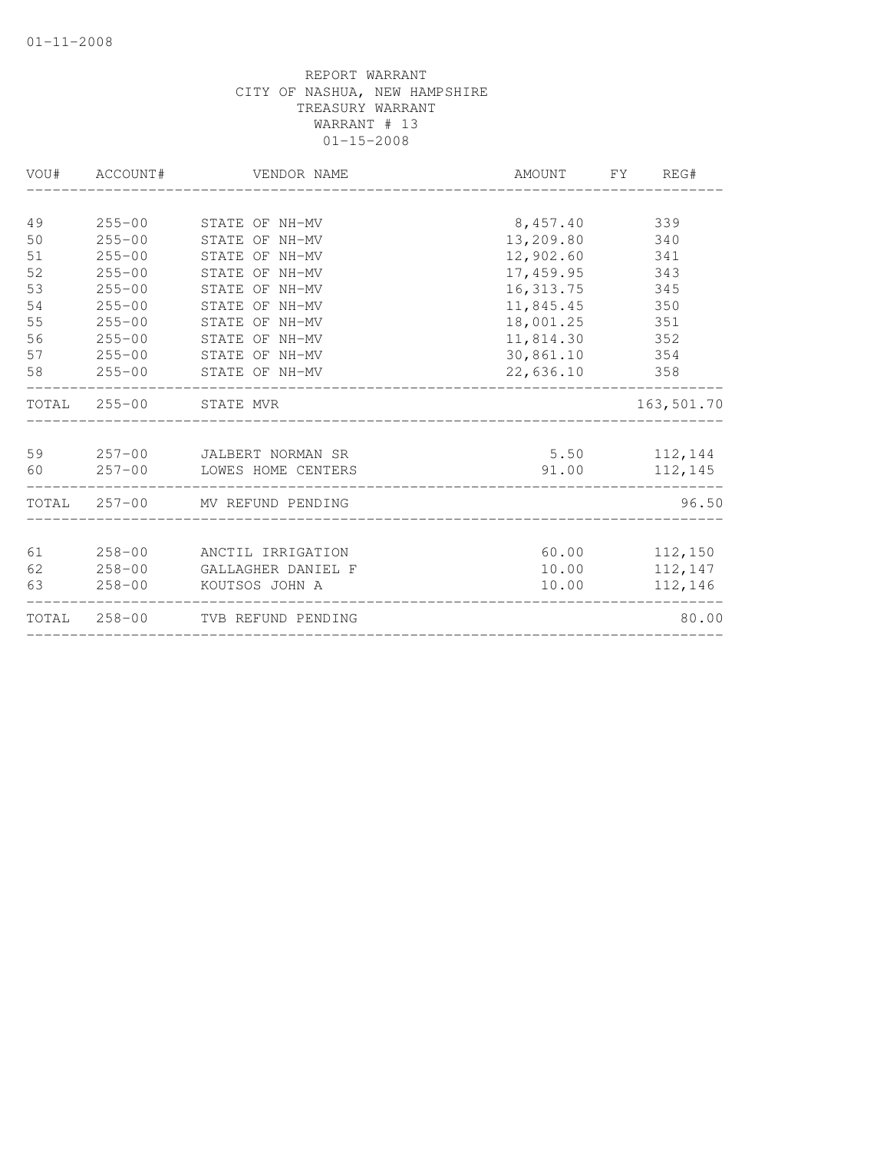| VOU# | ACCOUNT#   | VENDOR NAME                     | AMOUNT FY REG#   |               |
|------|------------|---------------------------------|------------------|---------------|
|      |            |                                 |                  |               |
| 49   |            | 255-00 STATE OF NH-MV           | 8,457.40 339     |               |
| 50   | $255 - 00$ | STATE OF NH-MV                  | 13,209.80        | 340           |
| 51   | $255 - 00$ | STATE OF NH-MV                  | 12,902.60 341    |               |
| 52   | $255 - 00$ | STATE OF NH-MV                  | 17,459.95 343    |               |
| 53   | $255 - 00$ | STATE OF NH-MV                  | 16, 313.75       | 345           |
| 54   | $255 - 00$ | STATE OF NH-MV                  | 11,845.45        | 350           |
| 55   | $255 - 00$ | STATE OF NH-MV                  | 18,001.25 351    |               |
| 56   | $255 - 00$ | STATE OF NH-MV                  | 11,814.30 352    |               |
| 57   | $255 - 00$ | STATE OF NH-MV                  | 30,861.10        | 354           |
| 58   |            | 255-00 STATE OF NH-MV           | 22,636.10        | 358           |
|      |            | TOTAL 255-00 STATE MVR          |                  | 163,501.70    |
|      |            | 59 257-00 JALBERT NORMAN SR     | $5.50$ $112,144$ |               |
| 60   |            | 257-00 LOWES HOME CENTERS       | 91.00            | 112,145       |
|      |            | TOTAL 257-00 MV REFUND PENDING  |                  | 96.50         |
| 61   |            | 258-00 ANCTIL IRRIGATION        | 60.00 112,150    |               |
| 62   |            | 258-00 GALLAGHER DANIEL F       |                  | 10.00 112,147 |
| 63   |            | 258-00 KOUTSOS JOHN A           | 10.00            | 112,146       |
|      |            | TOTAL 258-00 TVB REFUND PENDING |                  | 80.00         |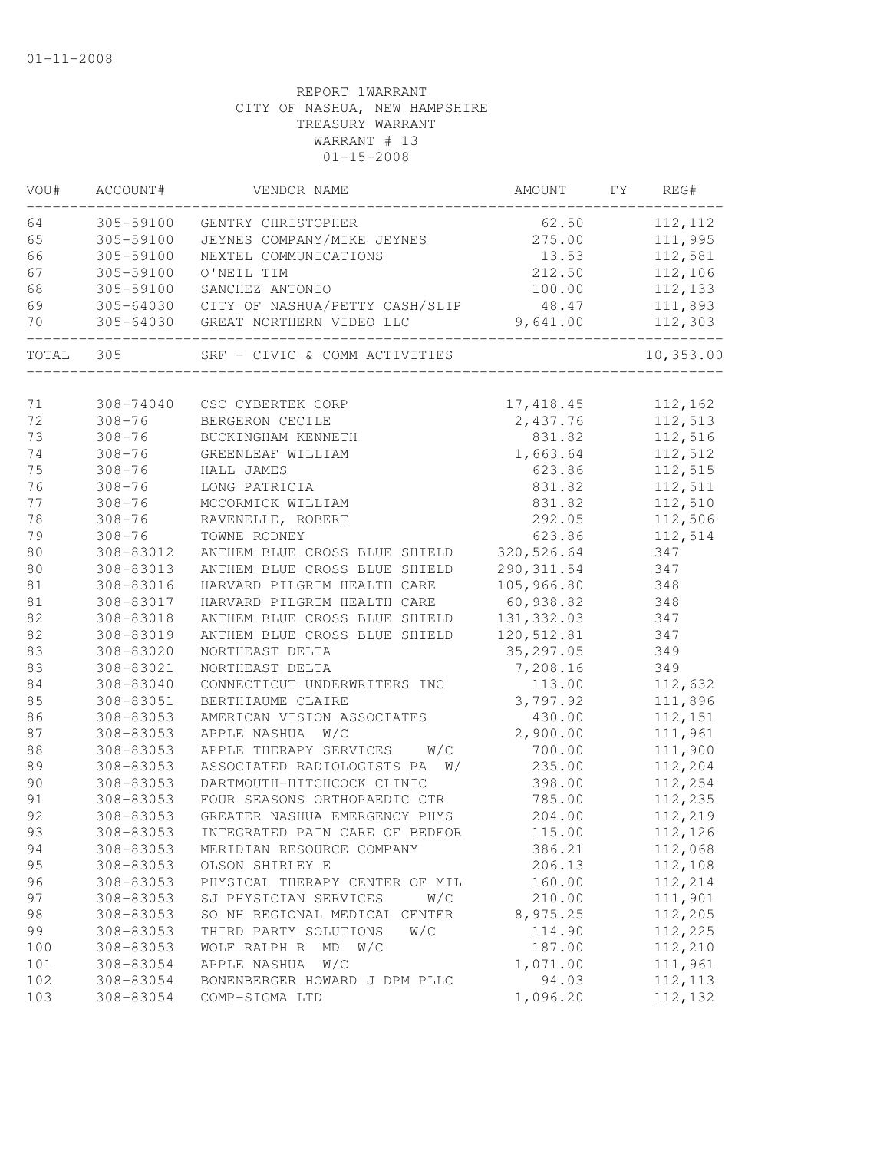| VOU#   | ACCOUNT#   | VENDOR NAME                    | AMOUNT      | FΥ | REG#      |
|--------|------------|--------------------------------|-------------|----|-----------|
| 64     | 305-59100  | GENTRY CHRISTOPHER             | 62.50       |    | 112, 112  |
| 65     | 305-59100  | JEYNES COMPANY/MIKE JEYNES     | 275.00      |    | 111,995   |
| 66     | 305-59100  | NEXTEL COMMUNICATIONS          | 13.53       |    | 112,581   |
| 67     | 305-59100  | O'NEIL TIM                     | 212.50      |    | 112,106   |
| 68     | 305-59100  | SANCHEZ ANTONIO                | 100.00      |    | 112,133   |
| 69     | 305-64030  | CITY OF NASHUA/PETTY CASH/SLIP | 48.47       |    | 111,893   |
| 70     | 305-64030  | GREAT NORTHERN VIDEO LLC       | 9,641.00    |    | 112,303   |
| TOTAL  | 305        | SRF - CIVIC & COMM ACTIVITIES  |             |    | 10,353.00 |
|        |            |                                |             |    |           |
| 71     | 308-74040  | CSC CYBERTEK CORP              | 17, 418.45  |    | 112,162   |
| 72     | $308 - 76$ | BERGERON CECILE                | 2,437.76    |    | 112,513   |
| 73     | $308 - 76$ | BUCKINGHAM KENNETH             | 831.82      |    | 112,516   |
| 74     | $308 - 76$ | GREENLEAF WILLIAM              | 1,663.64    |    | 112,512   |
| 75     | $308 - 76$ | HALL JAMES                     | 623.86      |    | 112,515   |
| 76     | $308 - 76$ | LONG PATRICIA                  | 831.82      |    | 112,511   |
| 77     | $308 - 76$ | MCCORMICK WILLIAM              | 831.82      |    | 112,510   |
| 78     | $308 - 76$ | RAVENELLE, ROBERT              | 292.05      |    | 112,506   |
| 79     | $308 - 76$ | TOWNE RODNEY                   | 623.86      |    | 112,514   |
| 80     | 308-83012  | ANTHEM BLUE CROSS BLUE SHIELD  | 320, 526.64 |    | 347       |
| 80     | 308-83013  | ANTHEM BLUE CROSS BLUE SHIELD  | 290, 311.54 |    | 347       |
| 81     | 308-83016  | HARVARD PILGRIM HEALTH CARE    | 105,966.80  |    | 348       |
| $8\,1$ | 308-83017  | HARVARD PILGRIM HEALTH CARE    | 60,938.82   |    | 348       |
| 82     | 308-83018  | ANTHEM BLUE CROSS BLUE SHIELD  | 131, 332.03 |    | 347       |
| 82     | 308-83019  | ANTHEM BLUE CROSS BLUE SHIELD  | 120,512.81  |    | 347       |
| 83     | 308-83020  | NORTHEAST DELTA                | 35, 297.05  |    | 349       |
| 83     | 308-83021  | NORTHEAST DELTA                | 7,208.16    |    | 349       |
| 84     | 308-83040  | CONNECTICUT UNDERWRITERS INC   | 113.00      |    | 112,632   |
| 85     | 308-83051  | BERTHIAUME CLAIRE              | 3,797.92    |    | 111,896   |
| 86     | 308-83053  | AMERICAN VISION ASSOCIATES     | 430.00      |    | 112,151   |
| 87     | 308-83053  | APPLE NASHUA<br>W/C            | 2,900.00    |    | 111,961   |
| 88     | 308-83053  | APPLE THERAPY SERVICES<br>W/C  | 700.00      |    | 111,900   |
| 89     | 308-83053  | ASSOCIATED RADIOLOGISTS PA W/  | 235.00      |    | 112,204   |
| 90     | 308-83053  | DARTMOUTH-HITCHCOCK CLINIC     | 398.00      |    | 112,254   |
| 91     | 308-83053  | FOUR SEASONS ORTHOPAEDIC CTR   | 785.00      |    | 112,235   |
| 92     | 308-83053  | GREATER NASHUA EMERGENCY PHYS  | 204.00      |    | 112,219   |
| 93     | 308-83053  | INTEGRATED PAIN CARE OF BEDFOR | 115.00      |    | 112,126   |
| 94     | 308-83053  | MERIDIAN RESOURCE COMPANY      | 386.21      |    | 112,068   |
| 95     | 308-83053  | OLSON SHIRLEY E                | 206.13      |    | 112,108   |
| 96     | 308-83053  | PHYSICAL THERAPY CENTER OF MIL | 160.00      |    | 112,214   |
| 97     | 308-83053  | SJ PHYSICIAN SERVICES<br>W/C   | 210.00      |    | 111,901   |
| 98     | 308-83053  | SO NH REGIONAL MEDICAL CENTER  | 8,975.25    |    | 112,205   |
| 99     | 308-83053  | THIRD PARTY SOLUTIONS<br>W/C   | 114.90      |    | 112,225   |
| 100    | 308-83053  | WOLF RALPH R<br>$MD$ $W/C$     | 187.00      |    | 112,210   |
| 101    | 308-83054  | APPLE NASHUA<br>W/C            | 1,071.00    |    | 111,961   |
| 102    | 308-83054  | BONENBERGER HOWARD J DPM PLLC  | 94.03       |    | 112, 113  |
| 103    | 308-83054  | COMP-SIGMA LTD                 | 1,096.20    |    | 112,132   |
|        |            |                                |             |    |           |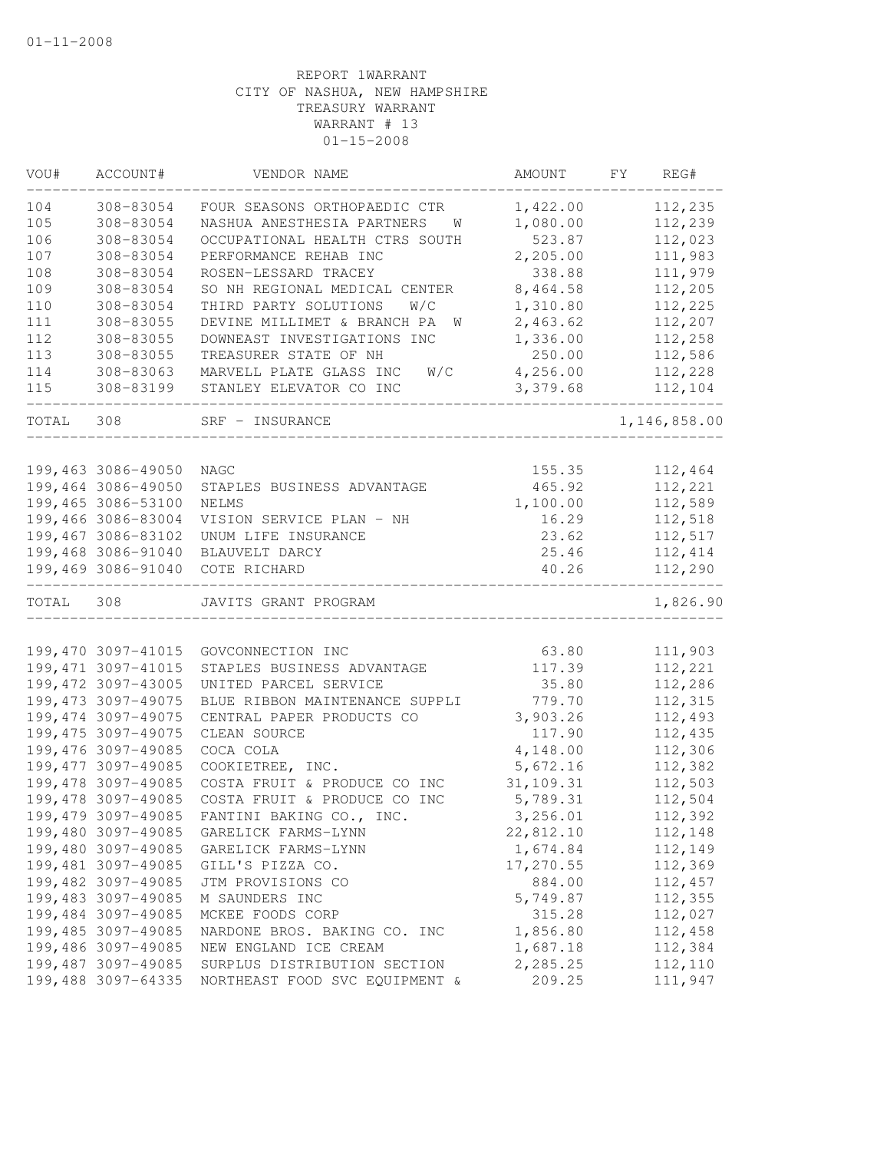| VOU#  | ACCOUNT#            | VENDOR NAME                      | AMOUNT         | FY | REG#         |
|-------|---------------------|----------------------------------|----------------|----|--------------|
| 104   | 308-83054           | FOUR SEASONS ORTHOPAEDIC CTR     | 1,422.00       |    | 112,235      |
| 105   | 308-83054           | NASHUA ANESTHESIA PARTNERS<br>W  | 1,080.00       |    | 112,239      |
| 106   | 308-83054           | OCCUPATIONAL HEALTH CTRS SOUTH   | 523.87         |    | 112,023      |
| 107   | 308-83054           | PERFORMANCE REHAB INC            | 2,205.00       |    | 111,983      |
| 108   | 308-83054           | ROSEN-LESSARD TRACEY             | 338.88         |    | 111,979      |
| 109   | 308-83054           | SO NH REGIONAL MEDICAL CENTER    | 8,464.58       |    | 112,205      |
| 110   | 308-83054           | THIRD PARTY SOLUTIONS<br>W/C     | 1,310.80       |    | 112,225      |
| 111   | 308-83055           | DEVINE MILLIMET & BRANCH PA<br>W | 2,463.62       |    | 112,207      |
| 112   | 308-83055           | DOWNEAST INVESTIGATIONS INC      | 1,336.00       |    | 112,258      |
| 113   | 308-83055           | TREASURER STATE OF NH            | 250.00         |    | 112,586      |
| 114   | 308-83063           | MARVELL PLATE GLASS INC<br>W/C   | 4,256.00       |    | 112,228      |
| 115   | 308-83199           | STANLEY ELEVATOR CO INC          | 3,379.68       |    | 112,104      |
| TOTAL | 308                 | SRF - INSURANCE                  |                |    | 1,146,858.00 |
|       |                     |                                  |                |    |              |
|       | 199,463 3086-49050  | NAGC                             | 155.35         |    | 112,464      |
|       | 199,464 3086-49050  | STAPLES BUSINESS ADVANTAGE       | 465.92         |    | 112,221      |
|       | 199,465 3086-53100  | <b>NELMS</b>                     | 1,100.00       |    | 112,589      |
|       | 199,466 3086-83004  | VISION SERVICE PLAN - NH         | 16.29          |    | 112,518      |
|       | 199,467 3086-83102  | UNUM LIFE INSURANCE              | 23.62          |    | 112,517      |
|       | 199,468 3086-91040  | BLAUVELT DARCY                   | 25.46<br>40.26 |    | 112,414      |
|       | 199,469 3086-91040  | COTE RICHARD                     |                |    | 112,290      |
| TOTAL | 308                 | JAVITS GRANT PROGRAM             |                |    | 1,826.90     |
|       |                     |                                  |                |    |              |
|       | 199,470 3097-41015  | GOVCONNECTION INC                | 63.80          |    | 111,903      |
|       | 199, 471 3097-41015 | STAPLES BUSINESS ADVANTAGE       | 117.39         |    | 112,221      |
|       | 199,472 3097-43005  | UNITED PARCEL SERVICE            | 35.80          |    | 112,286      |
|       | 199, 473 3097-49075 | BLUE RIBBON MAINTENANCE SUPPLI   | 779.70         |    | 112,315      |
|       | 199,474 3097-49075  | CENTRAL PAPER PRODUCTS CO        | 3,903.26       |    | 112,493      |
|       | 199, 475 3097-49075 | CLEAN SOURCE                     | 117.90         |    | 112,435      |
|       | 199,476 3097-49085  | COCA COLA                        | 4,148.00       |    | 112,306      |
|       | 199, 477 3097-49085 | COOKIETREE, INC.                 | 5,672.16       |    | 112,382      |
|       | 199,478 3097-49085  | COSTA FRUIT & PRODUCE CO INC     | 31,109.31      |    | 112,503      |
|       | 199,478 3097-49085  | COSTA FRUIT & PRODUCE CO INC     | 5,789.31       |    | 112,504      |
|       | 199,479 3097-49085  | FANTINI BAKING CO., INC.         | 3,256.01       |    | 112,392      |
|       | 199,480 3097-49085  | GARELICK FARMS-LYNN              | 22,812.10      |    | 112,148      |
|       | 199,480 3097-49085  | GARELICK FARMS-LYNN              | 1,674.84       |    | 112,149      |
|       | 199,481 3097-49085  | GILL'S PIZZA CO.                 | 17,270.55      |    | 112,369      |
|       | 199,482 3097-49085  | JTM PROVISIONS CO                | 884.00         |    | 112,457      |
|       | 199,483 3097-49085  | M SAUNDERS INC                   | 5,749.87       |    | 112,355      |
|       | 199,484 3097-49085  | MCKEE FOODS CORP                 | 315.28         |    | 112,027      |
|       | 199,485 3097-49085  | NARDONE BROS. BAKING CO. INC     | 1,856.80       |    | 112,458      |
|       | 199,486 3097-49085  | NEW ENGLAND ICE CREAM            | 1,687.18       |    | 112,384      |
|       | 199,487 3097-49085  | SURPLUS DISTRIBUTION SECTION     | 2,285.25       |    | 112,110      |
|       | 199,488 3097-64335  | NORTHEAST FOOD SVC EQUIPMENT &   | 209.25         |    | 111,947      |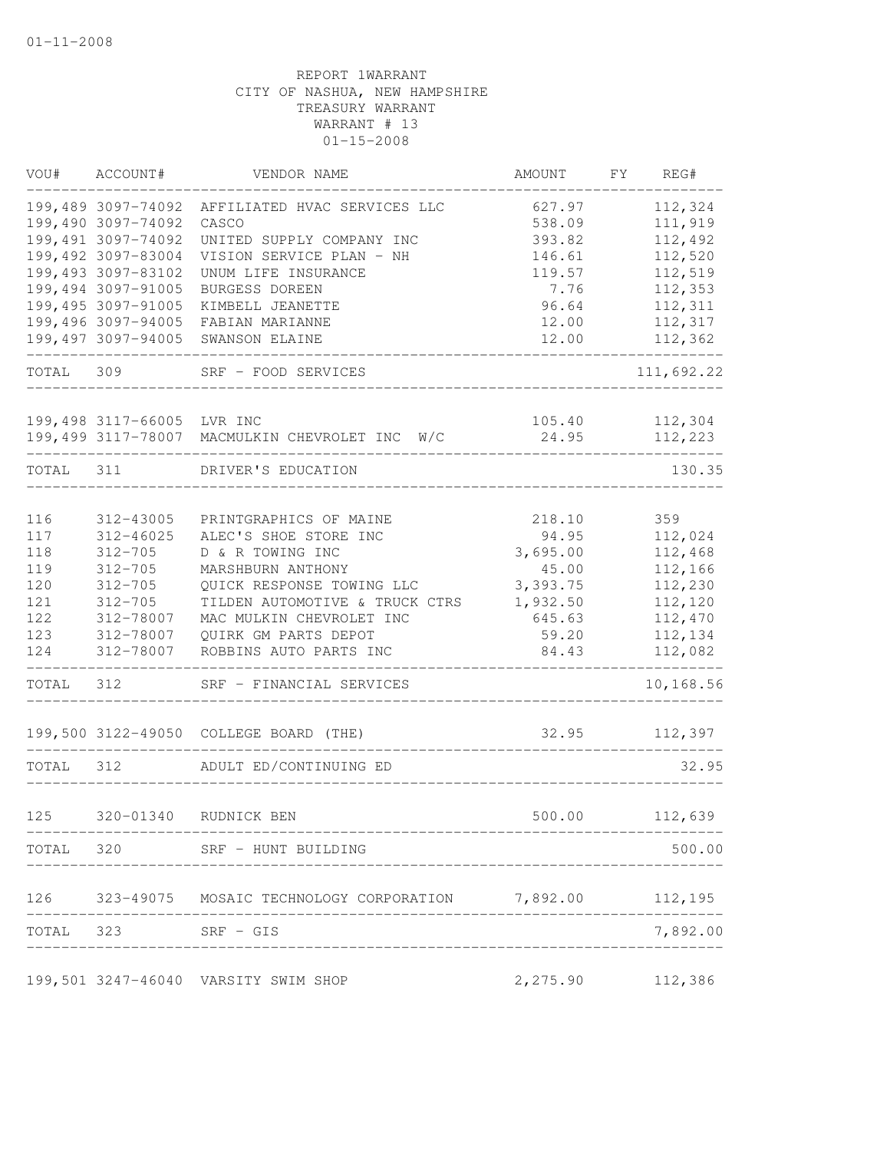| VOU#  | ACCOUNT#            | VENDOR NAME                                                  | AMOUNT             | FY | REG#               |
|-------|---------------------|--------------------------------------------------------------|--------------------|----|--------------------|
|       | 199,489 3097-74092  | AFFILIATED HVAC SERVICES LLC                                 | 627.97             |    | 112,324            |
|       | 199,490 3097-74092  | CASCO                                                        | 538.09             |    | 111,919            |
|       | 199,491 3097-74092  | UNITED SUPPLY COMPANY INC                                    | 393.82             |    | 112,492            |
|       | 199,492 3097-83004  | VISION SERVICE PLAN - NH                                     | 146.61             |    | 112,520            |
|       | 199,493 3097-83102  | UNUM LIFE INSURANCE                                          | 119.57             |    | 112,519            |
|       | 199,494 3097-91005  | BURGESS DOREEN                                               | 7.76               |    | 112,353            |
|       | 199,495 3097-91005  | KIMBELL JEANETTE                                             | 96.64              |    | 112,311            |
|       | 199,496 3097-94005  | FABIAN MARIANNE                                              | 12.00              |    | 112,317            |
|       | 199,497 3097-94005  | SWANSON ELAINE                                               | 12.00              |    | 112,362            |
| TOTAL | 309                 | SRF - FOOD SERVICES                                          |                    |    | 111,692.22         |
|       |                     |                                                              |                    |    |                    |
|       | 199,498 3117-66005  | LVR INC<br>199,499 3117-78007 MACMULKIN CHEVROLET INC W/C    | 105.40<br>24.95    |    | 112,304<br>112,223 |
|       |                     |                                                              |                    |    |                    |
| TOTAL | 311                 | DRIVER'S EDUCATION                                           |                    |    | 130.35             |
|       |                     |                                                              |                    |    |                    |
| 116   | 312-43005           | PRINTGRAPHICS OF MAINE                                       | 218.10             |    | 359                |
| 117   | 312-46025           | ALEC'S SHOE STORE INC                                        | 94.95              |    | 112,024            |
| 118   | $312 - 705$         | D & R TOWING INC                                             | 3,695.00           |    | 112,468            |
| 119   | $312 - 705$         | MARSHBURN ANTHONY                                            | 45.00              |    | 112,166            |
| 120   | $312 - 705$         | QUICK RESPONSE TOWING LLC                                    | 3,393.75           |    | 112,230            |
| 121   | $312 - 705$         | TILDEN AUTOMOTIVE & TRUCK CTRS                               | 1,932.50           |    | 112,120            |
| 122   | 312-78007           | MAC MULKIN CHEVROLET INC                                     | 645.63             |    | 112,470            |
| 123   | 312-78007           | QUIRK GM PARTS DEPOT                                         | 59.20              |    | 112,134            |
| 124   | 312-78007           | ROBBINS AUTO PARTS INC                                       | 84.43              |    | 112,082            |
| TOTAL | 312                 | SRF - FINANCIAL SERVICES                                     |                    |    | 10,168.56          |
|       |                     | 199,500 3122-49050 COLLEGE BOARD (THE)                       | 32.95              |    | 112,397            |
| TOTAL | 312                 | ADULT ED/CONTINUING ED                                       |                    |    | 32.95              |
| 125   | 320-01340           | RUDNICK BEN                                                  | 500.00             |    | 112,639            |
|       |                     |                                                              |                    |    |                    |
|       |                     | TOTAL 320 SRF - HUNT BUILDING                                |                    |    | 500.00             |
|       |                     | 126 323-49075 MOSAIC TECHNOLOGY CORPORATION 7,892.00 112,195 |                    |    |                    |
|       | TOTAL 323 SRF - GIS |                                                              |                    |    | 7,892.00           |
|       |                     | 199,501 3247-46040 VARSITY SWIM SHOP                         | 2, 275.90 112, 386 |    |                    |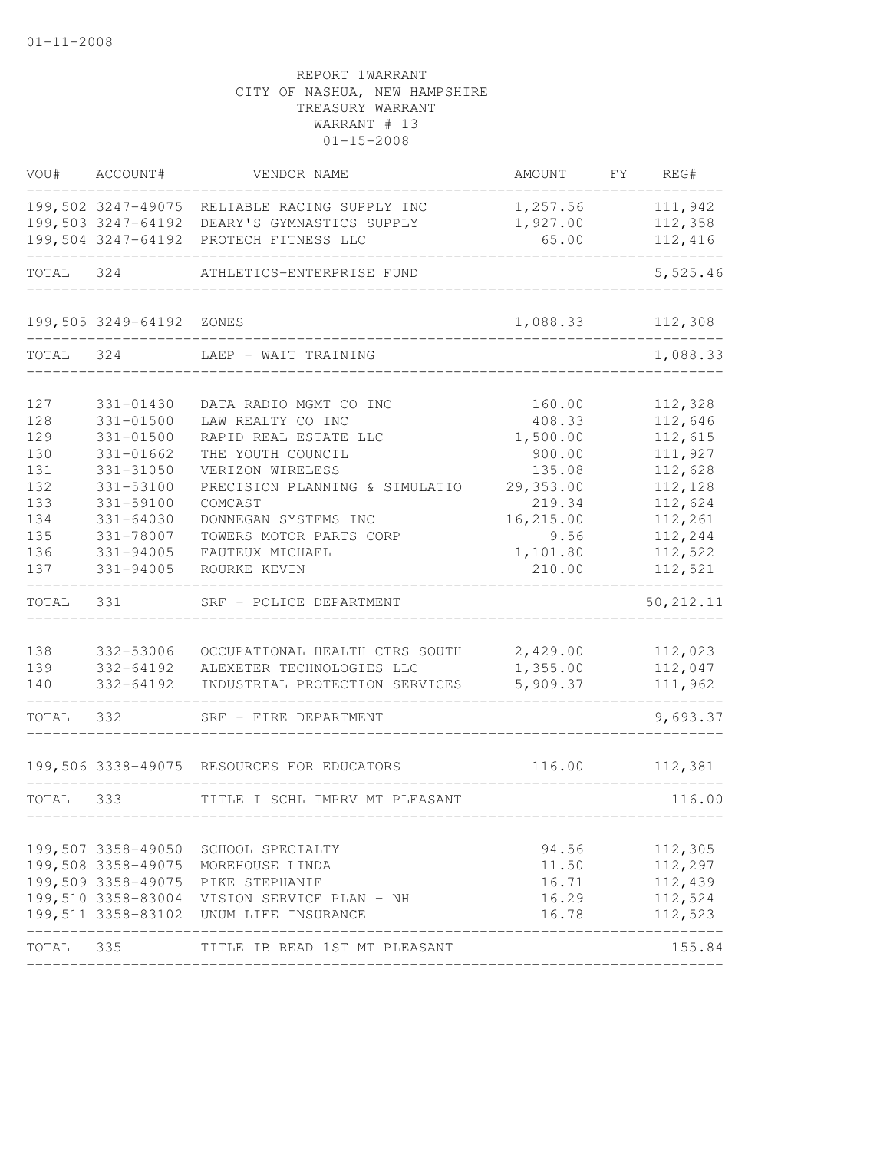| VOU#      | ACCOUNT#           | VENDOR NAME                                 | AMOUNT    | FY | REG#       |
|-----------|--------------------|---------------------------------------------|-----------|----|------------|
|           | 199,502 3247-49075 | RELIABLE RACING SUPPLY INC                  | 1,257.56  |    | 111,942    |
|           | 199,503 3247-64192 | DEARY'S GYMNASTICS SUPPLY                   | 1,927.00  |    | 112,358    |
|           | 199,504 3247-64192 | PROTECH FITNESS LLC                         | 65.00     |    | 112,416    |
| TOTAL     | 324                | ATHLETICS-ENTERPRISE FUND                   |           |    | 5,525.46   |
|           | 199,505 3249-64192 | ZONES                                       | 1,088.33  |    | 112,308    |
| TOTAL     | 324                | LAEP - WAIT TRAINING                        |           |    | 1,088.33   |
| 127       | 331-01430          | DATA RADIO MGMT CO INC                      | 160.00    |    | 112,328    |
| 128       | $331 - 01500$      | LAW REALTY CO INC                           | 408.33    |    | 112,646    |
| 129       | $331 - 01500$      | RAPID REAL ESTATE LLC                       | 1,500.00  |    | 112,615    |
| 130       | 331-01662          | THE YOUTH COUNCIL                           | 900.00    |    | 111,927    |
| 131       | 331-31050          | VERIZON WIRELESS                            | 135.08    |    | 112,628    |
| 132       | 331-53100          | PRECISION PLANNING & SIMULATIO              | 29,353.00 |    | 112,128    |
| 133       | 331-59100          | COMCAST                                     | 219.34    |    | 112,624    |
| 134       | $331 - 64030$      | DONNEGAN SYSTEMS INC                        | 16,215.00 |    | 112,261    |
| 135       | 331-78007          | TOWERS MOTOR PARTS CORP                     | 9.56      |    | 112,244    |
| 136       | 331-94005          | FAUTEUX MICHAEL                             | 1,101.80  |    | 112,522    |
| 137       | 331-94005          | ROURKE KEVIN                                | 210.00    |    | 112,521    |
| TOTAL     | 331                | SRF - POLICE DEPARTMENT                     |           |    | 50, 212.11 |
|           |                    |                                             |           |    |            |
| 138       | 332-53006          | OCCUPATIONAL HEALTH CTRS SOUTH              | 2,429.00  |    | 112,023    |
| 139       | 332-64192          | ALEXETER TECHNOLOGIES LLC                   | 1,355.00  |    | 112,047    |
| 140       | 332-64192          | INDUSTRIAL PROTECTION SERVICES              | 5,909.37  |    | 111,962    |
| TOTAL     | 332                | SRF - FIRE DEPARTMENT                       |           |    | 9,693.37   |
|           |                    | 199,506 3338-49075 RESOURCES FOR EDUCATORS  | 116.00    |    | 112,381    |
| TOTAL     | 333                | TITLE I SCHL IMPRV MT PLEASANT              |           |    | 116.00     |
|           |                    |                                             |           |    |            |
|           |                    | 199,507 3358-49050 SCHOOL SPECIALTY         | 94.56     |    | 112,305    |
|           |                    | 199,508 3358-49075 MOREHOUSE LINDA          | 11.50     |    | 112,297    |
|           |                    | 199,509 3358-49075 PIKE STEPHANIE           | 16.71     |    | 112,439    |
|           |                    | 199,510 3358-83004 VISION SERVICE PLAN - NH | 16.29     |    | 112,524    |
|           |                    | 199,511 3358-83102 UNUM LIFE INSURANCE      | 16.78     |    | 112,523    |
| TOTAL 335 |                    | TITLE IB READ 1ST MT PLEASANT               |           |    | 155.84     |
|           |                    |                                             |           |    |            |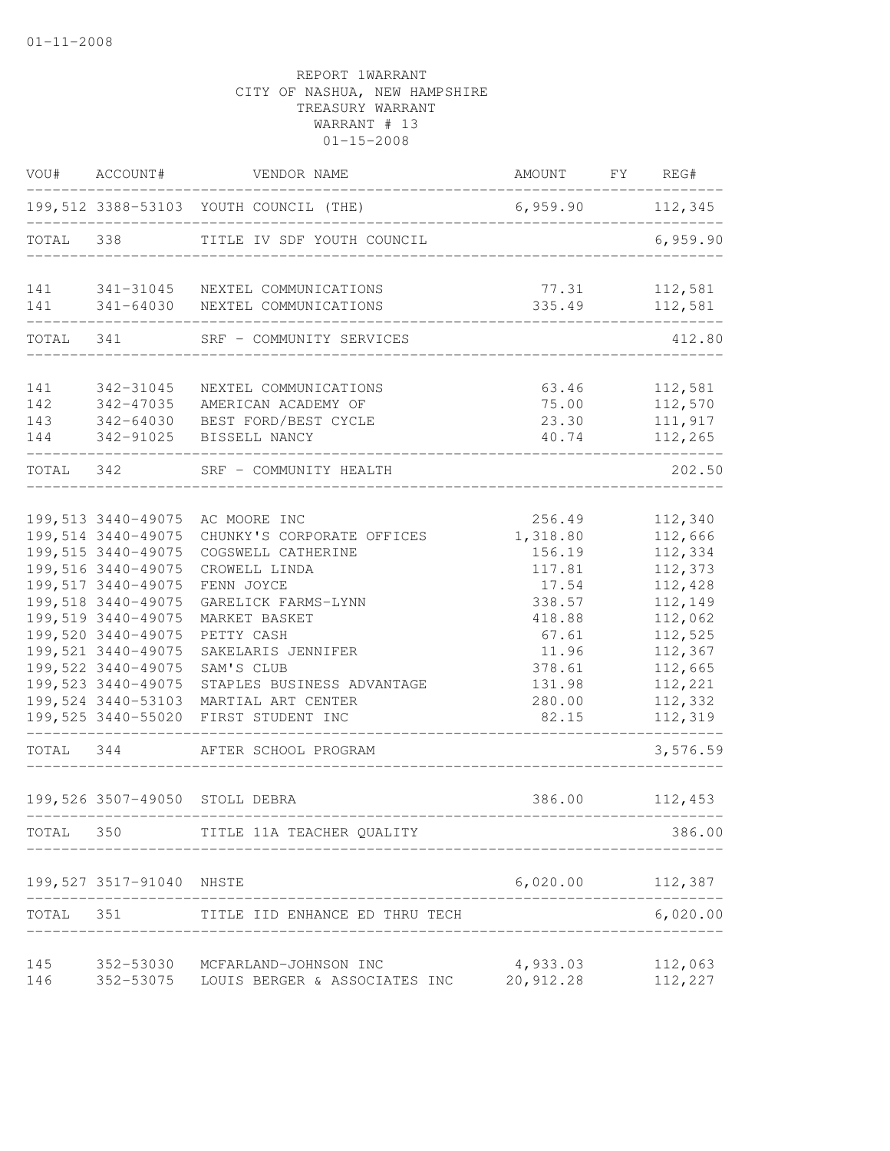| VOU#                     | ACCOUNT#                                                                                                                                                                                                                                        | VENDOR NAME                                                                                                                                                                                                                                                                                                                      | AMOUNT                                                                                                                       | $\Gamma Y$ | REG#                                                                                                                                                    |
|--------------------------|-------------------------------------------------------------------------------------------------------------------------------------------------------------------------------------------------------------------------------------------------|----------------------------------------------------------------------------------------------------------------------------------------------------------------------------------------------------------------------------------------------------------------------------------------------------------------------------------|------------------------------------------------------------------------------------------------------------------------------|------------|---------------------------------------------------------------------------------------------------------------------------------------------------------|
|                          |                                                                                                                                                                                                                                                 | 199,512 3388-53103 YOUTH COUNCIL (THE)                                                                                                                                                                                                                                                                                           | 6,959.90                                                                                                                     |            | 112,345                                                                                                                                                 |
| TOTAL                    | 338                                                                                                                                                                                                                                             | TITLE IV SDF YOUTH COUNCIL                                                                                                                                                                                                                                                                                                       |                                                                                                                              |            | 6,959.90                                                                                                                                                |
| 141<br>141               | 341-64030                                                                                                                                                                                                                                       | 341-31045 NEXTEL COMMUNICATIONS<br>NEXTEL COMMUNICATIONS                                                                                                                                                                                                                                                                         | 77.31<br>335.49                                                                                                              |            | 112,581<br>112,581                                                                                                                                      |
| TOTAL 341                |                                                                                                                                                                                                                                                 | SRF - COMMUNITY SERVICES                                                                                                                                                                                                                                                                                                         |                                                                                                                              |            | 412.80                                                                                                                                                  |
| 141<br>142<br>143<br>144 | 342-31045<br>342-47035<br>342-64030<br>342-91025                                                                                                                                                                                                | NEXTEL COMMUNICATIONS<br>AMERICAN ACADEMY OF<br>BEST FORD/BEST CYCLE<br>BISSELL NANCY                                                                                                                                                                                                                                            | 63.46<br>75.00<br>23.30<br>40.74                                                                                             |            | 112,581<br>112,570<br>111,917<br>112,265                                                                                                                |
| TOTAL 342                |                                                                                                                                                                                                                                                 | SRF - COMMUNITY HEALTH                                                                                                                                                                                                                                                                                                           |                                                                                                                              |            | 202.50                                                                                                                                                  |
| TOTAL 344                | 199,514 3440-49075<br>199, 515 3440-49075<br>199,516 3440-49075<br>199,517 3440-49075<br>199,518 3440-49075<br>199,519 3440-49075<br>199,520 3440-49075<br>199,521 3440-49075<br>199,522 3440-49075<br>199,523 3440-49075<br>199,524 3440-53103 | 199,513 3440-49075 AC MOORE INC<br>CHUNKY'S CORPORATE OFFICES<br>COGSWELL CATHERINE<br>CROWELL LINDA<br>FENN JOYCE<br>GARELICK FARMS-LYNN<br>MARKET BASKET<br>PETTY CASH<br>SAKELARIS JENNIFER<br>SAM'S CLUB<br>STAPLES BUSINESS ADVANTAGE<br>MARTIAL ART CENTER<br>199,525 3440-55020 FIRST STUDENT INC<br>AFTER SCHOOL PROGRAM | 256.49<br>1,318.80<br>156.19<br>117.81<br>17.54<br>338.57<br>418.88<br>67.61<br>11.96<br>378.61<br>131.98<br>280.00<br>82.15 |            | 112,340<br>112,666<br>112,334<br>112,373<br>112,428<br>112,149<br>112,062<br>112,525<br>112,367<br>112,665<br>112,221<br>112,332<br>112,319<br>3,576.59 |
|                          |                                                                                                                                                                                                                                                 | 199,526 3507-49050 STOLL DEBRA                                                                                                                                                                                                                                                                                                   | 386.00                                                                                                                       |            | 112,453                                                                                                                                                 |
| TOTAL 350                |                                                                                                                                                                                                                                                 | TITLE 11A TEACHER QUALITY                                                                                                                                                                                                                                                                                                        |                                                                                                                              |            | 386.00                                                                                                                                                  |
|                          | 199,527 3517-91040 NHSTE                                                                                                                                                                                                                        |                                                                                                                                                                                                                                                                                                                                  | 6,020.00 112,387                                                                                                             |            |                                                                                                                                                         |
| TOTAL 351                |                                                                                                                                                                                                                                                 | TITLE IID ENHANCE ED THRU TECH                                                                                                                                                                                                                                                                                                   |                                                                                                                              |            | 6,020.00                                                                                                                                                |
| 145<br>146               |                                                                                                                                                                                                                                                 | 352-53030 MCFARLAND-JOHNSON INC<br>352-53075 LOUIS BERGER & ASSOCIATES INC                                                                                                                                                                                                                                                       | 4,933.03<br>20,912.28                                                                                                        |            | 112,063<br>112,227                                                                                                                                      |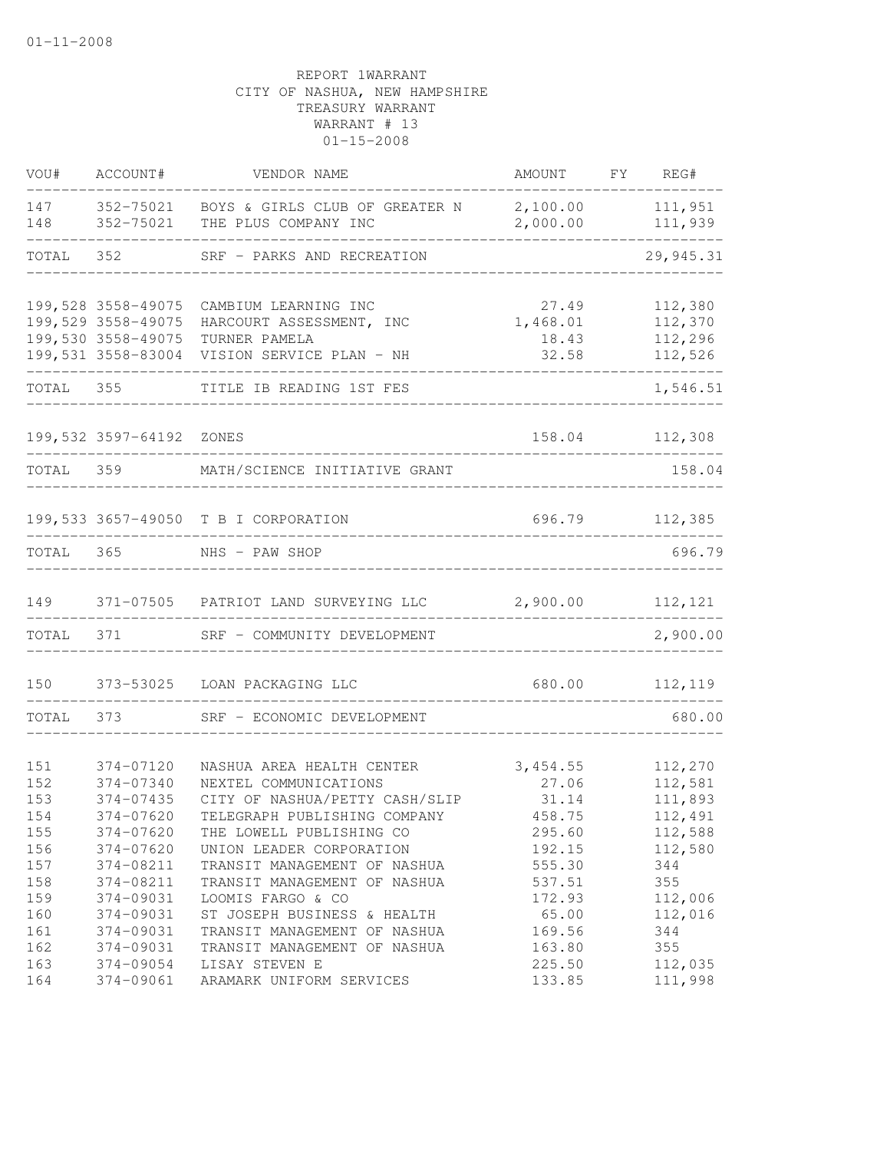| VOU#       | ACCOUNT#                                                       | VENDOR NAME                                                           | AMOUNT                     | FY | REG#                          |
|------------|----------------------------------------------------------------|-----------------------------------------------------------------------|----------------------------|----|-------------------------------|
| 147<br>148 | 352-75021<br>352-75021                                         | BOYS & GIRLS CLUB OF GREATER N<br>THE PLUS COMPANY INC                | 2,100.00<br>2,000.00       |    | 111,951<br>111,939            |
| TOTAL      | 352                                                            | SRF - PARKS AND RECREATION                                            |                            |    | 29, 945.31                    |
|            | 199,528 3558-49075                                             | CAMBIUM LEARNING INC                                                  | 27.49                      |    | 112,380                       |
|            | 199,529 3558-49075<br>199,530 3558-49075<br>199,531 3558-83004 | HARCOURT ASSESSMENT, INC<br>TURNER PAMELA<br>VISION SERVICE PLAN - NH | 1,468.01<br>18.43<br>32.58 |    | 112,370<br>112,296<br>112,526 |
| TOTAL 355  |                                                                | TITLE IB READING 1ST FES                                              |                            |    | 1,546.51                      |
|            | 199,532 3597-64192 ZONES                                       |                                                                       | 158.04                     |    | 112,308                       |
| TOTAL 359  |                                                                | MATH/SCIENCE INITIATIVE GRANT                                         |                            |    | 158.04                        |
|            |                                                                | 199,533 3657-49050 T B I CORPORATION                                  |                            |    | 696.79 112,385                |
| TOTAL      | 365                                                            | NHS - PAW SHOP                                                        |                            |    | 696.79                        |
| 149        |                                                                | 371-07505 PATRIOT LAND SURVEYING LLC                                  | 2,900.00                   |    | 112,121                       |
| TOTAL      | 371                                                            | SRF - COMMUNITY DEVELOPMENT                                           |                            |    | 2,900.00                      |
| 150        | 373-53025                                                      | LOAN PACKAGING LLC                                                    | 680.00                     |    | 112,119                       |
| TOTAL      | 373                                                            | SRF - ECONOMIC DEVELOPMENT                                            |                            |    | 680.00                        |
| 151        | 374-07120                                                      | NASHUA AREA HEALTH CENTER                                             | 3,454.55                   |    | 112,270                       |
| 152        | 374-07340                                                      | NEXTEL COMMUNICATIONS                                                 | 27.06                      |    | 112,581                       |
| 153        | 374-07435                                                      | CITY OF NASHUA/PETTY CASH/SLIP                                        | 31.14                      |    | 111,893                       |
| 154        | 374-07620                                                      | TELEGRAPH PUBLISHING COMPANY                                          | 458.75                     |    | 112,491                       |
| 155        | 374-07620                                                      | THE LOWELL PUBLISHING CO                                              | 295.60                     |    | 112,588                       |
| 156        | 374-07620                                                      | UNION LEADER CORPORATION                                              | 192.15                     |    | 112,580                       |
| 157        | 374-08211                                                      | TRANSIT MANAGEMENT OF NASHUA                                          | 555.30                     |    | 344                           |
| 158        | 374-08211                                                      | TRANSIT MANAGEMENT OF NASHUA                                          | 537.51<br>172.93           |    | 355                           |
| 159<br>160 | 374-09031<br>374-09031                                         | LOOMIS FARGO & CO<br>ST JOSEPH BUSINESS & HEALTH                      | 65.00                      |    | 112,006<br>112,016            |
| 161        | 374-09031                                                      | TRANSIT MANAGEMENT OF NASHUA                                          | 169.56                     |    | 344                           |
| 162        | 374-09031                                                      | TRANSIT MANAGEMENT OF NASHUA                                          | 163.80                     |    | 355                           |
| 163        | 374-09054                                                      | LISAY STEVEN E                                                        | 225.50                     |    | 112,035                       |
| 164        | 374-09061                                                      | ARAMARK UNIFORM SERVICES                                              | 133.85                     |    | 111,998                       |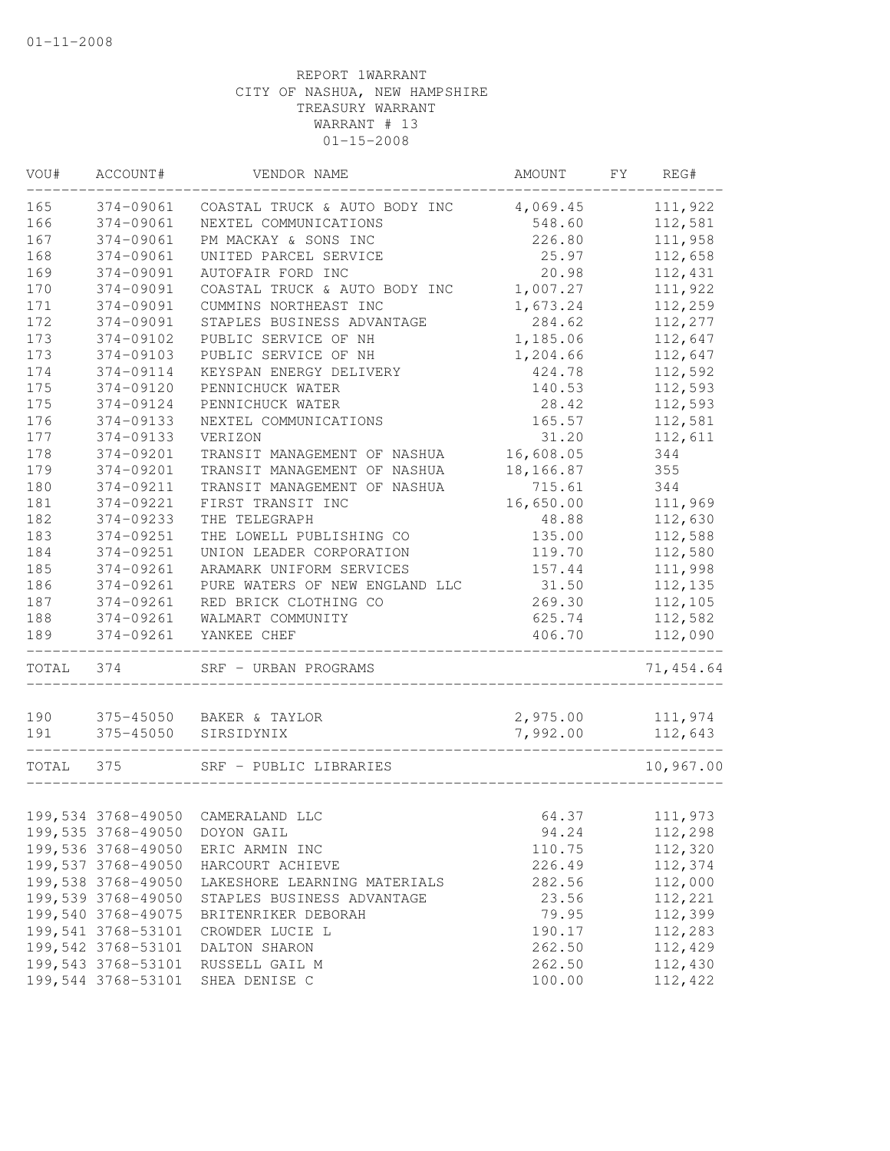| VOU#  | ACCOUNT#           | VENDOR NAME                       | AMOUNT    | FY | REG#      |
|-------|--------------------|-----------------------------------|-----------|----|-----------|
| 165   | 374-09061          | COASTAL TRUCK & AUTO BODY INC     | 4,069.45  |    | 111,922   |
| 166   | 374-09061          | NEXTEL COMMUNICATIONS             | 548.60    |    | 112,581   |
| 167   | 374-09061          | PM MACKAY & SONS INC              | 226.80    |    | 111,958   |
| 168   | 374-09061          | UNITED PARCEL SERVICE             | 25.97     |    | 112,658   |
| 169   | 374-09091          | AUTOFAIR FORD INC                 | 20.98     |    | 112,431   |
| 170   | 374-09091          | COASTAL TRUCK & AUTO BODY INC     | 1,007.27  |    | 111,922   |
| 171   | 374-09091          | CUMMINS NORTHEAST INC             | 1,673.24  |    | 112,259   |
| 172   | 374-09091          | STAPLES BUSINESS ADVANTAGE        | 284.62    |    | 112,277   |
| 173   | 374-09102          | PUBLIC SERVICE OF NH              | 1,185.06  |    | 112,647   |
| 173   | 374-09103          | PUBLIC SERVICE OF NH              | 1,204.66  |    | 112,647   |
| 174   | 374-09114          | KEYSPAN ENERGY DELIVERY           | 424.78    |    | 112,592   |
| 175   | 374-09120          | PENNICHUCK WATER                  | 140.53    |    | 112,593   |
| 175   | 374-09124          | PENNICHUCK WATER                  | 28.42     |    | 112,593   |
| 176   | 374-09133          | NEXTEL COMMUNICATIONS             | 165.57    |    | 112,581   |
| 177   | 374-09133          | VERIZON                           | 31.20     |    | 112,611   |
| 178   | 374-09201          | TRANSIT MANAGEMENT OF NASHUA      | 16,608.05 |    | 344       |
| 179   | 374-09201          | TRANSIT MANAGEMENT OF NASHUA      | 18,166.87 |    | 355       |
| 180   | 374-09211          | TRANSIT MANAGEMENT OF NASHUA      | 715.61    |    | 344       |
| 181   | 374-09221          | FIRST TRANSIT INC                 | 16,650.00 |    | 111,969   |
| 182   | 374-09233          | THE TELEGRAPH                     | 48.88     |    | 112,630   |
| 183   | 374-09251          | THE LOWELL PUBLISHING CO          | 135.00    |    | 112,588   |
| 184   | 374-09251          | UNION LEADER CORPORATION          | 119.70    |    | 112,580   |
| 185   | 374-09261          | ARAMARK UNIFORM SERVICES          | 157.44    |    | 111,998   |
| 186   | 374-09261          | PURE WATERS OF NEW ENGLAND LLC    | 31.50     |    | 112,135   |
| 187   | 374-09261          | RED BRICK CLOTHING CO             | 269.30    |    | 112,105   |
| 188   | 374-09261          | WALMART COMMUNITY                 | 625.74    |    | 112,582   |
| 189   | 374-09261          | YANKEE CHEF                       | 406.70    |    | 112,090   |
| TOTAL | 374                | SRF - URBAN PROGRAMS              |           |    | 71,454.64 |
| 190   | 375-45050          | BAKER & TAYLOR                    | 2,975.00  |    | 111,974   |
| 191   | 375-45050          | SIRSIDYNIX                        | 7,992.00  |    | 112,643   |
|       |                    |                                   |           |    |           |
| TOTAL | 375                | SRF - PUBLIC LIBRARIES            |           |    | 10,967.00 |
|       |                    | 199,534 3768-49050 CAMERALAND LLC | 64.37     |    | 111,973   |
|       |                    | 199,535 3768-49050 DOYON GAIL     | 94.24     |    | 112,298   |
|       | 199,536 3768-49050 | ERIC ARMIN INC                    | 110.75    |    | 112,320   |
|       | 199,537 3768-49050 | HARCOURT ACHIEVE                  | 226.49    |    | 112,374   |
|       | 199,538 3768-49050 | LAKESHORE LEARNING MATERIALS      | 282.56    |    | 112,000   |
|       | 199,539 3768-49050 | STAPLES BUSINESS ADVANTAGE        | 23.56     |    | 112,221   |
|       | 199,540 3768-49075 | BRITENRIKER DEBORAH               | 79.95     |    | 112,399   |
|       | 199,541 3768-53101 | CROWDER LUCIE L                   | 190.17    |    | 112,283   |
|       | 199,542 3768-53101 | DALTON SHARON                     | 262.50    |    | 112,429   |
|       | 199,543 3768-53101 | RUSSELL GAIL M                    | 262.50    |    | 112,430   |
|       | 199,544 3768-53101 | SHEA DENISE C                     | 100.00    |    | 112,422   |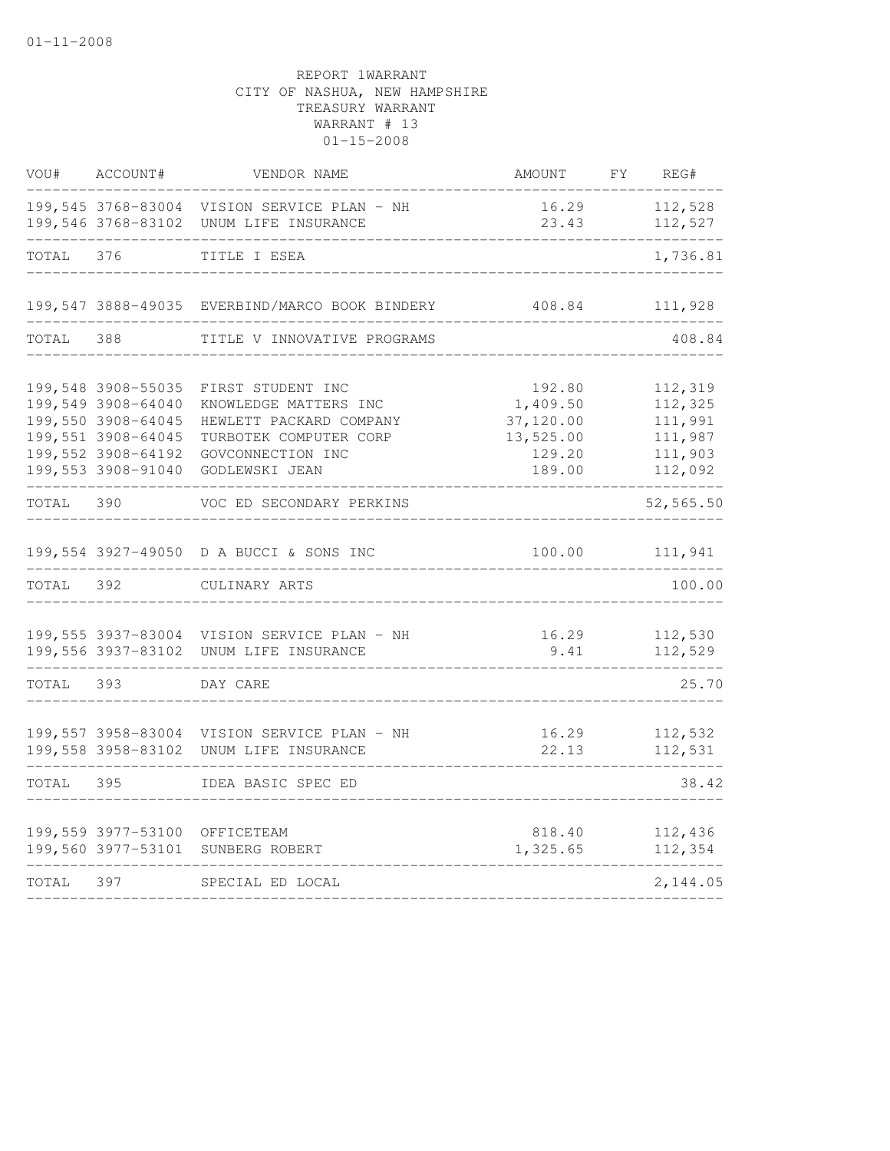| ACCOUNT#                                                                                                                         | VENDOR NAME                                                                                                                            | AMOUNT                                                                                                                                                                                                                                                                                                                                                                                                | FY | REG#                                                           |
|----------------------------------------------------------------------------------------------------------------------------------|----------------------------------------------------------------------------------------------------------------------------------------|-------------------------------------------------------------------------------------------------------------------------------------------------------------------------------------------------------------------------------------------------------------------------------------------------------------------------------------------------------------------------------------------------------|----|----------------------------------------------------------------|
|                                                                                                                                  |                                                                                                                                        | 23.43                                                                                                                                                                                                                                                                                                                                                                                                 |    | 112,528<br>112,527                                             |
| 376                                                                                                                              | TITLE I ESEA                                                                                                                           |                                                                                                                                                                                                                                                                                                                                                                                                       |    | 1,736.81                                                       |
|                                                                                                                                  |                                                                                                                                        | 408.84                                                                                                                                                                                                                                                                                                                                                                                                |    | 111,928                                                        |
| 388                                                                                                                              | TITLE V INNOVATIVE PROGRAMS                                                                                                            |                                                                                                                                                                                                                                                                                                                                                                                                       |    | 408.84                                                         |
| 199,548 3908-55035<br>199,549 3908-64040<br>199,550 3908-64045<br>199,551 3908-64045<br>199,552 3908-64192<br>199,553 3908-91040 | FIRST STUDENT INC<br>KNOWLEDGE MATTERS INC<br>HEWLETT PACKARD COMPANY<br>TURBOTEK COMPUTER CORP<br>GOVCONNECTION INC<br>GODLEWSKI JEAN | 192.80<br>1,409.50<br>37,120.00<br>13,525.00<br>129.20<br>189.00                                                                                                                                                                                                                                                                                                                                      |    | 112,319<br>112,325<br>111,991<br>111,987<br>111,903<br>112,092 |
| 390                                                                                                                              | VOC ED SECONDARY PERKINS                                                                                                               |                                                                                                                                                                                                                                                                                                                                                                                                       |    | 52,565.50                                                      |
|                                                                                                                                  |                                                                                                                                        |                                                                                                                                                                                                                                                                                                                                                                                                       |    | 111,941                                                        |
| 392                                                                                                                              | CULINARY ARTS                                                                                                                          |                                                                                                                                                                                                                                                                                                                                                                                                       |    | 100.00                                                         |
|                                                                                                                                  |                                                                                                                                        | 9.41                                                                                                                                                                                                                                                                                                                                                                                                  |    | 112,530<br>112,529                                             |
| 393                                                                                                                              | DAY CARE                                                                                                                               |                                                                                                                                                                                                                                                                                                                                                                                                       |    | 25.70                                                          |
|                                                                                                                                  |                                                                                                                                        | 22.13                                                                                                                                                                                                                                                                                                                                                                                                 |    | 112,532<br>112,531                                             |
| 395                                                                                                                              | IDEA BASIC SPEC ED                                                                                                                     |                                                                                                                                                                                                                                                                                                                                                                                                       |    | 38.42                                                          |
| 199,560 3977-53101                                                                                                               | SUNBERG ROBERT                                                                                                                         | 1,325.65                                                                                                                                                                                                                                                                                                                                                                                              |    | 112,436<br>112,354                                             |
| 397                                                                                                                              | SPECIAL ED LOCAL                                                                                                                       |                                                                                                                                                                                                                                                                                                                                                                                                       |    | 2,144.05                                                       |
|                                                                                                                                  |                                                                                                                                        | 199,545 3768-83004 VISION SERVICE PLAN - NH<br>199,546 3768-83102 UNUM LIFE INSURANCE<br>199,547 3888-49035 EVERBIND/MARCO BOOK BINDERY<br>199,554 3927-49050 D A BUCCI & SONS INC<br>199,555 3937-83004 VISION SERVICE PLAN - NH<br>199,556 3937-83102 UNUM LIFE INSURANCE<br>199,557 3958-83004 VISION SERVICE PLAN - NH<br>199,558 3958-83102 UNUM LIFE INSURANCE<br>199,559 3977-53100 OFFICETEAM |    | 16.29<br>100.00<br>16.29<br>16.29<br>818.40                    |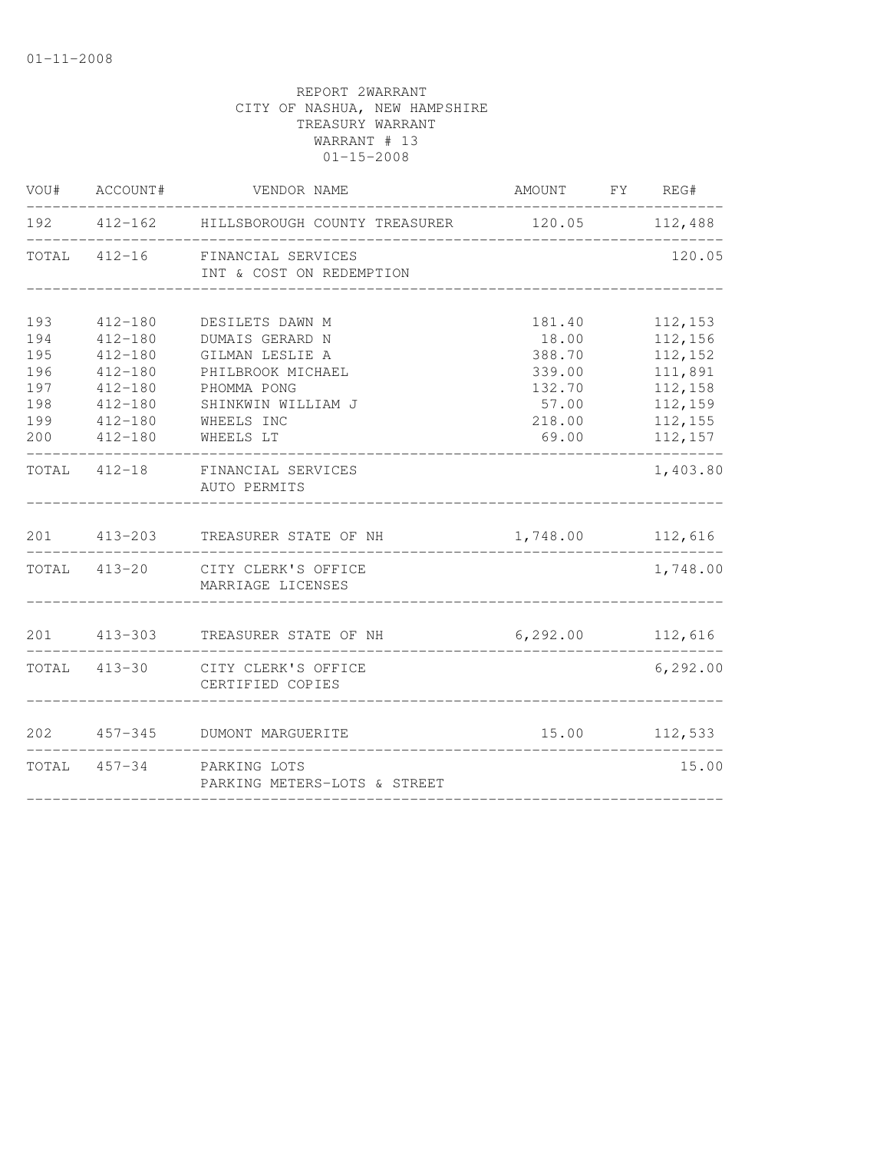|                                                      | VOU# ACCOUNT#                                                                                                        | VENDOR NAME                                                                                                                                | AMOUNT FY REG#                                                            |                                                                                      |
|------------------------------------------------------|----------------------------------------------------------------------------------------------------------------------|--------------------------------------------------------------------------------------------------------------------------------------------|---------------------------------------------------------------------------|--------------------------------------------------------------------------------------|
|                                                      |                                                                                                                      |                                                                                                                                            |                                                                           |                                                                                      |
|                                                      |                                                                                                                      | TOTAL 412-16 FINANCIAL SERVICES<br>INT & COST ON REDEMPTION                                                                                |                                                                           | 120.05                                                                               |
| 193<br>194<br>195<br>196<br>197<br>198<br>199<br>200 | $412 - 180$<br>$412 - 180$<br>$412 - 180$<br>$412 - 180$<br>$412 - 180$<br>$412 - 180$<br>$412 - 180$<br>$412 - 180$ | DESILETS DAWN M<br>DUMAIS GERARD N<br>GILMAN LESLIE A<br>PHILBROOK MICHAEL<br>PHOMMA PONG<br>SHINKWIN WILLIAM J<br>WHEELS INC<br>WHEELS LT | 181.40<br>18.00<br>388.70<br>339.00<br>132.70<br>57.00<br>218.00<br>69.00 | 112,153<br>112,156<br>112,152<br>111,891<br>112,158<br>112,159<br>112,155<br>112,157 |
|                                                      |                                                                                                                      | TOTAL 412-18 FINANCIAL SERVICES<br>AUTO PERMITS                                                                                            |                                                                           | 1,403.80                                                                             |
|                                                      |                                                                                                                      | 201 413-203 TREASURER STATE OF NH                                                                                                          | 1,748.00 112,616                                                          |                                                                                      |
|                                                      |                                                                                                                      | TOTAL 413-20 CITY CLERK'S OFFICE<br>MARRIAGE LICENSES                                                                                      |                                                                           | 1,748.00                                                                             |
|                                                      |                                                                                                                      | 201 413-303 TREASURER STATE OF NH                                                                                                          | 6,292.00 112,616                                                          |                                                                                      |
|                                                      |                                                                                                                      | TOTAL 413-30 CITY CLERK'S OFFICE<br>CERTIFIED COPIES                                                                                       |                                                                           | 6, 292.00                                                                            |
| 202                                                  |                                                                                                                      | 457-345 DUMONT MARGUERITE                                                                                                                  |                                                                           | 15.00 112,533                                                                        |
|                                                      |                                                                                                                      | TOTAL 457-34 PARKING LOTS<br>PARKING METERS-LOTS & STREET                                                                                  |                                                                           | 15.00                                                                                |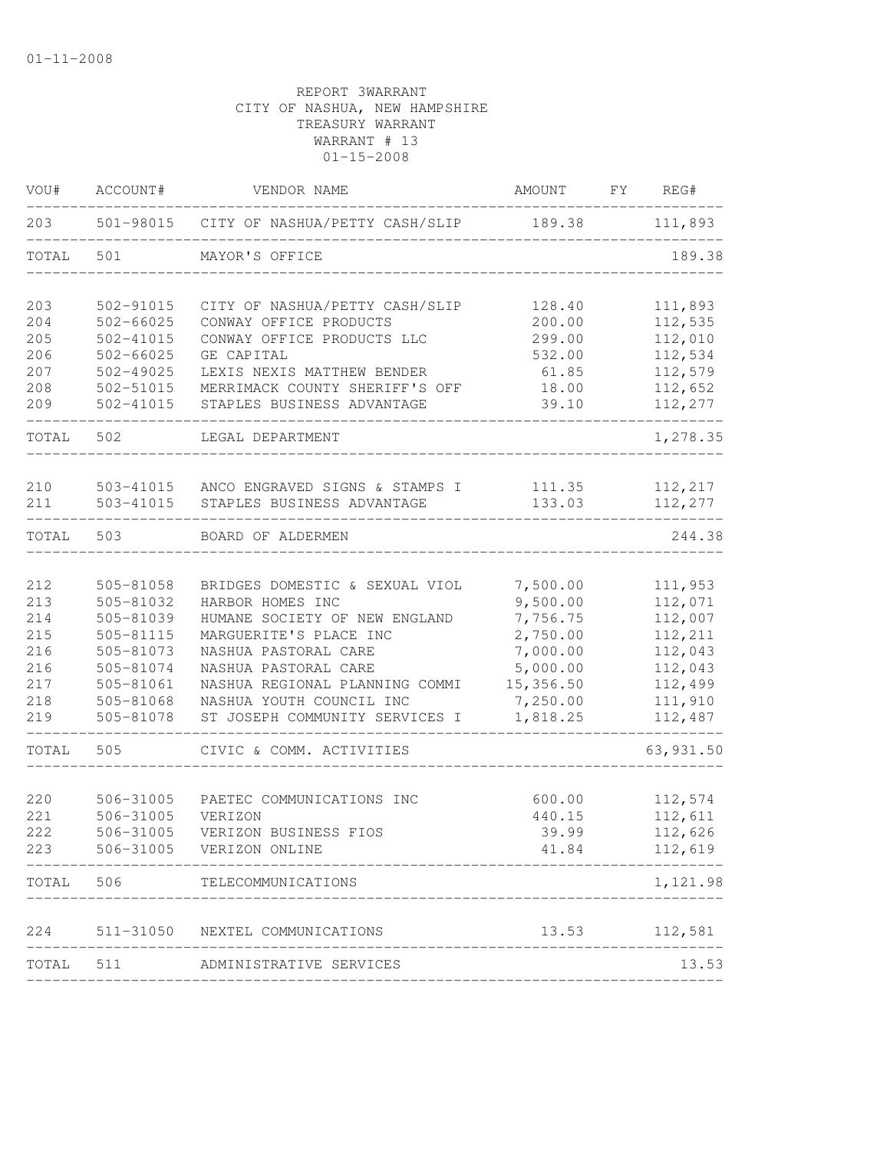| VOU#       | ACCOUNT#               | VENDOR NAME                                                         | AMOUNT                    | FY REG#            |
|------------|------------------------|---------------------------------------------------------------------|---------------------------|--------------------|
| 203        |                        | 501-98015 CITY OF NASHUA/PETTY CASH/SLIP                            | 189.38                    | 111,893            |
| TOTAL      | 501                    | MAYOR'S OFFICE                                                      |                           | 189.38             |
| 203        | 502-91015              | CITY OF NASHUA/PETTY CASH/SLIP                                      | 128.40                    | 111,893            |
| 204        | $502 - 66025$          | CONWAY OFFICE PRODUCTS                                              | 200.00                    | 112,535            |
| 205        | $502 - 41015$          | CONWAY OFFICE PRODUCTS LLC                                          | 299.00                    | 112,010            |
| 206        | $502 - 66025$          | GE CAPITAL<br>LEXIS NEXIS MATTHEW BENDER                            | 532.00                    | 112,534<br>112,579 |
| 207<br>208 | 502-49025<br>502-51015 | MERRIMACK COUNTY SHERIFF'S OFF                                      | 61.85<br>18.00            | 112,652            |
| 209        | 502-41015              | STAPLES BUSINESS ADVANTAGE                                          | 39.10                     | 112,277            |
| TOTAL      | 502                    | LEGAL DEPARTMENT                                                    |                           | 1,278.35           |
|            |                        |                                                                     |                           |                    |
| 210<br>211 | 503-41015<br>503-41015 | ANCO ENGRAVED SIGNS & STAMPS I<br>STAPLES BUSINESS ADVANTAGE        | 111.35<br>133.03          | 112,217<br>112,277 |
| TOTAL      | 503                    | BOARD OF ALDERMEN                                                   |                           | 244.38             |
|            |                        |                                                                     |                           |                    |
| 212        | 505-81058              | BRIDGES DOMESTIC & SEXUAL VIOL                                      | 7,500.00                  | 111,953            |
| 213        | 505-81032              | HARBOR HOMES INC                                                    | 9,500.00                  | 112,071            |
| 214        | 505-81039              | HUMANE SOCIETY OF NEW ENGLAND                                       | 7,756.75                  | 112,007            |
| 215<br>216 | 505-81115<br>505-81073 | MARGUERITE'S PLACE INC<br>NASHUA PASTORAL CARE                      | 2,750.00<br>7,000.00      | 112,211<br>112,043 |
| 216        | 505-81074              | NASHUA PASTORAL CARE                                                | 5,000.00                  | 112,043            |
| 217        | 505-81061              | NASHUA REGIONAL PLANNING COMMI                                      | 15,356.50                 | 112,499            |
| 218        | 505-81068              | NASHUA YOUTH COUNCIL INC                                            | 7,250.00                  | 111,910            |
| 219        | 505-81078              | ST JOSEPH COMMUNITY SERVICES I                                      | 1,818.25                  | 112,487            |
| TOTAL      | 505                    | CIVIC & COMM. ACTIVITIES                                            |                           | 63, 931.50         |
|            |                        |                                                                     |                           |                    |
| 220        | 506-31005              | PAETEC COMMUNICATIONS INC                                           | 600.00                    | 112,574            |
| 221        | 506-31005<br>506-31005 | VERIZON                                                             | 440.15                    | 112,611            |
| 222        |                        | VERIZON BUSINESS FIOS<br>506-31005 VERIZON ONLINE                   | 39.99                     | 112,626            |
| 223        |                        | ----------------------                                              | 41.84                     | 112,619            |
| TOTAL      |                        | 506 TELECOMMUNICATIONS                                              | _________________________ | 1,121.98           |
|            |                        |                                                                     |                           |                    |
|            |                        | 224 511-31050 NEXTEL COMMUNICATIONS<br>____________________________ |                           | 13.53 112,581      |
|            | TOTAL 511              | ADMINISTRATIVE SERVICES                                             |                           | 13.53              |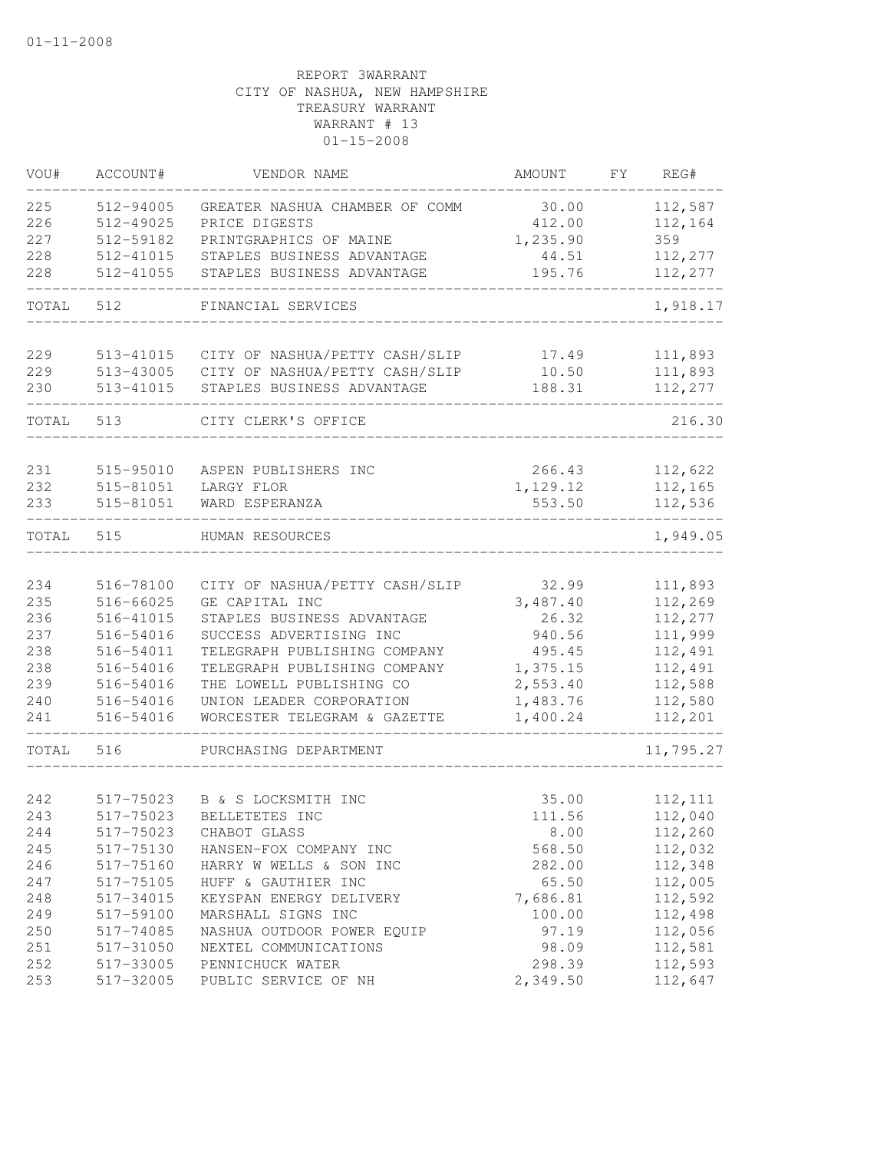| VOU#       | ACCOUNT#               | VENDOR NAME                                                      | AMOUNT               | FY | REG#               |
|------------|------------------------|------------------------------------------------------------------|----------------------|----|--------------------|
| 225        | 512-94005              | GREATER NASHUA CHAMBER OF COMM                                   | 30.00                |    | 112,587            |
| 226        | 512-49025              | PRICE DIGESTS                                                    | 412.00               |    | 112,164            |
| 227        | 512-59182              | PRINTGRAPHICS OF MAINE                                           | 1,235.90             |    | 359                |
| 228        | 512-41015              | STAPLES BUSINESS ADVANTAGE                                       | 44.51                |    | 112,277            |
| 228        | 512-41055              | STAPLES BUSINESS ADVANTAGE                                       | 195.76               |    | 112,277            |
| TOTAL      | 512                    | FINANCIAL SERVICES                                               |                      |    | 1,918.17           |
|            |                        |                                                                  |                      |    | 111,893            |
| 229<br>229 | 513-41015<br>513-43005 | CITY OF NASHUA/PETTY CASH/SLIP<br>CITY OF NASHUA/PETTY CASH/SLIP | 17.49<br>10.50       |    | 111,893            |
| 230        | 513-41015              | STAPLES BUSINESS ADVANTAGE                                       | 188.31               |    | 112,277            |
| TOTAL      | 513                    | CITY CLERK'S OFFICE                                              |                      |    | 216.30             |
|            |                        |                                                                  |                      |    |                    |
| 231        | 515-95010              | ASPEN PUBLISHERS INC                                             | 266.43               |    | 112,622            |
| 232        | 515-81051              | LARGY FLOR                                                       | 1,129.12             |    | 112,165            |
| 233        | 515-81051              | WARD ESPERANZA                                                   | 553.50               |    | 112,536            |
| TOTAL      | 515                    | HUMAN RESOURCES                                                  |                      |    | 1,949.05           |
|            |                        |                                                                  |                      |    |                    |
| 234        | 516-78100              | CITY OF NASHUA/PETTY CASH/SLIP                                   | 32.99                |    | 111,893            |
| 235        | 516-66025              | GE CAPITAL INC                                                   | 3,487.40             |    | 112,269            |
| 236        | 516-41015              | STAPLES BUSINESS ADVANTAGE                                       | 26.32                |    | 112,277            |
| 237        | 516-54016              | SUCCESS ADVERTISING INC                                          | 940.56               |    | 111,999            |
| 238        | 516-54011              | TELEGRAPH PUBLISHING COMPANY                                     | 495.45               |    | 112,491            |
| 238        | 516-54016              | TELEGRAPH PUBLISHING COMPANY                                     | 1,375.15             |    | 112,491            |
| 239        | 516-54016              | THE LOWELL PUBLISHING CO                                         | 2,553.40             |    | 112,588            |
| 240<br>241 | 516-54016<br>516-54016 | UNION LEADER CORPORATION<br>WORCESTER TELEGRAM & GAZETTE         | 1,483.76<br>1,400.24 |    | 112,580<br>112,201 |
|            |                        |                                                                  |                      |    |                    |
| TOTAL      | 516                    | PURCHASING DEPARTMENT                                            |                      |    | 11,795.27          |
| 242        | 517-75023              | B & S LOCKSMITH INC                                              | 35.00                |    | 112, 111           |
| 243        | 517-75023              | BELLETETES INC                                                   | 111.56               |    | 112,040            |
| 244        | 517-75023              | CHABOT GLASS                                                     | 8.00                 |    | 112,260            |
| 245        | 517-75130              | HANSEN-FOX COMPANY INC                                           | 568.50               |    | 112,032            |
| 246        | 517-75160              | HARRY W WELLS & SON INC                                          | 282.00               |    | 112,348            |
| 247        | 517-75105              | HUFF & GAUTHIER INC                                              | 65.50                |    | 112,005            |
| 248        | 517-34015              | KEYSPAN ENERGY DELIVERY                                          | 7,686.81             |    | 112,592            |
| 249        | 517-59100              | MARSHALL SIGNS INC                                               | 100.00               |    | 112,498            |
| 250        | 517-74085              | NASHUA OUTDOOR POWER EQUIP                                       | 97.19                |    | 112,056            |
| 251        | 517-31050              | NEXTEL COMMUNICATIONS                                            | 98.09                |    | 112,581            |
| 252        | 517-33005              | PENNICHUCK WATER                                                 | 298.39               |    | 112,593            |
| 253        | 517-32005              | PUBLIC SERVICE OF NH                                             | 2,349.50             |    | 112,647            |
|            |                        |                                                                  |                      |    |                    |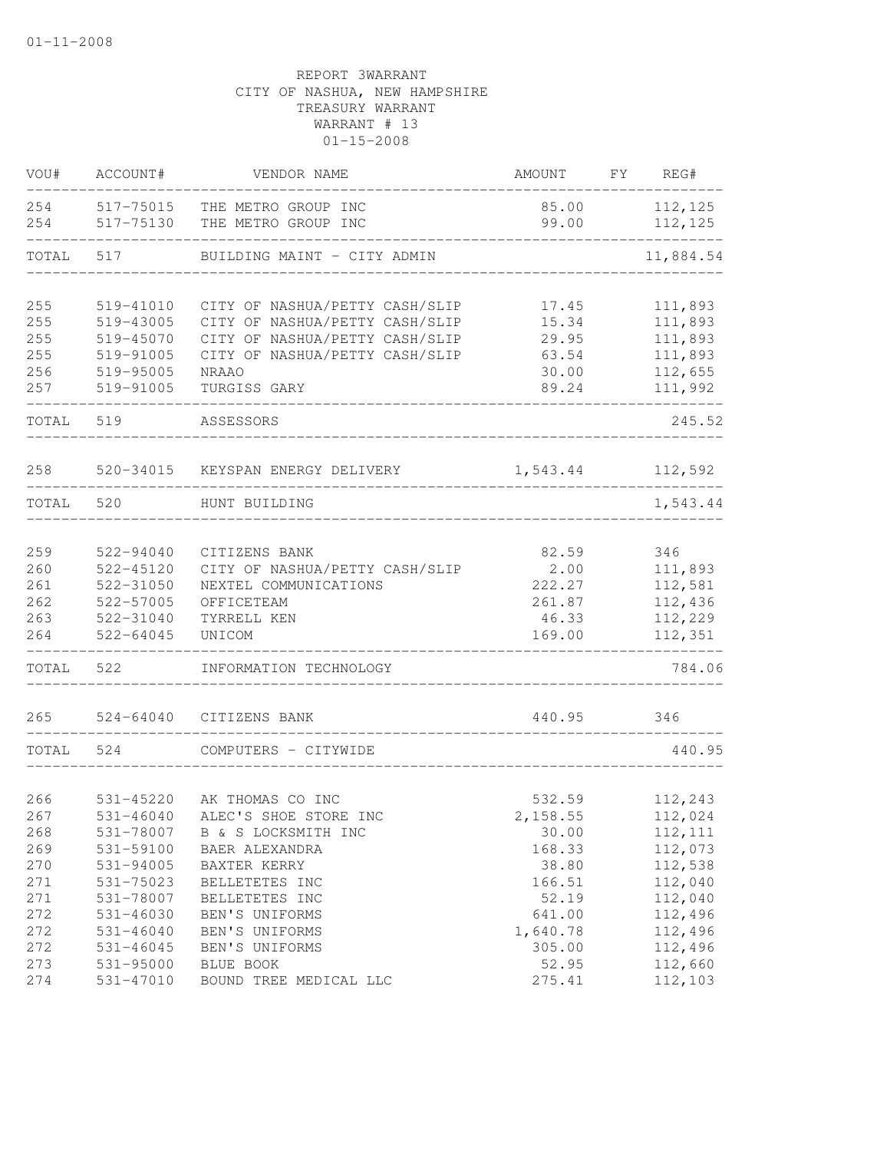| VOU#       | ACCOUNT#               | VENDOR NAME                                | AMOUNT          | FY | REG#               |
|------------|------------------------|--------------------------------------------|-----------------|----|--------------------|
| 254<br>254 | 517-75015<br>517-75130 | THE METRO GROUP INC<br>THE METRO GROUP INC | 85.00<br>99.00  |    | 112,125<br>112,125 |
| TOTAL      | 517                    | BUILDING MAINT - CITY ADMIN                |                 |    | 11,884.54          |
| 255        | 519-41010              | CITY OF NASHUA/PETTY CASH/SLIP             | 17.45           |    | 111,893            |
| 255        | 519-43005              | CITY OF NASHUA/PETTY CASH/SLIP             | 15.34           |    | 111,893            |
| 255        | 519-45070              | CITY OF NASHUA/PETTY CASH/SLIP             | 29.95           |    | 111,893            |
| 255        | 519-91005              | CITY OF NASHUA/PETTY CASH/SLIP             | 63.54           |    | 111,893            |
| 256        | 519-95005              | <b>NRAAO</b>                               | 30.00           |    | 112,655            |
| 257        | 519-91005              | TURGISS GARY                               | 89.24           |    | 111,992            |
| TOTAL      | 519                    | ASSESSORS                                  |                 |    | 245.52             |
| 258        |                        | 520-34015 KEYSPAN ENERGY DELIVERY          | 1,543.44        |    | 112,592            |
| TOTAL      | 520                    | HUNT BUILDING                              |                 |    | 1,543.44           |
|            |                        |                                            |                 |    |                    |
| 259        | 522-94040              | CITIZENS BANK                              | 82.59           |    | 346                |
| 260        | 522-45120              | CITY OF NASHUA/PETTY CASH/SLIP             | 2.00            |    | 111,893            |
| 261        | 522-31050              | NEXTEL COMMUNICATIONS                      | 222.27          |    | 112,581            |
| 262        | 522-57005              | OFFICETEAM                                 | 261.87          |    | 112,436            |
| 263<br>264 | 522-31040<br>522-64045 | TYRRELL KEN<br>UNICOM                      | 46.33<br>169.00 |    | 112,229<br>112,351 |
| TOTAL      | 522                    | INFORMATION TECHNOLOGY                     |                 |    | 784.06             |
| 265        | $524 - 64040$          | CITIZENS BANK                              | 440.95          |    | 346                |
|            |                        |                                            |                 |    |                    |
| TOTAL      | 524                    | COMPUTERS - CITYWIDE                       |                 |    | 440.95             |
| 266        | 531-45220              | AK THOMAS CO INC                           | 532.59          |    | 112,243            |
| 267        | 531-46040              | ALEC'S SHOE STORE INC                      | 2,158.55        |    | 112,024            |
| 268        | 531-78007              |                                            |                 |    | 112, 111           |
| 269        | 531-59100              | B & S LOCKSMITH INC<br>BAER ALEXANDRA      | 30.00<br>168.33 |    | 112,073            |
| 270        | 531-94005              | BAXTER KERRY                               | 38.80           |    | 112,538            |
| 271        | 531-75023              | BELLETETES INC                             | 166.51          |    | 112,040            |
| 271        | 531-78007              | BELLETETES INC                             | 52.19           |    | 112,040            |
| 272        | 531-46030              | BEN'S UNIFORMS                             | 641.00          |    | 112,496            |
| 272        | 531-46040              | BEN'S UNIFORMS                             | 1,640.78        |    | 112,496            |
| 272        | 531-46045              | BEN'S UNIFORMS                             | 305.00          |    | 112,496            |
| 273        | 531-95000              | BLUE BOOK                                  | 52.95           |    | 112,660            |
| 274        | 531-47010              | BOUND TREE MEDICAL LLC                     | 275.41          |    | 112,103            |
|            |                        |                                            |                 |    |                    |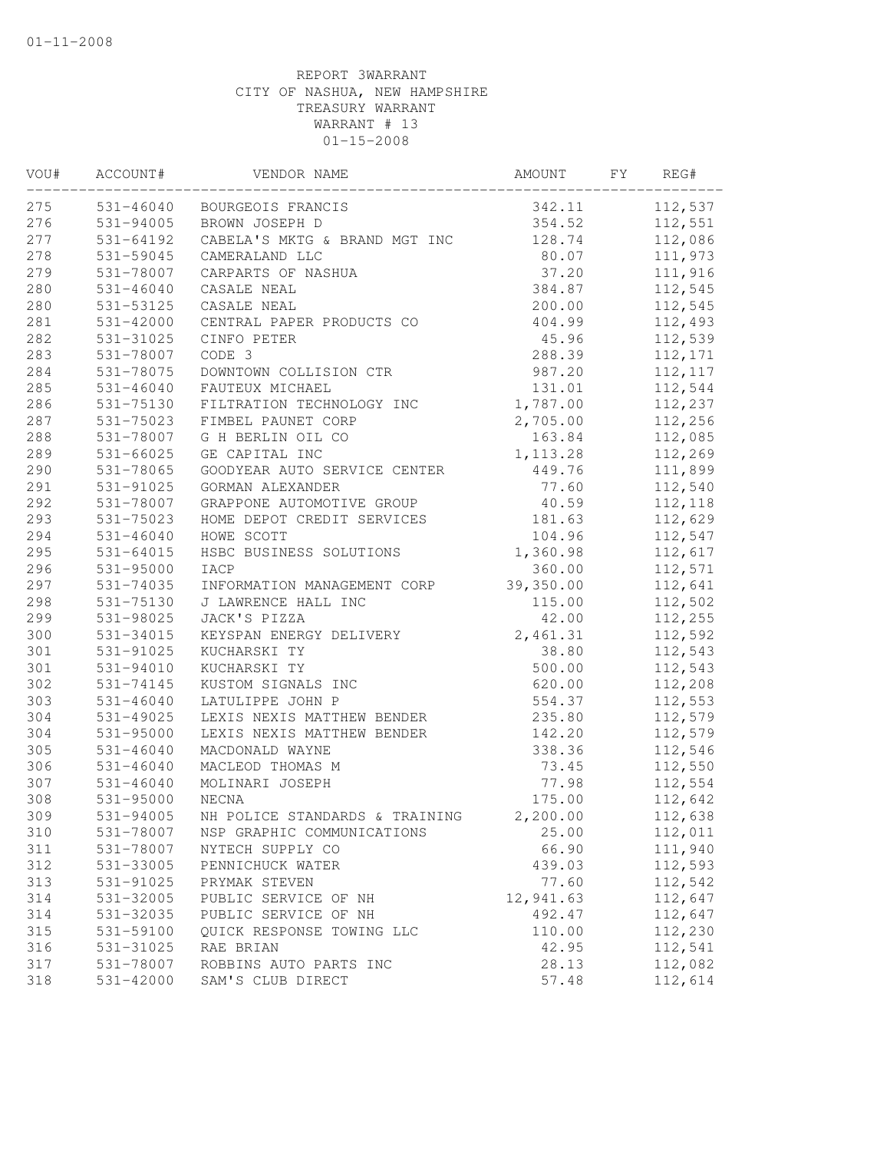| VOU#       | ACCOUNT#      | VENDOR NAME                    | AMOUNT         | FY. | REG#     |
|------------|---------------|--------------------------------|----------------|-----|----------|
| 275        | 531-46040     | BOURGEOIS FRANCIS              | 342.11         |     | 112,537  |
| 276        | 531-94005     | BROWN JOSEPH D                 | 354.52         |     | 112,551  |
| 277        | 531-64192     | CABELA'S MKTG & BRAND MGT INC  | 128.74         |     | 112,086  |
| 278        | 531-59045     | CAMERALAND LLC                 | 80.07          |     | 111,973  |
| 279        | 531-78007     | CARPARTS OF NASHUA             | 37.20          |     | 111,916  |
| 280        | $531 - 46040$ | CASALE NEAL                    | 384.87         |     | 112,545  |
| 280        | 531-53125     | CASALE NEAL                    | 200.00         |     | 112,545  |
| 281        | 531-42000     | CENTRAL PAPER PRODUCTS CO      | 404.99         |     | 112,493  |
| 282        | 531-31025     | CINFO PETER                    | 45.96          |     | 112,539  |
| 283        | 531-78007     | CODE 3                         | 288.39         |     | 112,171  |
| 284        | 531-78075     | DOWNTOWN COLLISION CTR         | 987.20         |     | 112, 117 |
| 285        | $531 - 46040$ | FAUTEUX MICHAEL                | 131.01         |     | 112,544  |
| 286        | 531-75130     | FILTRATION TECHNOLOGY INC      | 1,787.00       |     | 112,237  |
| 287        | 531-75023     | FIMBEL PAUNET CORP             | 2,705.00       |     | 112,256  |
| 288        | 531-78007     | G H BERLIN OIL CO              | 163.84         |     | 112,085  |
| 289        | $531 - 66025$ | GE CAPITAL INC                 | 1, 113.28      |     | 112,269  |
| 290        | 531-78065     | GOODYEAR AUTO SERVICE CENTER   | 449.76         |     | 111,899  |
| 291        | 531-91025     | GORMAN ALEXANDER               | 77.60          |     | 112,540  |
| 292        | 531-78007     | GRAPPONE AUTOMOTIVE GROUP      | 40.59          |     | 112,118  |
| 293        | 531-75023     | HOME DEPOT CREDIT SERVICES     | 181.63         |     | 112,629  |
| 294        | $531 - 46040$ | HOWE SCOTT                     | 104.96         |     | 112,547  |
| 295        | 531-64015     | HSBC BUSINESS SOLUTIONS        | 1,360.98       |     | 112,617  |
| 296        | 531-95000     | IACP                           | 360.00         |     | 112,571  |
| 297        | 531-74035     | INFORMATION MANAGEMENT CORP    | 39,350.00      |     | 112,641  |
| 298        | 531-75130     | J LAWRENCE HALL INC            | 115.00         |     | 112,502  |
| 299        | 531-98025     | JACK'S PIZZA                   | 42.00          |     | 112,255  |
| 300        | 531-34015     | KEYSPAN ENERGY DELIVERY        | 2,461.31       |     | 112,592  |
| 301        | 531-91025     | KUCHARSKI TY                   | 38.80          |     | 112,543  |
| 301        | 531-94010     | KUCHARSKI TY                   | 500.00         |     | 112,543  |
| 302        | 531-74145     | KUSTOM SIGNALS INC             | 620.00         |     | 112,208  |
| 303        | $531 - 46040$ | LATULIPPE JOHN P               | 554.37         |     | 112,553  |
| 304        | 531-49025     | LEXIS NEXIS MATTHEW BENDER     | 235.80         |     | 112,579  |
| 304        | 531-95000     | LEXIS NEXIS MATTHEW BENDER     | 142.20         |     | 112,579  |
| 305        | $531 - 46040$ | MACDONALD WAYNE                | 338.36         |     | 112,546  |
| 306        | $531 - 46040$ | MACLEOD THOMAS M               | 73.45          |     | 112,550  |
| 307        | $531 - 46040$ | MOLINARI JOSEPH                | 77.98          |     | 112,554  |
| 308        | 531-95000     | NECNA                          | 175.00         |     | 112,642  |
| 309        | 531-94005     | NH POLICE STANDARDS & TRAINING | 2,200.00       |     | 112,638  |
| 310        | 531-78007     | NSP GRAPHIC COMMUNICATIONS     | 25.00          |     | 112,011  |
| 311        | 531-78007     | NYTECH SUPPLY CO               | 66.90          |     | 111,940  |
| 312        | 531-33005     | PENNICHUCK WATER               | 439.03         |     | 112,593  |
| 313        | 531-91025     | PRYMAK STEVEN                  | 77.60          |     | 112,542  |
| 314        | 531-32005     | PUBLIC SERVICE OF NH           | 12,941.63      |     | 112,647  |
| 314        | 531-32035     | PUBLIC SERVICE OF NH           | 492.47         |     | 112,647  |
| 315        | 531-59100     | OUICK RESPONSE TOWING LLC      | 110.00         |     | 112,230  |
| 316<br>317 | 531-31025     | RAE BRIAN                      | 42.95          |     | 112,541  |
|            | 531-78007     | ROBBINS AUTO PARTS INC         | 28.13<br>57.48 |     | 112,082  |
| 318        | 531-42000     | SAM'S CLUB DIRECT              |                |     | 112,614  |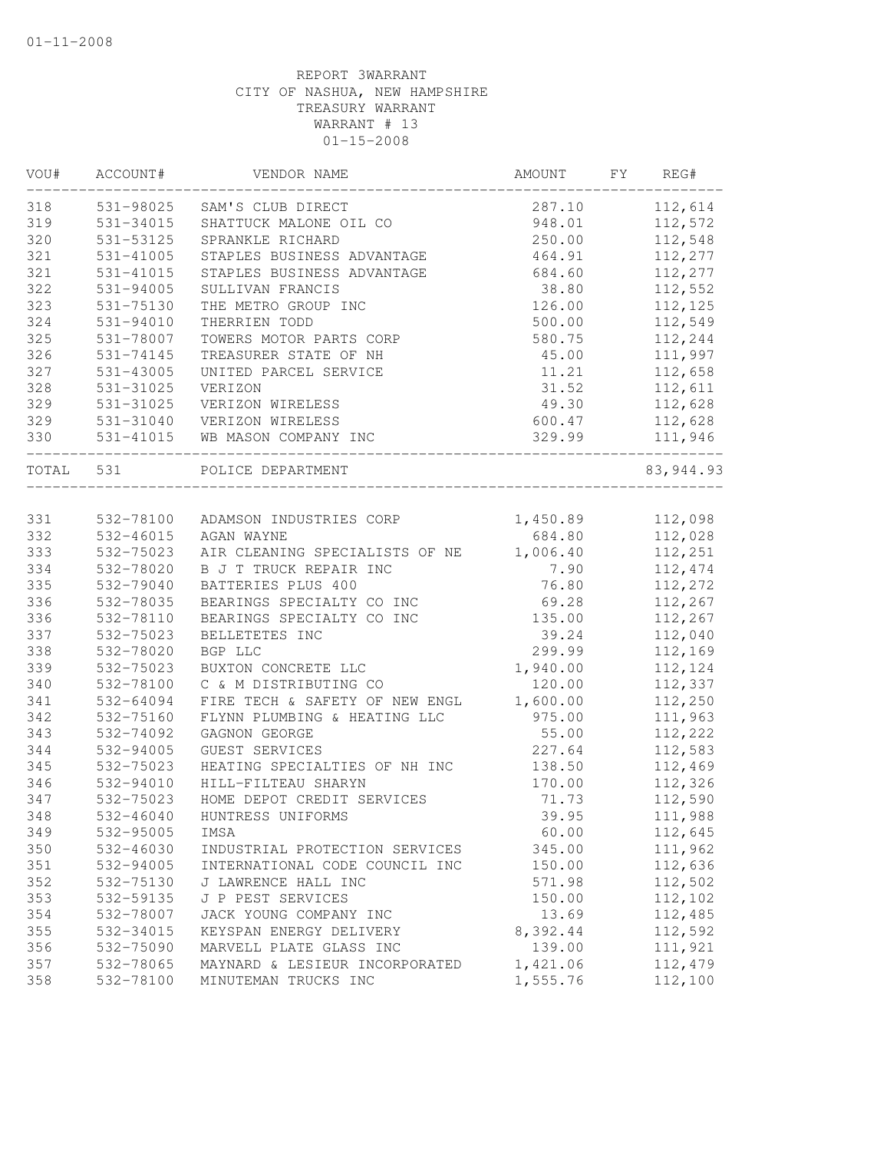| VOU#       | ACCOUNT#      | VENDOR NAME                    | AMOUNT   | FY. | REG#       |
|------------|---------------|--------------------------------|----------|-----|------------|
| 318        | 531-98025     | SAM'S CLUB DIRECT              | 287.10   |     | 112,614    |
| 319        | 531-34015     | SHATTUCK MALONE OIL CO         | 948.01   |     | 112,572    |
| 320        | 531-53125     | SPRANKLE RICHARD               | 250.00   |     | 112,548    |
| 321        | 531-41005     | STAPLES BUSINESS ADVANTAGE     | 464.91   |     | 112,277    |
| 321        | 531-41015     | STAPLES BUSINESS ADVANTAGE     | 684.60   |     | 112,277    |
| 322        | 531-94005     | SULLIVAN FRANCIS               | 38.80    |     | 112,552    |
| 323        | $531 - 75130$ | THE METRO GROUP INC            | 126.00   |     | 112,125    |
| 324        | 531-94010     | THERRIEN TODD                  | 500.00   |     | 112,549    |
| 325        | 531-78007     | TOWERS MOTOR PARTS CORP        | 580.75   |     | 112,244    |
| 326        | 531-74145     | TREASURER STATE OF NH          | 45.00    |     | 111,997    |
| 327        | 531-43005     | UNITED PARCEL SERVICE          | 11.21    |     | 112,658    |
| 328        | 531-31025     | VERIZON                        | 31.52    |     | 112,611    |
| 329        | 531-31025     | VERIZON WIRELESS               | 49.30    |     | 112,628    |
| 329        | 531-31040     | VERIZON WIRELESS               | 600.47   |     | 112,628    |
| 330        | 531-41015     | WB MASON COMPANY INC           | 329.99   |     | 111,946    |
| TOTAL      | 531           | POLICE DEPARTMENT              |          |     | 83, 944.93 |
|            |               |                                |          |     |            |
| 331        | 532-78100     | ADAMSON INDUSTRIES CORP        | 1,450.89 |     | 112,098    |
| 332        | $532 - 46015$ | AGAN WAYNE                     | 684.80   |     | 112,028    |
| 333        | 532-75023     | AIR CLEANING SPECIALISTS OF NE | 1,006.40 |     | 112,251    |
| 334        | 532-78020     | B J T TRUCK REPAIR INC         | 7.90     |     | 112,474    |
| 335        | 532-79040     | BATTERIES PLUS 400             | 76.80    |     | 112,272    |
| 336        | 532-78035     | BEARINGS SPECIALTY CO INC      | 69.28    |     | 112,267    |
| 336        | 532-78110     | BEARINGS SPECIALTY CO INC      | 135.00   |     | 112,267    |
| 337        | 532-75023     | BELLETETES INC                 | 39.24    |     | 112,040    |
| 338        | 532-78020     | BGP LLC                        | 299.99   |     | 112,169    |
| 339        | 532-75023     | BUXTON CONCRETE LLC            | 1,940.00 |     | 112,124    |
| 340        | 532-78100     | C & M DISTRIBUTING CO          | 120.00   |     | 112,337    |
| 341        | 532-64094     | FIRE TECH & SAFETY OF NEW ENGL | 1,600.00 |     | 112,250    |
| 342        | 532-75160     | FLYNN PLUMBING & HEATING LLC   | 975.00   |     | 111,963    |
| 343        | 532-74092     | GAGNON GEORGE                  | 55.00    |     | 112,222    |
| 344        | 532-94005     | GUEST SERVICES                 | 227.64   |     | 112,583    |
| 345        | 532-75023     | HEATING SPECIALTIES OF NH INC  | 138.50   |     | 112,469    |
| 346        | 532-94010     | HILL-FILTEAU SHARYN            | 170.00   |     | 112,326    |
| 347        | 532-75023     | HOME DEPOT CREDIT SERVICES     | 71.73    |     | 112,590    |
| 348        | 532-46040     | HUNTRESS UNIFORMS              | 39.95    |     | 111,988    |
| 349        | 532-95005     | IMSA                           | 60.00    |     | 112,645    |
| 350        | 532-46030     | INDUSTRIAL PROTECTION SERVICES | 345.00   |     | 111,962    |
| 351        | 532-94005     | INTERNATIONAL CODE COUNCIL INC | 150.00   |     | 112,636    |
| 352        | 532-75130     | J LAWRENCE HALL INC            | 571.98   |     | 112,502    |
| 353        | 532-59135     | J P PEST SERVICES              | 150.00   |     | 112,102    |
| 354        | 532-78007     | JACK YOUNG COMPANY INC         | 13.69    |     | 112,485    |
|            | 532-34015     |                                |          |     | 112,592    |
| 355        |               | KEYSPAN ENERGY DELIVERY        | 8,392.44 |     |            |
| 356<br>357 | 532-75090     | MARVELL PLATE GLASS INC        | 139.00   |     | 111,921    |
|            | 532-78065     | MAYNARD & LESIEUR INCORPORATED | 1,421.06 |     | 112,479    |
| 358        | 532-78100     | MINUTEMAN TRUCKS INC           | 1,555.76 |     | 112,100    |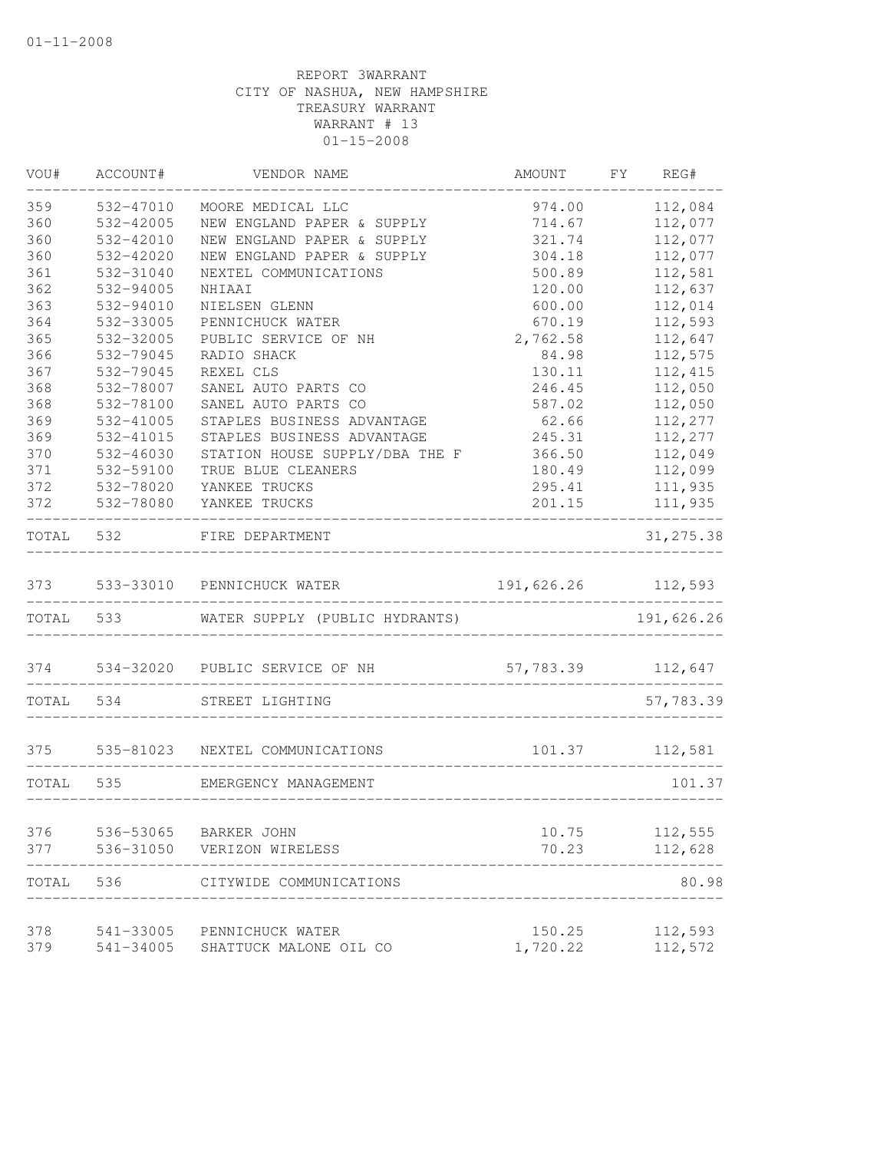| VOU#       | ACCOUNT#               | VENDOR NAME                     | AMOUNT         | FY | REG#               |
|------------|------------------------|---------------------------------|----------------|----|--------------------|
| 359        | 532-47010              | MOORE MEDICAL LLC               | 974.00         |    | 112,084            |
| 360        | 532-42005              | NEW ENGLAND PAPER & SUPPLY      | 714.67         |    | 112,077            |
| 360        | 532-42010              | NEW ENGLAND PAPER & SUPPLY      | 321.74         |    | 112,077            |
| 360        | 532-42020              | NEW ENGLAND PAPER & SUPPLY      | 304.18         |    | 112,077            |
| 361        | 532-31040              | NEXTEL COMMUNICATIONS           | 500.89         |    | 112,581            |
| 362        | 532-94005              | NHIAAI                          | 120.00         |    | 112,637            |
| 363        | 532-94010              | NIELSEN GLENN                   | 600.00         |    | 112,014            |
| 364        | 532-33005              | PENNICHUCK WATER                | 670.19         |    | 112,593            |
| 365        | 532-32005              | PUBLIC SERVICE OF NH            | 2,762.58       |    | 112,647            |
| 366        | 532-79045              | RADIO SHACK                     | 84.98          |    | 112,575            |
| 367        | 532-79045              | REXEL CLS                       | 130.11         |    | 112,415            |
| 368        | 532-78007              | SANEL AUTO PARTS CO             | 246.45         |    | 112,050            |
| 368        | 532-78100              | SANEL AUTO PARTS CO             | 587.02         |    | 112,050            |
| 369        | 532-41005              | STAPLES BUSINESS ADVANTAGE      | 62.66          |    | 112,277            |
| 369        | 532-41015              | STAPLES BUSINESS ADVANTAGE      | 245.31         |    | 112,277            |
| 370        | 532-46030              | STATION HOUSE SUPPLY/DBA THE F  | 366.50         |    | 112,049            |
| 371        | 532-59100              | TRUE BLUE CLEANERS              | 180.49         |    | 112,099            |
| 372        | 532-78020              | YANKEE TRUCKS                   | 295.41         |    | 111,935            |
| 372        | 532-78080              | YANKEE TRUCKS                   | 201.15         |    | 111,935            |
| TOTAL      | 532                    | FIRE DEPARTMENT                 |                |    | 31, 275.38         |
|            |                        | 373 533-33010 PENNICHUCK WATER  | 191,626.26     |    | 112,593            |
|            | TOTAL 533              | WATER SUPPLY (PUBLIC HYDRANTS)  |                |    | 191,626.26         |
| 374        |                        | 534-32020 PUBLIC SERVICE OF NH  | 57,783.39      |    | 112,647            |
| TOTAL      | 534                    | STREET LIGHTING                 |                |    | 57,783.39          |
|            |                        |                                 |                |    |                    |
| 375        |                        | 535-81023 NEXTEL COMMUNICATIONS | 101.37         |    | 112,581            |
| TOTAL      | 535                    | EMERGENCY MANAGEMENT            |                |    | 101.37             |
|            |                        |                                 |                |    |                    |
| 376<br>377 | 536-53065<br>536-31050 | BARKER JOHN<br>VERIZON WIRELESS | 10.75<br>70.23 |    | 112,555<br>112,628 |
|            |                        |                                 |                |    |                    |
| TOTAL      | 536                    | CITYWIDE COMMUNICATIONS         |                |    | 80.98              |
| 378        | 541-33005              | PENNICHUCK WATER                | 150.25         |    | 112,593            |
| 379        | 541-34005              | SHATTUCK MALONE OIL CO          | 1,720.22       |    | 112,572            |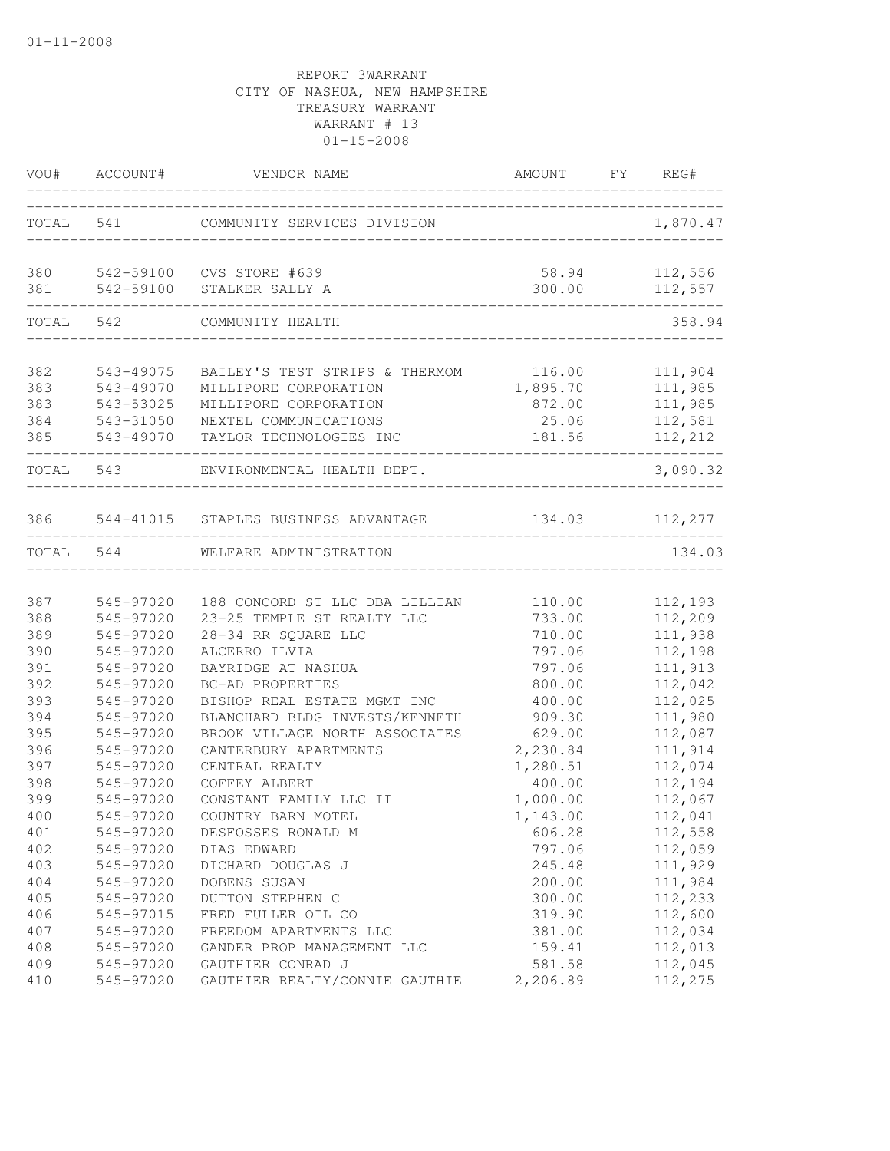| VOU#       | ACCOUNT#               | VENDOR NAME                                    | AMOUNT FY REG#  |                    |
|------------|------------------------|------------------------------------------------|-----------------|--------------------|
|            | TOTAL 541              | COMMUNITY SERVICES DIVISION                    |                 | 1,870.47           |
|            |                        |                                                |                 |                    |
| 380<br>381 | 542-59100<br>542-59100 | CVS STORE #639<br>STALKER SALLY A              | 58.94<br>300.00 | 112,556<br>112,557 |
| TOTAL      | 542                    | COMMUNITY HEALTH                               |                 | 358.94             |
|            |                        |                                                |                 |                    |
| 382        | 543-49075              | BAILEY'S TEST STRIPS & THERMOM                 | 116.00          | 111,904            |
| 383        | 543-49070              | MILLIPORE CORPORATION                          | 1,895.70        | 111,985            |
| 383<br>384 | 543-53025<br>543-31050 | MILLIPORE CORPORATION<br>NEXTEL COMMUNICATIONS | 872.00<br>25.06 | 111,985            |
| 385        | 543-49070              | TAYLOR TECHNOLOGIES INC                        | 181.56          | 112,581<br>112,212 |
|            |                        |                                                |                 |                    |
| TOTAL      | 543                    | ENVIRONMENTAL HEALTH DEPT.                     |                 | 3,090.32           |
| 386        |                        | 544-41015 STAPLES BUSINESS ADVANTAGE           | 134.03          | 112,277            |
|            |                        |                                                |                 |                    |
| TOTAL      | 544                    | WELFARE ADMINISTRATION                         |                 | 134.03             |
| 387        | 545-97020              | 188 CONCORD ST LLC DBA LILLIAN                 | 110.00          | 112,193            |
| 388        | 545-97020              | 23-25 TEMPLE ST REALTY LLC                     | 733.00          | 112,209            |
| 389        | 545-97020              | 28-34 RR SQUARE LLC                            | 710.00          | 111,938            |
| 390        | 545-97020              | ALCERRO ILVIA                                  | 797.06          | 112,198            |
| 391        | 545-97020              | BAYRIDGE AT NASHUA                             | 797.06          | 111,913            |
| 392        | 545-97020              | BC-AD PROPERTIES                               | 800.00          | 112,042            |
| 393        | 545-97020              | BISHOP REAL ESTATE MGMT INC                    | 400.00          | 112,025            |
| 394        | 545-97020              | BLANCHARD BLDG INVESTS/KENNETH                 | 909.30          | 111,980            |
| 395        | 545-97020              | BROOK VILLAGE NORTH ASSOCIATES                 | 629.00          | 112,087            |
| 396        | 545-97020              | CANTERBURY APARTMENTS                          | 2,230.84        | 111,914            |
| 397        | 545-97020              | CENTRAL REALTY                                 | 1,280.51        | 112,074            |
| 398        | 545-97020              | COFFEY ALBERT                                  | 400.00          | 112,194            |
| 399        | 545-97020              | CONSTANT FAMILY LLC II                         | 1,000.00        | 112,067            |
| 400        | 545-97020              | COUNTRY BARN MOTEL                             | 1,143.00        | 112,041            |
| 401        | 545-97020              | DESFOSSES RONALD M                             | 606.28          | 112,558            |
| 402        | 545-97020              | DIAS EDWARD                                    | 797.06          | 112,059            |
| 403        | 545-97020              | DICHARD DOUGLAS J                              | 245.48          | 111,929            |
| 404        | 545-97020              | DOBENS SUSAN                                   | 200.00          | 111,984            |
| 405        | 545-97020              | DUTTON STEPHEN C                               | 300.00          | 112,233            |
| 406        | 545-97015              | FRED FULLER OIL CO                             | 319.90          | 112,600            |
| 407        | 545-97020              | FREEDOM APARTMENTS LLC                         | 381.00          | 112,034            |
| 408        | 545-97020              | GANDER PROP MANAGEMENT LLC                     | 159.41          | 112,013            |
| 409        | 545-97020              | GAUTHIER CONRAD J                              | 581.58          | 112,045            |
| 410        | 545-97020              | GAUTHIER REALTY/CONNIE GAUTHIE                 | 2,206.89        | 112,275            |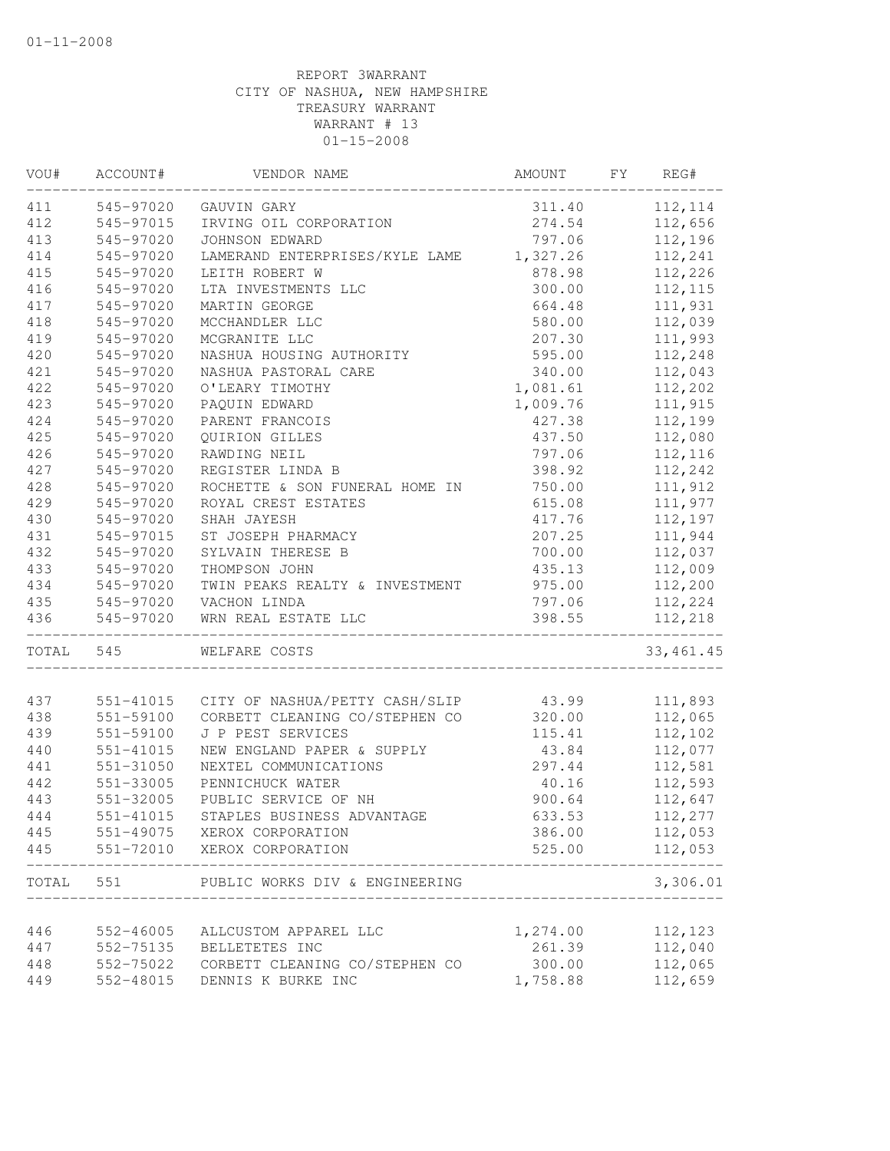| VOU#       | ACCOUNT#               | VENDOR NAME                                         | AMOUNT           | FY | REG#               |
|------------|------------------------|-----------------------------------------------------|------------------|----|--------------------|
| 411        | 545-97020              | GAUVIN GARY                                         | 311.40           |    | 112, 114           |
| 412        | 545-97015              | IRVING OIL CORPORATION                              | 274.54           |    | 112,656            |
| 413        | 545-97020              | JOHNSON EDWARD                                      | 797.06           |    | 112,196            |
| 414        | 545-97020              | LAMERAND ENTERPRISES/KYLE LAME 1,327.26             |                  |    | 112,241            |
| 415        | 545-97020              | LEITH ROBERT W                                      | 878.98           |    | 112,226            |
| 416        | 545-97020              | LTA INVESTMENTS LLC                                 | 300.00           |    | 112, 115           |
| 417        | 545-97020              | MARTIN GEORGE                                       | 664.48           |    | 111,931            |
| 418        | 545-97020              | MCCHANDLER LLC                                      | 580.00           |    | 112,039            |
| 419        | 545-97020              | MCGRANITE LLC                                       | 207.30           |    | 111,993            |
| 420        | 545-97020              | NASHUA HOUSING AUTHORITY                            | 595.00           |    | 112,248            |
| 421        | 545-97020              | NASHUA PASTORAL CARE                                | 340.00           |    | 112,043            |
| 422        | 545-97020              | O'LEARY TIMOTHY                                     | 1,081.61         |    | 112,202            |
| 423        | 545-97020              | PAQUIN EDWARD                                       | 1,009.76         |    | 111,915            |
| 424        | 545-97020              | PARENT FRANCOIS                                     | 427.38           |    | 112,199            |
| 425        | 545-97020              | <b>OUIRION GILLES</b>                               | 437.50           |    | 112,080            |
| 426        | 545-97020              | RAWDING NEIL                                        | 797.06           |    | 112,116            |
| 427        | 545-97020              | REGISTER LINDA B                                    | 398.92           |    | 112,242            |
| 428        | 545-97020              | ROCHETTE & SON FUNERAL HOME IN                      | 750.00           |    | 111,912            |
| 429        | 545-97020              | ROYAL CREST ESTATES                                 | 615.08           |    | 111,977            |
| 430        | 545-97020              | SHAH JAYESH                                         | 417.76           |    | 112,197            |
| 431        | 545-97015              | ST JOSEPH PHARMACY                                  | 207.25           |    | 111,944            |
| 432        | 545-97020              | SYLVAIN THERESE B                                   | 700.00           |    | 112,037            |
| 433        | 545-97020              | THOMPSON JOHN                                       | 435.13           |    | 112,009            |
| 434        | 545-97020              | TWIN PEAKS REALTY & INVESTMENT                      | 975.00           |    | 112,200            |
| 435        | 545-97020              | VACHON LINDA                                        | 797.06           |    | 112,224            |
| 436        | 545-97020              | WRN REAL ESTATE LLC                                 | 398.55           |    | 112,218            |
| TOTAL      | 545                    | WELFARE COSTS                                       |                  |    | 33, 461.45         |
|            |                        |                                                     |                  |    |                    |
| 437        | 551-41015              | CITY OF NASHUA/PETTY CASH/SLIP                      | 43.99            |    | 111,893            |
| 438        | 551-59100              | CORBETT CLEANING CO/STEPHEN CO<br>J P PEST SERVICES | 320.00           |    | 112,065            |
| 439        | 551-59100              |                                                     | 115.41           |    | 112,102            |
| 440        | 551-41015<br>551-31050 | NEW ENGLAND PAPER & SUPPLY<br>NEXTEL COMMUNICATIONS | 43.84            |    | 112,077<br>112,581 |
| 441<br>442 | 551-33005              | PENNICHUCK WATER                                    | 297.44<br>40.16  |    | 112,593            |
| 443        |                        | PUBLIC SERVICE OF NH                                |                  |    |                    |
|            | 551-32005              |                                                     | 900.64           |    | 112,647            |
| 444        | 551-41015              | STAPLES BUSINESS ADVANTAGE                          | 633.53           |    | 112,277            |
| 445<br>445 | 551-72010              | 551-49075 XEROX CORPORATION<br>XEROX CORPORATION    | 386.00<br>525.00 |    | 112,053<br>112,053 |
|            |                        |                                                     |                  |    |                    |
| TOTAL      | 551                    | PUBLIC WORKS DIV & ENGINEERING                      |                  |    | 3,306.01           |
| 446        | 552-46005              | ALLCUSTOM APPAREL LLC                               | 1,274.00         |    | 112,123            |
| 447        | 552-75135              | BELLETETES INC                                      | 261.39           |    | 112,040            |
| 448        | 552-75022              | CORBETT CLEANING CO/STEPHEN CO                      | 300.00           |    | 112,065            |
| 449        | 552-48015              | DENNIS K BURKE INC                                  | 1,758.88         |    | 112,659            |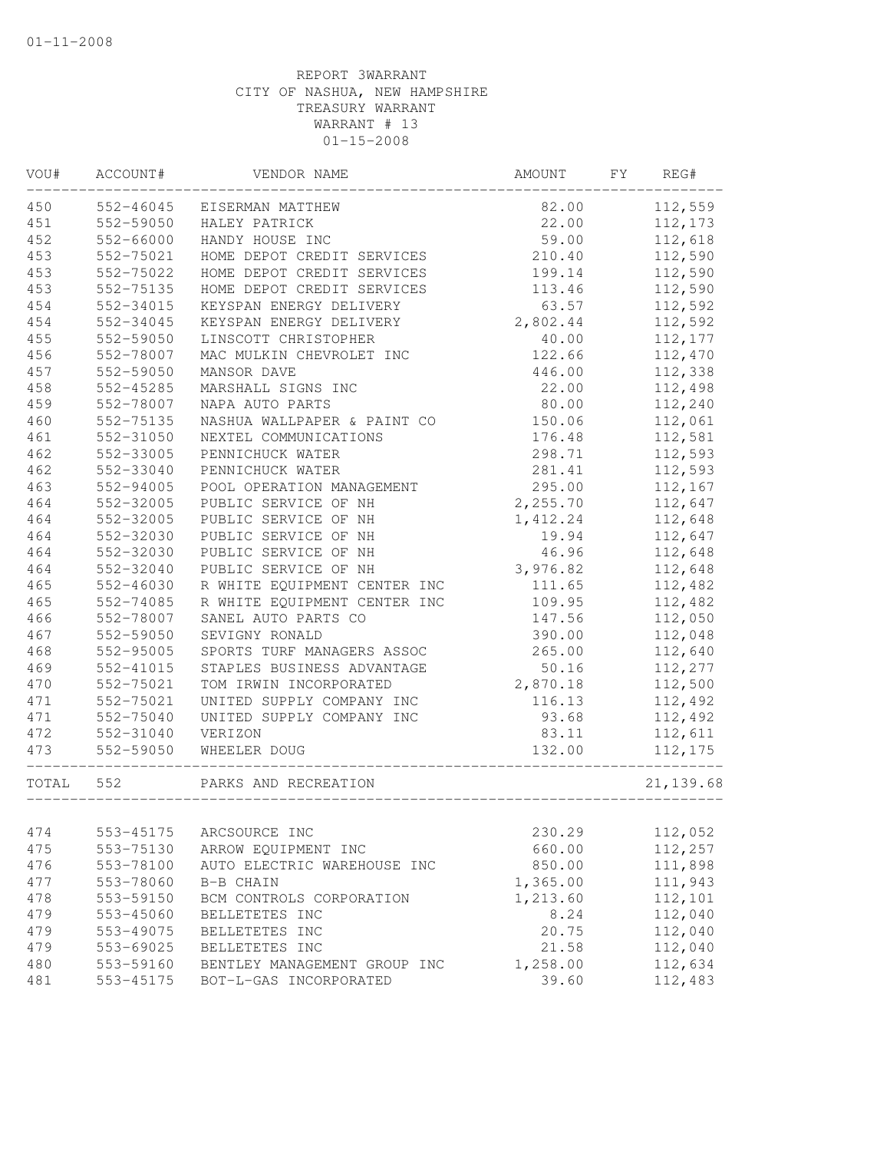| VOU#  | ACCOUNT#  | VENDOR NAME                  | AMOUNT   | FY | REG#       |
|-------|-----------|------------------------------|----------|----|------------|
| 450   | 552-46045 | EISERMAN MATTHEW             | 82.00    |    | 112,559    |
| 451   | 552-59050 | HALEY PATRICK                | 22.00    |    | 112,173    |
| 452   | 552-66000 | HANDY HOUSE INC              | 59.00    |    | 112,618    |
| 453   | 552-75021 | HOME DEPOT CREDIT SERVICES   | 210.40   |    | 112,590    |
| 453   | 552-75022 | HOME DEPOT CREDIT SERVICES   | 199.14   |    | 112,590    |
| 453   | 552-75135 | HOME DEPOT CREDIT SERVICES   | 113.46   |    | 112,590    |
| 454   | 552-34015 | KEYSPAN ENERGY DELIVERY      | 63.57    |    | 112,592    |
| 454   | 552-34045 | KEYSPAN ENERGY DELIVERY      | 2,802.44 |    | 112,592    |
| 455   | 552-59050 | LINSCOTT CHRISTOPHER         | 40.00    |    | 112,177    |
| 456   | 552-78007 | MAC MULKIN CHEVROLET INC     | 122.66   |    | 112,470    |
| 457   | 552-59050 | MANSOR DAVE                  | 446.00   |    | 112,338    |
| 458   | 552-45285 | MARSHALL SIGNS INC           | 22.00    |    | 112,498    |
| 459   | 552-78007 | NAPA AUTO PARTS              | 80.00    |    | 112,240    |
| 460   | 552-75135 | NASHUA WALLPAPER & PAINT CO  | 150.06   |    | 112,061    |
| 461   | 552-31050 | NEXTEL COMMUNICATIONS        | 176.48   |    | 112,581    |
| 462   | 552-33005 | PENNICHUCK WATER             | 298.71   |    | 112,593    |
| 462   | 552-33040 | PENNICHUCK WATER             | 281.41   |    | 112,593    |
| 463   | 552-94005 | POOL OPERATION MANAGEMENT    | 295.00   |    | 112,167    |
| 464   | 552-32005 | PUBLIC SERVICE OF NH         | 2,255.70 |    | 112,647    |
| 464   | 552-32005 | PUBLIC SERVICE OF NH         | 1,412.24 |    | 112,648    |
| 464   | 552-32030 | PUBLIC SERVICE OF NH         | 19.94    |    | 112,647    |
| 464   | 552-32030 | PUBLIC SERVICE OF NH         | 46.96    |    | 112,648    |
| 464   | 552-32040 | PUBLIC SERVICE OF NH         | 3,976.82 |    | 112,648    |
| 465   | 552-46030 | R WHITE EQUIPMENT CENTER INC | 111.65   |    | 112,482    |
| 465   | 552-74085 | R WHITE EQUIPMENT CENTER INC | 109.95   |    | 112,482    |
| 466   | 552-78007 | SANEL AUTO PARTS CO          | 147.56   |    | 112,050    |
| 467   | 552-59050 | SEVIGNY RONALD               | 390.00   |    | 112,048    |
| 468   | 552-95005 | SPORTS TURF MANAGERS ASSOC   | 265.00   |    | 112,640    |
| 469   | 552-41015 | STAPLES BUSINESS ADVANTAGE   | 50.16    |    | 112,277    |
| 470   | 552-75021 | TOM IRWIN INCORPORATED       | 2,870.18 |    | 112,500    |
| 471   | 552-75021 | UNITED SUPPLY COMPANY INC    | 116.13   |    | 112,492    |
| 471   | 552-75040 | UNITED SUPPLY COMPANY INC    | 93.68    |    | 112,492    |
| 472   | 552-31040 | VERIZON                      | 83.11    |    | 112,611    |
| 473   | 552-59050 | WHEELER DOUG                 | 132.00   |    | 112,175    |
| TOTAL | 552       | PARKS AND RECREATION         |          |    | 21, 139.68 |
|       |           |                              |          |    |            |
| 474   | 553-45175 | ARCSOURCE INC                | 230.29   |    | 112,052    |
| 475   | 553-75130 | ARROW EQUIPMENT INC          | 660.00   |    | 112,257    |
| 476   | 553-78100 | AUTO ELECTRIC WAREHOUSE INC  | 850.00   |    | 111,898    |
| 477   | 553-78060 | B-B CHAIN                    | 1,365.00 |    | 111,943    |
| 478   | 553-59150 | BCM CONTROLS CORPORATION     | 1,213.60 |    | 112,101    |
| 479   | 553-45060 | BELLETETES INC               | 8.24     |    | 112,040    |
| 479   | 553-49075 | BELLETETES INC               | 20.75    |    | 112,040    |
| 479   | 553-69025 | BELLETETES INC               | 21.58    |    | 112,040    |
| 480   | 553-59160 | BENTLEY MANAGEMENT GROUP INC | 1,258.00 |    | 112,634    |
| 481   | 553-45175 | BOT-L-GAS INCORPORATED       | 39.60    |    | 112,483    |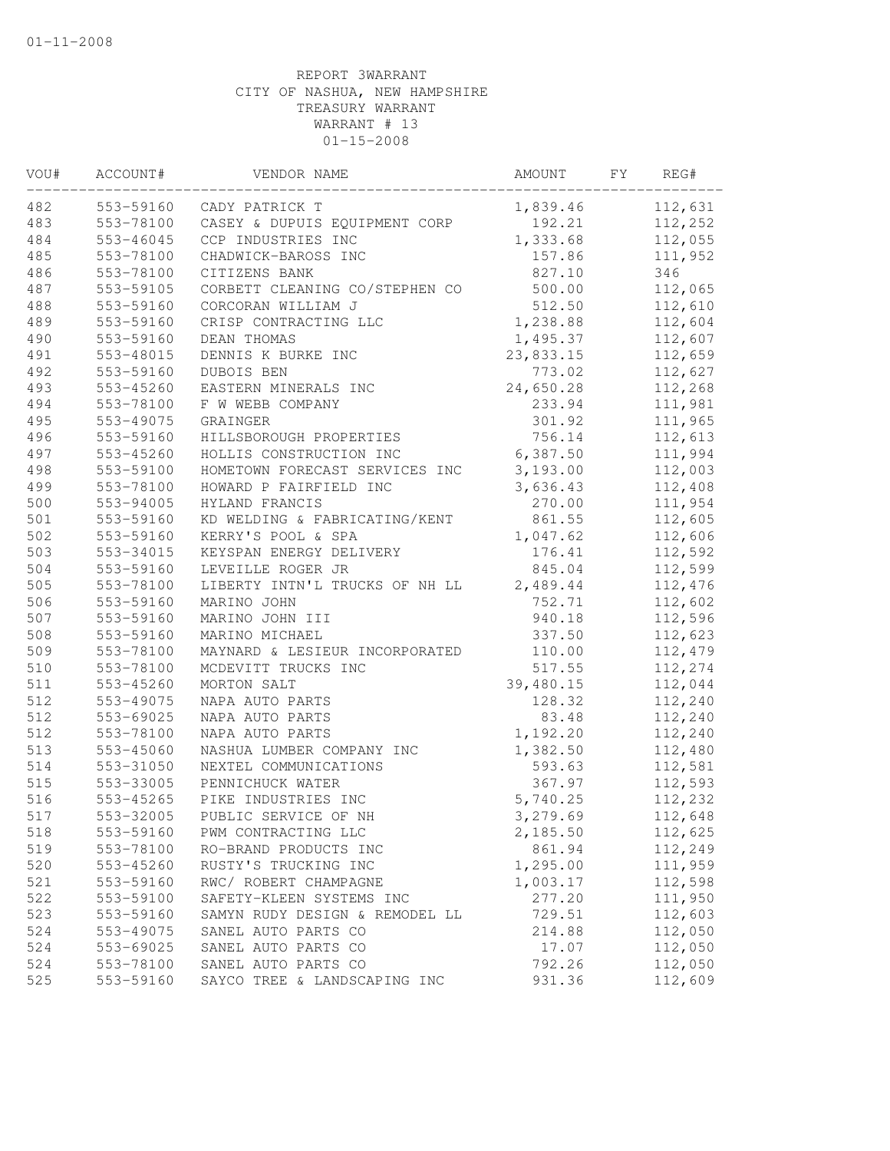| VOU# | ACCOUNT#  | VENDOR NAME                    | AMOUNT    | FY | REG#    |
|------|-----------|--------------------------------|-----------|----|---------|
| 482  | 553-59160 | CADY PATRICK T                 | 1,839.46  |    | 112,631 |
| 483  | 553-78100 | CASEY & DUPUIS EQUIPMENT CORP  | 192.21    |    | 112,252 |
| 484  | 553-46045 | CCP INDUSTRIES INC             | 1,333.68  |    | 112,055 |
| 485  | 553-78100 | CHADWICK-BAROSS INC            | 157.86    |    | 111,952 |
| 486  | 553-78100 | CITIZENS BANK                  | 827.10    |    | 346     |
| 487  | 553-59105 | CORBETT CLEANING CO/STEPHEN CO | 500.00    |    | 112,065 |
| 488  | 553-59160 | CORCORAN WILLIAM J             | 512.50    |    | 112,610 |
| 489  | 553-59160 | CRISP CONTRACTING LLC          | 1,238.88  |    | 112,604 |
| 490  | 553-59160 | DEAN THOMAS                    | 1,495.37  |    | 112,607 |
| 491  | 553-48015 | DENNIS K BURKE INC             | 23,833.15 |    | 112,659 |
| 492  | 553-59160 | DUBOIS BEN                     | 773.02    |    | 112,627 |
| 493  | 553-45260 | EASTERN MINERALS INC           | 24,650.28 |    | 112,268 |
| 494  | 553-78100 | F W WEBB COMPANY               | 233.94    |    | 111,981 |
| 495  | 553-49075 | GRAINGER                       | 301.92    |    | 111,965 |
| 496  | 553-59160 | HILLSBOROUGH PROPERTIES        | 756.14    |    | 112,613 |
| 497  | 553-45260 | HOLLIS CONSTRUCTION INC        | 6,387.50  |    | 111,994 |
| 498  | 553-59100 | HOMETOWN FORECAST SERVICES INC | 3,193.00  |    | 112,003 |
| 499  | 553-78100 | HOWARD P FAIRFIELD INC         | 3,636.43  |    | 112,408 |
| 500  | 553-94005 | HYLAND FRANCIS                 | 270.00    |    | 111,954 |
| 501  | 553-59160 | KD WELDING & FABRICATING/KENT  | 861.55    |    | 112,605 |
| 502  | 553-59160 | KERRY'S POOL & SPA             | 1,047.62  |    | 112,606 |
| 503  | 553-34015 | KEYSPAN ENERGY DELIVERY        | 176.41    |    | 112,592 |
| 504  | 553-59160 | LEVEILLE ROGER JR              | 845.04    |    | 112,599 |
| 505  | 553-78100 | LIBERTY INTN'L TRUCKS OF NH LL | 2,489.44  |    | 112,476 |
| 506  | 553-59160 | MARINO JOHN                    | 752.71    |    | 112,602 |
| 507  | 553-59160 | MARINO JOHN III                | 940.18    |    | 112,596 |
| 508  | 553-59160 | MARINO MICHAEL                 | 337.50    |    | 112,623 |
| 509  | 553-78100 | MAYNARD & LESIEUR INCORPORATED | 110.00    |    | 112,479 |
| 510  | 553-78100 | MCDEVITT TRUCKS INC            | 517.55    |    | 112,274 |
| 511  | 553-45260 | MORTON SALT                    | 39,480.15 |    | 112,044 |
| 512  | 553-49075 | NAPA AUTO PARTS                | 128.32    |    | 112,240 |
| 512  | 553-69025 | NAPA AUTO PARTS                | 83.48     |    | 112,240 |
| 512  | 553-78100 | NAPA AUTO PARTS                | 1,192.20  |    | 112,240 |
| 513  | 553-45060 | NASHUA LUMBER COMPANY INC      | 1,382.50  |    | 112,480 |
| 514  | 553-31050 | NEXTEL COMMUNICATIONS          | 593.63    |    | 112,581 |
| 515  | 553-33005 | PENNICHUCK WATER               | 367.97    |    | 112,593 |
| 516  | 553-45265 | PIKE INDUSTRIES INC            | 5,740.25  |    | 112,232 |
| 517  | 553-32005 | PUBLIC SERVICE OF NH           | 3,279.69  |    | 112,648 |
| 518  | 553-59160 | PWM CONTRACTING LLC            | 2,185.50  |    | 112,625 |
| 519  | 553-78100 | RO-BRAND PRODUCTS INC          | 861.94    |    | 112,249 |
| 520  | 553-45260 | RUSTY'S TRUCKING INC           | 1,295.00  |    | 111,959 |
| 521  | 553-59160 | RWC/ ROBERT CHAMPAGNE          | 1,003.17  |    | 112,598 |
| 522  | 553-59100 | SAFETY-KLEEN SYSTEMS INC       | 277.20    |    | 111,950 |
| 523  | 553-59160 | SAMYN RUDY DESIGN & REMODEL LL | 729.51    |    | 112,603 |
| 524  | 553-49075 | SANEL AUTO PARTS CO            | 214.88    |    | 112,050 |
| 524  | 553-69025 | SANEL AUTO PARTS CO            | 17.07     |    | 112,050 |
| 524  | 553-78100 | SANEL AUTO PARTS CO            | 792.26    |    | 112,050 |
| 525  | 553-59160 | SAYCO TREE & LANDSCAPING INC   | 931.36    |    | 112,609 |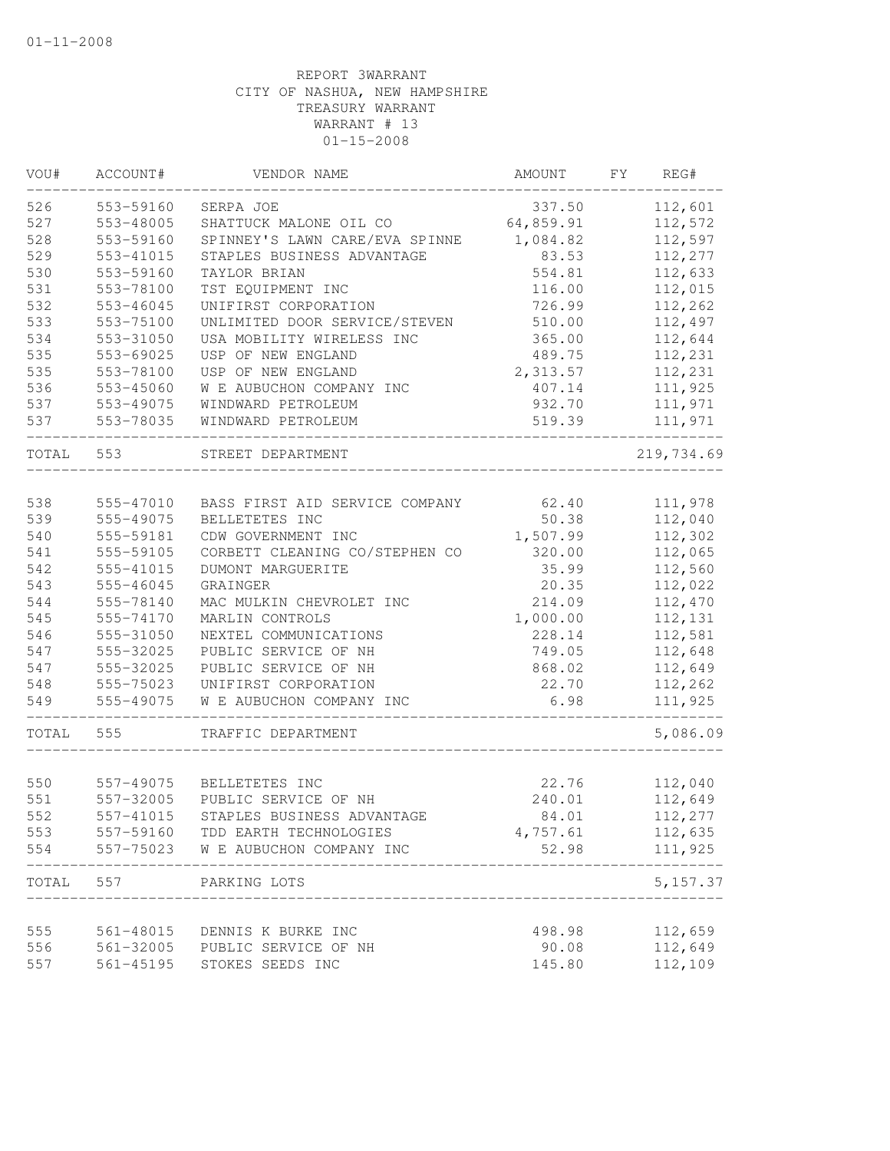| VOU#       | ACCOUNT#  | VENDOR NAME                        | AMOUNT    | FΥ | REG#               |
|------------|-----------|------------------------------------|-----------|----|--------------------|
| 526        | 553-59160 | SERPA JOE                          | 337.50    |    | 112,601            |
| 527        | 553-48005 | SHATTUCK MALONE OIL CO             | 64,859.91 |    | 112,572            |
| 528        | 553-59160 | SPINNEY'S LAWN CARE/EVA SPINNE     | 1,084.82  |    | 112,597            |
| 529        | 553-41015 | STAPLES BUSINESS ADVANTAGE         | 83.53     |    | 112,277            |
| 530        | 553-59160 | TAYLOR BRIAN                       | 554.81    |    | 112,633            |
| 531        | 553-78100 | TST EQUIPMENT INC                  | 116.00    |    | 112,015            |
| 532        | 553-46045 | UNIFIRST CORPORATION               | 726.99    |    | 112,262            |
| 533        | 553-75100 | UNLIMITED DOOR SERVICE/STEVEN      | 510.00    |    | 112,497            |
| 534        | 553-31050 | USA MOBILITY WIRELESS INC          | 365.00    |    | 112,644            |
| 535        | 553-69025 | USP OF NEW ENGLAND                 | 489.75    |    | 112,231            |
| 535        | 553-78100 | USP OF NEW ENGLAND                 | 2,313.57  |    | 112,231            |
| 536        | 553-45060 | W E AUBUCHON COMPANY INC           | 407.14    |    | 111,925            |
| 537        | 553-49075 | WINDWARD PETROLEUM                 | 932.70    |    | 111,971            |
| 537        | 553-78035 | WINDWARD PETROLEUM                 | 519.39    |    | 111,971            |
| TOTAL      | 553       | STREET DEPARTMENT                  |           |    | 219,734.69         |
|            |           |                                    |           |    |                    |
| 538        | 555-47010 | BASS FIRST AID SERVICE COMPANY     | 62.40     |    | 111,978            |
| 539        | 555-49075 | BELLETETES INC                     | 50.38     |    | 112,040            |
| 540        | 555-59181 | CDW GOVERNMENT INC                 | 1,507.99  |    | 112,302            |
| 541        | 555-59105 | CORBETT CLEANING CO/STEPHEN CO     | 320.00    |    | 112,065            |
| 542        | 555-41015 | <b>DUMONT MARGUERITE</b>           | 35.99     |    | 112,560            |
| 543        | 555-46045 | GRAINGER                           | 20.35     |    | 112,022            |
| 544        | 555-78140 | MAC MULKIN CHEVROLET INC           | 214.09    |    | 112,470            |
| 545        | 555-74170 | MARLIN CONTROLS                    | 1,000.00  |    | 112,131            |
| 546        | 555-31050 | NEXTEL COMMUNICATIONS              | 228.14    |    | 112,581            |
| 547        | 555-32025 | PUBLIC SERVICE OF NH               | 749.05    |    | 112,648            |
| 547        | 555-32025 | PUBLIC SERVICE OF NH               | 868.02    |    | 112,649            |
| 548        | 555-75023 | UNIFIRST CORPORATION               | 22.70     |    | 112,262            |
| 549        | 555-49075 | W E AUBUCHON COMPANY INC           | 6.98      |    | 111,925            |
| TOTAL      | 555       | TRAFFIC DEPARTMENT                 |           |    | 5,086.09           |
|            |           |                                    |           |    |                    |
| 550<br>551 | 557-49075 | BELLETETES INC                     | 22.76     |    | 112,040<br>112,649 |
|            | 557-32005 | PUBLIC SERVICE OF NH               | 240.01    |    |                    |
| 552        | 557-41015 | STAPLES BUSINESS ADVANTAGE         | 84.01     |    | 112,277            |
| 553        | 557-59160 | TDD EARTH TECHNOLOGIES             | 4,757.61  |    | 112,635            |
| 554        |           | 557-75023 W E AUBUCHON COMPANY INC | 52.98     |    | 111,925            |
| TOTAL      | 557       | PARKING LOTS                       |           |    | 5, 157.37          |
|            |           |                                    |           |    |                    |
| 555        | 561-48015 | DENNIS K BURKE INC                 | 498.98    |    | 112,659            |
| 556        |           | 561-32005 PUBLIC SERVICE OF NH     | 90.08     |    | 112,649            |
| 557        | 561-45195 | STOKES SEEDS INC                   | 145.80    |    | 112,109            |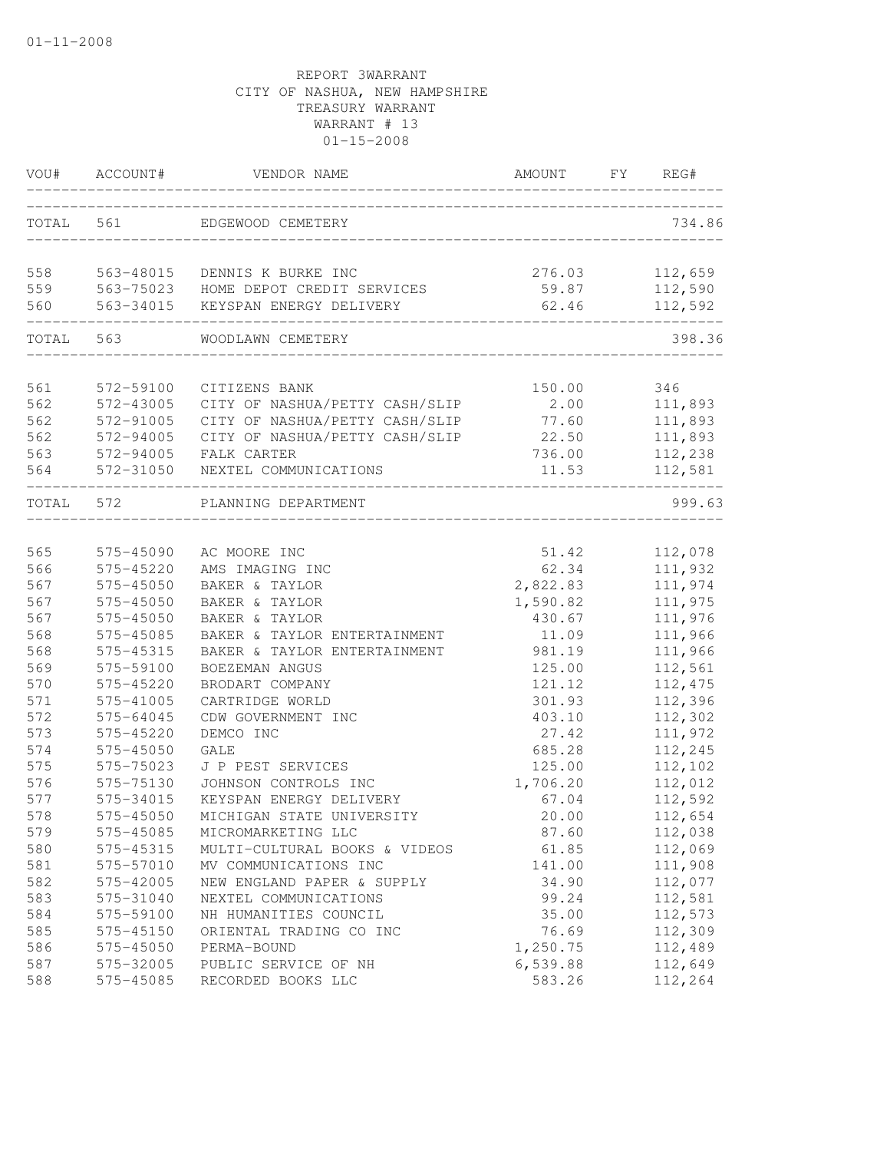| VOU#       | ACCOUNT#               | VENDOR NAME                          | AMOUNT         | FY | REG#               |
|------------|------------------------|--------------------------------------|----------------|----|--------------------|
| TOTAL 561  |                        | EDGEWOOD CEMETERY                    |                |    | 734.86             |
| 558        |                        | 563-48015 DENNIS K BURKE INC         | 276.03         |    | 112,659            |
| 559        |                        | 563-75023 HOME DEPOT CREDIT SERVICES | 59.87          |    | 112,590            |
| 560        | 563-34015              | KEYSPAN ENERGY DELIVERY              | 62.46          |    | 112,592            |
| TOTAL 563  |                        | WOODLAWN CEMETERY                    |                |    | 398.36             |
| 561        | 572-59100              | CITIZENS BANK                        | 150.00         |    | 346                |
| 562        | 572-43005              | CITY OF NASHUA/PETTY CASH/SLIP       | 2.00           |    | 111,893            |
| 562        | 572-91005              | CITY OF NASHUA/PETTY CASH/SLIP       | 77.60          |    | 111,893            |
| 562        | 572-94005              | CITY OF NASHUA/PETTY CASH/SLIP       | 22.50          |    | 111,893            |
| 563        | 572-94005              | FALK CARTER                          | 736.00         |    | 112,238            |
| 564        | 572-31050              | NEXTEL COMMUNICATIONS                | 11.53          |    | 112,581            |
| TOTAL 572  |                        | PLANNING DEPARTMENT                  |                |    | 999.63             |
|            |                        |                                      |                |    |                    |
| 565<br>566 | 575-45090<br>575-45220 | AC MOORE INC                         | 51.42<br>62.34 |    | 112,078            |
| 567        | 575-45050              | AMS IMAGING INC<br>BAKER & TAYLOR    | 2,822.83       |    | 111,932<br>111,974 |
| 567        | 575-45050              | BAKER & TAYLOR                       | 1,590.82       |    | 111,975            |
| 567        | 575-45050              | BAKER & TAYLOR                       | 430.67         |    | 111,976            |
| 568        | 575-45085              | BAKER & TAYLOR ENTERTAINMENT         | 11.09          |    | 111,966            |
| 568        | 575-45315              | BAKER & TAYLOR ENTERTAINMENT         | 981.19         |    | 111,966            |
| 569        | 575-59100              | BOEZEMAN ANGUS                       | 125.00         |    | 112,561            |
| 570        | 575-45220              | BRODART COMPANY                      | 121.12         |    | 112,475            |
| 571        | 575-41005              | CARTRIDGE WORLD                      | 301.93         |    | 112,396            |
| 572        | 575-64045              | CDW GOVERNMENT INC                   | 403.10         |    | 112,302            |
| 573        | 575-45220              | DEMCO INC                            | 27.42          |    | 111,972            |
| 574        | 575-45050              | <b>GALE</b>                          | 685.28         |    | 112,245            |
| 575        | 575-75023              | J P PEST SERVICES                    | 125.00         |    | 112,102            |
| 576        | 575-75130              | JOHNSON CONTROLS INC                 | 1,706.20       |    | 112,012            |
| 577        | 575-34015              | KEYSPAN ENERGY DELIVERY              | 67.04          |    | 112,592            |
| 578        | 575-45050              | MICHIGAN STATE UNIVERSITY            | 20.00          |    | 112,654            |
| 579        | 575-45085              | MICROMARKETING LLC                   | 87.60          |    | 112,038            |
| 580        | 575-45315              | MULTI-CULTURAL BOOKS & VIDEOS        | 61.85          |    | 112,069            |
| 581        | 575-57010              | MV COMMUNICATIONS INC                | 141.00         |    | 111,908            |
| 582        | 575-42005              | NEW ENGLAND PAPER & SUPPLY           | 34.90          |    | 112,077            |
| 583        | 575-31040              | NEXTEL COMMUNICATIONS                | 99.24          |    | 112,581            |
| 584        | 575-59100              | NH HUMANITIES COUNCIL                | 35.00          |    | 112,573            |
| 585        | 575-45150              | ORIENTAL TRADING CO INC              | 76.69          |    | 112,309            |
| 586        | 575-45050              | PERMA-BOUND                          | 1,250.75       |    | 112,489            |
| 587        | 575-32005              | PUBLIC SERVICE OF NH                 | 6,539.88       |    | 112,649            |
| 588        | 575-45085              | RECORDED BOOKS LLC                   | 583.26         |    | 112,264            |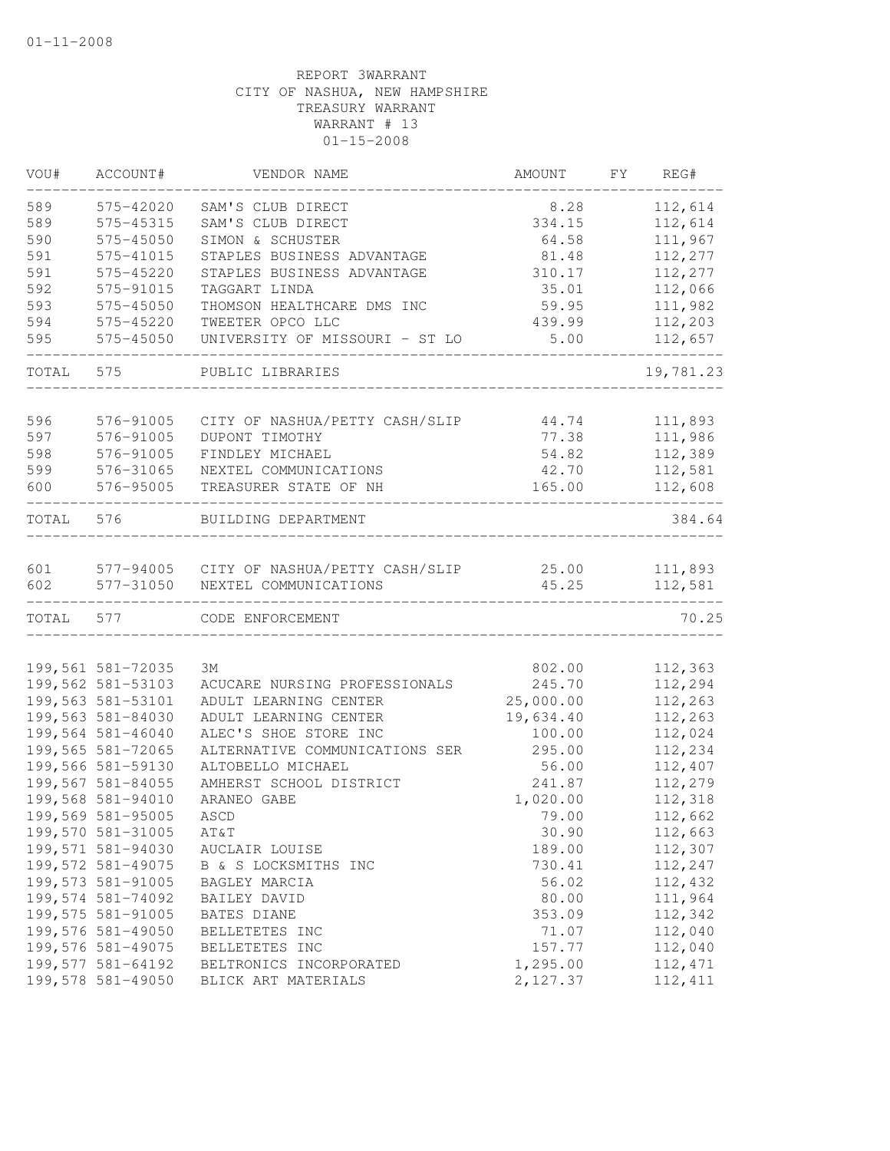| VOU#  | ACCOUNT#          | VENDOR NAME                              | AMOUNT    | FΥ | REG#               |
|-------|-------------------|------------------------------------------|-----------|----|--------------------|
| 589   | 575-42020         | SAM'S CLUB DIRECT                        | 8.28      |    | 112,614            |
| 589   | 575-45315         | SAM'S CLUB DIRECT                        | 334.15    |    | 112,614            |
| 590   | 575-45050         | SIMON & SCHUSTER                         | 64.58     |    | 111,967            |
| 591   | 575-41015         | STAPLES BUSINESS ADVANTAGE               | 81.48     |    | 112,277            |
| 591   | 575-45220         | STAPLES BUSINESS ADVANTAGE               | 310.17    |    | 112,277            |
| 592   | 575-91015         | TAGGART LINDA                            | 35.01     |    | 112,066            |
| 593   | 575-45050         | THOMSON HEALTHCARE DMS INC               | 59.95     |    | 111,982            |
| 594   | 575-45220         | TWEETER OPCO LLC                         | 439.99    |    | 112,203            |
| 595   | 575-45050         | UNIVERSITY OF MISSOURI - ST LO           | 5.00      |    | 112,657            |
| TOTAL | 575               | PUBLIC LIBRARIES                         |           |    | 19,781.23          |
| 596   |                   |                                          |           |    |                    |
|       | 576-91005         | CITY OF NASHUA/PETTY CASH/SLIP           | 44.74     |    | 111,893<br>111,986 |
| 597   | 576-91005         | DUPONT TIMOTHY                           | 77.38     |    |                    |
| 598   | 576-91005         | FINDLEY MICHAEL                          | 54.82     |    | 112,389            |
| 599   | 576-31065         | NEXTEL COMMUNICATIONS                    | 42.70     |    | 112,581            |
| 600   | 576-95005         | TREASURER STATE OF NH                    | 165.00    |    | 112,608            |
| TOTAL | 576               | BUILDING DEPARTMENT                      |           |    | 384.64             |
| 601   |                   | 577-94005 CITY OF NASHUA/PETTY CASH/SLIP | 25.00     |    | 111,893            |
| 602   | 577-31050         | NEXTEL COMMUNICATIONS                    | 45.25     |    | 112,581            |
| TOTAL | 577               | CODE ENFORCEMENT                         |           |    | 70.25              |
|       |                   |                                          |           |    |                    |
|       | 199,561 581-72035 | 3M                                       | 802.00    |    | 112,363            |
|       | 199,562 581-53103 | ACUCARE NURSING PROFESSIONALS            | 245.70    |    | 112,294            |
|       | 199,563 581-53101 | ADULT LEARNING CENTER                    | 25,000.00 |    | 112,263            |
|       | 199,563 581-84030 | ADULT LEARNING CENTER                    | 19,634.40 |    | 112,263            |
|       | 199,564 581-46040 | ALEC'S SHOE STORE INC                    | 100.00    |    | 112,024            |
|       | 199,565 581-72065 | ALTERNATIVE COMMUNICATIONS SER           | 295.00    |    | 112,234            |
|       | 199,566 581-59130 | ALTOBELLO MICHAEL                        | 56.00     |    | 112,407            |
|       | 199,567 581-84055 | AMHERST SCHOOL DISTRICT                  | 241.87    |    | 112,279            |
|       | 199,568 581-94010 | ARANEO GABE                              | 1,020.00  |    | 112,318            |
|       | 199,569 581-95005 | ASCD                                     | 79.00     |    | 112,662            |
|       | 199,570 581-31005 | AT&T                                     | 30.90     |    | 112,663            |
|       | 199,571 581-94030 | AUCLAIR LOUISE                           | 189.00    |    | 112,307            |
|       | 199,572 581-49075 | B & S LOCKSMITHS INC                     | 730.41    |    | 112,247            |
|       | 199,573 581-91005 | BAGLEY MARCIA                            | 56.02     |    | 112,432            |
|       | 199,574 581-74092 | BAILEY DAVID                             | 80.00     |    | 111,964            |
|       | 199,575 581-91005 | BATES DIANE                              | 353.09    |    | 112,342            |
|       | 199,576 581-49050 | BELLETETES INC                           | 71.07     |    | 112,040            |
|       | 199,576 581-49075 | BELLETETES INC                           | 157.77    |    | 112,040            |
|       | 199,577 581-64192 | BELTRONICS INCORPORATED                  | 1,295.00  |    | 112, 471           |
|       | 199,578 581-49050 | BLICK ART MATERIALS                      | 2,127.37  |    | 112, 411           |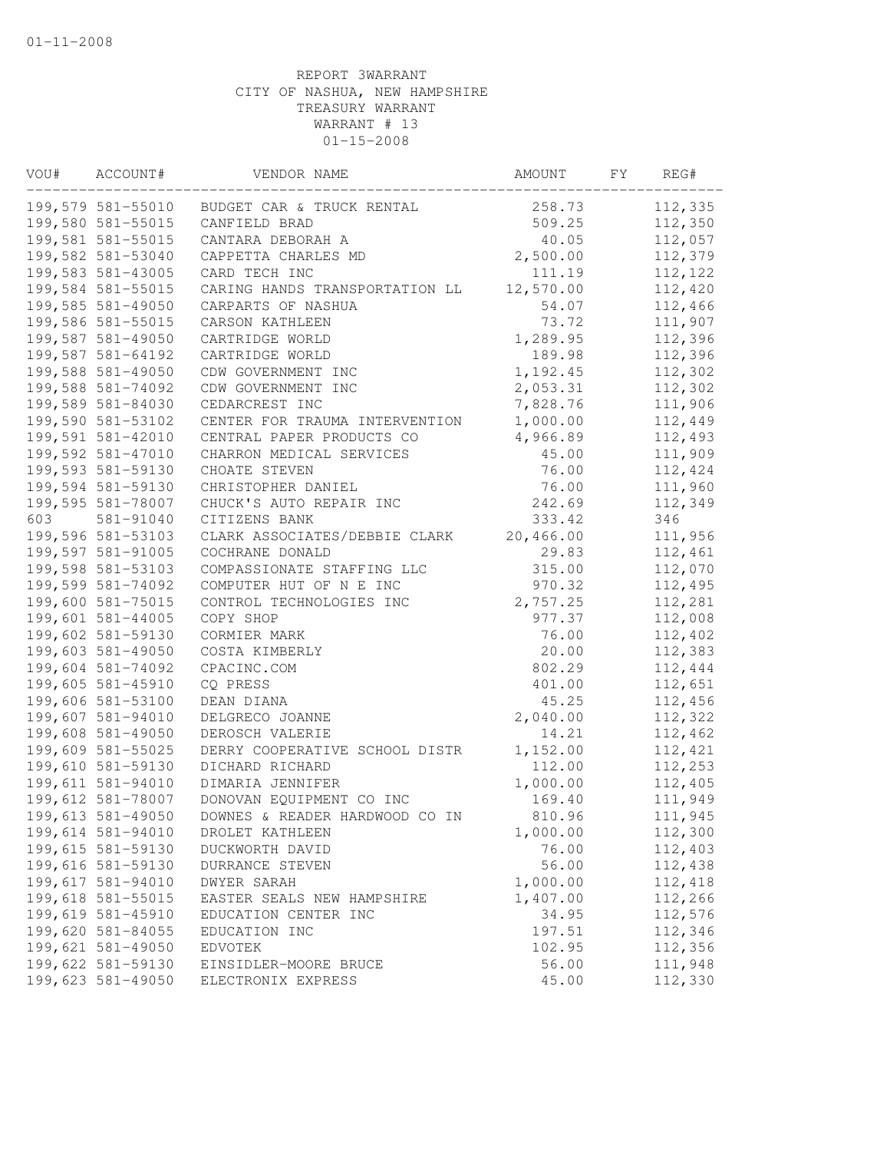| VOU# | ACCOUNT#          | VENDOR NAME                    | AMOUNT    | FY | REG#    |
|------|-------------------|--------------------------------|-----------|----|---------|
|      | 199,579 581-55010 | BUDGET CAR & TRUCK RENTAL      | 258.73    |    | 112,335 |
|      | 199,580 581-55015 | CANFIELD BRAD                  | 509.25    |    | 112,350 |
|      | 199,581 581-55015 | CANTARA DEBORAH A              | 40.05     |    | 112,057 |
|      | 199,582 581-53040 | CAPPETTA CHARLES MD            | 2,500.00  |    | 112,379 |
|      | 199,583 581-43005 | CARD TECH INC                  | 111.19    |    | 112,122 |
|      | 199,584 581-55015 | CARING HANDS TRANSPORTATION LL | 12,570.00 |    | 112,420 |
|      | 199,585 581-49050 | CARPARTS OF NASHUA             | 54.07     |    | 112,466 |
|      | 199,586 581-55015 | CARSON KATHLEEN                | 73.72     |    | 111,907 |
|      | 199,587 581-49050 | CARTRIDGE WORLD                | 1,289.95  |    | 112,396 |
|      | 199,587 581-64192 | CARTRIDGE WORLD                | 189.98    |    | 112,396 |
|      | 199,588 581-49050 | CDW GOVERNMENT INC             | 1,192.45  |    | 112,302 |
|      | 199,588 581-74092 | CDW GOVERNMENT INC             | 2,053.31  |    | 112,302 |
|      | 199,589 581-84030 | CEDARCREST INC                 | 7,828.76  |    | 111,906 |
|      | 199,590 581-53102 | CENTER FOR TRAUMA INTERVENTION | 1,000.00  |    | 112,449 |
|      | 199,591 581-42010 | CENTRAL PAPER PRODUCTS CO      | 4,966.89  |    | 112,493 |
|      | 199,592 581-47010 | CHARRON MEDICAL SERVICES       | 45.00     |    | 111,909 |
|      | 199,593 581-59130 | CHOATE STEVEN                  | 76.00     |    | 112,424 |
|      | 199,594 581-59130 | CHRISTOPHER DANIEL             | 76.00     |    | 111,960 |
|      | 199,595 581-78007 | CHUCK'S AUTO REPAIR INC        | 242.69    |    | 112,349 |
| 603  | 581-91040         | CITIZENS BANK                  | 333.42    |    | 346     |
|      | 199,596 581-53103 | CLARK ASSOCIATES/DEBBIE CLARK  | 20,466.00 |    | 111,956 |
|      | 199,597 581-91005 | COCHRANE DONALD                | 29.83     |    | 112,461 |
|      | 199,598 581-53103 | COMPASSIONATE STAFFING LLC     | 315.00    |    | 112,070 |
|      | 199,599 581-74092 | COMPUTER HUT OF N E INC        | 970.32    |    | 112,495 |
|      | 199,600 581-75015 | CONTROL TECHNOLOGIES INC       | 2,757.25  |    | 112,281 |
|      | 199,601 581-44005 | COPY SHOP                      | 977.37    |    | 112,008 |
|      | 199,602 581-59130 | CORMIER MARK                   | 76.00     |    | 112,402 |
|      | 199,603 581-49050 | COSTA KIMBERLY                 | 20.00     |    | 112,383 |
|      | 199,604 581-74092 | CPACINC.COM                    | 802.29    |    | 112,444 |
|      | 199,605 581-45910 | CQ PRESS                       | 401.00    |    | 112,651 |
|      | 199,606 581-53100 | DEAN DIANA                     | 45.25     |    | 112,456 |
|      | 199,607 581-94010 | DELGRECO JOANNE                | 2,040.00  |    | 112,322 |
|      | 199,608 581-49050 | DEROSCH VALERIE                | 14.21     |    | 112,462 |
|      | 199,609 581-55025 | DERRY COOPERATIVE SCHOOL DISTR | 1,152.00  |    | 112,421 |
|      | 199,610 581-59130 | DICHARD RICHARD                | 112.00    |    | 112,253 |
|      | 199,611 581-94010 | DIMARIA JENNIFER               | 1,000.00  |    | 112,405 |
|      | 199,612 581-78007 | DONOVAN EQUIPMENT CO INC       | 169.40    |    | 111,949 |
|      | 199,613 581-49050 | DOWNES & READER HARDWOOD CO IN | 810.96    |    | 111,945 |
|      | 199,614 581-94010 | DROLET KATHLEEN                | 1,000.00  |    | 112,300 |
|      | 199,615 581-59130 | DUCKWORTH DAVID                | 76.00     |    | 112,403 |
|      | 199,616 581-59130 | DURRANCE STEVEN                | 56.00     |    | 112,438 |
|      | 199,617 581-94010 | DWYER SARAH                    | 1,000.00  |    | 112,418 |
|      | 199,618 581-55015 | EASTER SEALS NEW HAMPSHIRE     | 1,407.00  |    | 112,266 |
|      | 199,619 581-45910 | EDUCATION CENTER INC           | 34.95     |    | 112,576 |
|      | 199,620 581-84055 | EDUCATION INC                  | 197.51    |    | 112,346 |
|      | 199,621 581-49050 | <b>EDVOTEK</b>                 | 102.95    |    | 112,356 |
|      | 199,622 581-59130 | EINSIDLER-MOORE BRUCE          | 56.00     |    | 111,948 |
|      | 199,623 581-49050 | ELECTRONIX EXPRESS             | 45.00     |    | 112,330 |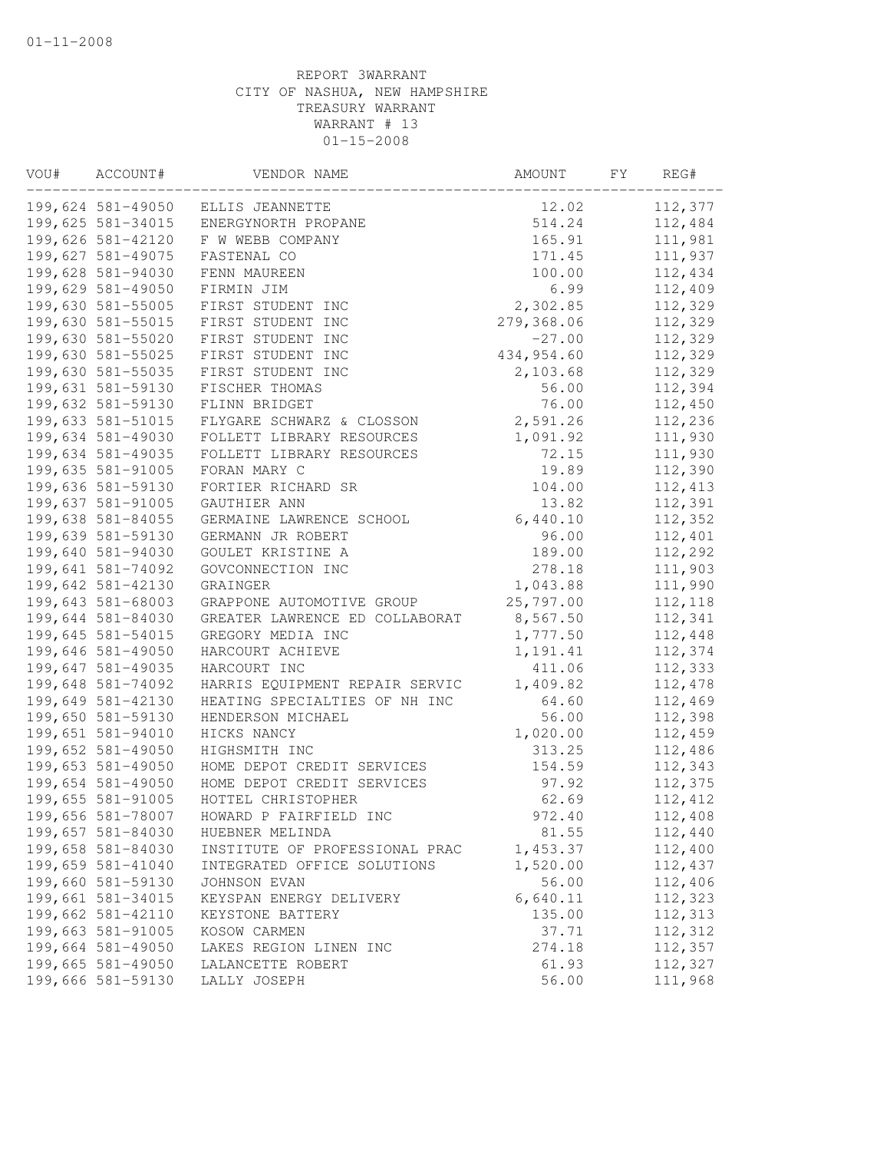| VOU# | ACCOUNT#          | VENDOR NAME                    | AMOUNT     | FY | REG#     |
|------|-------------------|--------------------------------|------------|----|----------|
|      | 199,624 581-49050 | ELLIS JEANNETTE                | 12.02      |    | 112,377  |
|      | 199,625 581-34015 | ENERGYNORTH PROPANE            | 514.24     |    | 112,484  |
|      | 199,626 581-42120 | F W WEBB COMPANY               | 165.91     |    | 111,981  |
|      | 199,627 581-49075 | FASTENAL CO                    | 171.45     |    | 111,937  |
|      | 199,628 581-94030 | FENN MAUREEN                   | 100.00     |    | 112,434  |
|      | 199,629 581-49050 | FIRMIN JIM                     | 6.99       |    | 112,409  |
|      | 199,630 581-55005 | FIRST STUDENT INC              | 2,302.85   |    | 112,329  |
|      | 199,630 581-55015 | FIRST STUDENT INC              | 279,368.06 |    | 112,329  |
|      | 199,630 581-55020 | FIRST STUDENT INC              | $-27.00$   |    | 112,329  |
|      | 199,630 581-55025 | FIRST STUDENT INC              | 434,954.60 |    | 112,329  |
|      | 199,630 581-55035 | FIRST STUDENT INC              | 2,103.68   |    | 112,329  |
|      | 199,631 581-59130 | FISCHER THOMAS                 | 56.00      |    | 112,394  |
|      | 199,632 581-59130 | FLINN BRIDGET                  | 76.00      |    | 112,450  |
|      | 199,633 581-51015 | FLYGARE SCHWARZ & CLOSSON      | 2,591.26   |    | 112,236  |
|      | 199,634 581-49030 | FOLLETT LIBRARY RESOURCES      | 1,091.92   |    | 111,930  |
|      | 199,634 581-49035 | FOLLETT LIBRARY RESOURCES      | 72.15      |    | 111,930  |
|      | 199,635 581-91005 | FORAN MARY C                   | 19.89      |    | 112,390  |
|      | 199,636 581-59130 | FORTIER RICHARD SR             | 104.00     |    | 112, 413 |
|      | 199,637 581-91005 | GAUTHIER ANN                   | 13.82      |    | 112,391  |
|      | 199,638 581-84055 | GERMAINE LAWRENCE SCHOOL       | 6,440.10   |    | 112,352  |
|      | 199,639 581-59130 | GERMANN JR ROBERT              | 96.00      |    | 112,401  |
|      | 199,640 581-94030 | GOULET KRISTINE A              | 189.00     |    | 112,292  |
|      | 199,641 581-74092 | GOVCONNECTION INC              | 278.18     |    | 111,903  |
|      | 199,642 581-42130 | GRAINGER                       | 1,043.88   |    | 111,990  |
|      | 199,643 581-68003 | GRAPPONE AUTOMOTIVE GROUP      | 25,797.00  |    | 112,118  |
|      | 199,644 581-84030 | GREATER LAWRENCE ED COLLABORAT | 8,567.50   |    | 112,341  |
|      | 199,645 581-54015 | GREGORY MEDIA INC              | 1,777.50   |    | 112,448  |
|      | 199,646 581-49050 | HARCOURT ACHIEVE               | 1,191.41   |    | 112,374  |
|      | 199,647 581-49035 | HARCOURT INC                   | 411.06     |    | 112,333  |
|      | 199,648 581-74092 | HARRIS EQUIPMENT REPAIR SERVIC | 1,409.82   |    | 112,478  |
|      | 199,649 581-42130 | HEATING SPECIALTIES OF NH INC  | 64.60      |    | 112,469  |
|      | 199,650 581-59130 | HENDERSON MICHAEL              | 56.00      |    | 112,398  |
|      | 199,651 581-94010 | HICKS NANCY                    | 1,020.00   |    | 112,459  |
|      | 199,652 581-49050 | HIGHSMITH INC                  | 313.25     |    | 112,486  |
|      | 199,653 581-49050 | HOME DEPOT CREDIT SERVICES     | 154.59     |    | 112,343  |
|      | 199,654 581-49050 | HOME DEPOT CREDIT SERVICES     | 97.92      |    | 112,375  |
|      | 199,655 581-91005 | HOTTEL CHRISTOPHER             | 62.69      |    | 112,412  |
|      | 199,656 581-78007 | HOWARD P FAIRFIELD INC         | 972.40     |    | 112,408  |
|      | 199,657 581-84030 | HUEBNER MELINDA                | 81.55      |    | 112,440  |
|      | 199,658 581-84030 | INSTITUTE OF PROFESSIONAL PRAC | 1,453.37   |    | 112,400  |
|      | 199,659 581-41040 | INTEGRATED OFFICE SOLUTIONS    | 1,520.00   |    | 112,437  |
|      | 199,660 581-59130 | JOHNSON EVAN                   | 56.00      |    | 112,406  |
|      | 199,661 581-34015 | KEYSPAN ENERGY DELIVERY        | 6,640.11   |    | 112,323  |
|      | 199,662 581-42110 | KEYSTONE BATTERY               | 135.00     |    | 112,313  |
|      | 199,663 581-91005 | KOSOW CARMEN                   | 37.71      |    | 112,312  |
|      | 199,664 581-49050 | LAKES REGION LINEN INC         | 274.18     |    | 112,357  |
|      | 199,665 581-49050 | LALANCETTE ROBERT              | 61.93      |    | 112,327  |
|      | 199,666 581-59130 | LALLY JOSEPH                   | 56.00      |    | 111,968  |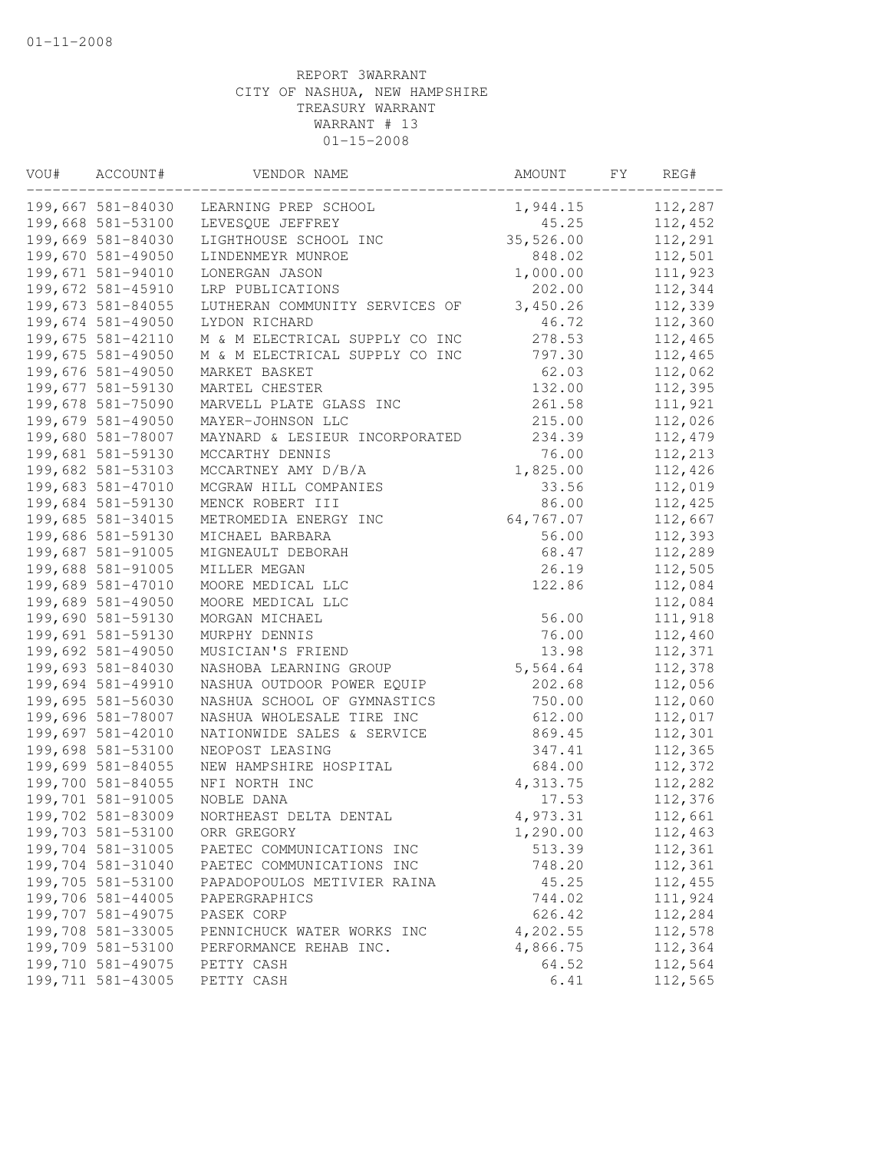| VOU# | ACCOUNT#          | VENDOR NAME                    | AMOUNT    | FY | REG#    |
|------|-------------------|--------------------------------|-----------|----|---------|
|      | 199,667 581-84030 | LEARNING PREP SCHOOL           | 1,944.15  |    | 112,287 |
|      | 199,668 581-53100 | LEVESQUE JEFFREY               | 45.25     |    | 112,452 |
|      | 199,669 581-84030 | LIGHTHOUSE SCHOOL INC          | 35,526.00 |    | 112,291 |
|      | 199,670 581-49050 | LINDENMEYR MUNROE              | 848.02    |    | 112,501 |
|      | 199,671 581-94010 | LONERGAN JASON                 | 1,000.00  |    | 111,923 |
|      | 199,672 581-45910 | LRP PUBLICATIONS               | 202.00    |    | 112,344 |
|      | 199,673 581-84055 | LUTHERAN COMMUNITY SERVICES OF | 3,450.26  |    | 112,339 |
|      | 199,674 581-49050 | LYDON RICHARD                  | 46.72     |    | 112,360 |
|      | 199,675 581-42110 | M & M ELECTRICAL SUPPLY CO INC | 278.53    |    | 112,465 |
|      | 199,675 581-49050 | M & M ELECTRICAL SUPPLY CO INC | 797.30    |    | 112,465 |
|      | 199,676 581-49050 | MARKET BASKET                  | 62.03     |    | 112,062 |
|      | 199,677 581-59130 | MARTEL CHESTER                 | 132.00    |    | 112,395 |
|      | 199,678 581-75090 | MARVELL PLATE GLASS INC        | 261.58    |    | 111,921 |
|      | 199,679 581-49050 | MAYER-JOHNSON LLC              | 215.00    |    | 112,026 |
|      | 199,680 581-78007 | MAYNARD & LESIEUR INCORPORATED | 234.39    |    | 112,479 |
|      | 199,681 581-59130 | MCCARTHY DENNIS                | 76.00     |    | 112,213 |
|      | 199,682 581-53103 | MCCARTNEY AMY D/B/A            | 1,825.00  |    | 112,426 |
|      | 199,683 581-47010 | MCGRAW HILL COMPANIES          | 33.56     |    | 112,019 |
|      | 199,684 581-59130 | MENCK ROBERT III               | 86.00     |    | 112,425 |
|      | 199,685 581-34015 | METROMEDIA ENERGY INC          | 64,767.07 |    | 112,667 |
|      | 199,686 581-59130 | MICHAEL BARBARA                | 56.00     |    | 112,393 |
|      | 199,687 581-91005 | MIGNEAULT DEBORAH              | 68.47     |    | 112,289 |
|      | 199,688 581-91005 | MILLER MEGAN                   | 26.19     |    | 112,505 |
|      | 199,689 581-47010 | MOORE MEDICAL LLC              | 122.86    |    | 112,084 |
|      | 199,689 581-49050 | MOORE MEDICAL LLC              |           |    | 112,084 |
|      | 199,690 581-59130 | MORGAN MICHAEL                 | 56.00     |    | 111,918 |
|      | 199,691 581-59130 | MURPHY DENNIS                  | 76.00     |    | 112,460 |
|      | 199,692 581-49050 | MUSICIAN'S FRIEND              | 13.98     |    | 112,371 |
|      | 199,693 581-84030 | NASHOBA LEARNING GROUP         | 5,564.64  |    | 112,378 |
|      | 199,694 581-49910 | NASHUA OUTDOOR POWER EQUIP     | 202.68    |    | 112,056 |
|      | 199,695 581-56030 | NASHUA SCHOOL OF GYMNASTICS    | 750.00    |    | 112,060 |
|      | 199,696 581-78007 | NASHUA WHOLESALE TIRE INC      | 612.00    |    | 112,017 |
|      | 199,697 581-42010 | NATIONWIDE SALES & SERVICE     | 869.45    |    | 112,301 |
|      | 199,698 581-53100 | NEOPOST LEASING                | 347.41    |    | 112,365 |
|      | 199,699 581-84055 | NEW HAMPSHIRE HOSPITAL         | 684.00    |    | 112,372 |
|      | 199,700 581-84055 | NFI NORTH INC                  | 4,313.75  |    | 112,282 |
|      | 199,701 581-91005 | NOBLE DANA                     | 17.53     |    | 112,376 |
|      | 199,702 581-83009 | NORTHEAST DELTA DENTAL         | 4,973.31  |    | 112,661 |
|      | 199,703 581-53100 | ORR GREGORY                    | 1,290.00  |    | 112,463 |
|      | 199,704 581-31005 | PAETEC COMMUNICATIONS INC      | 513.39    |    | 112,361 |
|      | 199,704 581-31040 | PAETEC COMMUNICATIONS INC      | 748.20    |    | 112,361 |
|      | 199,705 581-53100 | PAPADOPOULOS METIVIER RAINA    | 45.25     |    | 112,455 |
|      | 199,706 581-44005 | PAPERGRAPHICS                  | 744.02    |    | 111,924 |
|      | 199,707 581-49075 | PASEK CORP                     | 626.42    |    | 112,284 |
|      | 199,708 581-33005 | PENNICHUCK WATER WORKS INC     | 4,202.55  |    | 112,578 |
|      | 199,709 581-53100 | PERFORMANCE REHAB INC.         | 4,866.75  |    | 112,364 |
|      | 199,710 581-49075 | PETTY CASH                     | 64.52     |    | 112,564 |
|      | 199,711 581-43005 | PETTY CASH                     | 6.41      |    | 112,565 |
|      |                   |                                |           |    |         |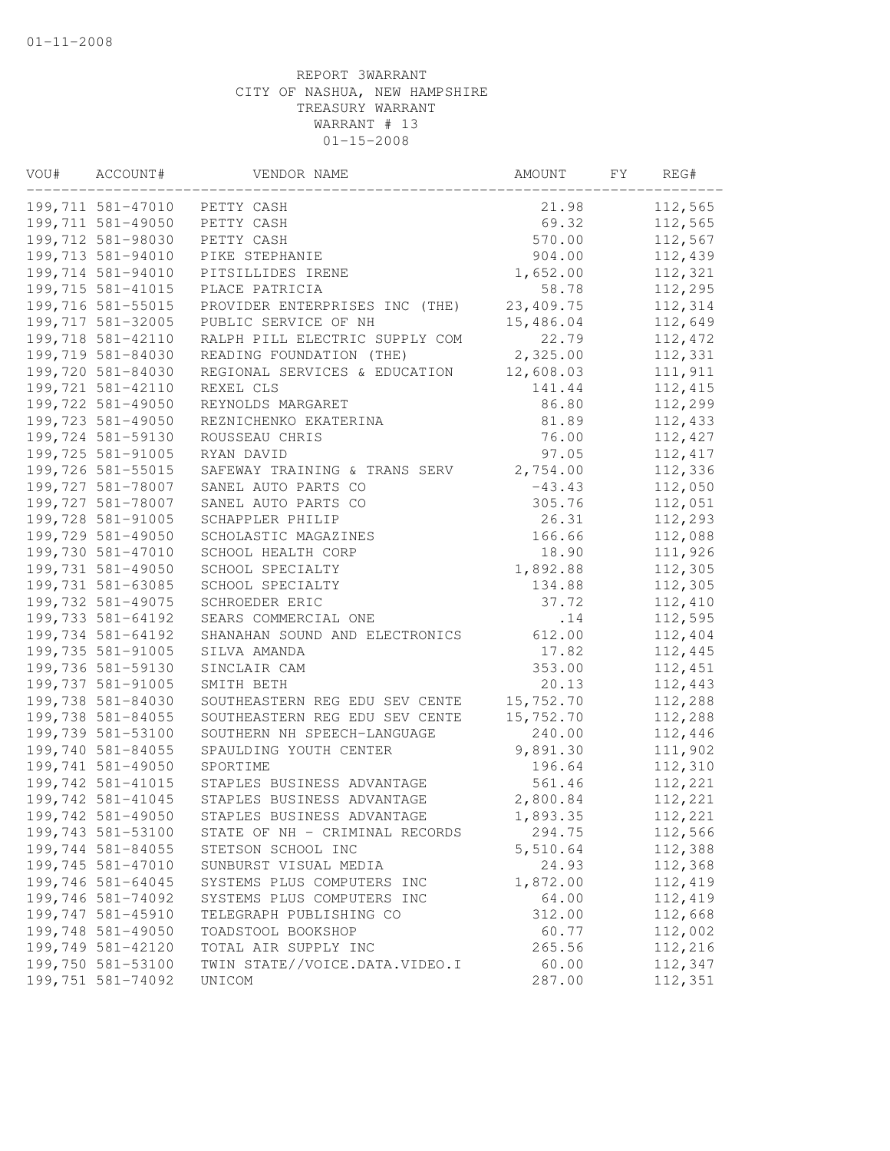| VOU# | ACCOUNT#          | VENDOR NAME                       | AMOUNT    | FY. | REG#     |
|------|-------------------|-----------------------------------|-----------|-----|----------|
|      | 199,711 581-47010 | PETTY CASH                        | 21.98     |     | 112,565  |
|      | 199,711 581-49050 | PETTY CASH                        | 69.32     |     | 112,565  |
|      | 199,712 581-98030 | PETTY CASH                        | 570.00    |     | 112,567  |
|      | 199,713 581-94010 | PIKE STEPHANIE                    | 904.00    |     | 112,439  |
|      | 199,714 581-94010 | PITSILLIDES IRENE                 | 1,652.00  |     | 112,321  |
|      | 199,715 581-41015 | PLACE PATRICIA                    | 58.78     |     | 112,295  |
|      | 199,716 581-55015 | PROVIDER ENTERPRISES INC<br>(THE) | 23,409.75 |     | 112,314  |
|      | 199,717 581-32005 | PUBLIC SERVICE OF NH              | 15,486.04 |     | 112,649  |
|      | 199,718 581-42110 | RALPH PILL ELECTRIC SUPPLY COM    | 22.79     |     | 112,472  |
|      | 199,719 581-84030 | READING FOUNDATION (THE)          | 2,325.00  |     | 112,331  |
|      | 199,720 581-84030 | REGIONAL SERVICES & EDUCATION     | 12,608.03 |     | 111,911  |
|      | 199,721 581-42110 | REXEL CLS                         | 141.44    |     | 112, 415 |
|      | 199,722 581-49050 | REYNOLDS MARGARET                 | 86.80     |     | 112,299  |
|      | 199,723 581-49050 | REZNICHENKO EKATERINA             | 81.89     |     | 112,433  |
|      | 199,724 581-59130 | ROUSSEAU CHRIS                    | 76.00     |     | 112,427  |
|      | 199,725 581-91005 | RYAN DAVID                        | 97.05     |     | 112, 417 |
|      | 199,726 581-55015 | SAFEWAY TRAINING & TRANS SERV     | 2,754.00  |     | 112,336  |
|      | 199,727 581-78007 | SANEL AUTO PARTS CO               | $-43.43$  |     | 112,050  |
|      | 199,727 581-78007 | SANEL AUTO PARTS CO               | 305.76    |     | 112,051  |
|      | 199,728 581-91005 | SCHAPPLER PHILIP                  | 26.31     |     | 112,293  |
|      | 199,729 581-49050 | SCHOLASTIC MAGAZINES              | 166.66    |     | 112,088  |
|      | 199,730 581-47010 | SCHOOL HEALTH CORP                | 18.90     |     | 111,926  |
|      | 199,731 581-49050 | SCHOOL SPECIALTY                  | 1,892.88  |     | 112,305  |
|      | 199,731 581-63085 | SCHOOL SPECIALTY                  | 134.88    |     | 112,305  |
|      | 199,732 581-49075 | SCHROEDER ERIC                    | 37.72     |     | 112,410  |
|      | 199,733 581-64192 | SEARS COMMERCIAL ONE              | .14       |     | 112,595  |
|      | 199,734 581-64192 | SHANAHAN SOUND AND ELECTRONICS    | 612.00    |     | 112,404  |
|      | 199,735 581-91005 | SILVA AMANDA                      | 17.82     |     | 112,445  |
|      | 199,736 581-59130 | SINCLAIR CAM                      | 353.00    |     | 112,451  |
|      | 199,737 581-91005 | SMITH BETH                        | 20.13     |     | 112,443  |
|      | 199,738 581-84030 | SOUTHEASTERN REG EDU SEV CENTE    | 15,752.70 |     | 112,288  |
|      | 199,738 581-84055 | SOUTHEASTERN REG EDU SEV CENTE    | 15,752.70 |     | 112,288  |
|      | 199,739 581-53100 | SOUTHERN NH SPEECH-LANGUAGE       | 240.00    |     | 112,446  |
|      | 199,740 581-84055 | SPAULDING YOUTH CENTER            | 9,891.30  |     | 111,902  |
|      | 199,741 581-49050 | SPORTIME                          | 196.64    |     | 112,310  |
|      | 199,742 581-41015 | STAPLES BUSINESS ADVANTAGE        | 561.46    |     | 112,221  |
|      | 199,742 581-41045 | STAPLES BUSINESS ADVANTAGE        | 2,800.84  |     | 112,221  |
|      | 199,742 581-49050 | STAPLES BUSINESS ADVANTAGE        | 1,893.35  |     | 112,221  |
|      | 199,743 581-53100 | STATE OF NH - CRIMINAL RECORDS    | 294.75    |     | 112,566  |
|      | 199,744 581-84055 | STETSON SCHOOL INC                | 5,510.64  |     | 112,388  |
|      | 199,745 581-47010 | SUNBURST VISUAL MEDIA             | 24.93     |     | 112,368  |
|      | 199,746 581-64045 | SYSTEMS PLUS COMPUTERS INC        | 1,872.00  |     | 112,419  |
|      | 199,746 581-74092 | SYSTEMS PLUS COMPUTERS INC        | 64.00     |     | 112,419  |
|      | 199,747 581-45910 | TELEGRAPH PUBLISHING CO           | 312.00    |     | 112,668  |
|      | 199,748 581-49050 | TOADSTOOL BOOKSHOP                | 60.77     |     | 112,002  |
|      | 199,749 581-42120 | TOTAL AIR SUPPLY INC              | 265.56    |     | 112,216  |
|      | 199,750 581-53100 | TWIN STATE//VOICE.DATA.VIDEO.I    | 60.00     |     | 112,347  |
|      | 199,751 581-74092 | UNICOM                            | 287.00    |     | 112,351  |
|      |                   |                                   |           |     |          |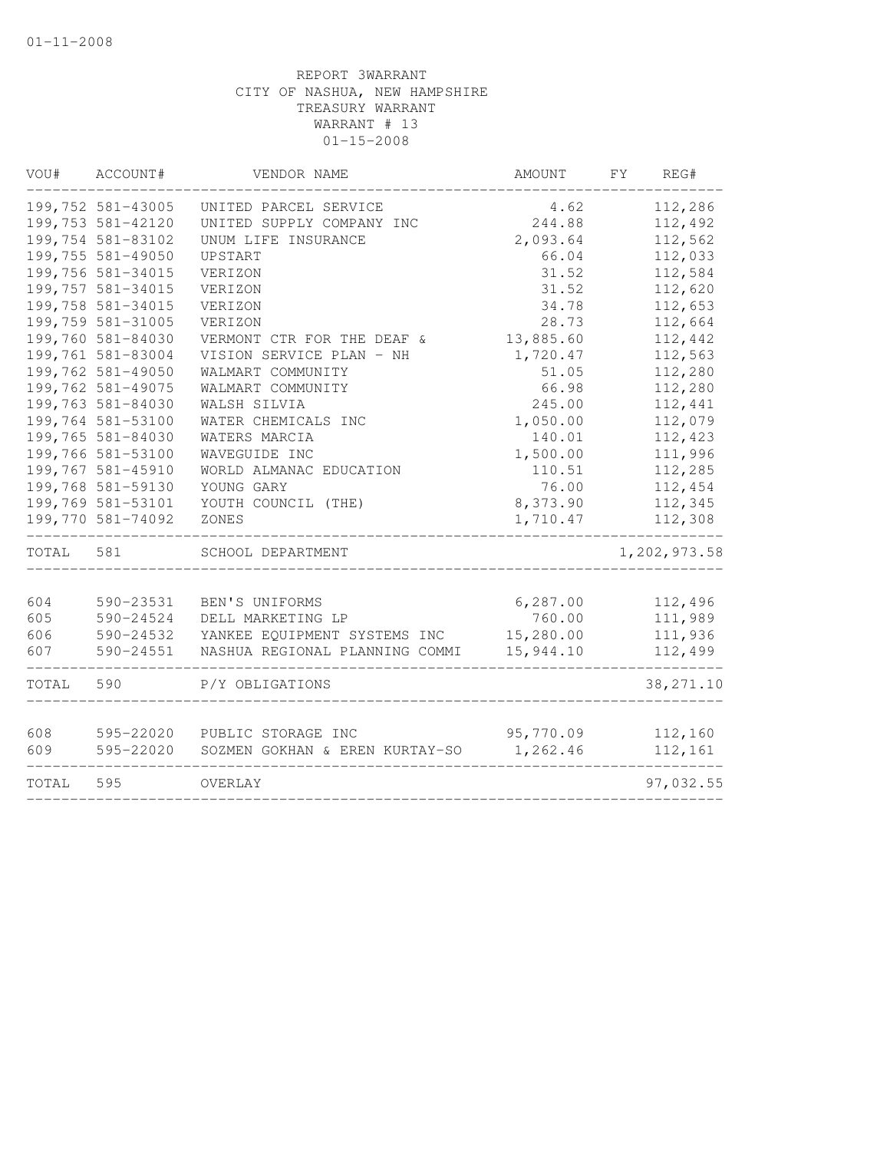| VOU#       | ACCOUNT#               | VENDOR NAME                                          | <b>AMOUNT</b>         | FY<br>REG#         |
|------------|------------------------|------------------------------------------------------|-----------------------|--------------------|
|            | 199,752 581-43005      | UNITED PARCEL SERVICE                                | 4.62                  | 112,286            |
|            | 199,753 581-42120      | UNITED SUPPLY COMPANY INC                            | 244.88                | 112,492            |
|            | 199,754 581-83102      | UNUM LIFE INSURANCE                                  | 2,093.64              | 112,562            |
|            | 199,755 581-49050      | UPSTART                                              | 66.04                 | 112,033            |
|            | 199,756 581-34015      | VERIZON                                              | 31.52                 | 112,584            |
|            | 199,757 581-34015      | VERIZON                                              | 31.52                 | 112,620            |
|            | 199,758 581-34015      | VERIZON                                              | 34.78                 | 112,653            |
|            | 199,759 581-31005      | VERIZON                                              | 28.73                 | 112,664            |
|            | 199,760 581-84030      | VERMONT CTR FOR THE DEAF &                           | 13,885.60             | 112,442            |
|            | 199,761 581-83004      | VISION SERVICE PLAN - NH                             | 1,720.47              | 112,563            |
|            | 199,762 581-49050      | WALMART COMMUNITY                                    | 51.05                 | 112,280            |
|            | 199,762 581-49075      | WALMART COMMUNITY                                    | 66.98                 | 112,280            |
|            | 199,763 581-84030      | WALSH SILVIA                                         | 245.00                | 112,441            |
|            | 199,764 581-53100      | WATER CHEMICALS INC                                  | 1,050.00              | 112,079            |
|            | 199,765 581-84030      | WATERS MARCIA                                        | 140.01                | 112,423            |
|            | 199,766 581-53100      | WAVEGUIDE INC                                        | 1,500.00              | 111,996            |
|            | 199,767 581-45910      | WORLD ALMANAC EDUCATION                              | 110.51                | 112,285            |
|            | 199,768 581-59130      | YOUNG GARY                                           | 76.00                 | 112,454            |
|            | 199,769 581-53101      | YOUTH COUNCIL (THE)                                  | 8,373.90              | 112,345            |
|            | 199,770 581-74092      | ZONES                                                | 1,710.47              | 112,308            |
| TOTAL      | 581                    | SCHOOL DEPARTMENT                                    |                       | 1,202,973.58       |
|            |                        |                                                      |                       |                    |
| 604        | 590-23531              | BEN'S UNIFORMS                                       | 6, 287.00             | 112,496            |
| 605        | 590-24524              | DELL MARKETING LP                                    | 760.00                | 111,989            |
| 606        | 590-24532              | YANKEE EQUIPMENT SYSTEMS INC                         | 15,280.00             | 111,936            |
| 607        | 590-24551              | NASHUA REGIONAL PLANNING COMMI                       | 15,944.10             | 112,499            |
| TOTAL      | 590                    | P/Y OBLIGATIONS                                      |                       | 38, 271.10         |
|            |                        |                                                      |                       |                    |
| 608<br>609 | 595-22020<br>595-22020 | PUBLIC STORAGE INC<br>SOZMEN GOKHAN & EREN KURTAY-SO | 95,770.09<br>1,262.46 | 112,160<br>112,161 |
|            |                        |                                                      |                       |                    |
| TOTAL      | 595                    | OVERLAY                                              |                       | 97,032.55          |
|            |                        |                                                      |                       |                    |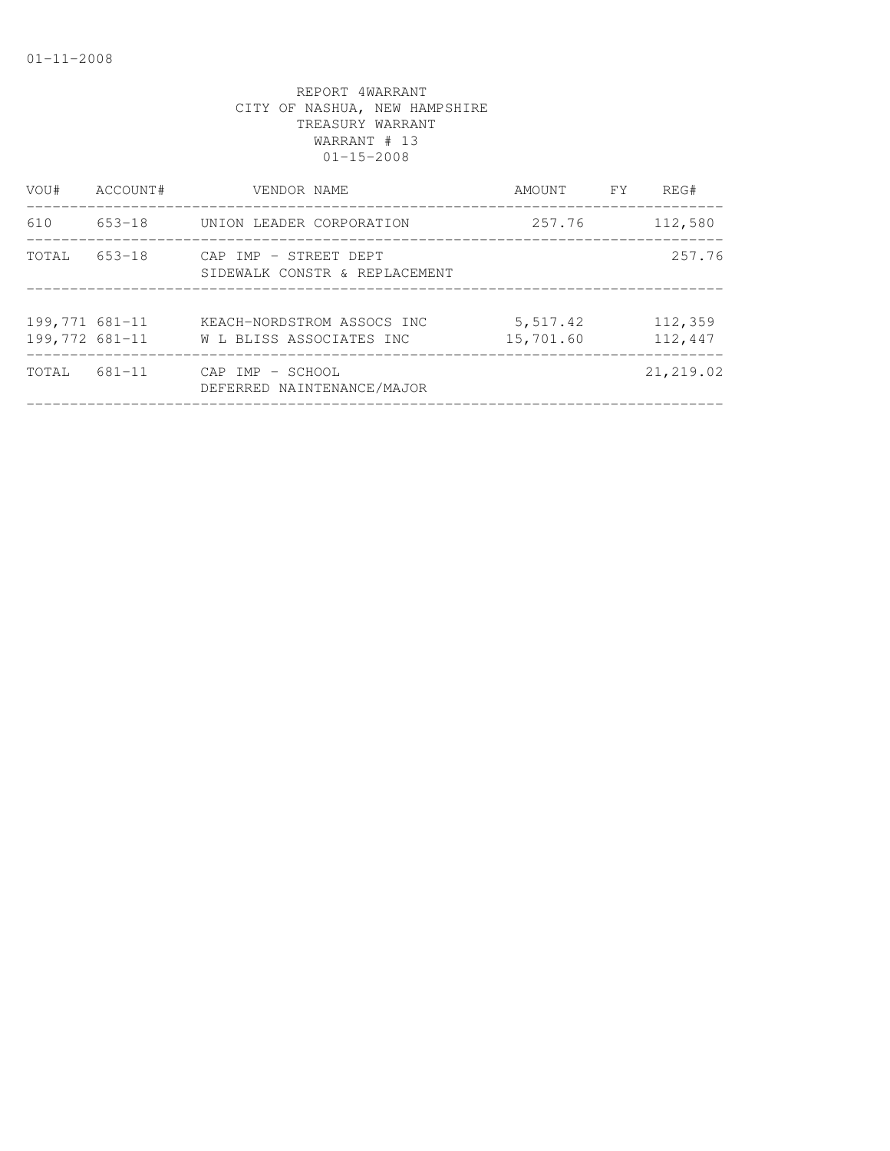| VOU#                             | ACCOUNT# | VENDOR NAME                                            | AMOUNT                | <b>FY</b> | REG#               |
|----------------------------------|----------|--------------------------------------------------------|-----------------------|-----------|--------------------|
| 610                              |          | 653-18 UNION LEADER CORPORATION                        | 257.76                |           | 112,580            |
| TOTAL                            | 653-18   | CAP IMP - STREET DEPT<br>SIDEWALK CONSTR & REPLACEMENT |                       |           | 257.76             |
| 199,771 681-11<br>199,772 681-11 |          | KEACH-NORDSTROM ASSOCS INC<br>W L BLISS ASSOCIATES INC | 5,517.42<br>15,701.60 |           | 112,359<br>112,447 |
| TOTAL                            | 681-11   | CAP IMP - SCHOOL<br>DEFERRED NAINTENANCE/MAJOR         |                       |           | 21,219.02          |
|                                  |          |                                                        |                       |           |                    |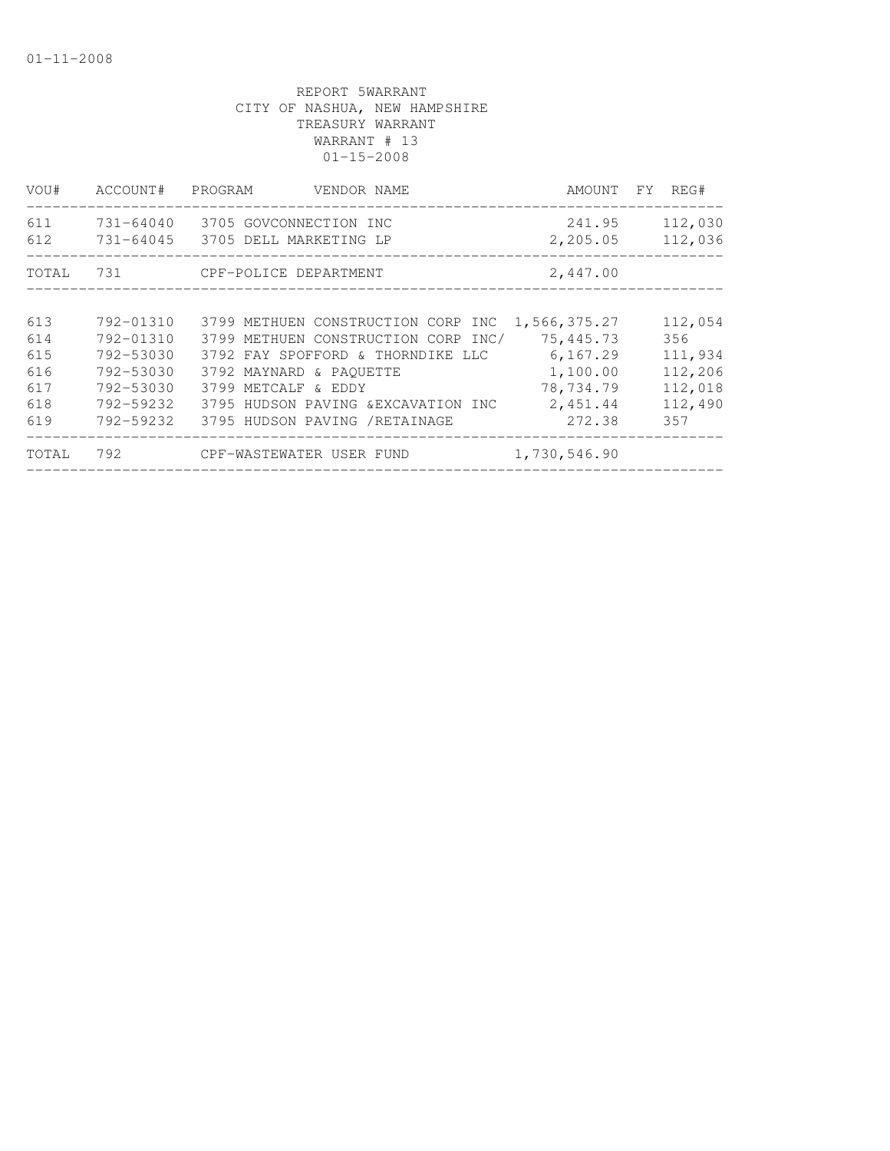| VOU#       | ACCOUNT#  | PROGRAM<br>VENDOR NAME                                                 | AMOUNT FY REG#     |                    |
|------------|-----------|------------------------------------------------------------------------|--------------------|--------------------|
| 611<br>612 |           | 731-64040 3705 GOVCONNECTION INC<br>731-64045   3705 DELL MARKETING LP | 241.95<br>2,205.05 | 112,030<br>112,036 |
| TOTAL      |           | 731 CPF-POLICE DEPARTMENT                                              | 2,447.00           |                    |
|            |           |                                                                        |                    |                    |
| 613        | 792-01310 | 3799 METHUEN CONSTRUCTION CORP INC                                     | 1,566,375.27       | 112,054            |
| 614        | 792-01310 | 3799 METHUEN CONSTRUCTION CORP INC/                                    | 75,445.73          | 356                |
| 615        | 792-53030 | 3792 FAY SPOFFORD & THORNDIKE LLC                                      | 6,167.29           | 111,934            |
| 616        | 792-53030 | 3792 MAYNARD & PAOUETTE                                                | 1,100.00           | 112,206            |
| 617        | 792-53030 | 3799 METCALF & EDDY                                                    | 78,734.79          | 112,018            |
| 618        | 792-59232 | 3795 HUDSON PAVING &EXCAVATION INC                                     | 2,451.44           | 112,490            |
| 619        | 792-59232 | 3795 HUDSON PAVING /RETAINAGE                                          | 272.38             | 357                |
| TOTAL      | 792       | CPF-WASTEWATER USER FUND                                               | 1,730,546.90       |                    |
|            |           |                                                                        |                    |                    |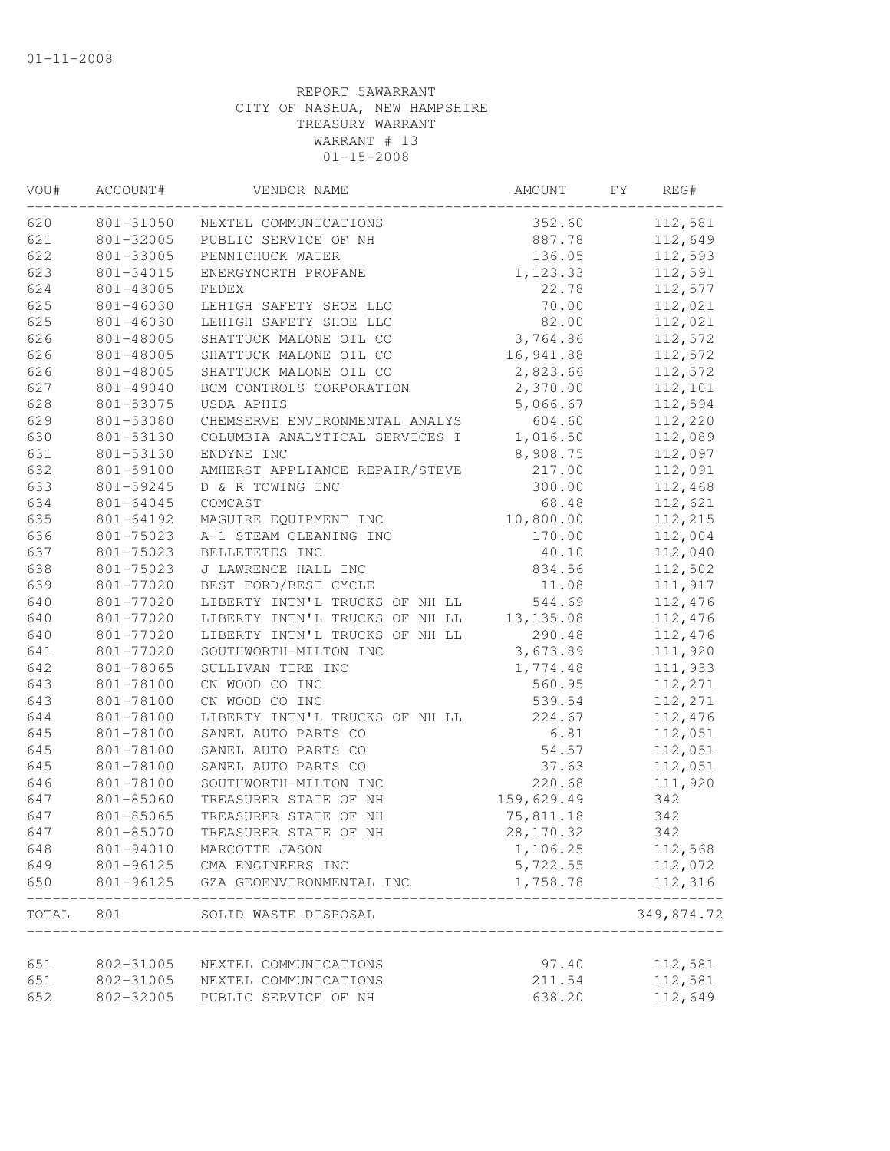| VOU#  | ACCOUNT#  | VENDOR NAME                                  | AMOUNT     | FΥ<br>REG#         |
|-------|-----------|----------------------------------------------|------------|--------------------|
| 620   | 801-31050 | NEXTEL COMMUNICATIONS                        | 352.60     | 112,581            |
| 621   | 801-32005 | PUBLIC SERVICE OF NH                         | 887.78     | 112,649            |
| 622   | 801-33005 | PENNICHUCK WATER                             | 136.05     | 112,593            |
| 623   | 801-34015 | ENERGYNORTH PROPANE                          | 1,123.33   | 112,591            |
| 624   | 801-43005 | FEDEX                                        | 22.78      | 112,577            |
| 625   | 801-46030 | LEHIGH SAFETY SHOE LLC                       | 70.00      | 112,021            |
| 625   | 801-46030 | LEHIGH SAFETY SHOE LLC                       | 82.00      | 112,021            |
| 626   | 801-48005 | SHATTUCK MALONE OIL CO                       | 3,764.86   | 112,572            |
| 626   | 801-48005 | SHATTUCK MALONE OIL CO                       | 16,941.88  | 112,572            |
| 626   | 801-48005 | SHATTUCK MALONE OIL CO                       | 2,823.66   | 112,572            |
| 627   | 801-49040 | BCM CONTROLS CORPORATION                     | 2,370.00   | 112,101            |
| 628   | 801-53075 | USDA APHIS                                   | 5,066.67   | 112,594            |
| 629   | 801-53080 | CHEMSERVE ENVIRONMENTAL ANALYS               | 604.60     | 112,220            |
| 630   | 801-53130 | COLUMBIA ANALYTICAL SERVICES I               | 1,016.50   | 112,089            |
| 631   | 801-53130 | ENDYNE INC                                   | 8,908.75   | 112,097            |
| 632   | 801-59100 | AMHERST APPLIANCE REPAIR/STEVE               | 217.00     | 112,091            |
| 633   | 801-59245 | D & R TOWING INC                             | 300.00     | 112,468            |
| 634   | 801-64045 | COMCAST                                      | 68.48      | 112,621            |
| 635   | 801-64192 | MAGUIRE EQUIPMENT INC                        | 10,800.00  | 112,215            |
| 636   | 801-75023 | A-1 STEAM CLEANING INC                       | 170.00     | 112,004            |
| 637   | 801-75023 | BELLETETES INC                               | 40.10      | 112,040            |
| 638   | 801-75023 | J LAWRENCE HALL INC                          | 834.56     | 112,502            |
| 639   | 801-77020 | BEST FORD/BEST CYCLE                         | 11.08      | 111,917            |
| 640   | 801-77020 | LIBERTY INTN'L TRUCKS OF NH LL               | 544.69     | 112,476            |
| 640   | 801-77020 | LIBERTY INTN'L TRUCKS OF NH LL               | 13, 135.08 | 112,476            |
| 640   | 801-77020 | LIBERTY INTN'L TRUCKS OF NH LL               | 290.48     | 112,476            |
| 641   | 801-77020 | SOUTHWORTH-MILTON INC                        | 3,673.89   | 111,920            |
| 642   | 801-78065 | SULLIVAN TIRE INC                            | 1,774.48   | 111,933            |
| 643   | 801-78100 | CN WOOD CO INC                               | 560.95     | 112,271            |
| 643   | 801-78100 | CN WOOD CO INC                               | 539.54     | 112,271            |
| 644   | 801-78100 | LIBERTY INTN'L TRUCKS OF NH LL               | 224.67     | 112,476            |
| 645   | 801-78100 | SANEL AUTO PARTS CO                          | 6.81       | 112,051            |
| 645   | 801-78100 | SANEL AUTO PARTS CO                          | 54.57      | 112,051            |
| 645   | 801-78100 | SANEL AUTO PARTS CO                          | 37.63      | 112,051            |
| 646   | 801-78100 | SOUTHWORTH-MILTON INC                        | 220.68     | 111,920            |
| 647   | 801-85060 | TREASURER STATE OF NH                        | 159,629.49 | 342                |
| 647   | 801-85065 | TREASURER STATE OF NH                        | 75,811.18  | 342                |
| 647   | 801-85070 | TREASURER STATE OF NH                        | 28, 170.32 | 342                |
| 648   | 801-94010 | MARCOTTE JASON                               | 1,106.25   | 112,568            |
| 649   | 801-96125 | CMA ENGINEERS INC                            | 5,722.55   | 112,072            |
| 650   | 801-96125 | GZA GEOENVIRONMENTAL INC                     | 1,758.78   | 112,316<br>_______ |
| TOTAL | 801       | SOLID WASTE DISPOSAL<br>____________________ |            | 349,874.72         |
|       |           |                                              |            |                    |
| 651   | 802-31005 | NEXTEL COMMUNICATIONS                        | 97.40      | 112,581            |
| 651   | 802-31005 | NEXTEL COMMUNICATIONS                        | 211.54     | 112,581            |
| 652   | 802-32005 | PUBLIC SERVICE OF NH                         | 638.20     | 112,649            |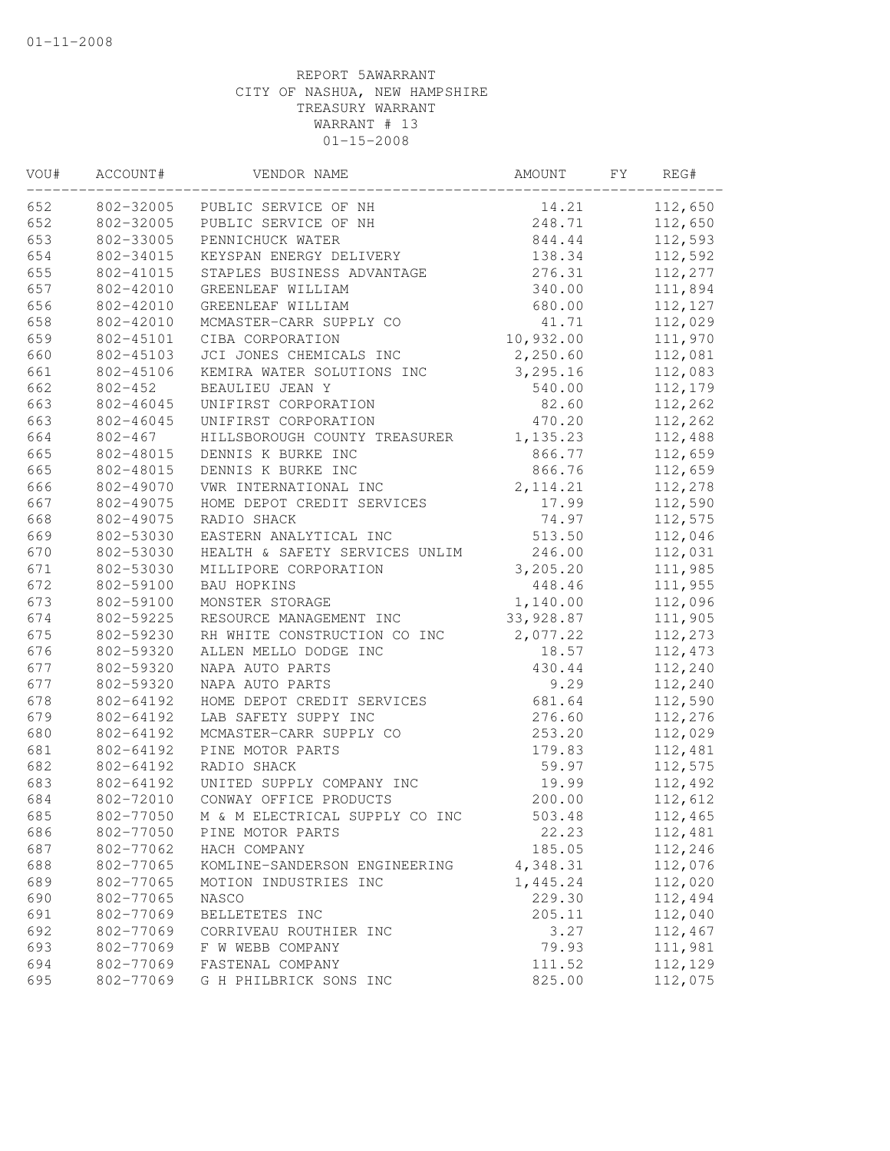| WOU# | ACCOUNT#    | VENDOR NAME                    | AMOUNT    | FY | REG#    |
|------|-------------|--------------------------------|-----------|----|---------|
| 652  | 802-32005   | PUBLIC SERVICE OF NH           | 14.21     |    | 112,650 |
| 652  | 802-32005   | PUBLIC SERVICE OF NH           | 248.71    |    | 112,650 |
| 653  | 802-33005   | PENNICHUCK WATER               | 844.44    |    | 112,593 |
| 654  | 802-34015   | KEYSPAN ENERGY DELIVERY        | 138.34    |    | 112,592 |
| 655  | 802-41015   | STAPLES BUSINESS ADVANTAGE     | 276.31    |    | 112,277 |
| 657  | 802-42010   | GREENLEAF WILLIAM              | 340.00    |    | 111,894 |
| 656  | 802-42010   | GREENLEAF WILLIAM              | 680.00    |    | 112,127 |
| 658  | 802-42010   | MCMASTER-CARR SUPPLY CO        | 41.71     |    | 112,029 |
| 659  | 802-45101   | CIBA CORPORATION               | 10,932.00 |    | 111,970 |
| 660  | 802-45103   | JCI JONES CHEMICALS INC        | 2,250.60  |    | 112,081 |
| 661  | 802-45106   | KEMIRA WATER SOLUTIONS INC     | 3,295.16  |    | 112,083 |
| 662  | $802 - 452$ | BEAULIEU JEAN Y                | 540.00    |    | 112,179 |
| 663  | 802-46045   | UNIFIRST CORPORATION           | 82.60     |    | 112,262 |
| 663  | 802-46045   | UNIFIRST CORPORATION           | 470.20    |    | 112,262 |
| 664  | $802 - 467$ | HILLSBOROUGH COUNTY TREASURER  | 1,135.23  |    | 112,488 |
| 665  | 802-48015   | DENNIS K BURKE INC             | 866.77    |    | 112,659 |
| 665  | 802-48015   | DENNIS K BURKE INC             | 866.76    |    | 112,659 |
| 666  | 802-49070   | VWR INTERNATIONAL INC          | 2, 114.21 |    | 112,278 |
| 667  | 802-49075   | HOME DEPOT CREDIT SERVICES     | 17.99     |    | 112,590 |
| 668  | 802-49075   | RADIO SHACK                    | 74.97     |    | 112,575 |
| 669  | 802-53030   | EASTERN ANALYTICAL INC         | 513.50    |    | 112,046 |
| 670  | 802-53030   | HEALTH & SAFETY SERVICES UNLIM | 246.00    |    | 112,031 |
| 671  | 802-53030   | MILLIPORE CORPORATION          | 3, 205.20 |    | 111,985 |
| 672  | 802-59100   | BAU HOPKINS                    | 448.46    |    | 111,955 |
| 673  | 802-59100   | MONSTER STORAGE                | 1,140.00  |    | 112,096 |
| 674  | 802-59225   | RESOURCE MANAGEMENT INC        | 33,928.87 |    | 111,905 |
| 675  | 802-59230   | RH WHITE CONSTRUCTION CO INC   | 2,077.22  |    | 112,273 |
| 676  | 802-59320   | ALLEN MELLO DODGE INC          | 18.57     |    | 112,473 |
| 677  | 802-59320   | NAPA AUTO PARTS                | 430.44    |    | 112,240 |
| 677  | 802-59320   | NAPA AUTO PARTS                | 9.29      |    | 112,240 |
| 678  | 802-64192   | HOME DEPOT CREDIT SERVICES     | 681.64    |    | 112,590 |
| 679  | 802-64192   | LAB SAFETY SUPPY INC           | 276.60    |    | 112,276 |
| 680  | 802-64192   | MCMASTER-CARR SUPPLY CO        | 253.20    |    | 112,029 |
| 681  | 802-64192   | PINE MOTOR PARTS               | 179.83    |    | 112,481 |
| 682  | 802-64192   | RADIO SHACK                    | 59.97     |    | 112,575 |
| 683  | 802-64192   | UNITED SUPPLY COMPANY INC      | 19.99     |    | 112,492 |
| 684  | 802-72010   | CONWAY OFFICE PRODUCTS         | 200.00    |    | 112,612 |
| 685  | 802-77050   | M & M ELECTRICAL SUPPLY CO INC | 503.48    |    | 112,465 |
| 686  | 802-77050   | PINE MOTOR PARTS               | 22.23     |    | 112,481 |
| 687  | 802-77062   | HACH COMPANY                   | 185.05    |    | 112,246 |
| 688  | 802-77065   | KOMLINE-SANDERSON ENGINEERING  | 4,348.31  |    | 112,076 |
| 689  | 802-77065   | MOTION INDUSTRIES INC          | 1,445.24  |    | 112,020 |
| 690  | 802-77065   | NASCO                          | 229.30    |    | 112,494 |
| 691  | 802-77069   | BELLETETES INC                 | 205.11    |    | 112,040 |
| 692  | 802-77069   | CORRIVEAU ROUTHIER INC         | 3.27      |    | 112,467 |
| 693  | 802-77069   | F W WEBB COMPANY               | 79.93     |    | 111,981 |
| 694  | 802-77069   | FASTENAL COMPANY               | 111.52    |    | 112,129 |
| 695  | 802-77069   | G H PHILBRICK SONS INC         | 825.00    |    | 112,075 |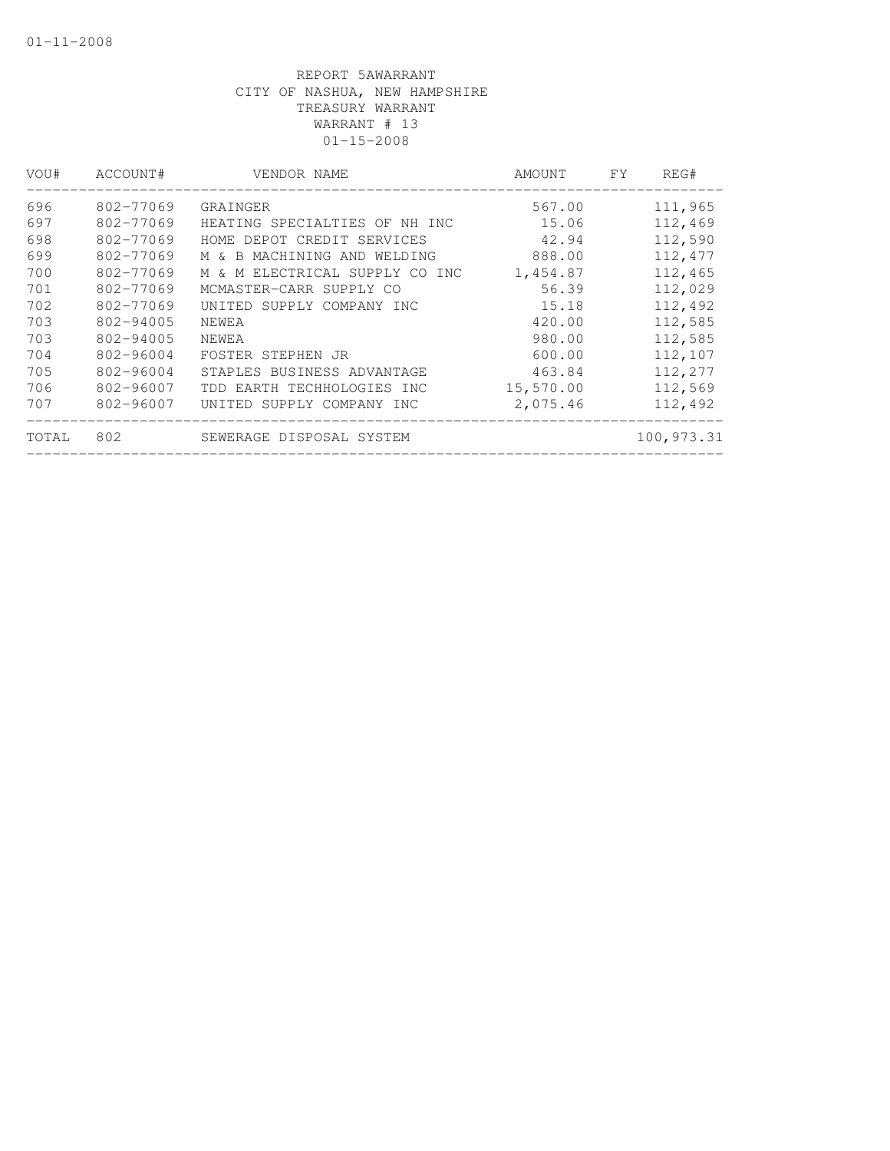| VOU#  | ACCOUNT#      | VENDOR NAME                    | AMOUNT    | <b>FY</b> | REG#       |
|-------|---------------|--------------------------------|-----------|-----------|------------|
| 696   | 802-77069     | GRAINGER                       | 567.00    |           | 111,965    |
| 697   | 802-77069     | HEATING SPECIALTIES OF NH INC  | 15.06     |           | 112,469    |
| 698   | 802-77069     | HOME DEPOT CREDIT SERVICES     | 42.94     |           | 112,590    |
| 699   | 802-77069     | M & B MACHINING AND WELDING    | 888.00    |           | 112,477    |
| 700   | 802-77069     | M & M ELECTRICAL SUPPLY CO INC | 1,454.87  |           | 112,465    |
| 701   | 802-77069     | MCMASTER-CARR SUPPLY CO        | 56.39     |           | 112,029    |
| 702   | 802-77069     | UNITED SUPPLY COMPANY INC      | 15.18     |           | 112,492    |
| 703   | 802-94005     | NEWEA                          | 420.00    |           | 112,585    |
| 703   | 802-94005     | NEWEA                          | 980.00    |           | 112,585    |
| 704   | $802 - 96004$ | FOSTER STEPHEN JR              | 600.00    |           | 112,107    |
| 705   | 802-96004     | STAPLES BUSINESS ADVANTAGE     | 463.84    |           | 112,277    |
| 706   | 802-96007     | TDD EARTH TECHHOLOGIES INC     | 15,570.00 |           | 112,569    |
| 707   | 802-96007     | UNITED SUPPLY COMPANY INC      | 2,075.46  |           | 112,492    |
| TOTAL | 802           | SEWERAGE DISPOSAL SYSTEM       |           |           | 100,973.31 |
|       |               |                                |           |           |            |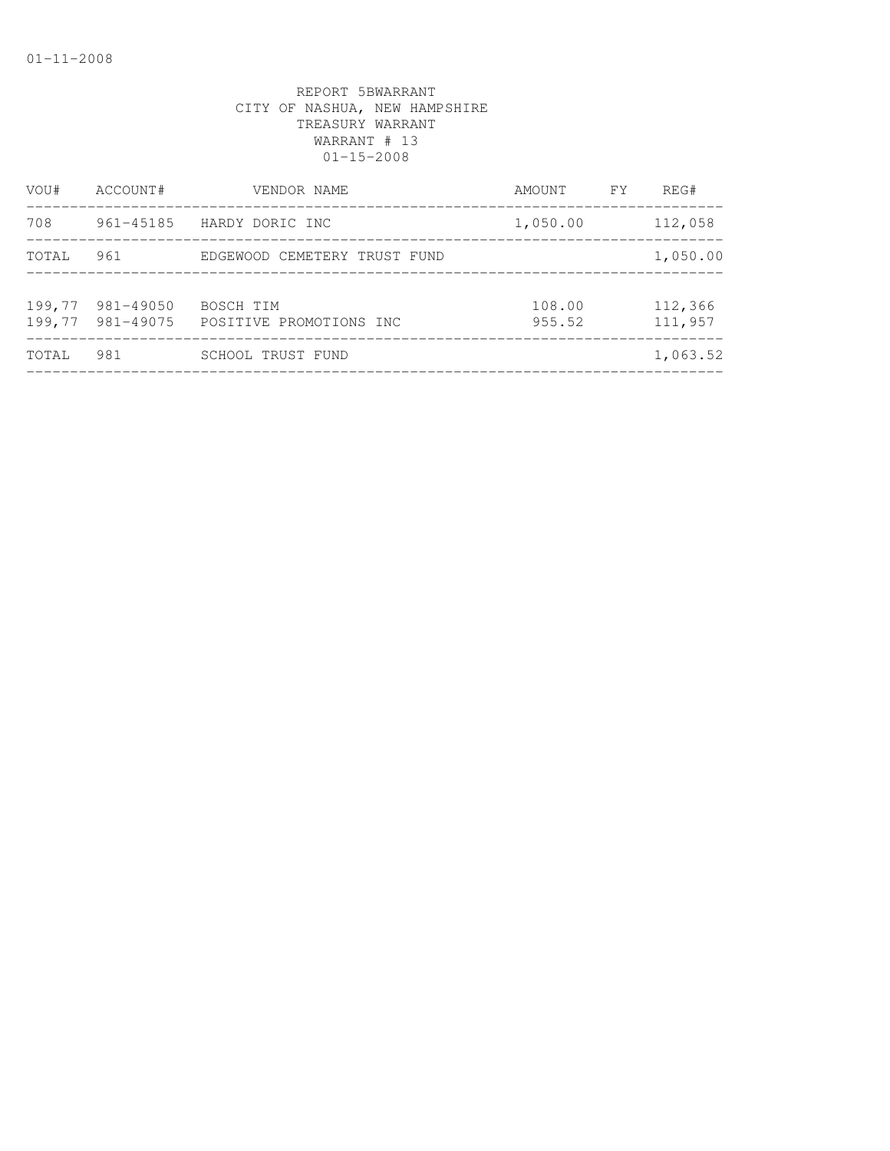| VOU#             | ACCOUNT#               | VENDOR NAME                          | AMOUNT           | FY. | REG#               |
|------------------|------------------------|--------------------------------------|------------------|-----|--------------------|
| 708              | 961-45185              | HARDY DORIC INC                      | 1,050.00         |     | 112,058            |
| TOTAL            | 961                    | EDGEWOOD CEMETERY TRUST FUND         |                  |     | 1,050.00           |
| 199,77<br>199,77 | 981-49050<br>981-49075 | BOSCH TIM<br>POSITIVE PROMOTIONS INC | 108.00<br>955.52 |     | 112,366<br>111,957 |
| TOTAL            | 981                    | <b>SCHOOL TRUST FUND</b>             |                  |     | 1,063.52           |
|                  |                        |                                      |                  |     |                    |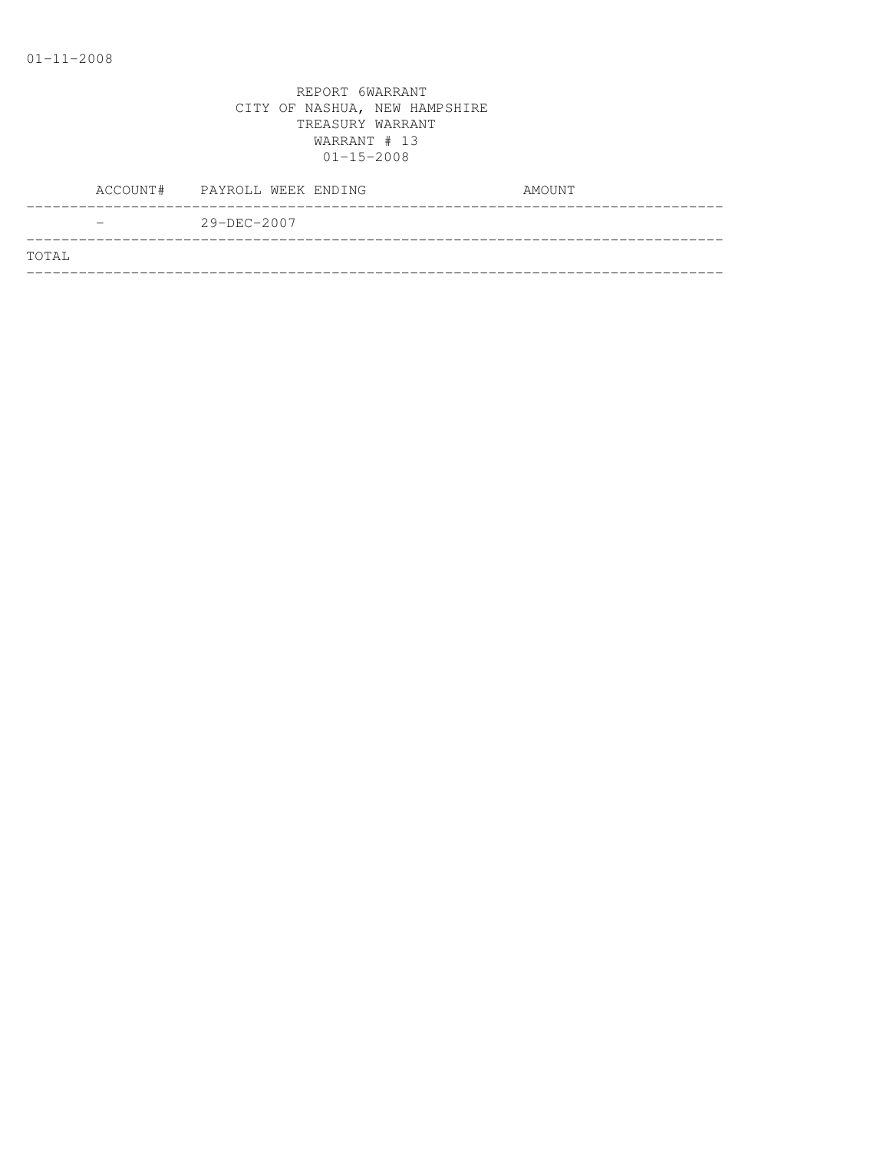|       | ACCOUNT# PAYROLL WEEK ENDING | AMOUNT |
|-------|------------------------------|--------|
|       | $29 - DEC - 2007$            |        |
| TOTAL |                              |        |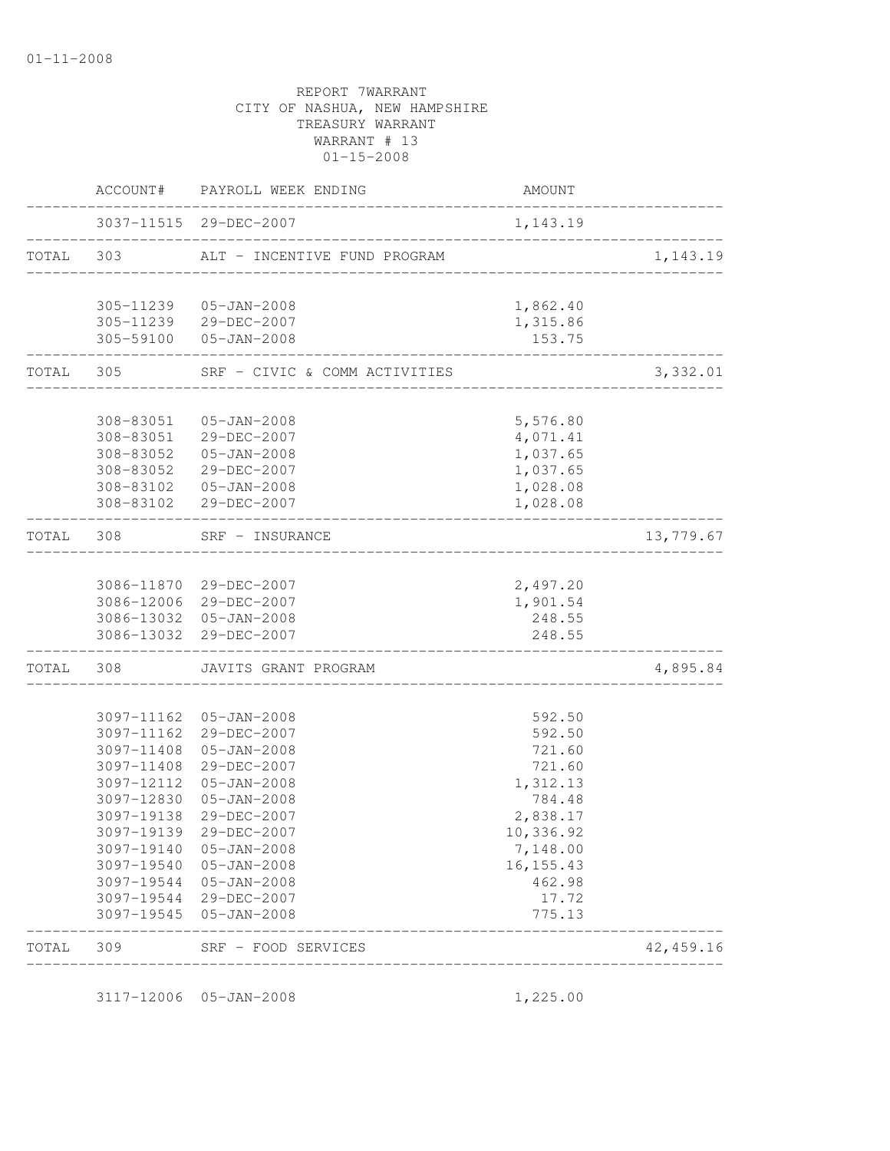|           |            | ACCOUNT# PAYROLL WEEK ENDING                           | AMOUNT                |           |
|-----------|------------|--------------------------------------------------------|-----------------------|-----------|
|           |            | 3037-11515 29-DEC-2007                                 | 1,143.19              |           |
| TOTAL 303 |            | ALT - INCENTIVE FUND PROGRAM                           |                       | 1,143.19  |
|           |            | 305-11239  05-JAN-2008                                 | 1,862.40              |           |
|           |            | 305-11239 29-DEC-2007                                  | 1,315.86              |           |
|           |            | 305-59100 05-JAN-2008                                  | 153.75                |           |
| TOTAL 305 |            | SRF - CIVIC & COMM ACTIVITIES<br>_____________________ |                       | 3,332.01  |
|           |            | 308-83051  05-JAN-2008                                 | 5,576.80              |           |
|           |            | 308-83051 29-DEC-2007                                  | 4,071.41              |           |
|           |            | 308-83052  05-JAN-2008                                 | 1,037.65              |           |
|           |            | 308-83052 29-DEC-2007                                  | 1,037.65              |           |
|           |            | 308-83102  05-JAN-2008                                 | 1,028.08              |           |
|           |            | 308-83102 29-DEC-2007<br>________________________      | 1,028.08              |           |
| TOTAL 308 |            | SRF - INSURANCE<br>-------------------                 |                       | 13,779.67 |
|           |            |                                                        |                       |           |
|           |            | 3086-11870 29-DEC-2007<br>3086-12006 29-DEC-2007       | 2,497.20<br>1,901.54  |           |
|           |            | 3086-13032 05-JAN-2008                                 | 248.55                |           |
|           |            | 3086-13032 29-DEC-2007                                 | 248.55                |           |
| TOTAL     | 308        | JAVITS GRANT PROGRAM                                   |                       | 4,895.84  |
|           |            |                                                        |                       |           |
|           |            | 3097-11162  05-JAN-2008<br>3097-11162 29-DEC-2007      | 592.50<br>592.50      |           |
|           | 3097-11408 | 05-JAN-2008                                            | 721.60                |           |
|           |            | 3097-11408 29-DEC-2007                                 | 721.60                |           |
|           |            | 3097-12112 05-JAN-2008                                 | 1,312.13              |           |
|           |            | 3097-12830 05-JAN-2008                                 | 784.48                |           |
|           | 3097-19138 | 29-DEC-2007                                            | 2,838.17              |           |
|           |            | 3097-19139 29-DEC-2007                                 | 10,336.92             |           |
|           | 3097-19140 | 05-JAN-2008                                            | 7,148.00              |           |
|           | 3097-19540 | 05-JAN-2008                                            | 16, 155. 43<br>462.98 |           |
|           | 3097-19544 | 05-JAN-2008<br>3097-19544 29-DEC-2007                  | 17.72                 |           |
|           |            | 3097-19545 05-JAN-2008                                 | 775.13                |           |
| TOTAL     | 309        | ______________________<br>SRF - FOOD SERVICES          |                       | 42,459.16 |

3117-12006 05-JAN-2008 1,225.00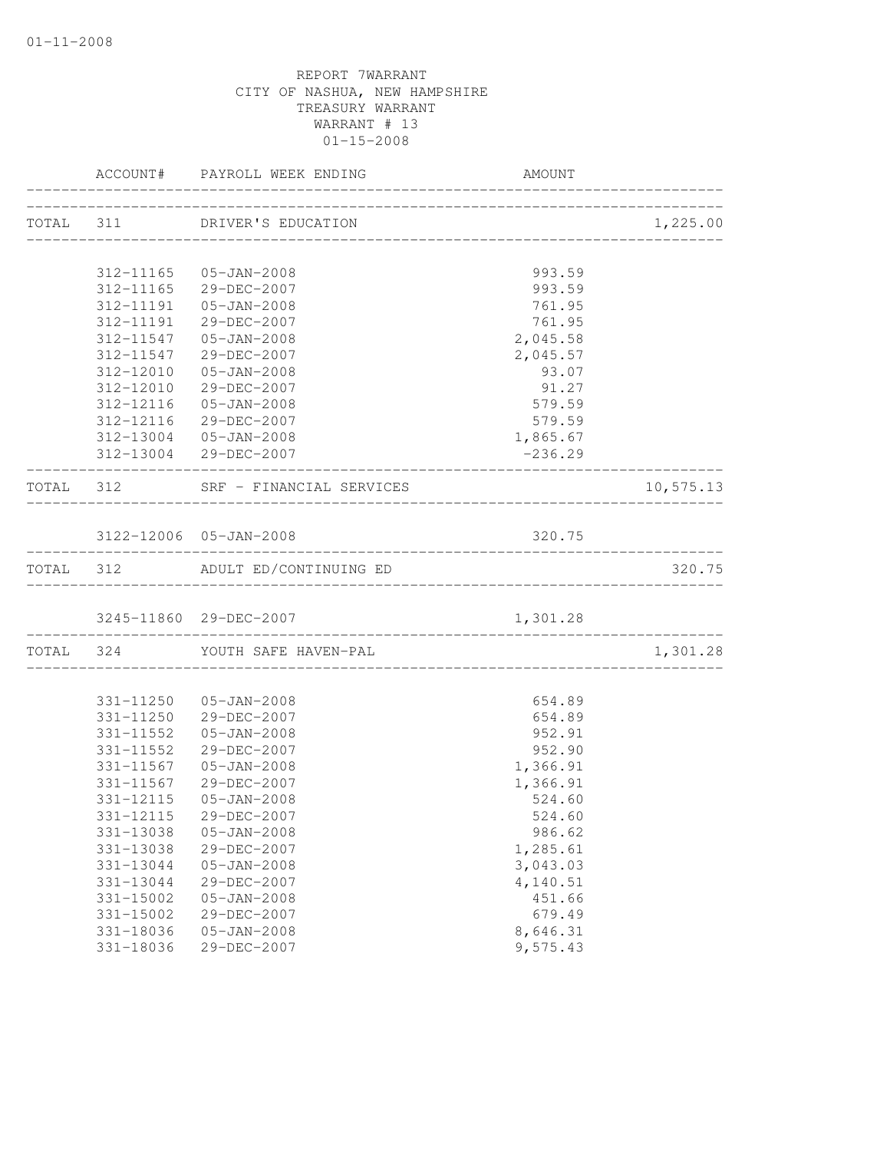|                          | ACCOUNT# PAYROLL WEEK ENDING                                  | AMOUNT    |           |
|--------------------------|---------------------------------------------------------------|-----------|-----------|
|                          | TOTAL 311 DRIVER'S EDUCATION                                  |           | 1,225.00  |
|                          |                                                               |           |           |
|                          | 312-11165  05-JAN-2008                                        | 993.59    |           |
|                          | 312-11165 29-DEC-2007                                         | 993.59    |           |
|                          | 312-11191  05-JAN-2008                                        | 761.95    |           |
|                          | 312-11191 29-DEC-2007                                         | 761.95    |           |
|                          | 312-11547  05-JAN-2008                                        | 2,045.58  |           |
|                          | 312-11547 29-DEC-2007                                         | 2,045.57  |           |
|                          | 312-12010  05-JAN-2008                                        | 93.07     |           |
|                          | 312-12010 29-DEC-2007                                         | 91.27     |           |
|                          | 312-12116  05-JAN-2008                                        | 579.59    |           |
|                          | 312-12116 29-DEC-2007                                         | 579.59    |           |
|                          | 312-13004 05-JAN-2008                                         | 1,865.67  |           |
| _____________________    | 312-13004 29-DEC-2007<br>____________________________________ | $-236.29$ |           |
|                          | TOTAL 312 SRF - FINANCIAL SERVICES                            |           | 10,575.13 |
|                          |                                                               |           |           |
|                          | 3122-12006 05-JAN-2008                                        | 320.75    |           |
|                          | TOTAL 312 ADULT ED/CONTINUING ED                              |           | 320.75    |
|                          |                                                               |           |           |
| ________________________ | TOTAL 324 YOUTH SAFE HAVEN-PAL                                |           | 1,301.28  |
|                          |                                                               |           |           |
|                          | 331-11250 05-JAN-2008                                         | 654.89    |           |
|                          | 331-11250 29-DEC-2007                                         | 654.89    |           |
|                          | 331-11552  05-JAN-2008                                        | 952.91    |           |
|                          | 331-11552 29-DEC-2007                                         | 952.90    |           |
|                          | 331-11567 05-JAN-2008                                         | 1,366.91  |           |
|                          | 331-11567 29-DEC-2007                                         | 1,366.91  |           |
|                          | 331-12115  05-JAN-2008                                        | 524.60    |           |
| 331-12115                | 29-DEC-2007                                                   | 524.60    |           |
| 331-13038                | $05 - JAN - 2008$                                             | 986.62    |           |
| 331-13038                | 29-DEC-2007                                                   | 1,285.61  |           |
| 331-13044                | $05 - JAN - 2008$                                             | 3,043.03  |           |
| 331-13044                | 29-DEC-2007                                                   | 4,140.51  |           |
| 331-15002                | $05 - JAN - 2008$                                             | 451.66    |           |
| $331 - 15002$            | 29-DEC-2007                                                   | 679.49    |           |
| 331-18036                | $05 - JAN - 2008$                                             | 8,646.31  |           |
| 331-18036                | 29-DEC-2007                                                   | 9,575.43  |           |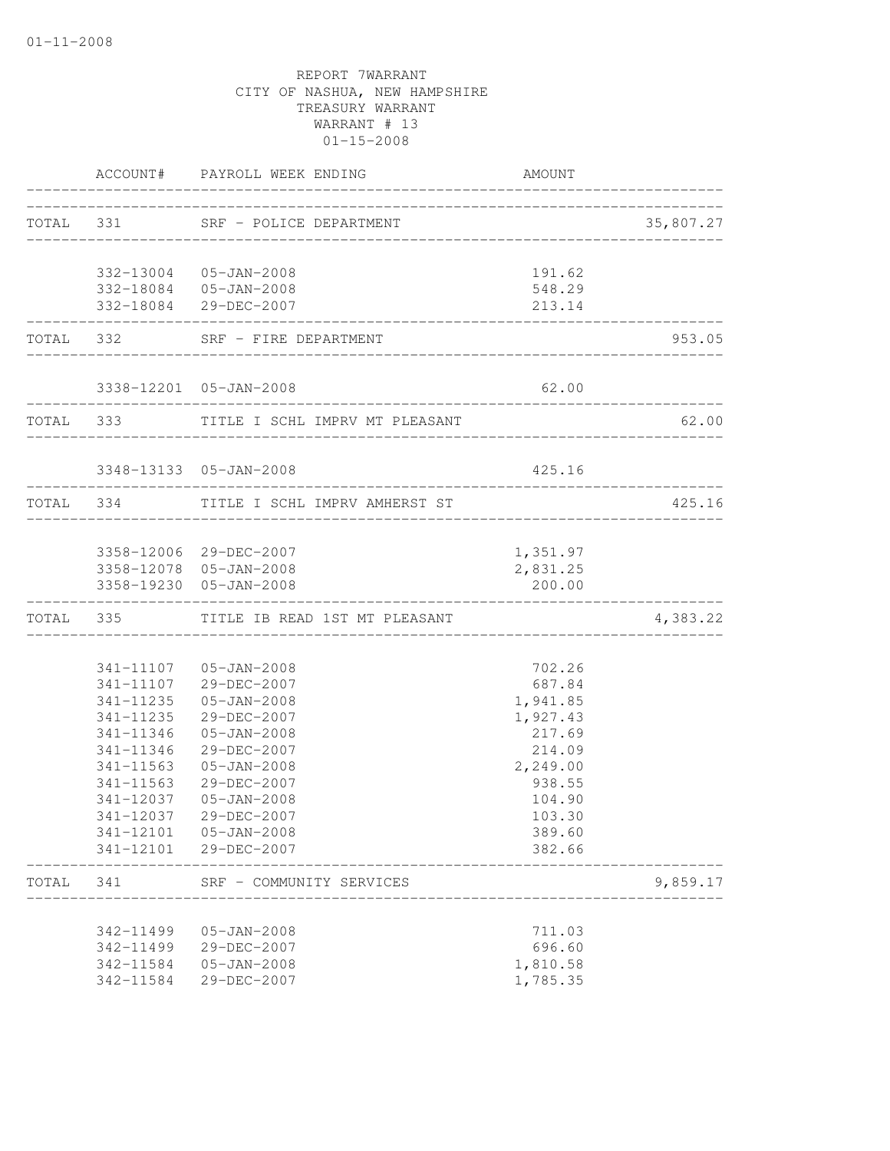|       |                   | ACCOUNT# PAYROLL WEEK ENDING                     | <b>AMOUNT</b>                    |           |
|-------|-------------------|--------------------------------------------------|----------------------------------|-----------|
|       |                   | TOTAL 331 SRF - POLICE DEPARTMENT                | ________________________________ | 35,807.27 |
|       |                   | 332-13004 05-JAN-2008                            | 191.62                           |           |
|       |                   | 332-18084  05-JAN-2008                           | 548.29                           |           |
|       | ----------------- | 332-18084 29-DEC-2007<br>_____________________   | 213.14                           |           |
|       |                   | TOTAL 332 SRF - FIRE DEPARTMENT                  |                                  | 953.05    |
|       |                   | 3338-12201  05-JAN-2008                          | 62.00                            |           |
|       |                   | TOTAL 333 TITLE I SCHL IMPRV MT PLEASANT         |                                  | 62.00     |
|       |                   | 3348-13133 05-JAN-2008                           | 425.16                           |           |
|       |                   | TOTAL 334 TITLE I SCHL IMPRV AMHERST ST          | ______________________________   | 425.16    |
|       |                   |                                                  |                                  |           |
|       |                   | 3358-12006 29-DEC-2007<br>3358-12078 05-JAN-2008 | 1,351.97<br>2,831.25             |           |
|       |                   | 3358-19230 05-JAN-2008                           | 200.00                           |           |
|       |                   | TOTAL 335 TITLE IB READ 1ST MT PLEASANT          |                                  | 4,383.22  |
|       |                   |                                                  |                                  |           |
|       |                   | 341-11107  05-JAN-2008<br>341-11107 29-DEC-2007  | 702.26<br>687.84                 |           |
|       |                   | 341-11235  05-JAN-2008                           | 1,941.85                         |           |
|       | 341-11235         | 29-DEC-2007                                      | 1,927.43                         |           |
|       | 341-11346         | $05 - JAN - 2008$                                | 217.69                           |           |
|       | 341-11346         | 29-DEC-2007                                      | 214.09                           |           |
|       | 341-11563         | $05 - JAN - 2008$                                | 2,249.00                         |           |
|       | 341-11563         | 29-DEC-2007                                      | 938.55                           |           |
|       | 341-12037         | $05 - JAN - 2008$                                | 104.90                           |           |
|       | 341-12037         | 29-DEC-2007                                      | 103.30                           |           |
|       | 341-12101         | 05-JAN-2008                                      | 389.60                           |           |
|       | 341-12101         | 29-DEC-2007                                      | 382.66                           |           |
| TOTAL | 341               | SRF - COMMUNITY SERVICES                         |                                  | 9,859.17  |
|       | 342-11499         | $05 - JAN - 2008$                                | 711.03                           |           |
|       | 342-11499         | 29-DEC-2007                                      | 696.60                           |           |
|       | 342-11584         | $05 - JAN - 2008$                                | 1,810.58                         |           |
|       | 342-11584         | 29-DEC-2007                                      | 1,785.35                         |           |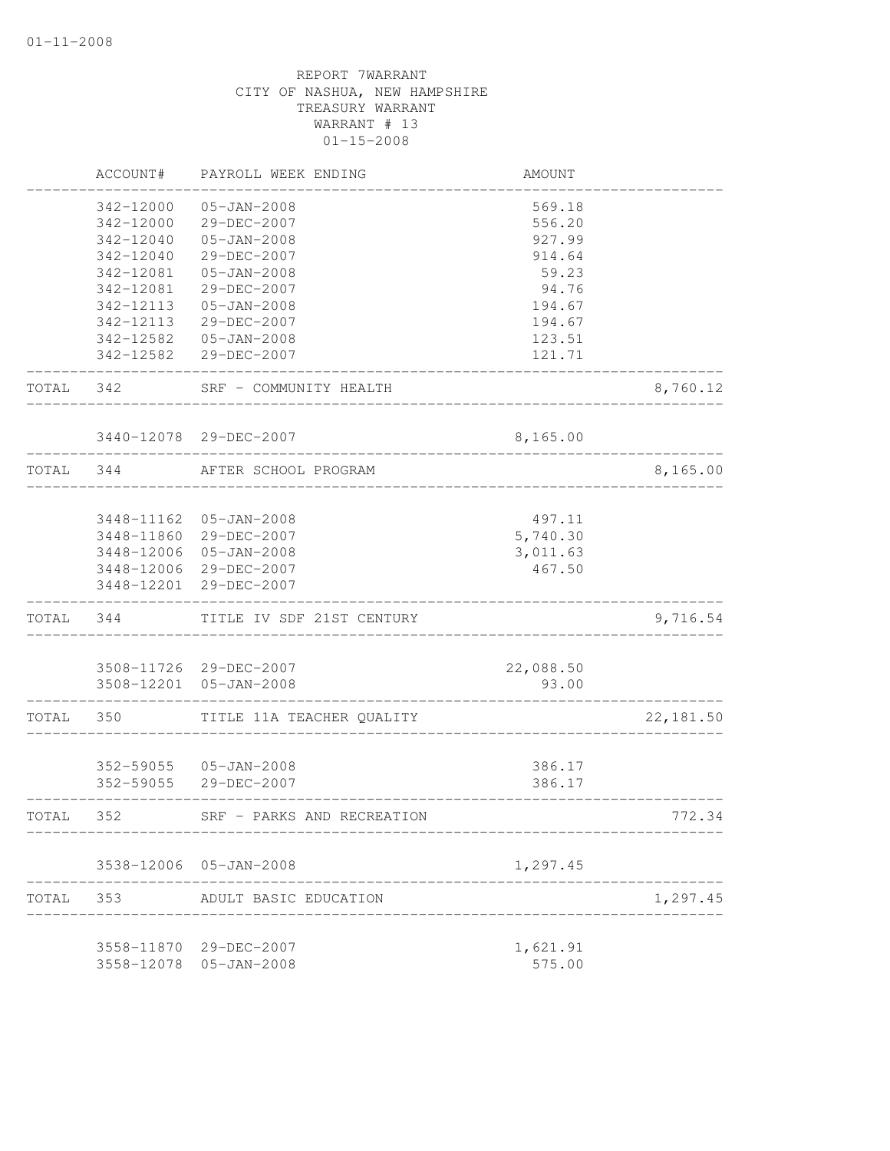|           | ACCOUNT#   | PAYROLL WEEK ENDING                              | AMOUNT             |           |
|-----------|------------|--------------------------------------------------|--------------------|-----------|
|           | 342-12000  | $05 - JAN - 2008$                                | 569.18             |           |
|           | 342-12000  | 29-DEC-2007                                      | 556.20             |           |
|           | 342-12040  | $05 - JAN - 2008$                                | 927.99             |           |
|           | 342-12040  | 29-DEC-2007                                      | 914.64             |           |
|           | 342-12081  | $05 - JAN - 2008$                                | 59.23              |           |
|           | 342-12081  | 29-DEC-2007                                      | 94.76              |           |
|           | 342-12113  | $05 - JAN - 2008$                                | 194.67             |           |
|           | 342-12113  | 29-DEC-2007                                      | 194.67             |           |
|           | 342-12582  | $05 - JAN - 2008$                                | 123.51             |           |
|           |            | 342-12582 29-DEC-2007                            | 121.71             |           |
| TOTAL     | 342        | SRF - COMMUNITY HEALTH                           |                    | 8,760.12  |
|           |            | 3440-12078 29-DEC-2007                           | 8,165.00           |           |
| TOTAL 344 |            | AFTER SCHOOL PROGRAM                             |                    | 8,165.00  |
|           |            |                                                  |                    |           |
|           |            | 3448-11162 05-JAN-2008                           | 497.11             |           |
|           |            | 3448-11860 29-DEC-2007                           | 5,740.30           |           |
|           |            | 3448-12006 05-JAN-2008                           | 3,011.63           |           |
|           |            | 3448-12006 29-DEC-2007                           | 467.50             |           |
|           | 3448-12201 | 29-DEC-2007                                      |                    |           |
| TOTAL 344 |            | TITLE IV SDF 21ST CENTURY                        |                    | 9,716.54  |
|           |            |                                                  |                    |           |
|           |            | 3508-11726 29-DEC-2007<br>3508-12201 05-JAN-2008 | 22,088.50<br>93.00 |           |
| TOTAL     | 350        | TITLE 11A TEACHER QUALITY                        |                    | 22,181.50 |
|           |            |                                                  |                    |           |
|           |            | 352-59055 05-JAN-2008                            | 386.17             |           |
|           |            | 352-59055 29-DEC-2007                            | 386.17             |           |
| TOTAL     | 352        | SRF - PARKS AND RECREATION                       |                    | 772.34    |
|           |            |                                                  |                    |           |
|           |            | 3538-12006 05-JAN-2008                           | 1,297.45           |           |
| TOTAL     | 353        | ADULT BASIC EDUCATION                            |                    | 1,297.45  |
|           |            | 3558-11870 29-DEC-2007                           | 1,621.91           |           |
|           | 3558-12078 | 05-JAN-2008                                      | 575.00             |           |
|           |            |                                                  |                    |           |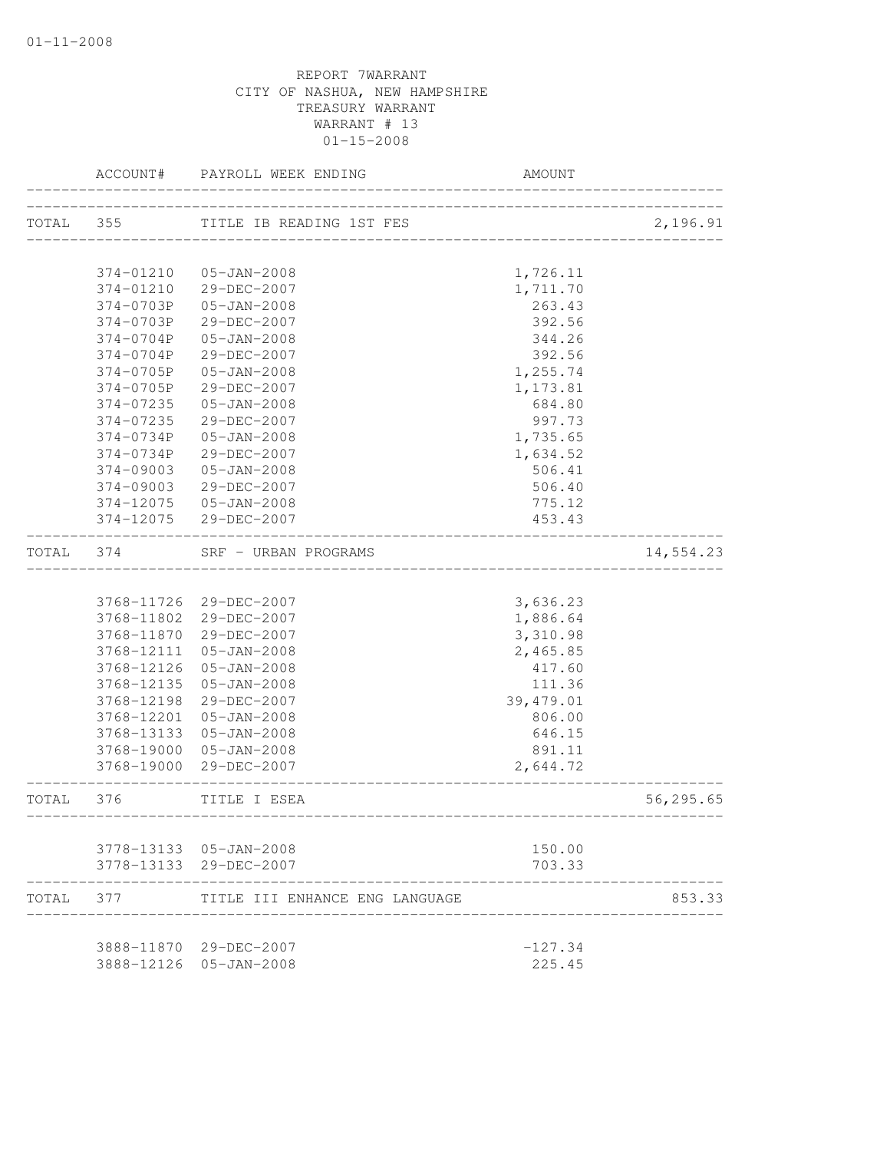| TOTAL 355<br>TITLE IB READING 1ST FES<br>374-01210<br>1,726.11<br>05-JAN-2008<br>374-01210<br>29-DEC-2007<br>1,711.70<br>374-0703P<br>05-JAN-2008<br>263.43<br>392.56<br>374-0703P<br>29-DEC-2007<br>374-0704P<br>05-JAN-2008<br>344.26<br>29-DEC-2007<br>392.56<br>374-0704P<br>1,255.74<br>374-0705P<br>05-JAN-2008<br>374-0705P<br>29-DEC-2007<br>1,173.81<br>374-07235<br>05-JAN-2008<br>684.80<br>374-07235<br>29-DEC-2007<br>997.73<br>$05 - JAN - 2008$<br>374-0734P<br>1,735.65<br>374-0734P<br>29-DEC-2007<br>1,634.52<br>$374 - 09003$<br>$05 - JAN - 2008$<br>506.41<br>506.40<br>$374 - 09003$<br>29-DEC-2007<br>05-JAN-2008<br>775.12<br>374-12075<br>374-12075<br>29-DEC-2007<br>453.43<br>TOTAL<br>374<br>SRF - URBAN PROGRAMS<br>_______________________<br>3,636.23<br>3768-11726 29-DEC-2007<br>3768-11802 29-DEC-2007<br>1,886.64<br>3768-11870 29-DEC-2007<br>3,310.98<br>2,465.85<br>3768-12111<br>05-JAN-2008<br>3768-12126<br>05-JAN-2008<br>417.60<br>3768-12135<br>05-JAN-2008<br>111.36<br>3768-12198<br>29-DEC-2007<br>39,479.01<br>3768-12201<br>05-JAN-2008<br>806.00<br>3768-13133<br>05-JAN-2008<br>646.15<br>891.11<br>3768-19000 05-JAN-2008<br>3768-19000 29-DEC-2007<br>2,644.72<br>TOTAL<br>376<br>TITLE I ESEA<br>------------------------<br>3778-13133 05-JAN-2008<br>150.00<br>3778-13133 29-DEC-2007<br>703.33<br>TOTAL<br>377<br>TITLE III ENHANCE ENG LANGUAGE<br>3888-11870 29-DEC-2007<br>$-127.34$<br>3888-12126 05-JAN-2008<br>225.45 | ACCOUNT# | PAYROLL WEEK ENDING | AMOUNT |           |
|--------------------------------------------------------------------------------------------------------------------------------------------------------------------------------------------------------------------------------------------------------------------------------------------------------------------------------------------------------------------------------------------------------------------------------------------------------------------------------------------------------------------------------------------------------------------------------------------------------------------------------------------------------------------------------------------------------------------------------------------------------------------------------------------------------------------------------------------------------------------------------------------------------------------------------------------------------------------------------------------------------------------------------------------------------------------------------------------------------------------------------------------------------------------------------------------------------------------------------------------------------------------------------------------------------------------------------------------------------------------------------------------------------------------------------------------------------------------------------------|----------|---------------------|--------|-----------|
|                                                                                                                                                                                                                                                                                                                                                                                                                                                                                                                                                                                                                                                                                                                                                                                                                                                                                                                                                                                                                                                                                                                                                                                                                                                                                                                                                                                                                                                                                      |          |                     |        | 2,196.91  |
|                                                                                                                                                                                                                                                                                                                                                                                                                                                                                                                                                                                                                                                                                                                                                                                                                                                                                                                                                                                                                                                                                                                                                                                                                                                                                                                                                                                                                                                                                      |          |                     |        |           |
|                                                                                                                                                                                                                                                                                                                                                                                                                                                                                                                                                                                                                                                                                                                                                                                                                                                                                                                                                                                                                                                                                                                                                                                                                                                                                                                                                                                                                                                                                      |          |                     |        |           |
|                                                                                                                                                                                                                                                                                                                                                                                                                                                                                                                                                                                                                                                                                                                                                                                                                                                                                                                                                                                                                                                                                                                                                                                                                                                                                                                                                                                                                                                                                      |          |                     |        |           |
|                                                                                                                                                                                                                                                                                                                                                                                                                                                                                                                                                                                                                                                                                                                                                                                                                                                                                                                                                                                                                                                                                                                                                                                                                                                                                                                                                                                                                                                                                      |          |                     |        |           |
|                                                                                                                                                                                                                                                                                                                                                                                                                                                                                                                                                                                                                                                                                                                                                                                                                                                                                                                                                                                                                                                                                                                                                                                                                                                                                                                                                                                                                                                                                      |          |                     |        |           |
|                                                                                                                                                                                                                                                                                                                                                                                                                                                                                                                                                                                                                                                                                                                                                                                                                                                                                                                                                                                                                                                                                                                                                                                                                                                                                                                                                                                                                                                                                      |          |                     |        |           |
|                                                                                                                                                                                                                                                                                                                                                                                                                                                                                                                                                                                                                                                                                                                                                                                                                                                                                                                                                                                                                                                                                                                                                                                                                                                                                                                                                                                                                                                                                      |          |                     |        |           |
|                                                                                                                                                                                                                                                                                                                                                                                                                                                                                                                                                                                                                                                                                                                                                                                                                                                                                                                                                                                                                                                                                                                                                                                                                                                                                                                                                                                                                                                                                      |          |                     |        |           |
|                                                                                                                                                                                                                                                                                                                                                                                                                                                                                                                                                                                                                                                                                                                                                                                                                                                                                                                                                                                                                                                                                                                                                                                                                                                                                                                                                                                                                                                                                      |          |                     |        |           |
|                                                                                                                                                                                                                                                                                                                                                                                                                                                                                                                                                                                                                                                                                                                                                                                                                                                                                                                                                                                                                                                                                                                                                                                                                                                                                                                                                                                                                                                                                      |          |                     |        |           |
|                                                                                                                                                                                                                                                                                                                                                                                                                                                                                                                                                                                                                                                                                                                                                                                                                                                                                                                                                                                                                                                                                                                                                                                                                                                                                                                                                                                                                                                                                      |          |                     |        |           |
|                                                                                                                                                                                                                                                                                                                                                                                                                                                                                                                                                                                                                                                                                                                                                                                                                                                                                                                                                                                                                                                                                                                                                                                                                                                                                                                                                                                                                                                                                      |          |                     |        |           |
|                                                                                                                                                                                                                                                                                                                                                                                                                                                                                                                                                                                                                                                                                                                                                                                                                                                                                                                                                                                                                                                                                                                                                                                                                                                                                                                                                                                                                                                                                      |          |                     |        |           |
|                                                                                                                                                                                                                                                                                                                                                                                                                                                                                                                                                                                                                                                                                                                                                                                                                                                                                                                                                                                                                                                                                                                                                                                                                                                                                                                                                                                                                                                                                      |          |                     |        |           |
|                                                                                                                                                                                                                                                                                                                                                                                                                                                                                                                                                                                                                                                                                                                                                                                                                                                                                                                                                                                                                                                                                                                                                                                                                                                                                                                                                                                                                                                                                      |          |                     |        |           |
|                                                                                                                                                                                                                                                                                                                                                                                                                                                                                                                                                                                                                                                                                                                                                                                                                                                                                                                                                                                                                                                                                                                                                                                                                                                                                                                                                                                                                                                                                      |          |                     |        |           |
|                                                                                                                                                                                                                                                                                                                                                                                                                                                                                                                                                                                                                                                                                                                                                                                                                                                                                                                                                                                                                                                                                                                                                                                                                                                                                                                                                                                                                                                                                      |          |                     |        | 14,554.23 |
|                                                                                                                                                                                                                                                                                                                                                                                                                                                                                                                                                                                                                                                                                                                                                                                                                                                                                                                                                                                                                                                                                                                                                                                                                                                                                                                                                                                                                                                                                      |          |                     |        |           |
|                                                                                                                                                                                                                                                                                                                                                                                                                                                                                                                                                                                                                                                                                                                                                                                                                                                                                                                                                                                                                                                                                                                                                                                                                                                                                                                                                                                                                                                                                      |          |                     |        |           |
|                                                                                                                                                                                                                                                                                                                                                                                                                                                                                                                                                                                                                                                                                                                                                                                                                                                                                                                                                                                                                                                                                                                                                                                                                                                                                                                                                                                                                                                                                      |          |                     |        |           |
|                                                                                                                                                                                                                                                                                                                                                                                                                                                                                                                                                                                                                                                                                                                                                                                                                                                                                                                                                                                                                                                                                                                                                                                                                                                                                                                                                                                                                                                                                      |          |                     |        |           |
|                                                                                                                                                                                                                                                                                                                                                                                                                                                                                                                                                                                                                                                                                                                                                                                                                                                                                                                                                                                                                                                                                                                                                                                                                                                                                                                                                                                                                                                                                      |          |                     |        |           |
|                                                                                                                                                                                                                                                                                                                                                                                                                                                                                                                                                                                                                                                                                                                                                                                                                                                                                                                                                                                                                                                                                                                                                                                                                                                                                                                                                                                                                                                                                      |          |                     |        |           |
|                                                                                                                                                                                                                                                                                                                                                                                                                                                                                                                                                                                                                                                                                                                                                                                                                                                                                                                                                                                                                                                                                                                                                                                                                                                                                                                                                                                                                                                                                      |          |                     |        |           |
|                                                                                                                                                                                                                                                                                                                                                                                                                                                                                                                                                                                                                                                                                                                                                                                                                                                                                                                                                                                                                                                                                                                                                                                                                                                                                                                                                                                                                                                                                      |          |                     |        |           |
|                                                                                                                                                                                                                                                                                                                                                                                                                                                                                                                                                                                                                                                                                                                                                                                                                                                                                                                                                                                                                                                                                                                                                                                                                                                                                                                                                                                                                                                                                      |          |                     |        |           |
|                                                                                                                                                                                                                                                                                                                                                                                                                                                                                                                                                                                                                                                                                                                                                                                                                                                                                                                                                                                                                                                                                                                                                                                                                                                                                                                                                                                                                                                                                      |          |                     |        |           |
|                                                                                                                                                                                                                                                                                                                                                                                                                                                                                                                                                                                                                                                                                                                                                                                                                                                                                                                                                                                                                                                                                                                                                                                                                                                                                                                                                                                                                                                                                      |          |                     |        |           |
|                                                                                                                                                                                                                                                                                                                                                                                                                                                                                                                                                                                                                                                                                                                                                                                                                                                                                                                                                                                                                                                                                                                                                                                                                                                                                                                                                                                                                                                                                      |          |                     |        | 56,295.65 |
|                                                                                                                                                                                                                                                                                                                                                                                                                                                                                                                                                                                                                                                                                                                                                                                                                                                                                                                                                                                                                                                                                                                                                                                                                                                                                                                                                                                                                                                                                      |          |                     |        |           |
|                                                                                                                                                                                                                                                                                                                                                                                                                                                                                                                                                                                                                                                                                                                                                                                                                                                                                                                                                                                                                                                                                                                                                                                                                                                                                                                                                                                                                                                                                      |          |                     |        |           |
|                                                                                                                                                                                                                                                                                                                                                                                                                                                                                                                                                                                                                                                                                                                                                                                                                                                                                                                                                                                                                                                                                                                                                                                                                                                                                                                                                                                                                                                                                      |          |                     |        |           |
|                                                                                                                                                                                                                                                                                                                                                                                                                                                                                                                                                                                                                                                                                                                                                                                                                                                                                                                                                                                                                                                                                                                                                                                                                                                                                                                                                                                                                                                                                      |          |                     |        | 853.33    |
|                                                                                                                                                                                                                                                                                                                                                                                                                                                                                                                                                                                                                                                                                                                                                                                                                                                                                                                                                                                                                                                                                                                                                                                                                                                                                                                                                                                                                                                                                      |          |                     |        |           |
|                                                                                                                                                                                                                                                                                                                                                                                                                                                                                                                                                                                                                                                                                                                                                                                                                                                                                                                                                                                                                                                                                                                                                                                                                                                                                                                                                                                                                                                                                      |          |                     |        |           |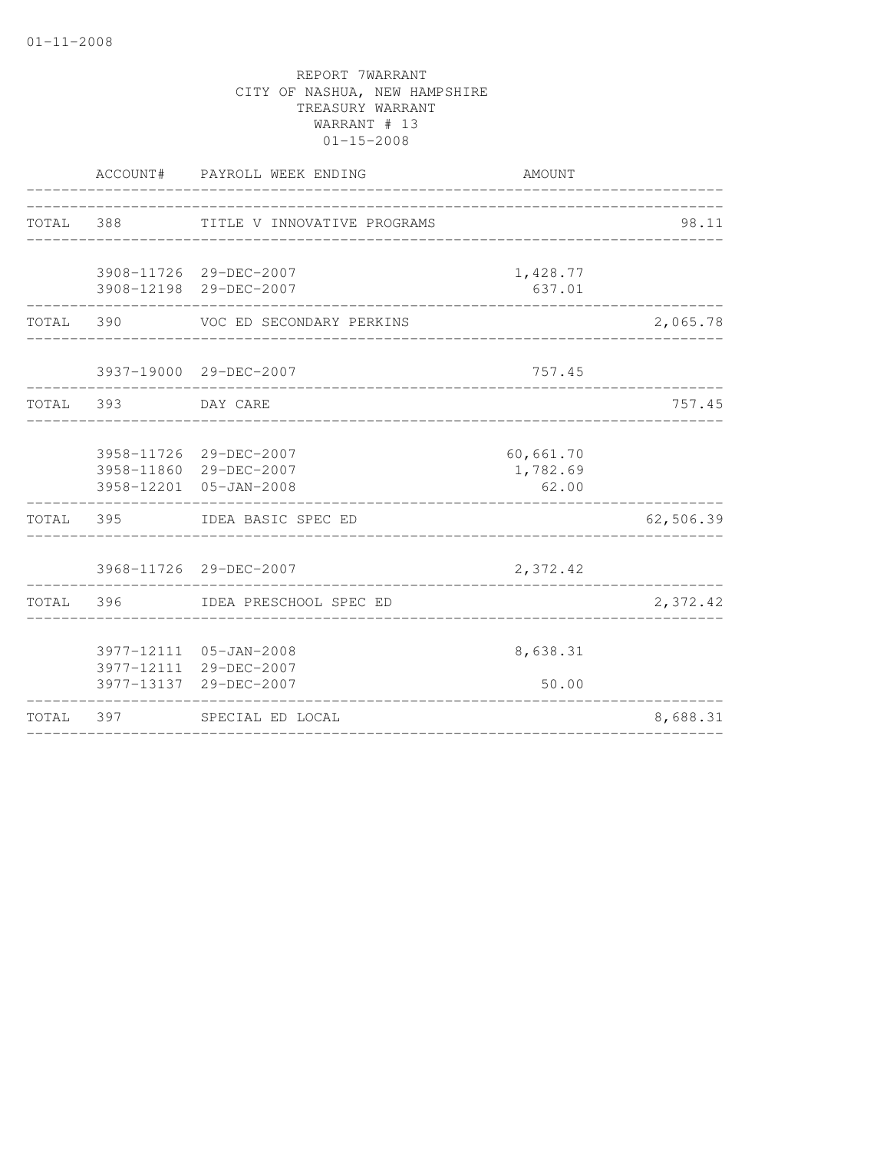|           |                    | ACCOUNT# PAYROLL WEEK ENDING                                               | AMOUNT                            |           |
|-----------|--------------------|----------------------------------------------------------------------------|-----------------------------------|-----------|
| TOTAL 388 |                    | TITLE V INNOVATIVE PROGRAMS                                                | _________________________________ | 98.11     |
|           |                    | 3908-11726 29-DEC-2007<br>3908-12198 29-DEC-2007                           | 1,428.77<br>637.01                |           |
|           |                    | TOTAL 390 VOC ED SECONDARY PERKINS                                         |                                   | 2,065.78  |
|           |                    | 3937-19000 29-DEC-2007                                                     | 757.45                            |           |
|           | TOTAL 393 DAY CARE |                                                                            |                                   | 757.45    |
|           |                    | 3958-11726 29-DEC-2007<br>3958-11860 29-DEC-2007<br>3958-12201 05-JAN-2008 | 60,661.70<br>1,782.69<br>62.00    |           |
|           |                    | TOTAL 395 IDEA BASIC SPEC ED                                               |                                   | 62,506.39 |
|           |                    | 3968-11726 29-DEC-2007                                                     | 2,372.42                          |           |
|           |                    | TOTAL 396 IDEA PRESCHOOL SPEC ED                                           |                                   | 2,372.42  |
|           |                    | 3977-12111 05-JAN-2008<br>3977-12111 29-DEC-2007<br>3977-13137 29-DEC-2007 | 8,638.31<br>50.00                 |           |
| TOTAL 397 |                    | SPECIAL ED LOCAL                                                           |                                   | 8,688.31  |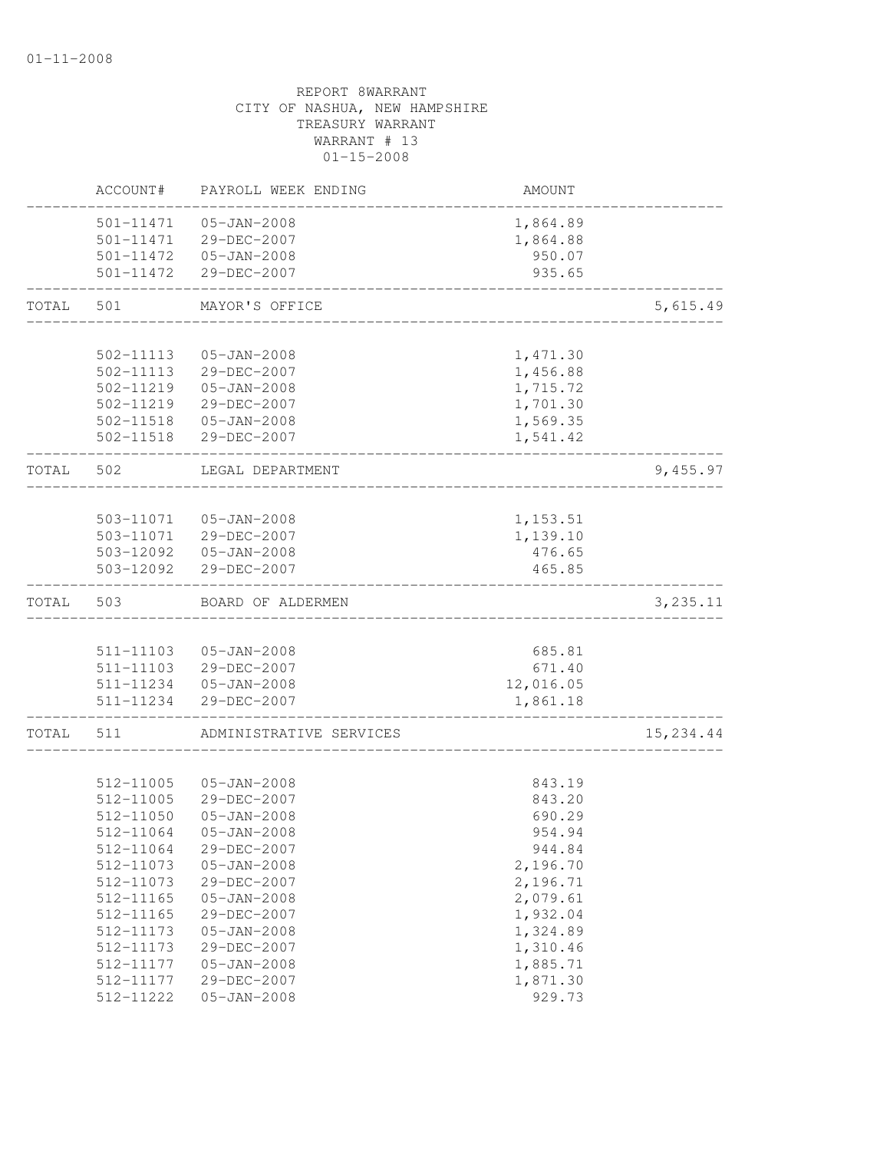|       | ACCOUNT#                            | PAYROLL WEEK ENDING                             | AMOUNT                         |            |
|-------|-------------------------------------|-------------------------------------------------|--------------------------------|------------|
|       | 501-11471<br>501-11471<br>501-11472 | $05 - JAN - 2008$<br>29-DEC-2007<br>05-JAN-2008 | 1,864.89<br>1,864.88<br>950.07 |            |
|       | 501-11472                           | 29-DEC-2007                                     | 935.65                         |            |
| TOTAL | 501                                 | MAYOR'S OFFICE                                  |                                | 5,615.49   |
|       |                                     |                                                 |                                |            |
|       | 502-11113<br>502-11113              | $05 - JAN - 2008$                               | 1,471.30                       |            |
|       | 502-11219                           | 29-DEC-2007<br>$05 - JAN - 2008$                | 1,456.88                       |            |
|       | 502-11219                           | 29-DEC-2007                                     | 1,715.72<br>1,701.30           |            |
|       | 502-11518                           | 05-JAN-2008                                     | 1,569.35                       |            |
|       | 502-11518                           | 29-DEC-2007                                     | 1,541.42                       |            |
| TOTAL | 502                                 | LEGAL DEPARTMENT                                |                                | 9,455.97   |
|       |                                     |                                                 |                                |            |
|       | 503-11071                           | 05-JAN-2008                                     | 1,153.51                       |            |
|       | 503-11071                           | 29-DEC-2007                                     | 1,139.10                       |            |
|       |                                     | 503-12092  05-JAN-2008                          | 476.65                         |            |
|       | 503-12092                           | 29-DEC-2007                                     | 465.85                         |            |
| TOTAL | 503                                 | BOARD OF ALDERMEN                               |                                | 3,235.11   |
|       |                                     |                                                 |                                |            |
|       | 511-11103                           | $05 - JAN - 2008$                               | 685.81                         |            |
|       | 511-11103                           | 29-DEC-2007                                     | 671.40                         |            |
|       | 511-11234                           | 05-JAN-2008                                     | 12,016.05                      |            |
|       | 511-11234                           | 29-DEC-2007                                     | 1,861.18                       |            |
| TOTAL | 511                                 | ADMINISTRATIVE SERVICES                         |                                | 15, 234.44 |
|       |                                     |                                                 |                                |            |
|       | 512-11005                           | $05 - JAN - 2008$                               | 843.19                         |            |
|       | 512-11005                           | 29-DEC-2007                                     | 843.20                         |            |
|       | 512-11050                           | $05 - JAN - 2008$                               | 690.29                         |            |
|       | 512-11064                           | $05 - JAN - 2008$                               | 954.94                         |            |
|       | 512-11064                           | 29-DEC-2007                                     | 944.84                         |            |
|       | 512-11073                           | $05 - JAN - 2008$                               | 2,196.70                       |            |
|       | 512-11073                           | 29-DEC-2007                                     | 2,196.71                       |            |
|       | 512-11165                           | $05 - JAN - 2008$                               | 2,079.61                       |            |
|       | 512-11165                           | 29-DEC-2007                                     | 1,932.04                       |            |
|       | 512-11173                           | $05 - JAN - 2008$                               | 1,324.89                       |            |
|       | 512-11173                           | 29-DEC-2007                                     | 1,310.46                       |            |
|       | 512-11177                           | $05 - JAN - 2008$                               | 1,885.71<br>1,871.30           |            |
|       | 512-11177                           | 29-DEC-2007                                     | 929.73                         |            |
|       | 512-11222                           | $05 - JAN - 2008$                               |                                |            |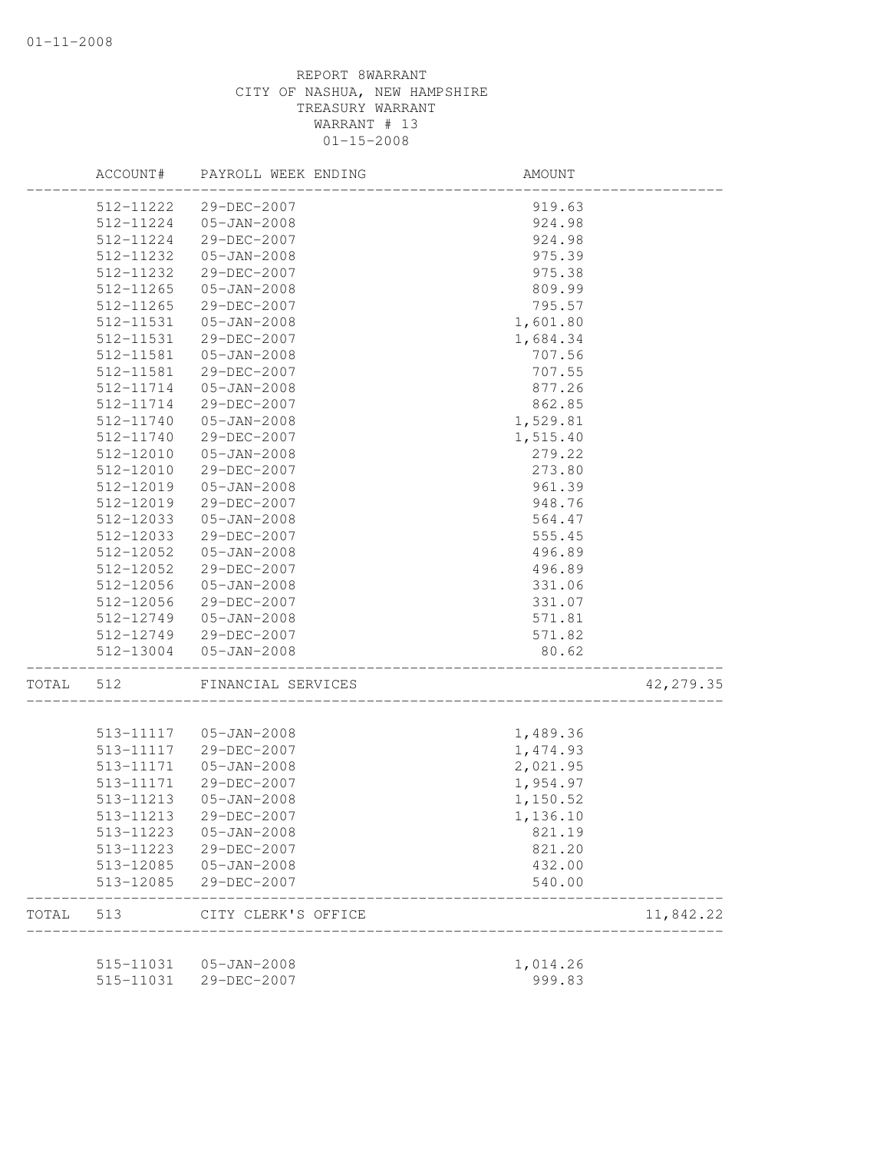|       | ACCOUNT#               | PAYROLL WEEK ENDING        | AMOUNT   |            |
|-------|------------------------|----------------------------|----------|------------|
|       | 512-11222              | 29-DEC-2007                | 919.63   |            |
|       | 512-11224              | $05 - JAN - 2008$          | 924.98   |            |
|       | 512-11224              | 29-DEC-2007                | 924.98   |            |
|       | 512-11232              | $05 - JAN - 2008$          | 975.39   |            |
|       | 512-11232              | 29-DEC-2007                | 975.38   |            |
|       | 512-11265              | $05 - JAN - 2008$          | 809.99   |            |
|       | 512-11265              | 29-DEC-2007                | 795.57   |            |
|       | 512-11531              | $05 - JAN - 2008$          | 1,601.80 |            |
|       | 512-11531              | 29-DEC-2007                | 1,684.34 |            |
|       | 512-11581              | $05 - JAN - 2008$          | 707.56   |            |
|       | 512-11581              | 29-DEC-2007                | 707.55   |            |
|       | 512-11714              | $05 - JAN - 2008$          | 877.26   |            |
|       | 512-11714              | 29-DEC-2007                | 862.85   |            |
|       | 512-11740              | 05-JAN-2008                | 1,529.81 |            |
|       | 512-11740              | 29-DEC-2007                | 1,515.40 |            |
|       | 512-12010              | $05 - JAN - 2008$          | 279.22   |            |
|       | 512-12010              | 29-DEC-2007                | 273.80   |            |
|       | 512-12019              | $05 - JAN - 2008$          | 961.39   |            |
|       |                        |                            | 948.76   |            |
|       | 512-12019<br>512-12033 | 29-DEC-2007                |          |            |
|       |                        | $05 - JAN - 2008$          | 564.47   |            |
|       | 512-12033              | 29-DEC-2007                | 555.45   |            |
|       | 512-12052              | $05 - JAN - 2008$          | 496.89   |            |
|       | 512-12052              | 29-DEC-2007                | 496.89   |            |
|       | 512-12056              | $05 - JAN - 2008$          | 331.06   |            |
|       | 512-12056              | 29-DEC-2007                | 331.07   |            |
|       | 512-12749              | 05-JAN-2008                | 571.81   |            |
|       |                        | 512-12749 29-DEC-2007      | 571.82   |            |
|       | 512-13004              | 05-JAN-2008                | 80.62    |            |
| TOTAL | 512                    | FINANCIAL SERVICES         |          | 42, 279.35 |
|       |                        |                            |          |            |
|       |                        | 513-11117  05-JAN-2008     | 1,489.36 |            |
|       | 513-11117<br>513-11171 | 29-DEC-2007                | 1,474.93 |            |
|       |                        | 05-JAN-2008<br>29-DEC-2007 | 2,021.95 |            |
|       | 513-11171              |                            | 1,954.97 |            |
|       | 513-11213              | $05 - JAN - 2008$          | 1,150.52 |            |
|       | 513-11213              | 29-DEC-2007                | 1,136.10 |            |
|       | 513-11223              | 05-JAN-2008                | 821.19   |            |
|       | 513-11223              | 29-DEC-2007                | 821.20   |            |
|       | 513-12085              | 05-JAN-2008                | 432.00   |            |
|       | 513-12085              | 29-DEC-2007                | 540.00   |            |
| TOTAL |                        | 513 CITY CLERK'S OFFICE    |          | 11,842.22  |
|       |                        | 515-11031  05-JAN-2008     | 1,014.26 |            |
|       | 515-11031              | 29-DEC-2007                | 999.83   |            |
|       |                        |                            |          |            |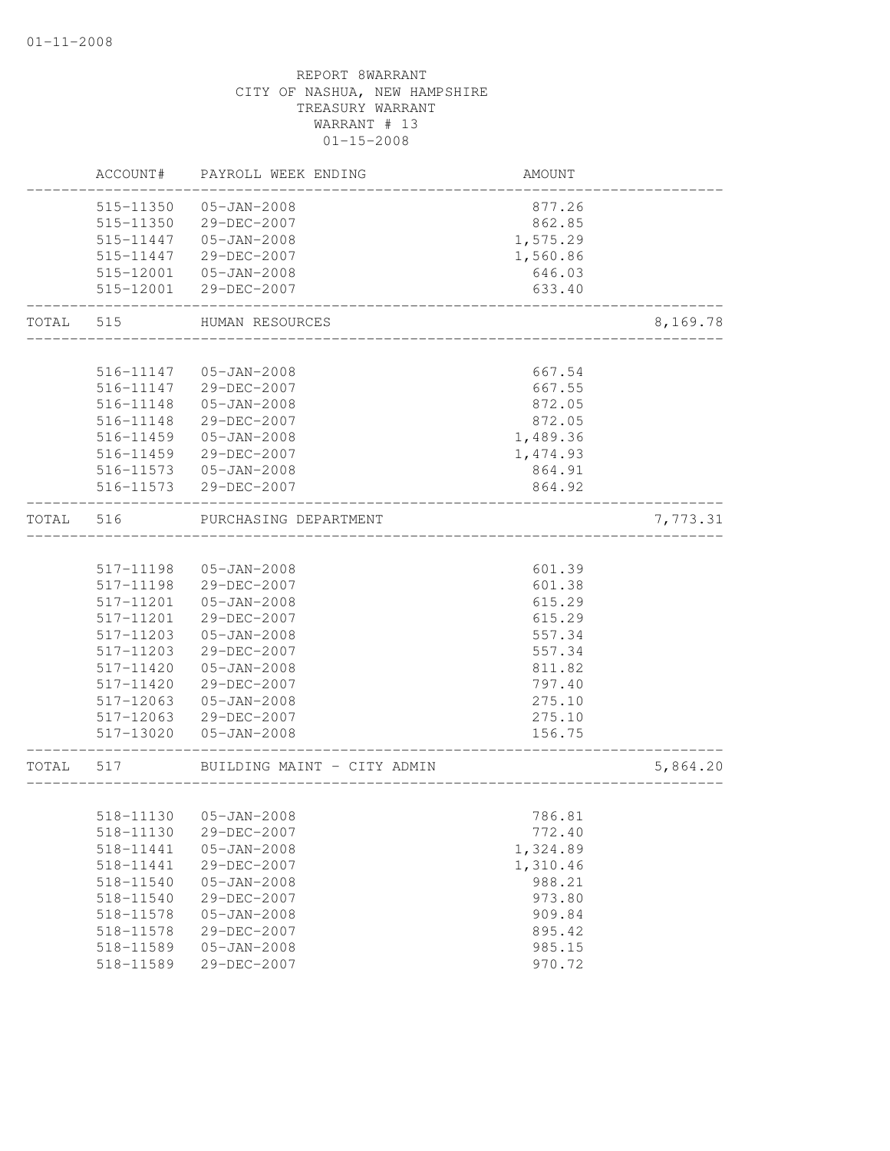|           | ACCOUNT#  | PAYROLL WEEK ENDING         | AMOUNT                             |          |
|-----------|-----------|-----------------------------|------------------------------------|----------|
|           | 515-11350 | $05 - JAN - 2008$           | 877.26                             |          |
|           | 515-11350 | 29-DEC-2007                 | 862.85                             |          |
|           | 515-11447 | $05 - JAN - 2008$           | 1,575.29                           |          |
|           | 515-11447 | 29-DEC-2007                 | 1,560.86                           |          |
|           |           | 515-12001  05-JAN-2008      | 646.03                             |          |
|           | 515-12001 | 29-DEC-2007                 | 633.40                             |          |
| TOTAL     | 515       | HUMAN RESOURCES             | __________________________________ | 8,169.78 |
|           |           |                             |                                    |          |
|           | 516-11147 | $05 - JAN - 2008$           | 667.54                             |          |
|           | 516-11147 | 29-DEC-2007                 | 667.55                             |          |
|           | 516-11148 | 05-JAN-2008                 | 872.05                             |          |
|           | 516-11148 | 29-DEC-2007                 | 872.05                             |          |
|           | 516-11459 | $05 - JAN - 2008$           | 1,489.36                           |          |
|           | 516-11459 | 29-DEC-2007                 | 1,474.93                           |          |
|           |           | 516-11573  05-JAN-2008      | 864.91                             |          |
|           |           | 516-11573 29-DEC-2007       | 864.92                             |          |
| TOTAL 516 |           | PURCHASING DEPARTMENT       |                                    | 7,773.31 |
|           |           |                             |                                    |          |
|           | 517-11198 | $05 - JAN - 2008$           | 601.39                             |          |
|           | 517-11198 | 29-DEC-2007                 | 601.38                             |          |
|           | 517-11201 | $05 - JAN - 2008$           | 615.29                             |          |
|           | 517-11201 | 29-DEC-2007                 | 615.29                             |          |
|           | 517-11203 | $05 - JAN - 2008$           | 557.34                             |          |
|           | 517-11203 | 29-DEC-2007                 | 557.34                             |          |
|           | 517-11420 | $05 - JAN - 2008$           | 811.82                             |          |
|           | 517-11420 | 29-DEC-2007                 | 797.40                             |          |
|           | 517-12063 | $05 - JAN - 2008$           | 275.10                             |          |
|           | 517-12063 | 29-DEC-2007                 | 275.10                             |          |
|           | 517-13020 | 05-JAN-2008                 | 156.75                             |          |
| TOTAL 517 |           | BUILDING MAINT - CITY ADMIN | ____________                       | 5,864.20 |
|           |           |                             |                                    |          |
|           |           | 518-11130  05-JAN-2008      | 786.81                             |          |
|           | 518-11130 | 29-DEC-2007                 | 772.40                             |          |
|           | 518-11441 | $05 - JAN - 2008$           | 1,324.89                           |          |
|           | 518-11441 | 29-DEC-2007                 | 1,310.46                           |          |
|           | 518-11540 | $05 - JAN - 2008$           | 988.21                             |          |
|           | 518-11540 | 29-DEC-2007                 | 973.80                             |          |
|           | 518-11578 | $05 - JAN - 2008$           | 909.84                             |          |
|           | 518-11578 | 29-DEC-2007                 | 895.42                             |          |
|           | 518-11589 | $05 - JAN - 2008$           | 985.15                             |          |
|           | 518-11589 | 29-DEC-2007                 | 970.72                             |          |
|           |           |                             |                                    |          |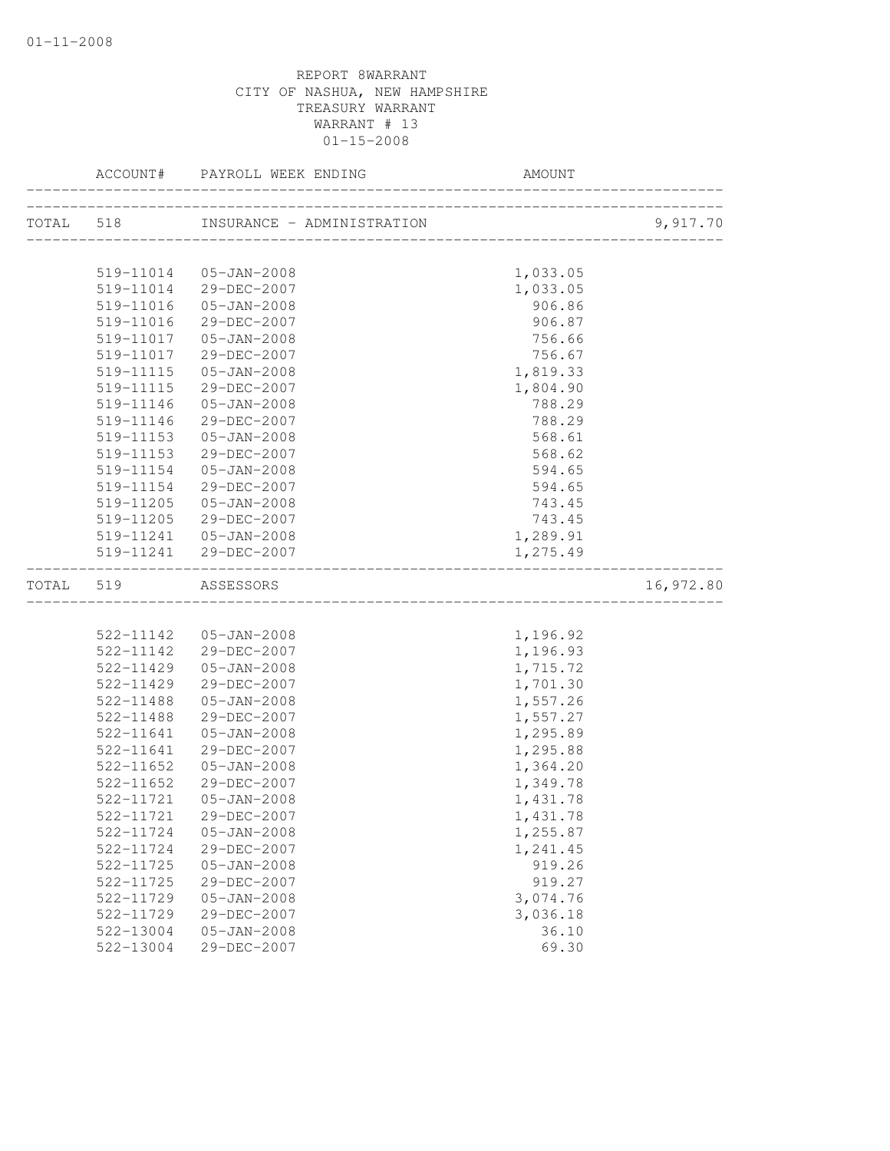|       |           | OLL WEEK ENDING AMOUN<br>ACCOUNT# PAYROLL WEEK ENDING | AMOUNT   |           |
|-------|-----------|-------------------------------------------------------|----------|-----------|
|       |           |                                                       |          | 9,917.70  |
|       |           |                                                       |          |           |
|       | 519-11014 | 05-JAN-2008                                           | 1,033.05 |           |
|       |           | 519-11014 29-DEC-2007                                 | 1,033.05 |           |
|       | 519-11016 | 05-JAN-2008                                           | 906.86   |           |
|       | 519-11016 | 29-DEC-2007                                           | 906.87   |           |
|       | 519-11017 | 05-JAN-2008                                           | 756.66   |           |
|       | 519-11017 | 29-DEC-2007                                           | 756.67   |           |
|       | 519-11115 | 05-JAN-2008                                           | 1,819.33 |           |
|       | 519-11115 | 29-DEC-2007                                           | 1,804.90 |           |
|       | 519-11146 | 05-JAN-2008                                           | 788.29   |           |
|       | 519-11146 | 29-DEC-2007                                           | 788.29   |           |
|       | 519-11153 | 05-JAN-2008                                           | 568.61   |           |
|       | 519-11153 | 29-DEC-2007                                           | 568.62   |           |
|       | 519-11154 | $05 - JAN - 2008$                                     | 594.65   |           |
|       | 519-11154 | 29-DEC-2007                                           | 594.65   |           |
|       | 519-11205 | $05 - JAN - 2008$                                     | 743.45   |           |
|       | 519-11205 | 29-DEC-2007                                           | 743.45   |           |
|       |           | 519-11241  05-JAN-2008                                | 1,289.91 |           |
|       |           | 519-11241 29-DEC-2007                                 | 1,275.49 |           |
| TOTAL | 519       | ASSESSORS                                             |          | 16,972.80 |
|       |           |                                                       |          |           |
|       |           | 522-11142  05-JAN-2008                                | 1,196.92 |           |
|       |           | 522-11142 29-DEC-2007                                 | 1,196.93 |           |
|       | 522-11429 | 05-JAN-2008                                           | 1,715.72 |           |
|       | 522-11429 | 29-DEC-2007                                           | 1,701.30 |           |
|       | 522-11488 | $05 - JAN - 2008$                                     | 1,557.26 |           |
|       | 522-11488 | 29-DEC-2007                                           | 1,557.27 |           |
|       | 522-11641 | $05 - JAN - 2008$                                     | 1,295.89 |           |
|       | 522-11641 | 29-DEC-2007                                           | 1,295.88 |           |
|       | 522-11652 | $05 - JAN - 2008$                                     | 1,364.20 |           |
|       | 522-11652 | 29-DEC-2007                                           | 1,349.78 |           |
|       | 522-11721 | $05 - JAN - 2008$                                     | 1,431.78 |           |
|       | 522-11721 | 29-DEC-2007                                           | 1,431.78 |           |
|       | 522-11724 | $05 - JAN - 2008$                                     | 1,255.87 |           |
|       | 522-11724 | 29-DEC-2007                                           | 1,241.45 |           |
|       | 522-11725 | $05 - JAN - 2008$                                     | 919.26   |           |
|       | 522-11725 | 29-DEC-2007                                           | 919.27   |           |
|       | 522-11729 | $05 - JAN - 2008$                                     | 3,074.76 |           |
|       | 522-11729 | 29-DEC-2007                                           | 3,036.18 |           |
|       | 522-13004 | $05 - JAN - 2008$                                     | 36.10    |           |
|       | 522-13004 | 29-DEC-2007                                           | 69.30    |           |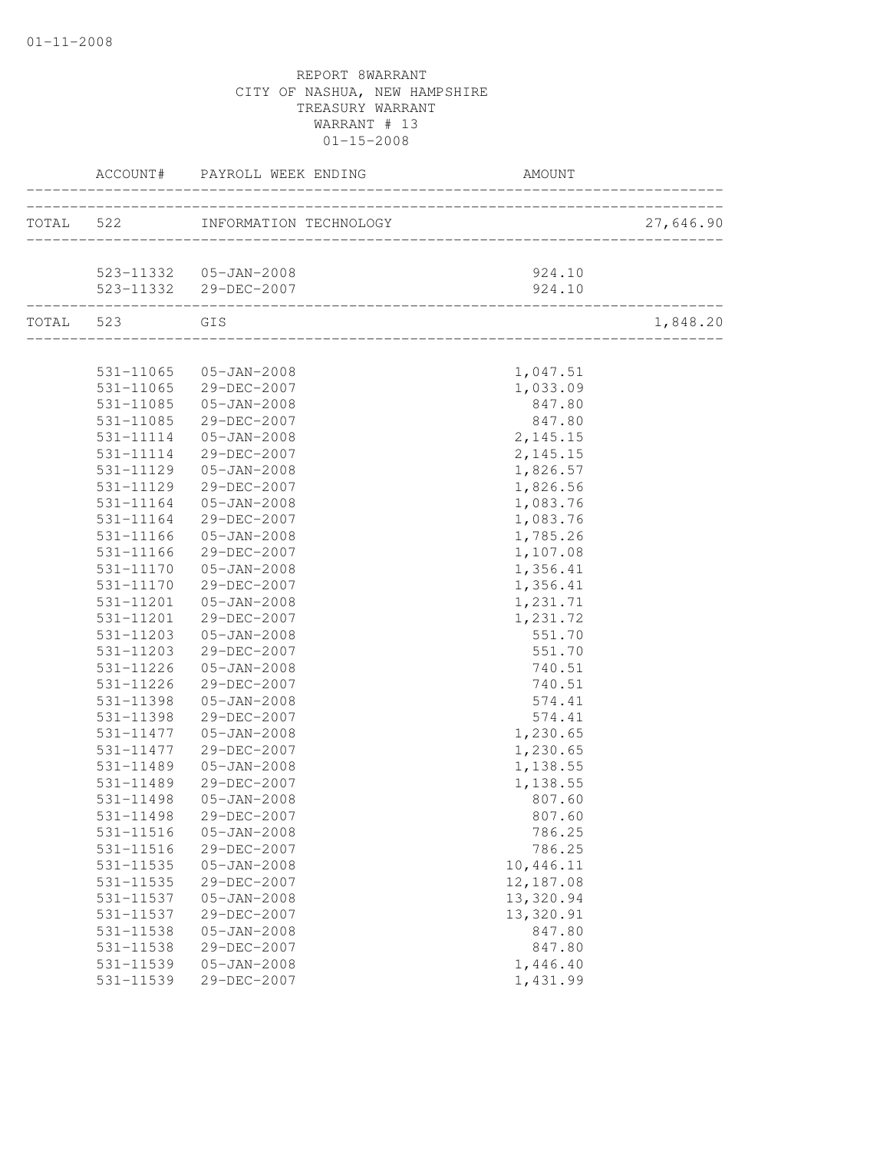|                        | ACCOUNT# PAYROLL WEEK ENDING<br>____________ |                                    |           |
|------------------------|----------------------------------------------|------------------------------------|-----------|
|                        | TOTAL 522 INFORMATION TECHNOLOGY             | __________________________________ | 27,646.90 |
|                        | 523-11332  05-JAN-2008                       | 924.10                             |           |
|                        | 523-11332 29-DEC-2007                        | 924.10                             |           |
| TOTAL 523 GIS          |                                              |                                    | 1,848.20  |
|                        |                                              |                                    |           |
|                        | 531-11065  05-JAN-2008                       | 1,047.51                           |           |
|                        | 531-11065 29-DEC-2007                        | 1,033.09                           |           |
| 531-11085              | 05-JAN-2008                                  | 847.80                             |           |
| 531-11085              | 29-DEC-2007                                  | 847.80                             |           |
| 531-11114              | 05-JAN-2008<br>29-DEC-2007                   | 2,145.15                           |           |
| 531-11114<br>531-11129 | $05 - JAN - 2008$                            | 2,145.15<br>1,826.57               |           |
| 531-11129              | 29-DEC-2007                                  | 1,826.56                           |           |
| 531-11164              | $05 - JAN - 2008$                            | 1,083.76                           |           |
| 531-11164              | 29-DEC-2007                                  | 1,083.76                           |           |
| 531-11166              | 05-JAN-2008                                  | 1,785.26                           |           |
| 531-11166              | 29-DEC-2007                                  | 1,107.08                           |           |
| 531-11170              | 05-JAN-2008                                  | 1,356.41                           |           |
| 531-11170              | 29-DEC-2007                                  | 1,356.41                           |           |
| 531-11201              | $05 - JAN - 2008$                            | 1,231.71                           |           |
| 531-11201              | 29-DEC-2007                                  | 1,231.72                           |           |
| 531-11203              | $05 - JAN - 2008$                            | 551.70                             |           |
| 531-11203              | 29-DEC-2007                                  | 551.70                             |           |
| 531-11226              | $05 - JAN - 2008$                            | 740.51                             |           |
| 531-11226              | 29-DEC-2007                                  | 740.51                             |           |
| 531-11398              | $05 - JAN - 2008$                            | 574.41                             |           |
| 531-11398              | 29-DEC-2007                                  | 574.41                             |           |
| 531-11477              | 05-JAN-2008                                  | 1,230.65                           |           |
| 531-11477              | 29-DEC-2007                                  | 1,230.65                           |           |
| 531-11489              | $05 - JAN - 2008$                            | 1,138.55                           |           |
| 531-11489              | 29-DEC-2007                                  | 1,138.55                           |           |
| 531-11498              | $05 - JAN - 2008$                            | 807.60                             |           |
| 531-11498              | 29-DEC-2007                                  | 807.60                             |           |
| 531-11516              | $05 - JAN - 2008$                            | 786.25                             |           |
| 531-11516              | 29-DEC-2007                                  | 786.25                             |           |
| 531-11535              | $05 - JAN - 2008$                            | 10,446.11                          |           |
| 531-11535              | 29-DEC-2007                                  | 12,187.08                          |           |
| 531-11537              | $05 - JAN - 2008$                            | 13,320.94                          |           |
| 531-11537              | 29-DEC-2007                                  | 13,320.91                          |           |
| 531-11538              | $05 - JAN - 2008$                            | 847.80                             |           |
| 531-11538              | 29-DEC-2007                                  | 847.80                             |           |
| 531-11539              | $05 - JAN - 2008$                            | 1,446.40                           |           |
| 531-11539              | 29-DEC-2007                                  | 1,431.99                           |           |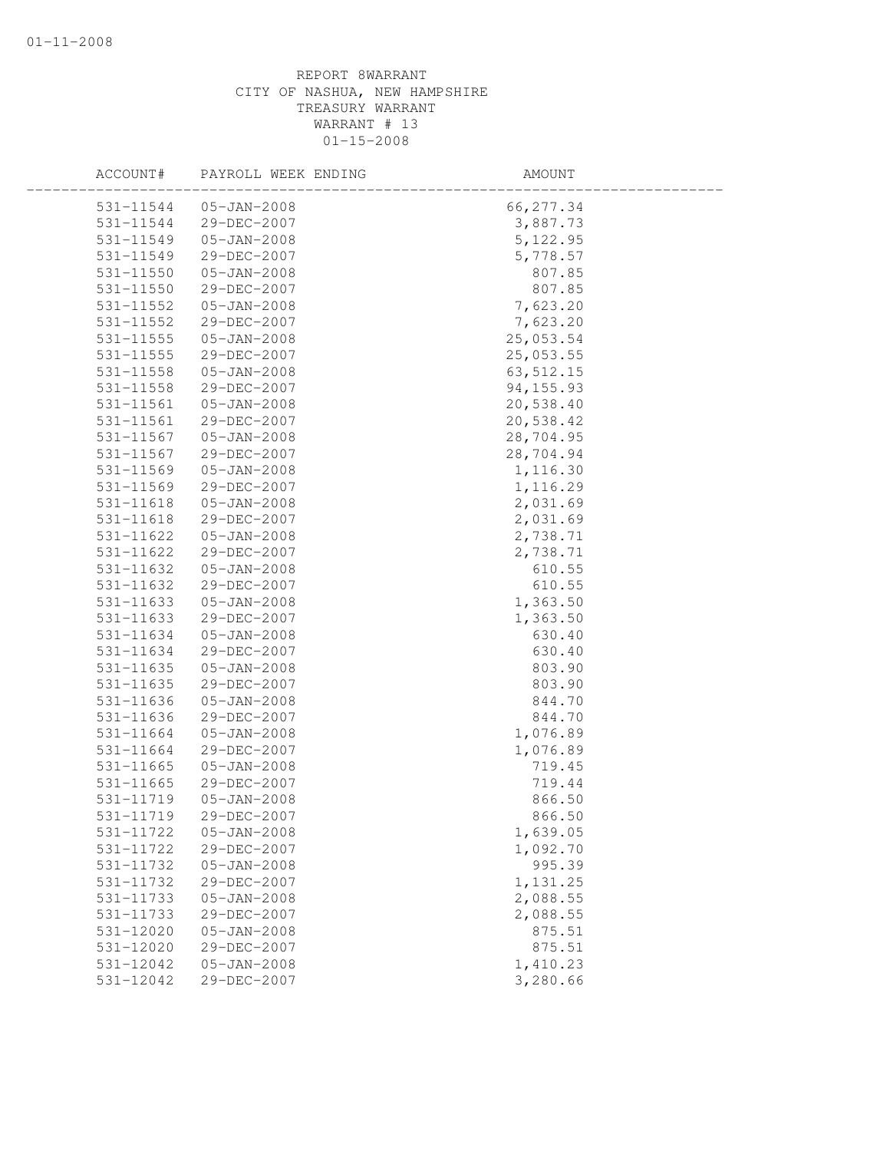| ACCOUNT#      | PAYROLL WEEK ENDING | AMOUNT      |  |
|---------------|---------------------|-------------|--|
| 531-11544     | $05 - JAN - 2008$   | 66, 277.34  |  |
| 531-11544     | 29-DEC-2007         | 3,887.73    |  |
| 531-11549     | $05 - JAN - 2008$   | 5, 122.95   |  |
| 531-11549     | 29-DEC-2007         | 5,778.57    |  |
| 531-11550     | $05 - JAN - 2008$   | 807.85      |  |
| 531-11550     | 29-DEC-2007         | 807.85      |  |
| 531-11552     | $05 - JAN - 2008$   | 7,623.20    |  |
| 531-11552     | 29-DEC-2007         | 7,623.20    |  |
| $531 - 11555$ | $05 - JAN - 2008$   | 25,053.54   |  |
| 531-11555     | 29-DEC-2007         | 25,053.55   |  |
| 531-11558     | $05 - JAN - 2008$   | 63, 512.15  |  |
| 531-11558     | 29-DEC-2007         | 94, 155. 93 |  |
| 531-11561     | $05 - JAN - 2008$   | 20,538.40   |  |
| 531-11561     | 29-DEC-2007         | 20,538.42   |  |
| 531-11567     | $05 - JAN - 2008$   | 28,704.95   |  |
| 531-11567     | 29-DEC-2007         | 28,704.94   |  |
| 531-11569     | $05 - JAN - 2008$   | 1,116.30    |  |
| 531-11569     | 29-DEC-2007         | 1,116.29    |  |
| 531-11618     | $05 - JAN - 2008$   | 2,031.69    |  |
| 531-11618     | 29-DEC-2007         | 2,031.69    |  |
| 531-11622     | $05 - JAN - 2008$   | 2,738.71    |  |
| 531-11622     | 29-DEC-2007         | 2,738.71    |  |
| 531-11632     | $05 - JAN - 2008$   | 610.55      |  |
| 531-11632     | 29-DEC-2007         | 610.55      |  |
| 531-11633     | $05 - JAN - 2008$   | 1,363.50    |  |
| 531-11633     | 29-DEC-2007         | 1,363.50    |  |
| 531-11634     | $05 - JAN - 2008$   | 630.40      |  |
| 531-11634     | 29-DEC-2007         | 630.40      |  |
| 531-11635     | $05 - JAN - 2008$   | 803.90      |  |
| 531-11635     | 29-DEC-2007         | 803.90      |  |
| 531-11636     | $05 - JAN - 2008$   | 844.70      |  |
| 531-11636     | 29-DEC-2007         | 844.70      |  |
| 531-11664     | $05 - JAN - 2008$   | 1,076.89    |  |
| 531-11664     | 29-DEC-2007         | 1,076.89    |  |
| 531-11665     | $05 - JAN - 2008$   | 719.45      |  |
| 531-11665     | 29-DEC-2007         | 719.44      |  |
| 531-11719     | $05 - JAN - 2008$   | 866.50      |  |
| 531-11719     | 29-DEC-2007         | 866.50      |  |
| 531-11722     | $05 - JAN - 2008$   | 1,639.05    |  |
| 531-11722     | 29-DEC-2007         | 1,092.70    |  |
| 531-11732     | $05 - JAN - 2008$   | 995.39      |  |
| 531-11732     | 29-DEC-2007         | 1,131.25    |  |
| 531-11733     | $05 - JAN - 2008$   | 2,088.55    |  |
| 531-11733     | 29-DEC-2007         | 2,088.55    |  |
| 531-12020     | $05 - JAN - 2008$   | 875.51      |  |
| 531-12020     | 29-DEC-2007         | 875.51      |  |
| 531-12042     | $05 - JAN - 2008$   | 1,410.23    |  |
| 531-12042     | 29-DEC-2007         | 3,280.66    |  |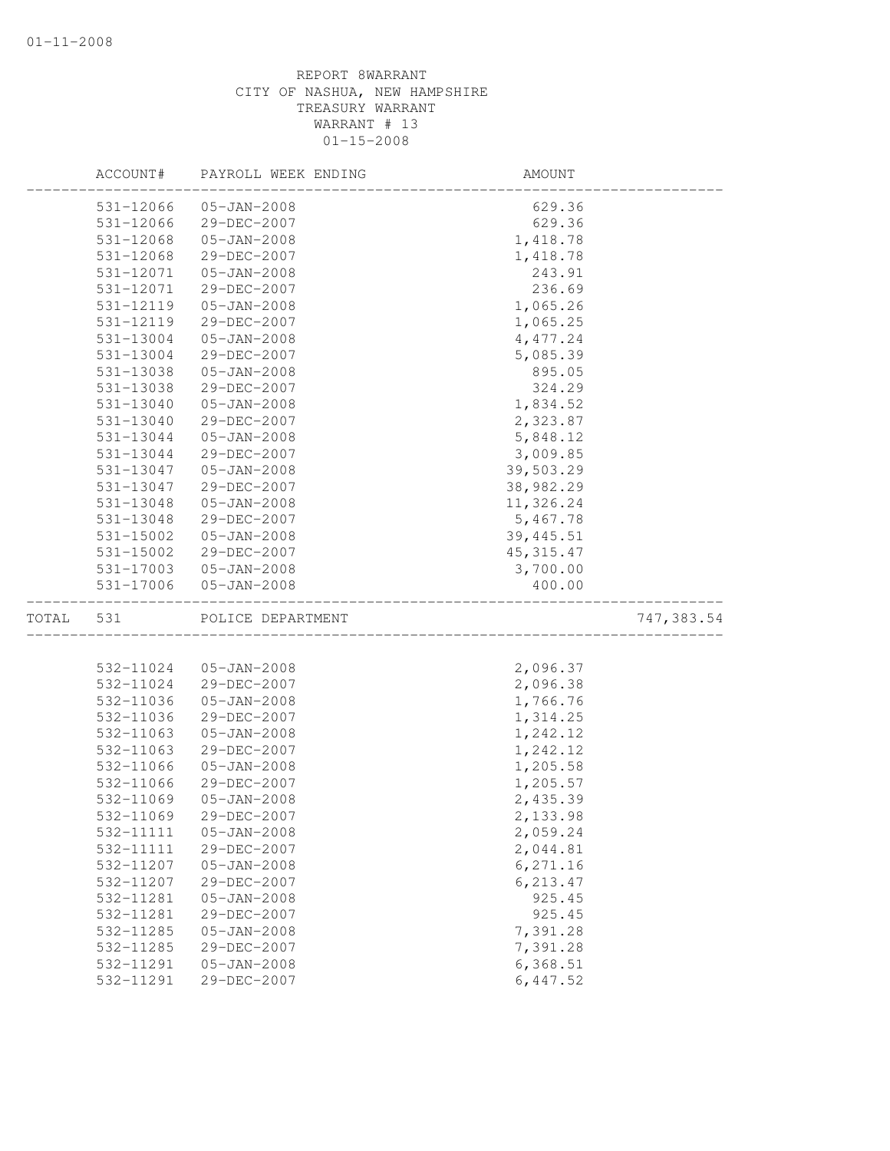|       | ACCOUNT#  | PAYROLL WEEK ENDING | AMOUNT     |             |
|-------|-----------|---------------------|------------|-------------|
|       | 531-12066 | $05 - JAN - 2008$   | 629.36     |             |
|       | 531-12066 | 29-DEC-2007         | 629.36     |             |
|       | 531-12068 | $05 - JAN - 2008$   | 1,418.78   |             |
|       | 531-12068 | 29-DEC-2007         | 1,418.78   |             |
|       | 531-12071 | $05 - JAN - 2008$   | 243.91     |             |
|       | 531-12071 | 29-DEC-2007         | 236.69     |             |
|       | 531-12119 | $05 - JAN - 2008$   | 1,065.26   |             |
|       | 531-12119 | 29-DEC-2007         | 1,065.25   |             |
|       | 531-13004 | $05 - JAN - 2008$   | 4,477.24   |             |
|       | 531-13004 | 29-DEC-2007         | 5,085.39   |             |
|       | 531-13038 | $05 - JAN - 2008$   | 895.05     |             |
|       | 531-13038 | 29-DEC-2007         | 324.29     |             |
|       | 531-13040 | $05 - JAN - 2008$   | 1,834.52   |             |
|       | 531-13040 | 29-DEC-2007         | 2,323.87   |             |
|       | 531-13044 | $05 - JAN - 2008$   | 5,848.12   |             |
|       | 531-13044 | 29-DEC-2007         | 3,009.85   |             |
|       | 531-13047 | $05 - JAN - 2008$   | 39,503.29  |             |
|       | 531-13047 | 29-DEC-2007         | 38,982.29  |             |
|       | 531-13048 | $05 - JAN - 2008$   | 11,326.24  |             |
|       | 531-13048 | 29-DEC-2007         | 5,467.78   |             |
|       | 531-15002 | $05 - JAN - 2008$   | 39, 445.51 |             |
|       | 531-15002 | 29-DEC-2007         | 45, 315.47 |             |
|       | 531-17003 | $05 - JAN - 2008$   | 3,700.00   |             |
|       | 531-17006 | $05 - JAN - 2008$   | 400.00     |             |
| TOTAL | 531       | POLICE DEPARTMENT   |            | 747, 383.54 |
|       |           |                     |            |             |
|       | 532-11024 | $05 - JAN - 2008$   | 2,096.37   |             |
|       | 532-11024 | 29-DEC-2007         | 2,096.38   |             |
|       | 532-11036 | $05 - JAN - 2008$   | 1,766.76   |             |
|       | 532-11036 | 29-DEC-2007         | 1,314.25   |             |
|       | 532-11063 | $05 - JAN - 2008$   | 1,242.12   |             |
|       | 532-11063 | 29-DEC-2007         | 1,242.12   |             |
|       | 532-11066 | $05 - JAN - 2008$   | 1,205.58   |             |
|       | 532-11066 | 29-DEC-2007         | 1,205.57   |             |
|       | 532-11069 | $05 - JAN - 2008$   | 2,435.39   |             |
|       | 532-11069 | $29 - DEC - 2007$   | 2,133.98   |             |
|       | 532-11111 | $05 - JAN - 2008$   | 2,059.24   |             |
|       | 532-11111 | 29-DEC-2007         | 2,044.81   |             |
|       | 532-11207 | $05 - JAN - 2008$   | 6,271.16   |             |
|       | 532-11207 | 29-DEC-2007         | 6, 213.47  |             |
|       | 532-11281 | $05 - JAN - 2008$   | 925.45     |             |
|       | 532-11281 | 29-DEC-2007         | 925.45     |             |
|       | 532-11285 | $05 - JAN - 2008$   | 7,391.28   |             |
|       | 532-11285 | 29-DEC-2007         | 7,391.28   |             |
|       | 532-11291 | $05 - JAN - 2008$   | 6,368.51   |             |
|       | 532-11291 | 29-DEC-2007         | 6, 447.52  |             |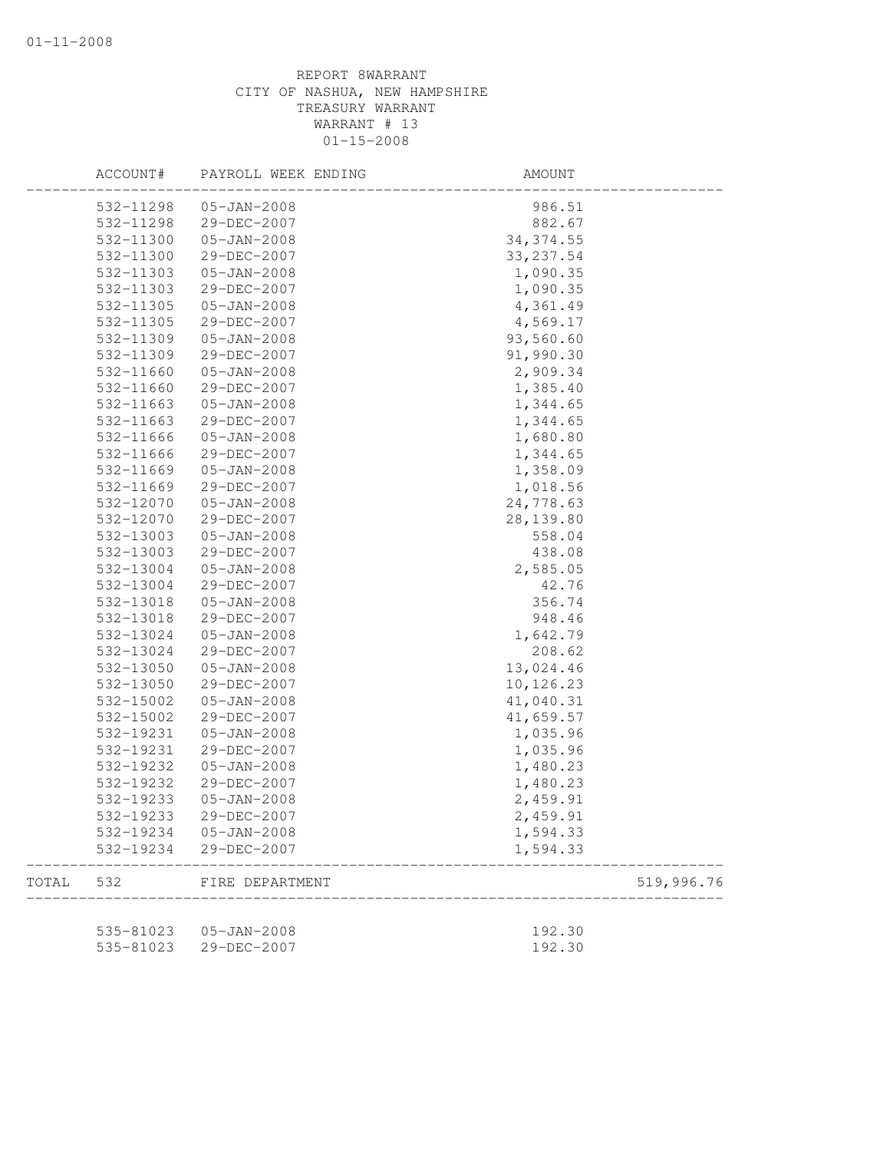|       | ACCOUNT#  | PAYROLL WEEK ENDING | AMOUNT     |            |
|-------|-----------|---------------------|------------|------------|
|       | 532-11298 | $05 - JAN - 2008$   | 986.51     |            |
|       | 532-11298 | 29-DEC-2007         | 882.67     |            |
|       | 532-11300 | $05 - JAN - 2008$   | 34, 374.55 |            |
|       | 532-11300 | 29-DEC-2007         | 33, 237.54 |            |
|       | 532-11303 | $05 - JAN - 2008$   | 1,090.35   |            |
|       | 532-11303 | 29-DEC-2007         | 1,090.35   |            |
|       | 532-11305 | $05 - JAN - 2008$   | 4,361.49   |            |
|       | 532-11305 | 29-DEC-2007         | 4,569.17   |            |
|       | 532-11309 | $05 - JAN - 2008$   | 93,560.60  |            |
|       | 532-11309 | 29-DEC-2007         | 91,990.30  |            |
|       | 532-11660 | $05 - JAN - 2008$   | 2,909.34   |            |
|       | 532-11660 | 29-DEC-2007         | 1,385.40   |            |
|       | 532-11663 | $05 - JAN - 2008$   | 1,344.65   |            |
|       | 532-11663 | 29-DEC-2007         | 1,344.65   |            |
|       | 532-11666 | $05 - JAN - 2008$   | 1,680.80   |            |
|       | 532-11666 | 29-DEC-2007         | 1,344.65   |            |
|       | 532-11669 | $05 - JAN - 2008$   | 1,358.09   |            |
|       | 532-11669 | 29-DEC-2007         | 1,018.56   |            |
|       | 532-12070 | $05 - JAN - 2008$   | 24,778.63  |            |
|       | 532-12070 | 29-DEC-2007         | 28, 139.80 |            |
|       | 532-13003 | $05 - JAN - 2008$   | 558.04     |            |
|       | 532-13003 | 29-DEC-2007         | 438.08     |            |
|       | 532-13004 | $05 - JAN - 2008$   | 2,585.05   |            |
|       | 532-13004 | 29-DEC-2007         | 42.76      |            |
|       | 532-13018 | $05 - JAN - 2008$   | 356.74     |            |
|       | 532-13018 | 29-DEC-2007         | 948.46     |            |
|       | 532-13024 | $05 - JAN - 2008$   | 1,642.79   |            |
|       | 532-13024 | 29-DEC-2007         | 208.62     |            |
|       | 532-13050 | $05 - JAN - 2008$   | 13,024.46  |            |
|       | 532-13050 | 29-DEC-2007         | 10,126.23  |            |
|       | 532-15002 | $05 - JAN - 2008$   | 41,040.31  |            |
|       | 532-15002 | 29-DEC-2007         | 41,659.57  |            |
|       | 532-19231 | $05 - JAN - 2008$   | 1,035.96   |            |
|       | 532-19231 | 29-DEC-2007         | 1,035.96   |            |
|       | 532-19232 | $05 - JAN - 2008$   | 1,480.23   |            |
|       | 532-19232 | 29-DEC-2007         | 1,480.23   |            |
|       | 532-19233 | $05 - JAN - 2008$   | 2,459.91   |            |
|       | 532-19233 | 29-DEC-2007         | 2,459.91   |            |
|       | 532-19234 | $05 - JAN - 2008$   | 1,594.33   |            |
|       | 532-19234 | 29-DEC-2007         | 1,594.33   |            |
| TOTAL | 532       | FIRE DEPARTMENT     |            | 519,996.76 |
|       |           |                     |            |            |
|       | 535-81023 | $05 - JAN - 2008$   | 192.30     |            |
|       | 535-81023 | 29-DEC-2007         | 192.30     |            |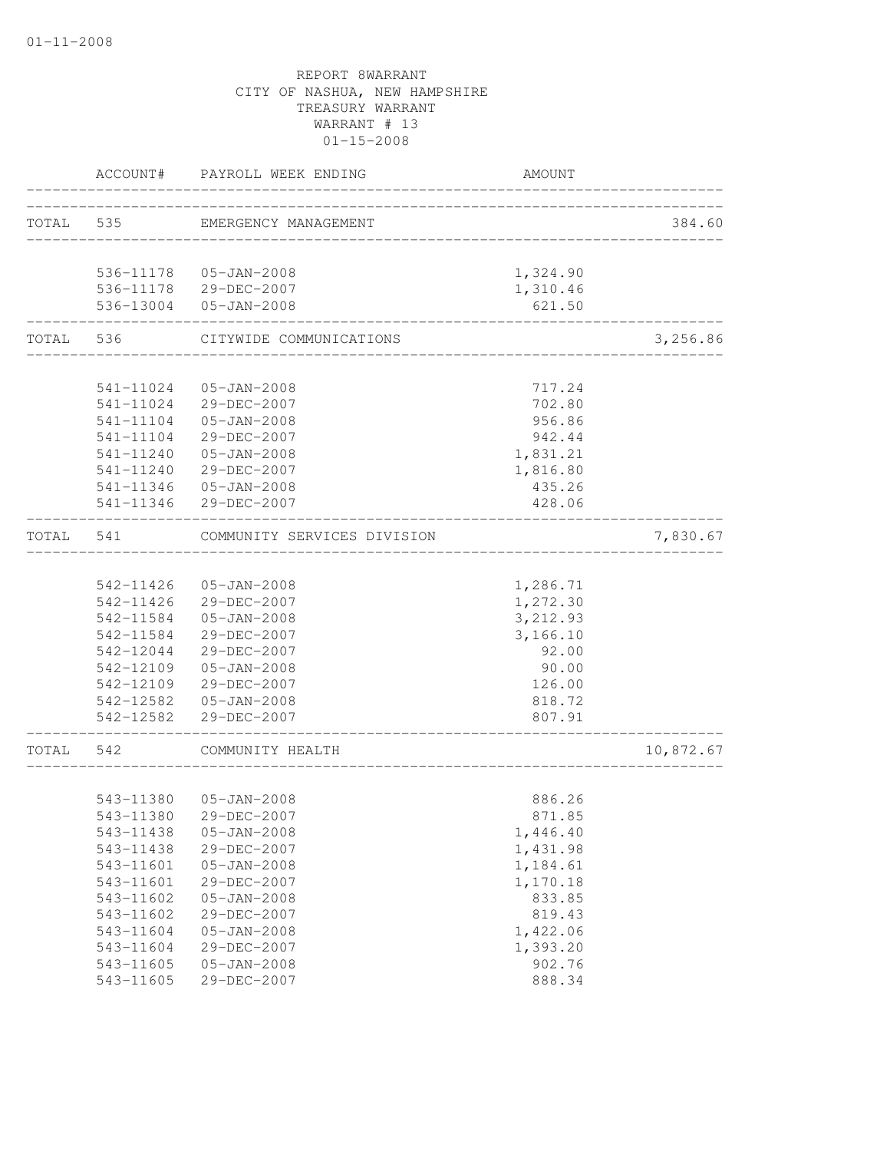|           |                        | ACCOUNT# PAYROLL WEEK ENDING     | AMOUNT               |           |
|-----------|------------------------|----------------------------------|----------------------|-----------|
|           |                        | TOTAL 535 EMERGENCY MANAGEMENT   |                      | 384.60    |
|           |                        | 536-11178  05-JAN-2008           | 1,324.90             |           |
|           |                        | 536-11178 29-DEC-2007            | 1,310.46             |           |
|           |                        | 536-13004 05-JAN-2008            | 621.50               |           |
| TOTAL 536 |                        | CITYWIDE COMMUNICATIONS          |                      | 3,256.86  |
|           |                        |                                  |                      |           |
|           |                        | 541-11024  05-JAN-2008           | 717.24               |           |
|           |                        | 541-11024 29-DEC-2007            | 702.80               |           |
|           |                        | 541-11104  05-JAN-2008           | 956.86               |           |
|           |                        | 541-11104 29-DEC-2007            | 942.44               |           |
|           | 541-11240              | 05-JAN-2008<br>29-DEC-2007       | 1,831.21             |           |
|           | 541-11240<br>541-11346 | 05-JAN-2008                      | 1,816.80<br>435.26   |           |
|           | 541-11346              | 29-DEC-2007                      | 428.06               |           |
| TOTAL 541 |                        | COMMUNITY SERVICES DIVISION      |                      | 7,830.67  |
|           |                        | ____________________             |                      |           |
|           |                        | 542-11426 05-JAN-2008            | 1,286.71             |           |
|           |                        | 542-11426 29-DEC-2007            | 1,272.30             |           |
|           | 542-11584              | 05-JAN-2008                      | 3,212.93             |           |
|           | 542-11584              | 29-DEC-2007                      | 3,166.10             |           |
|           | 542-12044              | 29-DEC-2007                      | 92.00                |           |
|           | 542-12109              | 05-JAN-2008                      | 90.00                |           |
|           | 542-12109              | 29-DEC-2007                      | 126.00               |           |
|           |                        | 542-12582 05-JAN-2008            | 818.72               |           |
|           |                        | 542-12582 29-DEC-2007            | 807.91               |           |
| TOTAL     | 542                    | COMMUNITY HEALTH                 |                      | 10,872.67 |
|           |                        |                                  |                      |           |
|           | 543-11380              | 05-JAN-2008                      | 886.26               |           |
|           | 543-11380              | 29-DEC-2007                      | 871.85               |           |
|           | 543-11438              | $05 - JAN - 2008$                | 1,446.40             |           |
|           | 543-11438              | 29-DEC-2007                      | 1,431.98             |           |
|           | 543-11601<br>543-11601 | $05 - JAN - 2008$<br>29-DEC-2007 | 1,184.61<br>1,170.18 |           |
|           | 543-11602              | $05 - JAN - 2008$                | 833.85               |           |
|           | 543-11602              | 29-DEC-2007                      | 819.43               |           |
|           | 543-11604              | $05 - JAN - 2008$                | 1,422.06             |           |
|           | 543-11604              | 29-DEC-2007                      | 1,393.20             |           |
|           | 543-11605              | $05 - JAN - 2008$                | 902.76               |           |
|           | 543-11605              | 29-DEC-2007                      | 888.34               |           |
|           |                        |                                  |                      |           |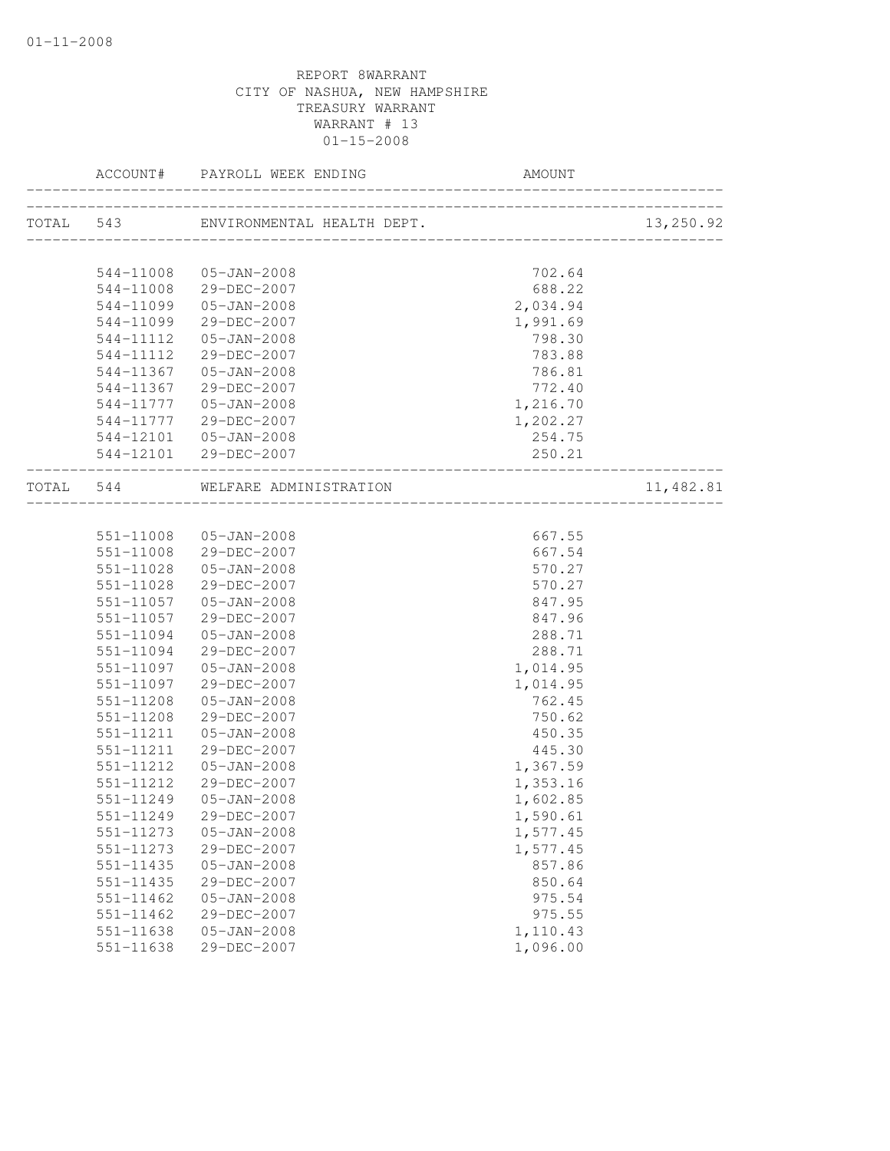|                        | ACCOUNT# PAYROLL WEEK ENDING                                   |                              |           |
|------------------------|----------------------------------------------------------------|------------------------------|-----------|
|                        | TOTAL 543 ENVIRONMENTAL HEALTH DEPT.                           | ____________________________ | 13,250.92 |
|                        |                                                                | 702.64                       |           |
| 544-11008              | 544-11008 05-JAN-2008<br>29-DEC-2007                           | 688.22                       |           |
| 544-11099              | $05 - JAN - 2008$                                              | 2,034.94                     |           |
| 544-11099              | 29-DEC-2007                                                    | 1,991.69                     |           |
| 544-11112              | 05-JAN-2008                                                    | 798.30                       |           |
| 544-11112              | 29-DEC-2007                                                    | 783.88                       |           |
| 544-11367              | 05-JAN-2008                                                    | 786.81                       |           |
| 544-11367              | 29-DEC-2007                                                    | 772.40                       |           |
| 544-11777              | 05-JAN-2008                                                    | 1,216.70                     |           |
| 544-11777              | 29-DEC-2007                                                    | 1,202.27                     |           |
| 544-12101              | $05 - JAN - 2008$                                              | 254.75                       |           |
|                        | 544-12101 29-DEC-2007<br>------------------------------------- | 250.21                       |           |
|                        | TOTAL 544 WELFARE ADMINISTRATION                               |                              | 11,482.81 |
|                        |                                                                |                              |           |
|                        | 551-11008 05-JAN-2008                                          | 667.55                       |           |
|                        | 551-11008 29-DEC-2007                                          | 667.54                       |           |
| 551-11028              | 05-JAN-2008                                                    | 570.27                       |           |
| 551-11028              | 29-DEC-2007                                                    | 570.27                       |           |
| 551-11057              | 05-JAN-2008                                                    | 847.95                       |           |
| 551-11057              | 29-DEC-2007                                                    | 847.96                       |           |
| 551-11094              | 05-JAN-2008                                                    | 288.71                       |           |
| 551-11094              | 29-DEC-2007                                                    | 288.71                       |           |
| 551-11097              | 05-JAN-2008                                                    | 1,014.95                     |           |
| 551-11097              | 29-DEC-2007                                                    | 1,014.95                     |           |
| 551-11208              | $05 - JAN - 2008$                                              | 762.45                       |           |
| 551-11208              | 29-DEC-2007                                                    | 750.62                       |           |
| 551-11211              | 05-JAN-2008                                                    | 450.35                       |           |
| 551-11211<br>551-11212 | 29-DEC-2007<br>$05 - JAN - 2008$                               | 445.30<br>1,367.59           |           |
| 551-11212              | 29-DEC-2007                                                    | 1,353.16                     |           |
| 551-11249              | 05-JAN-2008                                                    | 1,602.85                     |           |
| 551-11249              | 29-DEC-2007                                                    | 1,590.61                     |           |
| 551-11273              | $05 - JAN - 2008$                                              | 1,577.45                     |           |
| 551-11273              | 29-DEC-2007                                                    | 1,577.45                     |           |
| 551-11435              | $05 - JAN - 2008$                                              | 857.86                       |           |
| 551-11435              | 29-DEC-2007                                                    | 850.64                       |           |
| 551-11462              | $05 - JAN - 2008$                                              | 975.54                       |           |
| 551-11462              | 29-DEC-2007                                                    | 975.55                       |           |
| 551-11638              | $05 - JAN - 2008$                                              | 1,110.43                     |           |
| $551 - 11638$          | 29-DEC-2007                                                    | 1,096.00                     |           |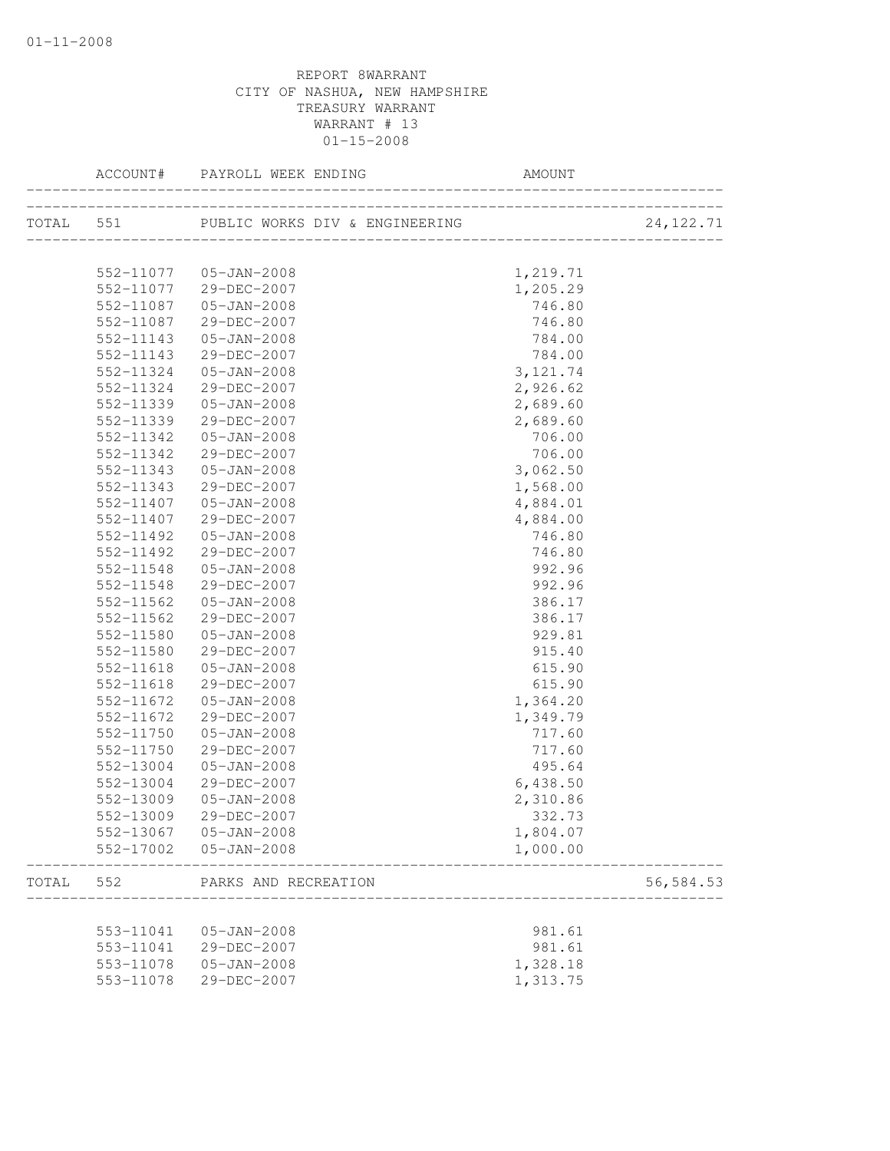|       |           | TOTAL 551 PUBLIC WORKS DIV & ENGINEERING (2011) |           | 24, 122. 71 |
|-------|-----------|-------------------------------------------------|-----------|-------------|
|       |           |                                                 |           |             |
|       |           | 552-11077  05-JAN-2008                          | 1,219.71  |             |
|       |           | 552-11077 29-DEC-2007                           | 1,205.29  |             |
|       | 552-11087 | 05-JAN-2008                                     | 746.80    |             |
|       | 552-11087 | 29-DEC-2007                                     | 746.80    |             |
|       | 552-11143 | 05-JAN-2008                                     | 784.00    |             |
|       | 552-11143 | 29-DEC-2007                                     | 784.00    |             |
|       | 552-11324 | 05-JAN-2008                                     | 3, 121.74 |             |
|       | 552-11324 | 29-DEC-2007                                     | 2,926.62  |             |
|       | 552-11339 | 05-JAN-2008                                     | 2,689.60  |             |
|       | 552-11339 | 29-DEC-2007                                     | 2,689.60  |             |
|       | 552-11342 | 05-JAN-2008                                     | 706.00    |             |
|       | 552-11342 | 29-DEC-2007                                     | 706.00    |             |
|       | 552-11343 | $05 - JAN - 2008$                               | 3,062.50  |             |
|       | 552-11343 | 29-DEC-2007                                     | 1,568.00  |             |
|       | 552-11407 | $05 - JAN - 2008$                               | 4,884.01  |             |
|       | 552-11407 | 29-DEC-2007                                     | 4,884.00  |             |
|       | 552-11492 | $05 - JAN - 2008$                               | 746.80    |             |
|       | 552-11492 | 29-DEC-2007                                     | 746.80    |             |
|       | 552-11548 | $05 - JAN - 2008$                               | 992.96    |             |
|       | 552-11548 | 29-DEC-2007                                     | 992.96    |             |
|       | 552-11562 | 05-JAN-2008                                     | 386.17    |             |
|       | 552-11562 | 29-DEC-2007                                     | 386.17    |             |
|       | 552-11580 | $05 - JAN - 2008$                               | 929.81    |             |
|       | 552-11580 | 29-DEC-2007                                     | 915.40    |             |
|       | 552-11618 | 05-JAN-2008                                     | 615.90    |             |
|       | 552-11618 | 29-DEC-2007                                     | 615.90    |             |
|       | 552-11672 | 05-JAN-2008                                     | 1,364.20  |             |
|       | 552-11672 | 29-DEC-2007                                     | 1,349.79  |             |
|       | 552-11750 | 05-JAN-2008                                     | 717.60    |             |
|       | 552-11750 | 29-DEC-2007                                     | 717.60    |             |
|       | 552-13004 | $05 - JAN - 2008$                               | 495.64    |             |
|       | 552-13004 | 29-DEC-2007                                     | 6,438.50  |             |
|       | 552-13009 | $05 - JAN - 2008$                               | 2,310.86  |             |
|       | 552-13009 | 29-DEC-2007                                     | 332.73    |             |
|       |           | 552-13067 05-JAN-2008                           | 1,804.07  |             |
|       | 552-17002 | $05 - JAN - 2008$                               | 1,000.00  |             |
| TOTAL | 552       | PARKS AND RECREATION                            |           | 56, 584.53  |
|       |           |                                                 |           |             |
|       | 553-11041 | $05 - JAN - 2008$                               | 981.61    |             |
|       | 553-11041 | 29-DEC-2007                                     | 981.61    |             |
|       | 553-11078 | $05 - JAN - 2008$                               | 1,328.18  |             |
|       | 553-11078 | 29-DEC-2007                                     | 1,313.75  |             |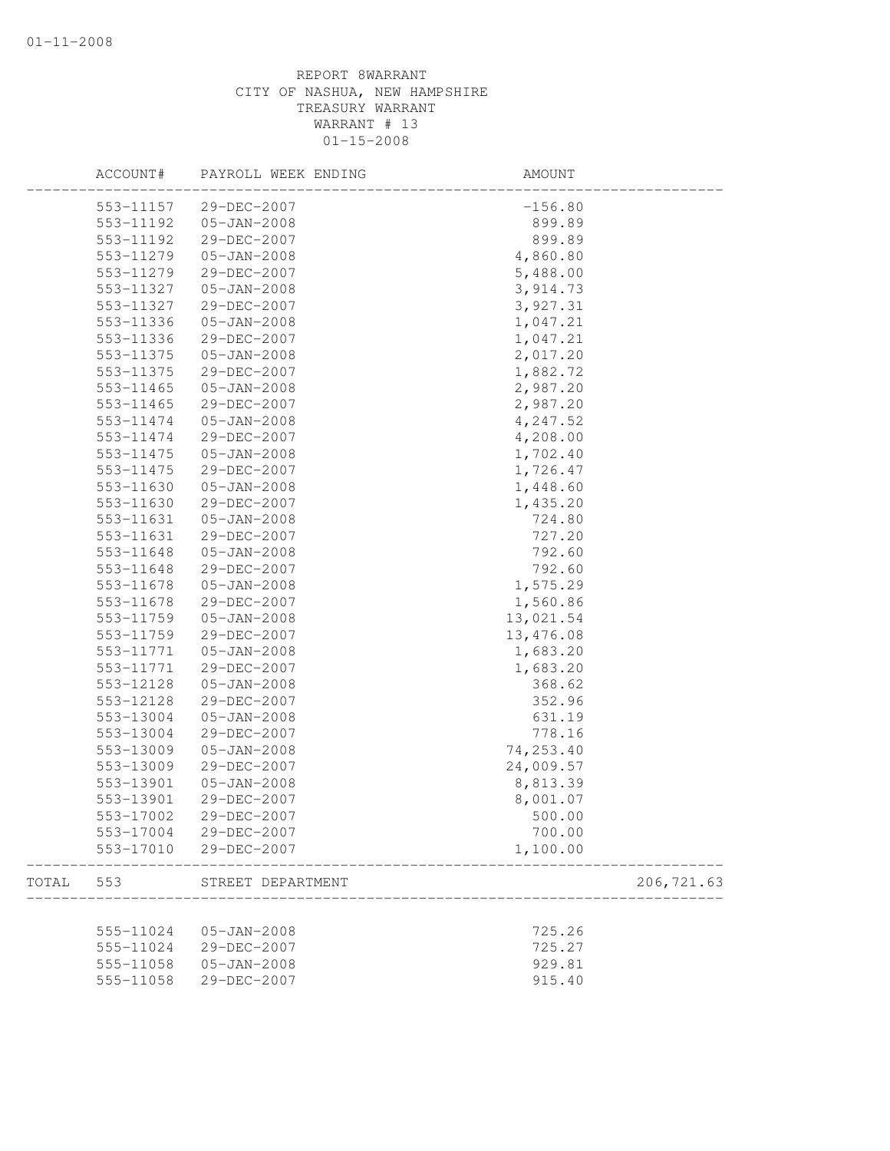|       | ACCOUNT#  | PAYROLL WEEK ENDING | AMOUNT     |
|-------|-----------|---------------------|------------|
|       | 553-11157 | 29-DEC-2007         | $-156.80$  |
|       | 553-11192 | $05 - JAN - 2008$   | 899.89     |
|       | 553-11192 | 29-DEC-2007         | 899.89     |
|       | 553-11279 | $05 - JAN - 2008$   | 4,860.80   |
|       | 553-11279 | 29-DEC-2007         | 5,488.00   |
|       | 553-11327 | $05 - JAN - 2008$   | 3,914.73   |
|       | 553-11327 | 29-DEC-2007         | 3,927.31   |
|       | 553-11336 | $05 - JAN - 2008$   | 1,047.21   |
|       | 553-11336 | 29-DEC-2007         | 1,047.21   |
|       | 553-11375 | $05 - JAN - 2008$   | 2,017.20   |
|       | 553-11375 | 29-DEC-2007         | 1,882.72   |
|       | 553-11465 | 05-JAN-2008         | 2,987.20   |
|       | 553-11465 | 29-DEC-2007         | 2,987.20   |
|       | 553-11474 | $05 - JAN - 2008$   | 4,247.52   |
|       | 553-11474 | 29-DEC-2007         | 4,208.00   |
|       | 553-11475 | $05 - JAN - 2008$   | 1,702.40   |
|       | 553-11475 | 29-DEC-2007         | 1,726.47   |
|       | 553-11630 | $05 - JAN - 2008$   | 1,448.60   |
|       | 553-11630 | 29-DEC-2007         | 1,435.20   |
|       | 553-11631 | $05 - JAN - 2008$   | 724.80     |
|       | 553-11631 | 29-DEC-2007         | 727.20     |
|       | 553-11648 | $05 - JAN - 2008$   | 792.60     |
|       | 553-11648 | 29-DEC-2007         | 792.60     |
|       | 553-11678 | $05 - JAN - 2008$   | 1,575.29   |
|       | 553-11678 | 29-DEC-2007         | 1,560.86   |
|       | 553-11759 | $05 - JAN - 2008$   | 13,021.54  |
|       | 553-11759 | 29-DEC-2007         | 13,476.08  |
|       | 553-11771 | $05 - JAN - 2008$   | 1,683.20   |
|       | 553-11771 | 29-DEC-2007         | 1,683.20   |
|       | 553-12128 | $05 - JAN - 2008$   | 368.62     |
|       | 553-12128 | 29-DEC-2007         | 352.96     |
|       | 553-13004 | $05 - JAN - 2008$   | 631.19     |
|       | 553-13004 | 29-DEC-2007         | 778.16     |
|       | 553-13009 | $05 - JAN - 2008$   | 74,253.40  |
|       | 553-13009 | 29-DEC-2007         | 24,009.57  |
|       | 553-13901 | $05 - JAN - 2008$   | 8,813.39   |
|       | 553-13901 | 29-DEC-2007         | 8,001.07   |
|       | 553-17002 | 29-DEC-2007         | 500.00     |
|       | 553-17004 | 29-DEC-2007         | 700.00     |
|       | 553-17010 | 29-DEC-2007         | 1,100.00   |
|       |           |                     |            |
| TOTAL | 553       | STREET DEPARTMENT   | 206,721.63 |
|       | 555-11024 | $05 - JAN - 2008$   | 725.26     |
|       | 555-11024 | 29-DEC-2007         | 725.27     |
|       | 555-11058 | $05 - JAN - 2008$   | 929.81     |
|       | 555-11058 | 29-DEC-2007         | 915.40     |
|       |           |                     |            |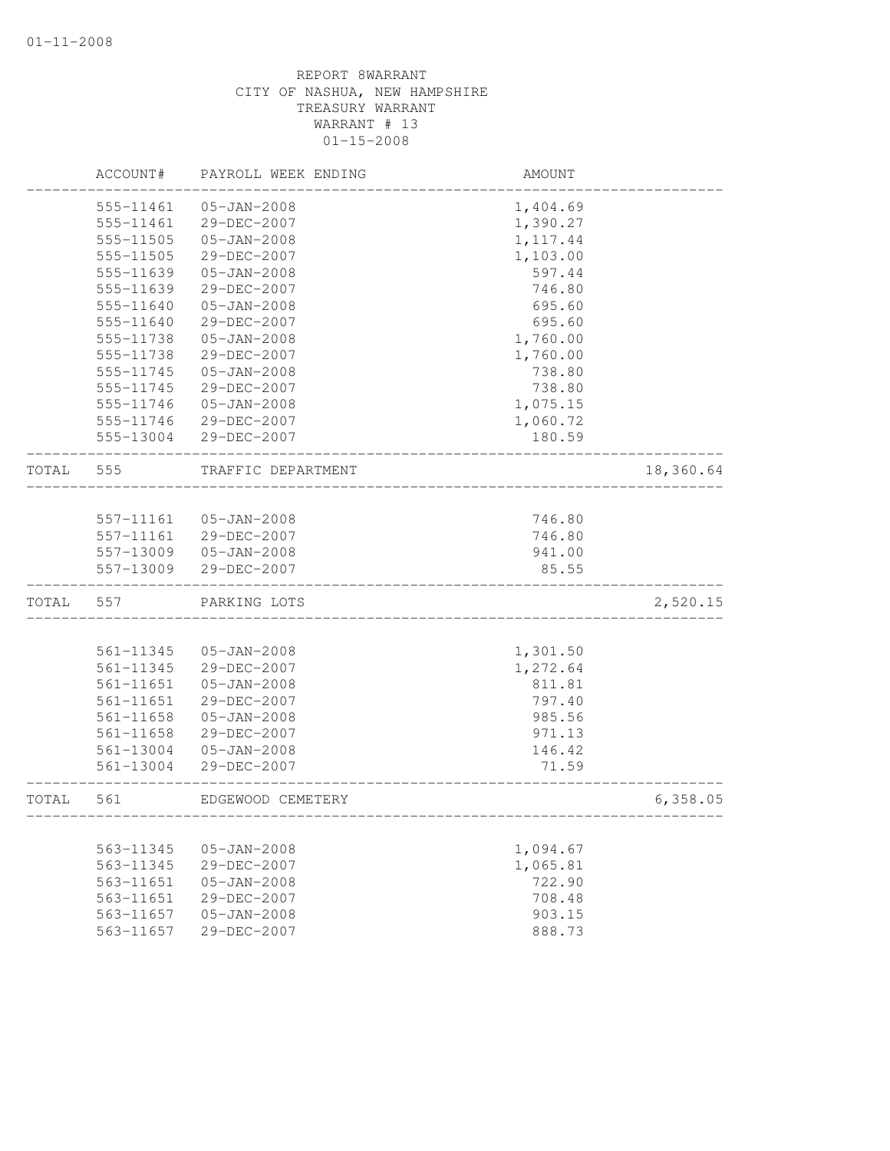|       | ACCOUNT#               | PAYROLL WEEK ENDING              | AMOUNT             |           |
|-------|------------------------|----------------------------------|--------------------|-----------|
|       | 555-11461              | $05 - JAN - 2008$                | 1,404.69           |           |
|       | 555-11461              | 29-DEC-2007                      | 1,390.27           |           |
|       | 555-11505              | $05 - JAN - 2008$                | 1, 117.44          |           |
|       | 555-11505              | 29-DEC-2007                      | 1,103.00           |           |
|       | 555-11639              | $05 - JAN - 2008$                | 597.44             |           |
|       | 555-11639              | 29-DEC-2007                      | 746.80             |           |
|       | 555-11640              | $05 - JAN - 2008$                | 695.60             |           |
|       | 555-11640              | 29-DEC-2007                      | 695.60             |           |
|       | 555-11738              | $05 - JAN - 2008$                | 1,760.00           |           |
|       | 555-11738              | 29-DEC-2007                      | 1,760.00           |           |
|       | 555-11745              | $05 - JAN - 2008$                | 738.80             |           |
|       | 555-11745              | 29-DEC-2007                      | 738.80             |           |
|       | 555-11746              | 05-JAN-2008                      | 1,075.15           |           |
|       | 555-11746              | 29-DEC-2007                      | 1,060.72           |           |
|       |                        | 555-13004 29-DEC-2007            | 180.59             |           |
| TOTAL | 555                    | TRAFFIC DEPARTMENT               |                    | 18,360.64 |
|       |                        |                                  |                    |           |
|       | 557-11161              | 05-JAN-2008                      | 746.80             |           |
|       | 557-11161              | 29-DEC-2007                      | 746.80             |           |
|       |                        | 557-13009 05-JAN-2008            | 941.00             |           |
|       | 557-13009              | 29-DEC-2007                      | 85.55              |           |
| TOTAL | 557                    | PARKING LOTS                     |                    | 2,520.15  |
|       |                        |                                  |                    |           |
|       | 561-11345              | $05 - JAN - 2008$                | 1,301.50           |           |
|       | 561-11345<br>561-11651 | 29-DEC-2007<br>$05 - JAN - 2008$ | 1,272.64<br>811.81 |           |
|       |                        | 29-DEC-2007                      |                    |           |
|       | 561-11651              |                                  | 797.40             |           |
|       | 561-11658<br>561-11658 | $05 - JAN - 2008$<br>29-DEC-2007 | 985.56<br>971.13   |           |
|       |                        | $05 - JAN - 2008$                | 146.42             |           |
|       | 561-13004<br>561-13004 | 29-DEC-2007                      | 71.59              |           |
| TOTAL | 561                    | EDGEWOOD CEMETERY                |                    | 6,358.05  |
|       |                        |                                  |                    |           |
|       | 563-11345              | $05 - JAN - 2008$                | 1,094.67           |           |
|       | 563-11345              | 29-DEC-2007                      | 1,065.81           |           |
|       | 563-11651              | $05 - JAN - 2008$                | 722.90             |           |
|       | 563-11651              | 29-DEC-2007                      | 708.48             |           |
|       | 563-11657              | $05 - JAN - 2008$                | 903.15             |           |
|       | 563-11657              | 29-DEC-2007                      | 888.73             |           |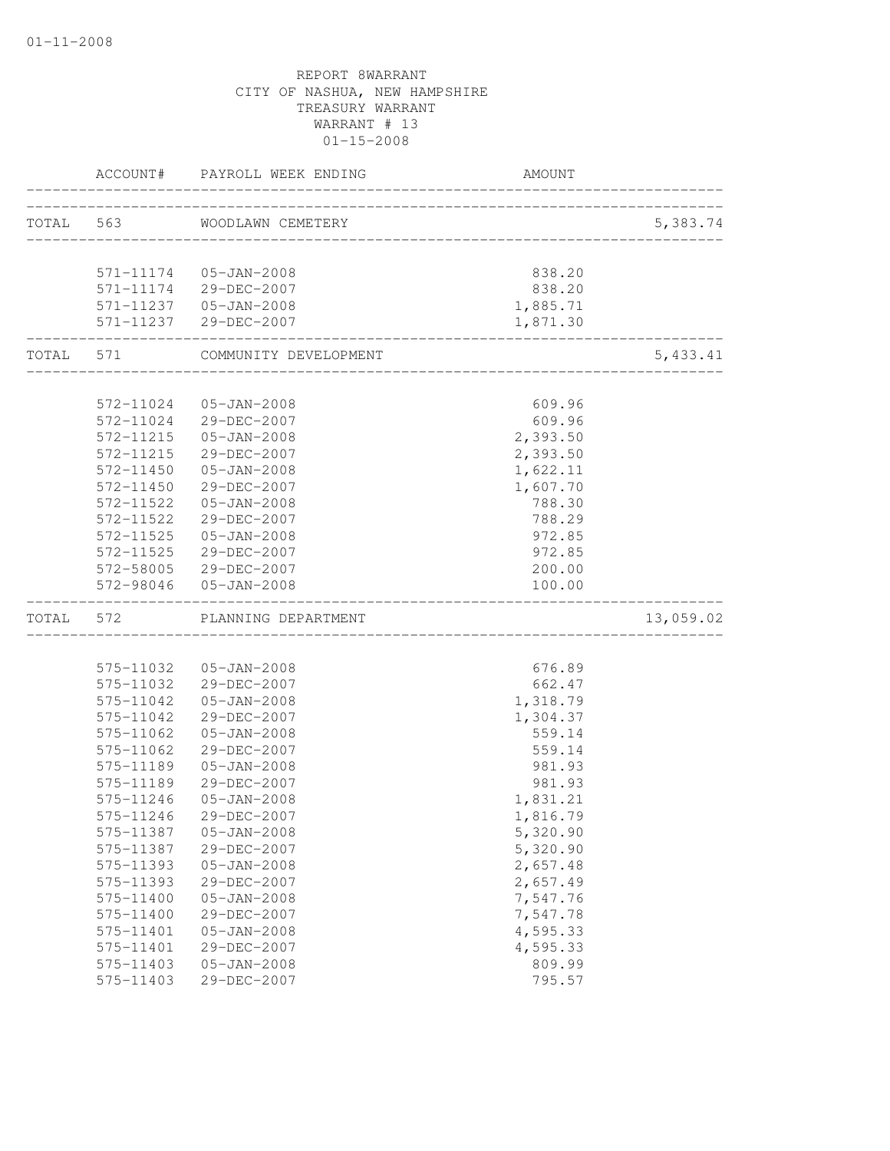|       |           | ACCOUNT# PAYROLL WEEK ENDING    | <b>AMOUNT</b>                                     |           |
|-------|-----------|---------------------------------|---------------------------------------------------|-----------|
|       |           | TOTAL 563 WOODLAWN CEMETERY     |                                                   | 5,383.74  |
|       |           |                                 |                                                   |           |
|       |           | 571-11174  05-JAN-2008          | 838.20                                            |           |
|       |           | 571-11174 29-DEC-2007           | 838.20                                            |           |
|       |           | 571-11237  05-JAN-2008          | 1,885.71                                          |           |
|       |           | 571-11237 29-DEC-2007           | 1,871.30                                          |           |
|       |           | TOTAL 571 COMMUNITY DEVELOPMENT | __________________<br>___________________________ | 5,433.41  |
|       |           |                                 |                                                   |           |
|       |           | 572-11024  05-JAN-2008          | 609.96                                            |           |
|       |           | 572-11024 29-DEC-2007           | 609.96                                            |           |
|       | 572-11215 | 05-JAN-2008                     | 2,393.50                                          |           |
|       | 572-11215 | 29-DEC-2007                     | 2,393.50                                          |           |
|       | 572-11450 | $05 - JAN - 2008$               | 1,622.11                                          |           |
|       | 572-11450 | 29-DEC-2007                     | 1,607.70                                          |           |
|       | 572-11522 | $05 - JAN - 2008$               | 788.30                                            |           |
|       | 572-11522 | 29-DEC-2007                     | 788.29                                            |           |
|       | 572-11525 | $05 - JAN - 2008$               | 972.85                                            |           |
|       |           | 572-11525 29-DEC-2007           | 972.85                                            |           |
|       |           | 572-58005 29-DEC-2007           | 200.00                                            |           |
|       |           | 572-98046 05-JAN-2008           | 100.00                                            |           |
| TOTAL | 572       | PLANNING DEPARTMENT             |                                                   | 13,059.02 |
|       |           |                                 |                                                   |           |
|       |           | 575-11032  05-JAN-2008          | 676.89                                            |           |
|       |           | 575-11032 29-DEC-2007           | 662.47                                            |           |
|       |           | 575-11042  05-JAN-2008          | 1,318.79                                          |           |
|       | 575-11042 | 29-DEC-2007                     | 1,304.37                                          |           |
|       | 575-11062 | 05-JAN-2008                     | 559.14                                            |           |
|       | 575-11062 | 29-DEC-2007                     | 559.14                                            |           |
|       | 575-11189 | $05 - JAN - 2008$               | 981.93                                            |           |
|       | 575-11189 | 29-DEC-2007                     | 981.93                                            |           |
|       | 575-11246 | $05 - JAN - 2008$               | 1,831.21                                          |           |
|       | 575-11246 | 29-DEC-2007                     | 1,816.79                                          |           |
|       | 575-11387 | $05 - JAN - 2008$               | 5,320.90                                          |           |
|       | 575-11387 | 29-DEC-2007                     | 5,320.90                                          |           |
|       | 575-11393 | $05 - JAN - 2008$               | 2,657.48                                          |           |
|       | 575-11393 | 29-DEC-2007                     | 2,657.49                                          |           |
|       | 575-11400 | $05 - JAN - 2008$               | 7,547.76                                          |           |
|       | 575-11400 | 29-DEC-2007                     | 7,547.78                                          |           |
|       | 575-11401 | $05 - JAN - 2008$               | 4,595.33                                          |           |
|       | 575-11401 | 29-DEC-2007                     | 4,595.33                                          |           |
|       | 575-11403 | $05 - JAN - 2008$               | 809.99                                            |           |
|       | 575-11403 | 29-DEC-2007                     | 795.57                                            |           |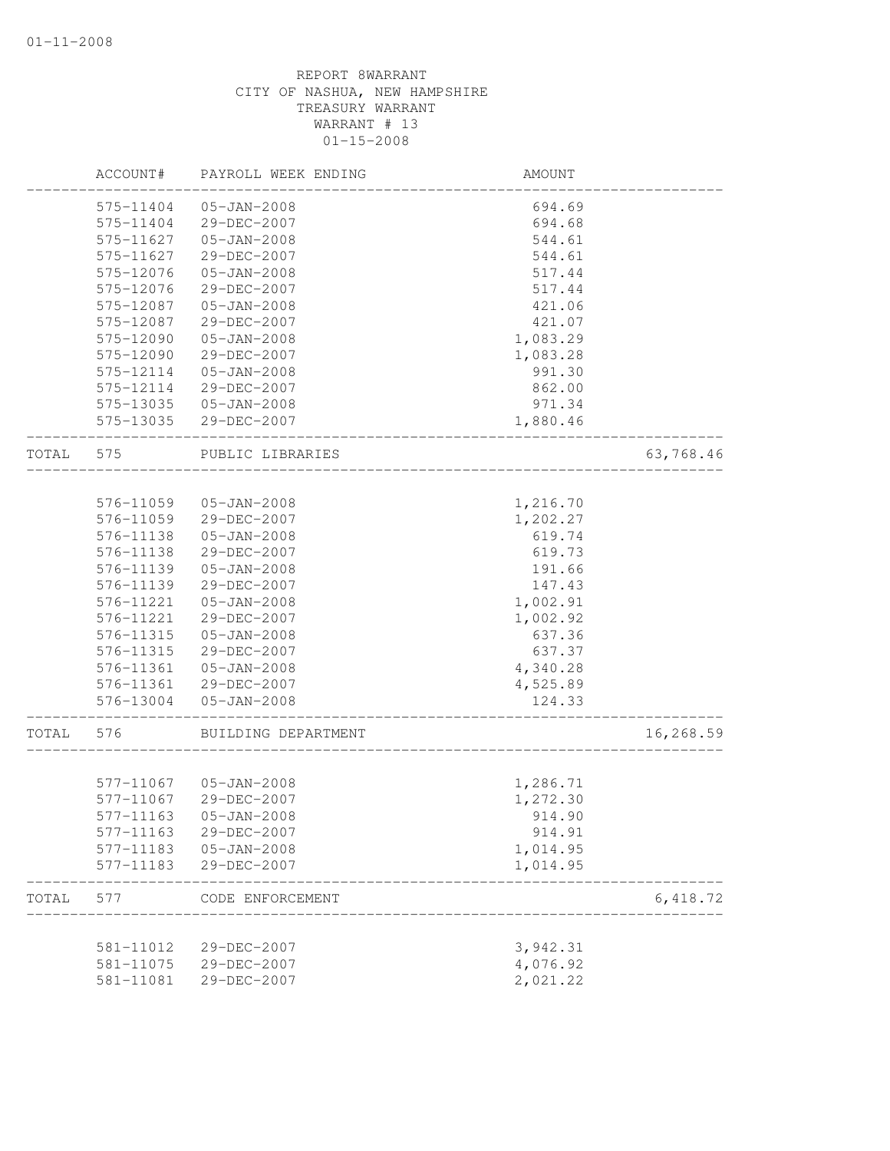|       | ACCOUNT#  | PAYROLL WEEK ENDING | AMOUNT               |           |
|-------|-----------|---------------------|----------------------|-----------|
|       | 575-11404 | $05 - JAN - 2008$   | 694.69               |           |
|       | 575-11404 | 29-DEC-2007         | 694.68               |           |
|       | 575-11627 | $05 - JAN - 2008$   | 544.61               |           |
|       | 575-11627 | 29-DEC-2007         | 544.61               |           |
|       | 575-12076 | $05 - JAN - 2008$   | 517.44               |           |
|       | 575-12076 | 29-DEC-2007         | 517.44               |           |
|       | 575-12087 | $05 - JAN - 2008$   | 421.06               |           |
|       | 575-12087 | 29-DEC-2007         | 421.07               |           |
|       | 575-12090 | $05 - JAN - 2008$   | 1,083.29             |           |
|       | 575-12090 | 29-DEC-2007         | 1,083.28             |           |
|       | 575-12114 | $05 - JAN - 2008$   | 991.30               |           |
|       | 575-12114 | 29-DEC-2007         | 862.00               |           |
|       | 575-13035 | $05 - JAN - 2008$   | 971.34               |           |
|       | 575-13035 | 29-DEC-2007         | 1,880.46             |           |
| TOTAL | 575       | PUBLIC LIBRARIES    |                      | 63,768.46 |
|       |           |                     |                      |           |
|       | 576-11059 | $05 - JAN - 2008$   | 1,216.70             |           |
|       | 576-11059 | 29-DEC-2007         | 1,202.27             |           |
|       | 576-11138 | $05 - JAN - 2008$   | 619.74               |           |
|       | 576-11138 | 29-DEC-2007         | 619.73               |           |
|       | 576-11139 | $05 - JAN - 2008$   | 191.66               |           |
|       | 576-11139 | 29-DEC-2007         | 147.43               |           |
|       | 576-11221 | $05 - JAN - 2008$   | 1,002.91             |           |
|       | 576-11221 | 29-DEC-2007         | 1,002.92             |           |
|       | 576-11315 | $05 - JAN - 2008$   | 637.36               |           |
|       | 576-11315 | 29-DEC-2007         | 637.37               |           |
|       | 576-11361 | $05 - JAN - 2008$   | 4,340.28             |           |
|       | 576-11361 | 29-DEC-2007         | 4,525.89             |           |
|       | 576-13004 | $05 - JAN - 2008$   | 124.33               |           |
| TOTAL | 576       | BUILDING DEPARTMENT |                      | 16,268.59 |
|       | 577-11067 | $05 - JAN - 2008$   | 1,286.71             |           |
|       | 577-11067 | 29-DEC-2007         | 1,272.30             |           |
|       | 577-11163 | $05 - JAN - 2008$   | 914.90               |           |
|       | 577-11163 | 29-DEC-2007         | 914.91               |           |
|       | 577-11183 | $05 - JAN - 2008$   |                      |           |
|       | 577-11183 | 29-DEC-2007         | 1,014.95<br>1,014.95 |           |
|       |           |                     |                      |           |
| TOTAL | 577       | CODE ENFORCEMENT    |                      | 6,418.72  |
|       | 581-11012 | 29-DEC-2007         | 3,942.31             |           |
|       | 581-11075 | 29-DEC-2007         | 4,076.92             |           |
|       | 581-11081 | 29-DEC-2007         | 2,021.22             |           |
|       |           |                     |                      |           |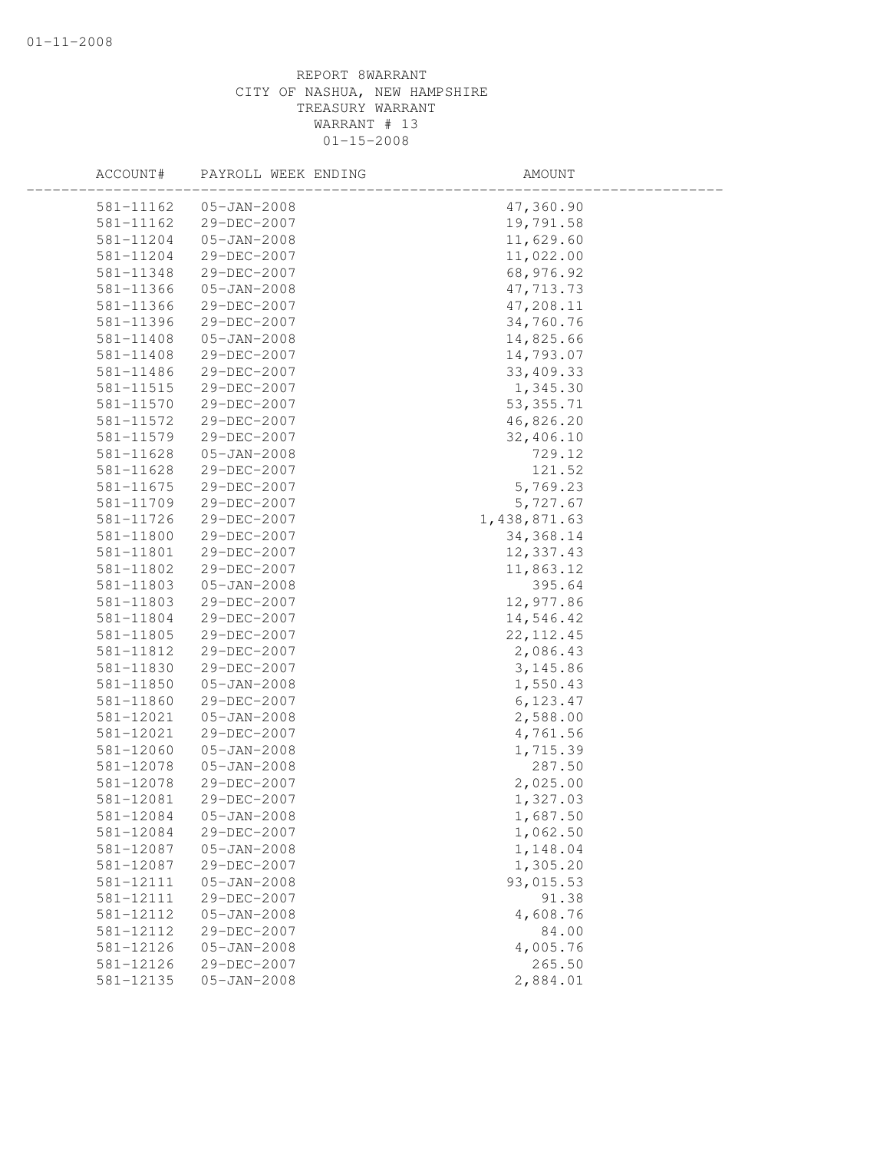| ACCOUNT#  | PAYROLL WEEK ENDING | AMOUNT       |  |
|-----------|---------------------|--------------|--|
| 581-11162 | $05 - JAN - 2008$   | 47,360.90    |  |
| 581-11162 | 29-DEC-2007         | 19,791.58    |  |
| 581-11204 | $05 - JAN - 2008$   | 11,629.60    |  |
| 581-11204 | 29-DEC-2007         | 11,022.00    |  |
| 581-11348 | 29-DEC-2007         | 68,976.92    |  |
| 581-11366 | $05 - JAN - 2008$   | 47,713.73    |  |
| 581-11366 | 29-DEC-2007         | 47,208.11    |  |
| 581-11396 | 29-DEC-2007         | 34,760.76    |  |
| 581-11408 | $05 - JAN - 2008$   | 14,825.66    |  |
| 581-11408 | 29-DEC-2007         | 14,793.07    |  |
| 581-11486 | 29-DEC-2007         | 33,409.33    |  |
| 581-11515 | 29-DEC-2007         | 1,345.30     |  |
| 581-11570 | 29-DEC-2007         | 53, 355.71   |  |
| 581-11572 | 29-DEC-2007         | 46,826.20    |  |
| 581-11579 | 29-DEC-2007         | 32,406.10    |  |
| 581-11628 | $05 - JAN - 2008$   | 729.12       |  |
| 581-11628 | 29-DEC-2007         | 121.52       |  |
| 581-11675 | 29-DEC-2007         | 5,769.23     |  |
| 581-11709 | 29-DEC-2007         | 5,727.67     |  |
| 581-11726 | 29-DEC-2007         | 1,438,871.63 |  |
| 581-11800 | 29-DEC-2007         | 34, 368.14   |  |
| 581-11801 | 29-DEC-2007         | 12,337.43    |  |
| 581-11802 | 29-DEC-2007         | 11,863.12    |  |
| 581-11803 | $05 - JAN - 2008$   | 395.64       |  |
| 581-11803 | 29-DEC-2007         | 12,977.86    |  |
| 581-11804 | 29-DEC-2007         | 14,546.42    |  |
| 581-11805 | 29-DEC-2007         | 22, 112.45   |  |
| 581-11812 | 29-DEC-2007         | 2,086.43     |  |
| 581-11830 | 29-DEC-2007         | 3, 145.86    |  |
| 581-11850 | $05 - JAN - 2008$   | 1,550.43     |  |
| 581-11860 | 29-DEC-2007         | 6, 123.47    |  |
| 581-12021 | $05 - JAN - 2008$   | 2,588.00     |  |
| 581-12021 | 29-DEC-2007         | 4,761.56     |  |
| 581-12060 | $05 - JAN - 2008$   | 1,715.39     |  |
| 581-12078 | $05 - JAN - 2008$   | 287.50       |  |
| 581-12078 | 29-DEC-2007         | 2,025.00     |  |
| 581-12081 | 29-DEC-2007         | 1,327.03     |  |
| 581-12084 | $05 - JAN - 2008$   | 1,687.50     |  |
| 581-12084 | 29-DEC-2007         | 1,062.50     |  |
| 581-12087 | $05 - JAN - 2008$   | 1,148.04     |  |
| 581-12087 | 29-DEC-2007         | 1,305.20     |  |
| 581-12111 | $05 - JAN - 2008$   | 93,015.53    |  |
| 581-12111 | 29-DEC-2007         | 91.38        |  |
| 581-12112 | $05 - JAN - 2008$   | 4,608.76     |  |
| 581-12112 | 29-DEC-2007         | 84.00        |  |
| 581-12126 | $05 - JAN - 2008$   | 4,005.76     |  |
| 581-12126 | 29-DEC-2007         | 265.50       |  |
| 581-12135 | $05 - JAN - 2008$   | 2,884.01     |  |
|           |                     |              |  |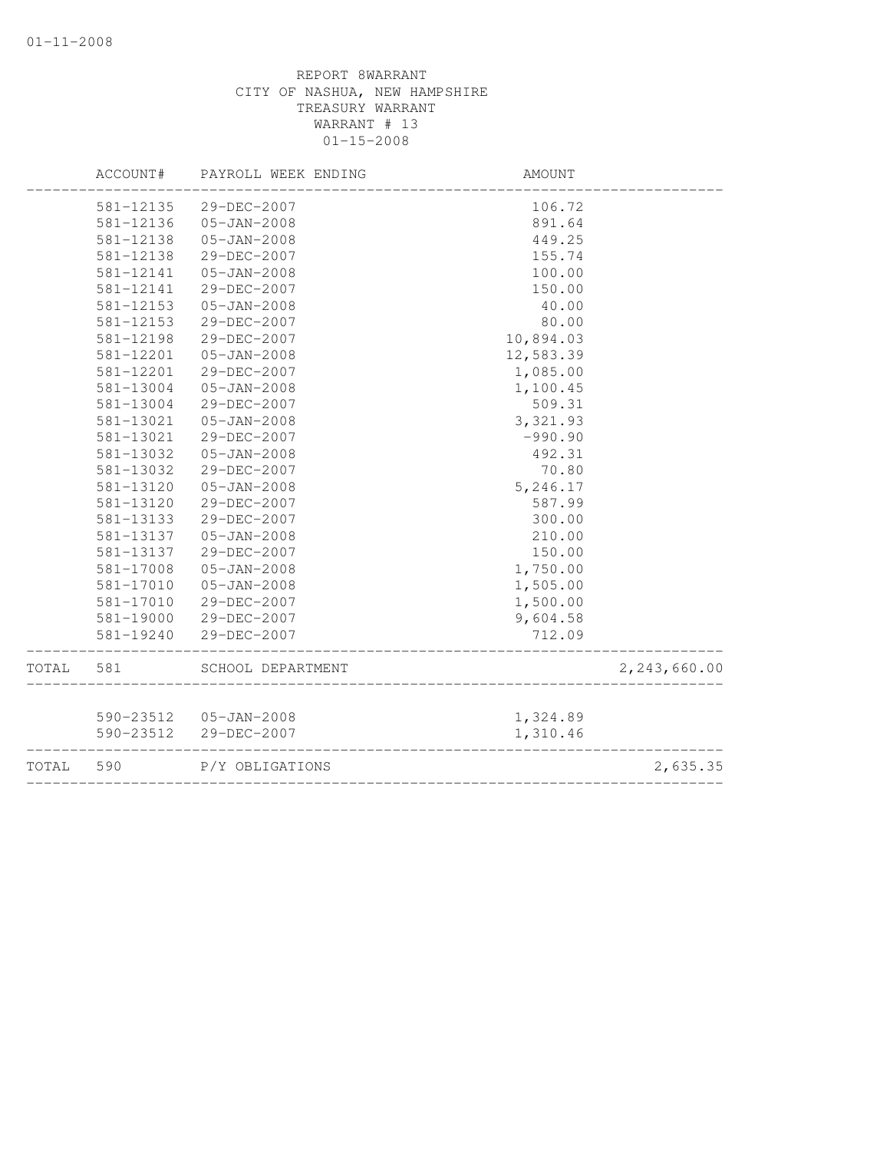|       | ACCOUNT#  | PAYROLL WEEK ENDING    | AMOUNT    |              |
|-------|-----------|------------------------|-----------|--------------|
|       | 581-12135 | 29-DEC-2007            | 106.72    |              |
|       | 581-12136 | $05 - JAN - 2008$      | 891.64    |              |
|       | 581-12138 | $05 - JAN - 2008$      | 449.25    |              |
|       | 581-12138 | 29-DEC-2007            | 155.74    |              |
|       | 581-12141 | $05 - JAN - 2008$      | 100.00    |              |
|       | 581-12141 | 29-DEC-2007            | 150.00    |              |
|       | 581-12153 | $05 - JAN - 2008$      | 40.00     |              |
|       | 581-12153 | 29-DEC-2007            | 80.00     |              |
|       | 581-12198 | 29-DEC-2007            | 10,894.03 |              |
|       | 581-12201 | $05 - JAN - 2008$      | 12,583.39 |              |
|       | 581-12201 | 29-DEC-2007            | 1,085.00  |              |
|       | 581-13004 | $05 - JAN - 2008$      | 1,100.45  |              |
|       | 581-13004 | 29-DEC-2007            | 509.31    |              |
|       | 581-13021 | $05 - JAN - 2008$      | 3,321.93  |              |
|       | 581-13021 | 29-DEC-2007            | $-990.90$ |              |
|       | 581-13032 | $05 - JAN - 2008$      | 492.31    |              |
|       | 581-13032 | 29-DEC-2007            | 70.80     |              |
|       | 581-13120 | $05 - JAN - 2008$      | 5,246.17  |              |
|       | 581-13120 | 29-DEC-2007            | 587.99    |              |
|       | 581-13133 | 29-DEC-2007            | 300.00    |              |
|       | 581-13137 | $05 - JAN - 2008$      | 210.00    |              |
|       | 581-13137 | 29-DEC-2007            | 150.00    |              |
|       | 581-17008 | $05 - JAN - 2008$      | 1,750.00  |              |
|       | 581-17010 | $05 - JAN - 2008$      | 1,505.00  |              |
|       | 581-17010 | 29-DEC-2007            | 1,500.00  |              |
|       | 581-19000 | 29-DEC-2007            | 9,604.58  |              |
|       | 581-19240 | 29-DEC-2007            | 712.09    |              |
| TOTAL | 581       | SCHOOL DEPARTMENT      |           | 2,243,660.00 |
|       |           |                        |           |              |
|       |           | 590-23512  05-JAN-2008 | 1,324.89  |              |
|       | 590-23512 | 29-DEC-2007            | 1,310.46  |              |
| TOTAL | 590       | P/Y OBLIGATIONS        |           | 2,635.35     |
|       |           |                        |           |              |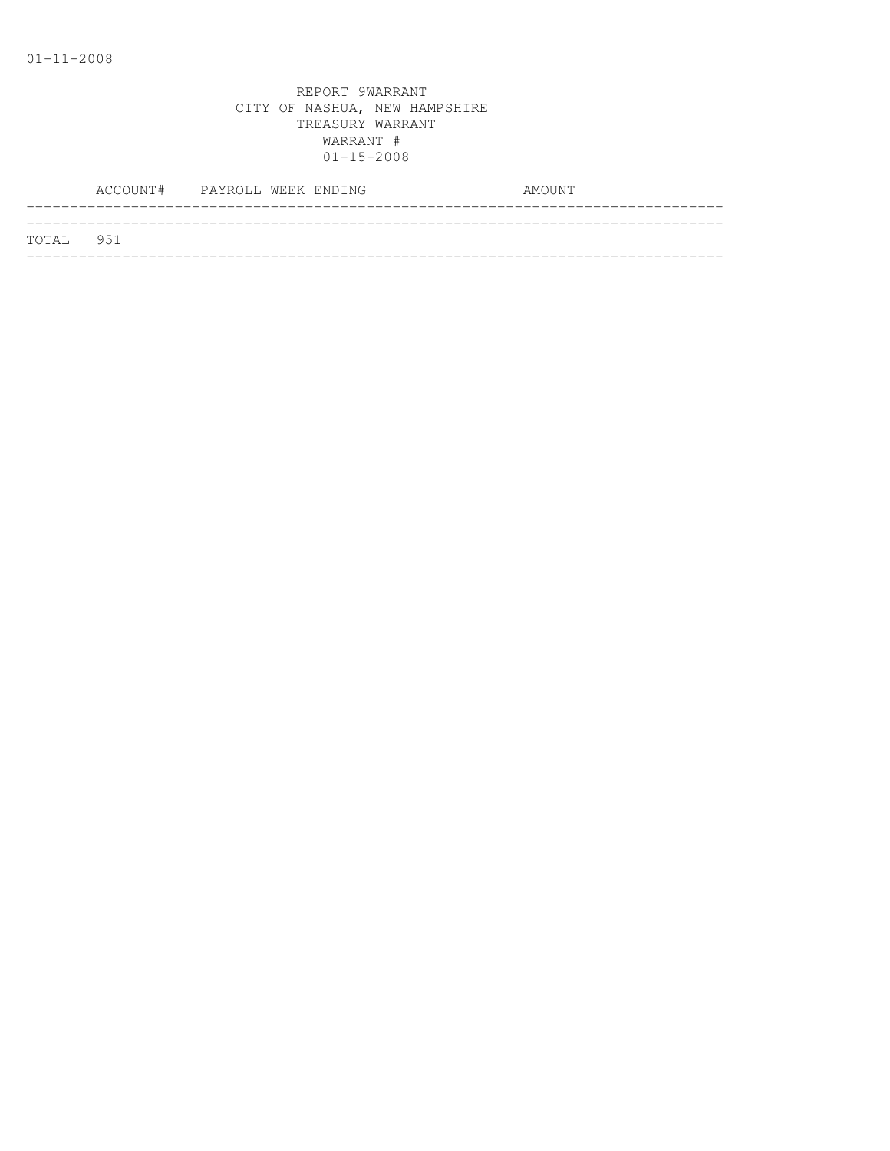|           | ACCOUNT# PAYROLL WEEK ENDING |  |  | AMOUNT |
|-----------|------------------------------|--|--|--------|
| TOTAL 951 |                              |  |  |        |
|           |                              |  |  |        |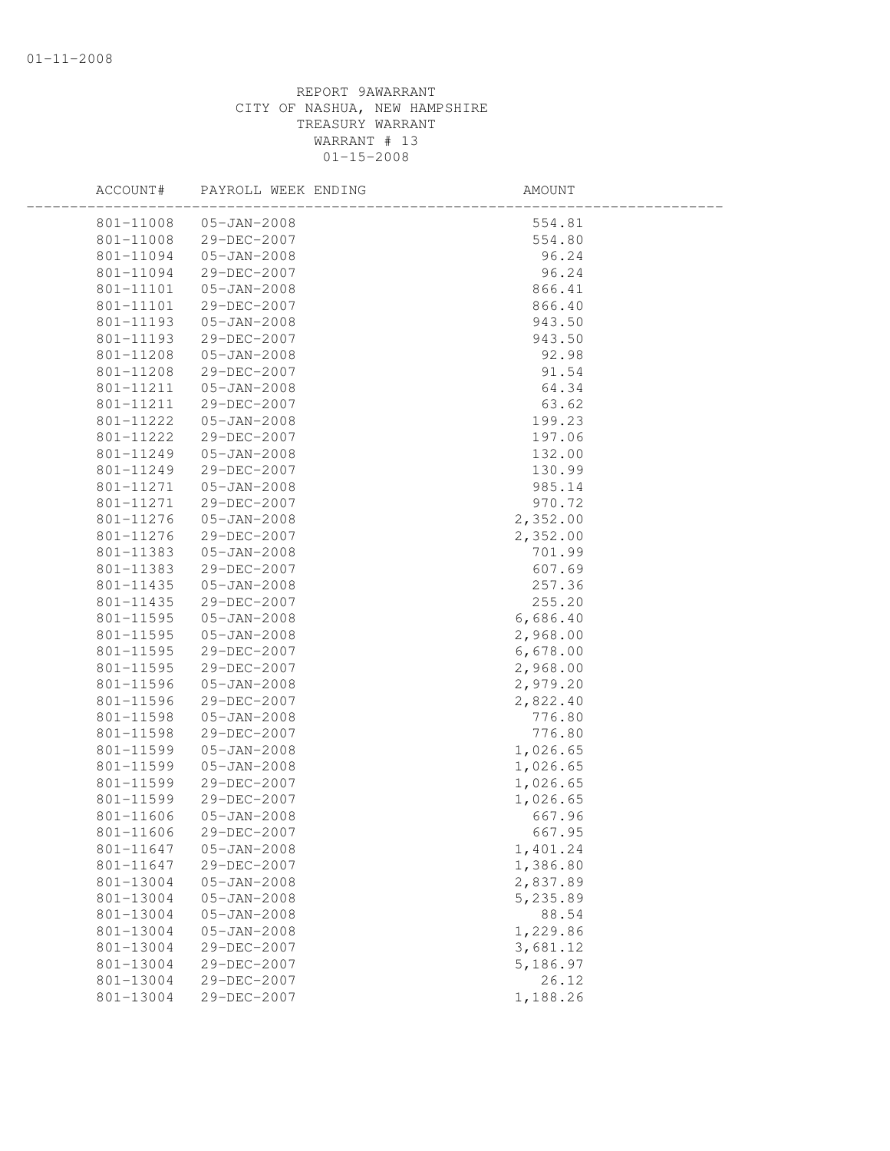| ACCOUNT#  | PAYROLL WEEK ENDING | AMOUNT   |  |
|-----------|---------------------|----------|--|
| 801-11008 | 05-JAN-2008         | 554.81   |  |
| 801-11008 | 29-DEC-2007         | 554.80   |  |
| 801-11094 | $05 - JAN - 2008$   | 96.24    |  |
| 801-11094 | 29-DEC-2007         | 96.24    |  |
| 801-11101 | $05 - JAN - 2008$   | 866.41   |  |
| 801-11101 | 29-DEC-2007         | 866.40   |  |
| 801-11193 | $05 - JAN - 2008$   | 943.50   |  |
| 801-11193 | 29-DEC-2007         | 943.50   |  |
| 801-11208 | 05-JAN-2008         | 92.98    |  |
| 801-11208 | 29-DEC-2007         | 91.54    |  |
| 801-11211 | 05-JAN-2008         | 64.34    |  |
| 801-11211 | 29-DEC-2007         | 63.62    |  |
| 801-11222 | $05 - JAN - 2008$   | 199.23   |  |
| 801-11222 | 29-DEC-2007         | 197.06   |  |
| 801-11249 | $05 - JAN - 2008$   | 132.00   |  |
| 801-11249 | 29-DEC-2007         | 130.99   |  |
| 801-11271 | $05 - JAN - 2008$   | 985.14   |  |
| 801-11271 | 29-DEC-2007         | 970.72   |  |
| 801-11276 | 05-JAN-2008         | 2,352.00 |  |
| 801-11276 | 29-DEC-2007         | 2,352.00 |  |
| 801-11383 | 05-JAN-2008         | 701.99   |  |
| 801-11383 | 29-DEC-2007         | 607.69   |  |
| 801-11435 | $05 - JAN - 2008$   | 257.36   |  |
| 801-11435 | 29-DEC-2007         | 255.20   |  |
| 801-11595 | $05 - JAN - 2008$   | 6,686.40 |  |
| 801-11595 | $05 - JAN - 2008$   | 2,968.00 |  |
| 801-11595 | 29-DEC-2007         | 6,678.00 |  |
| 801-11595 | 29-DEC-2007         | 2,968.00 |  |
| 801-11596 | $05 - JAN - 2008$   | 2,979.20 |  |
| 801-11596 | 29-DEC-2007         | 2,822.40 |  |
| 801-11598 | $05 - JAN - 2008$   | 776.80   |  |
| 801-11598 | 29-DEC-2007         | 776.80   |  |
| 801-11599 | $05 - JAN - 2008$   | 1,026.65 |  |
| 801-11599 | $05 - JAN - 2008$   | 1,026.65 |  |
| 801-11599 | 29-DEC-2007         | 1,026.65 |  |
| 801-11599 | 29-DEC-2007         | 1,026.65 |  |
| 801-11606 | $05 - JAN - 2008$   | 667.96   |  |
| 801-11606 | 29-DEC-2007         | 667.95   |  |
| 801-11647 | $05 - JAN - 2008$   | 1,401.24 |  |
| 801-11647 | 29-DEC-2007         | 1,386.80 |  |
| 801-13004 | $05 - JAN - 2008$   | 2,837.89 |  |
| 801-13004 | $05 - JAN - 2008$   | 5,235.89 |  |
| 801-13004 | $05 - JAN - 2008$   | 88.54    |  |
| 801-13004 | $05 - JAN - 2008$   | 1,229.86 |  |
| 801-13004 | 29-DEC-2007         | 3,681.12 |  |
| 801-13004 | 29-DEC-2007         | 5,186.97 |  |
| 801-13004 | 29-DEC-2007         | 26.12    |  |
| 801-13004 | 29-DEC-2007         | 1,188.26 |  |
|           |                     |          |  |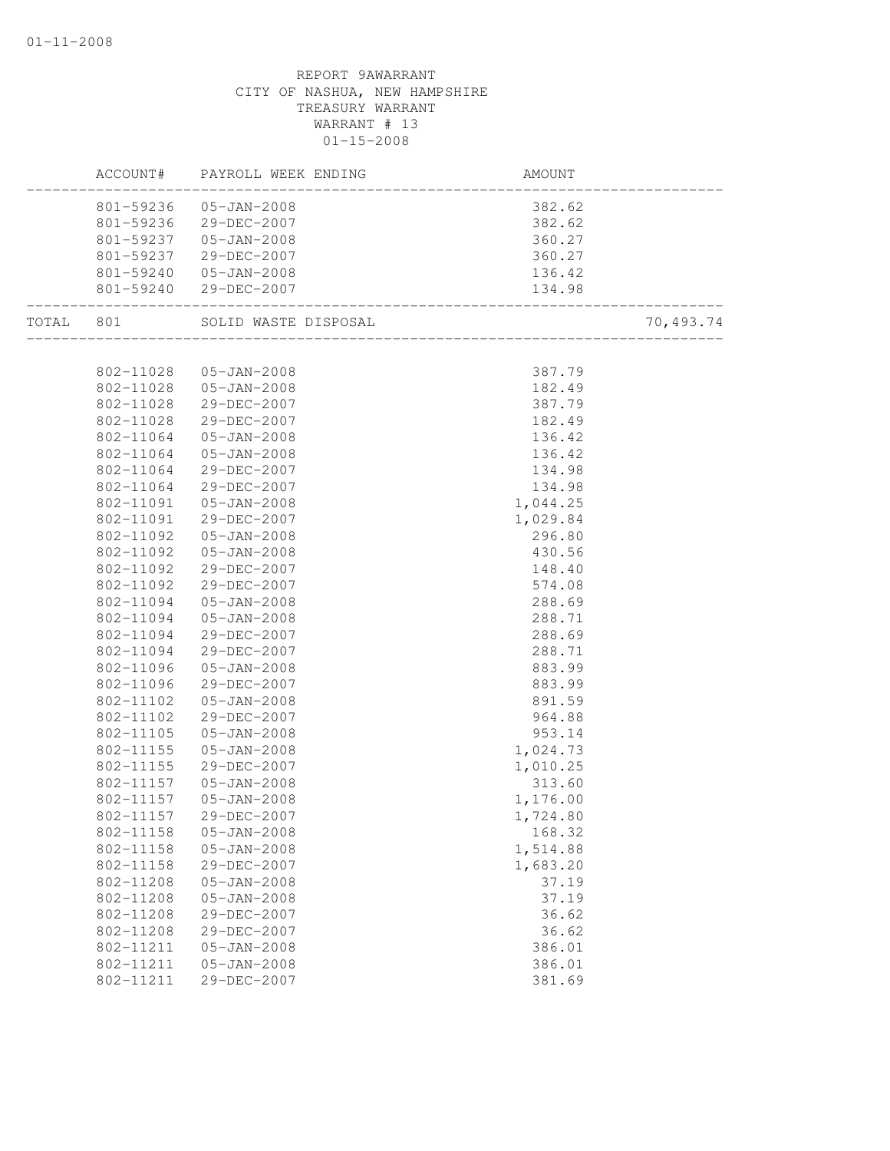|           | ACCOUNT#               | PAYROLL WEEK ENDING        | AMOUNT           |           |
|-----------|------------------------|----------------------------|------------------|-----------|
|           |                        | 801-59236 05-JAN-2008      | 382.62           |           |
|           |                        | 801-59236 29-DEC-2007      | 382.62           |           |
|           |                        | 801-59237 05-JAN-2008      | 360.27           |           |
|           | 801-59237              | 29-DEC-2007                | 360.27           |           |
|           | 801-59240              | $05 - JAN - 2008$          | 136.42           |           |
|           | 801-59240              | 29-DEC-2007                |                  |           |
| TOTAL 801 |                        | SOLID WASTE DISPOSAL       |                  | 70,493.74 |
|           |                        |                            |                  |           |
|           | 802-11028              | 05-JAN-2008                | 387.79           |           |
|           | 802-11028              | 05-JAN-2008                | 182.49           |           |
|           | 802-11028              | 29-DEC-2007                | 387.79           |           |
|           | 802-11028              | 29-DEC-2007                | 182.49           |           |
|           | 802-11064              | 05-JAN-2008                | 136.42           |           |
|           | 802-11064              | $05 - JAN - 2008$          | 136.42           |           |
|           | 802-11064              | 29-DEC-2007                | 134.98           |           |
|           | 802-11064              | 29-DEC-2007                | 134.98           |           |
|           | 802-11091              | 05-JAN-2008                | 1,044.25         |           |
|           | 802-11091<br>802-11092 | 29-DEC-2007                | 1,029.84         |           |
|           | 802-11092              | 05-JAN-2008                | 296.80           |           |
|           | 802-11092              | 05-JAN-2008<br>29-DEC-2007 | 430.56<br>148.40 |           |
|           | 802-11092              | 29-DEC-2007                | 574.08           |           |
|           | 802-11094              | $05 - JAN - 2008$          | 288.69           |           |
|           | 802-11094              | $05 - JAN - 2008$          | 288.71           |           |
|           | 802-11094              | 29-DEC-2007                | 288.69           |           |
|           | 802-11094              | 29-DEC-2007                | 288.71           |           |
|           | 802-11096              | 05-JAN-2008                | 883.99           |           |
|           | 802-11096              | 29-DEC-2007                | 883.99           |           |
|           | 802-11102              | 05-JAN-2008                | 891.59           |           |
|           | 802-11102              | 29-DEC-2007                | 964.88           |           |
|           | 802-11105              | $05 - JAN - 2008$          | 953.14           |           |
|           | 802-11155              | $05 - JAN - 2008$          | 1,024.73         |           |
|           | 802-11155              | 29-DEC-2007                | 1,010.25         |           |
|           | 802-11157              | 05-JAN-2008                | 313.60           |           |
|           | 802-11157              | 05-JAN-2008                | 1,176.00         |           |
|           | 802-11157              | 29-DEC-2007                | 1,724.80         |           |
|           | 802-11158              | $05 - JAN - 2008$          | 168.32           |           |
|           | 802-11158              | $05 - JAN - 2008$          | 1,514.88         |           |
|           | 802-11158              | 29-DEC-2007                | 1,683.20         |           |
|           | 802-11208              | $05 - JAN - 2008$          | 37.19            |           |
|           | 802-11208              | $05 - JAN - 2008$          | 37.19            |           |
|           | 802-11208              | 29-DEC-2007                | 36.62            |           |
|           | 802-11208              | 29-DEC-2007                | 36.62            |           |
|           | 802-11211              | $05 - JAN - 2008$          | 386.01           |           |
|           | 802-11211              | $05 - JAN - 2008$          | 386.01           |           |
|           | 802-11211              | 29-DEC-2007                | 381.69           |           |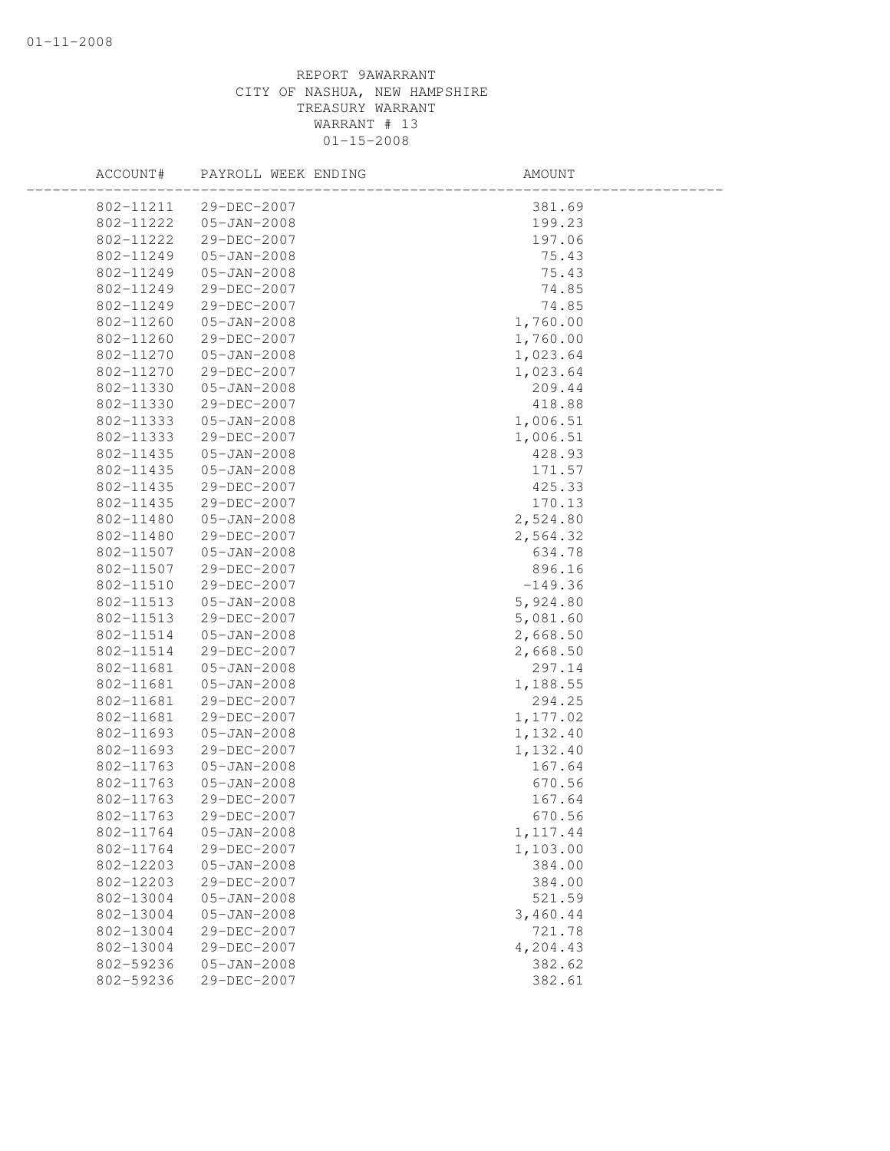| ACCOUNT#  | PAYROLL WEEK ENDING | AMOUNT    |
|-----------|---------------------|-----------|
| 802-11211 | 29-DEC-2007         | 381.69    |
| 802-11222 | 05-JAN-2008         | 199.23    |
| 802-11222 | 29-DEC-2007         | 197.06    |
| 802-11249 | $05 - JAN - 2008$   | 75.43     |
| 802-11249 | $05 - JAN - 2008$   | 75.43     |
| 802-11249 | 29-DEC-2007         | 74.85     |
| 802-11249 | 29-DEC-2007         | 74.85     |
| 802-11260 | $05 - JAN - 2008$   | 1,760.00  |
| 802-11260 | 29-DEC-2007         | 1,760.00  |
| 802-11270 | 05-JAN-2008         | 1,023.64  |
| 802-11270 | 29-DEC-2007         | 1,023.64  |
| 802-11330 | $05 - JAN - 2008$   | 209.44    |
| 802-11330 | 29-DEC-2007         | 418.88    |
| 802-11333 | $05 - JAN - 2008$   | 1,006.51  |
| 802-11333 | 29-DEC-2007         | 1,006.51  |
| 802-11435 | $05 - JAN - 2008$   | 428.93    |
| 802-11435 | $05 - JAN - 2008$   | 171.57    |
| 802-11435 | 29-DEC-2007         | 425.33    |
| 802-11435 | 29-DEC-2007         | 170.13    |
| 802-11480 | $05 - JAN - 2008$   | 2,524.80  |
| 802-11480 | 29-DEC-2007         | 2,564.32  |
| 802-11507 | $05 - JAN - 2008$   | 634.78    |
| 802-11507 | 29-DEC-2007         | 896.16    |
| 802-11510 | 29-DEC-2007         | $-149.36$ |
| 802-11513 | $05 - JAN - 2008$   | 5,924.80  |
| 802-11513 | 29-DEC-2007         | 5,081.60  |
| 802-11514 | 05-JAN-2008         | 2,668.50  |
| 802-11514 | 29-DEC-2007         | 2,668.50  |
| 802-11681 | $05 - JAN - 2008$   | 297.14    |
| 802-11681 | $05 - JAN - 2008$   | 1,188.55  |
| 802-11681 | 29-DEC-2007         | 294.25    |
| 802-11681 | 29-DEC-2007         | 1,177.02  |
| 802-11693 | $05 - JAN - 2008$   | 1,132.40  |
| 802-11693 | 29-DEC-2007         | 1,132.40  |
| 802-11763 | $05 - JAN - 2008$   | 167.64    |
| 802-11763 | $05 - JAN - 2008$   | 670.56    |
| 802-11763 | 29-DEC-2007         | 167.64    |
| 802-11763 | 29-DEC-2007         | 670.56    |
| 802-11764 | $05 - JAN - 2008$   | 1, 117.44 |
| 802-11764 | 29-DEC-2007         | 1,103.00  |
| 802-12203 | $05 - JAN - 2008$   | 384.00    |
| 802-12203 | 29-DEC-2007         | 384.00    |
| 802-13004 | $05 - JAN - 2008$   | 521.59    |
| 802-13004 | $05 - JAN - 2008$   | 3,460.44  |
| 802-13004 | 29-DEC-2007         | 721.78    |
| 802-13004 | 29-DEC-2007         | 4,204.43  |
| 802-59236 | $05 - JAN - 2008$   | 382.62    |
| 802-59236 | 29-DEC-2007         | 382.61    |
|           |                     |           |